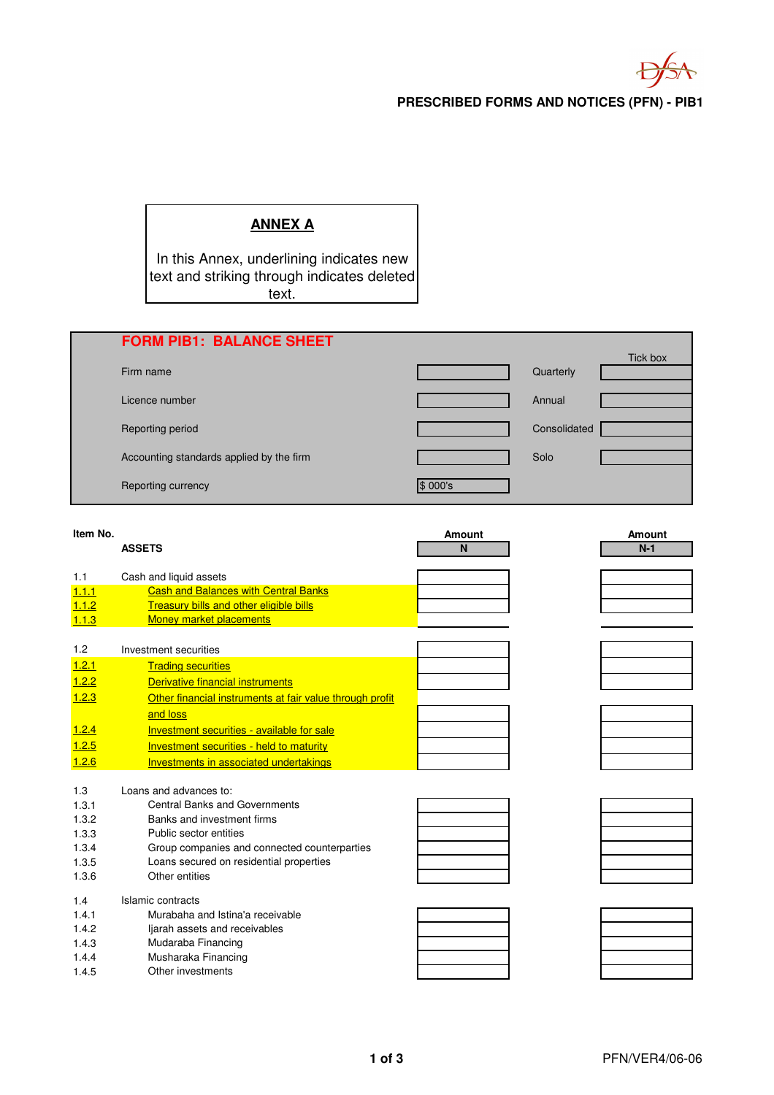

# **ANNEX A**

In this Annex, underlining indicates new text and striking through indicates deleted text.

|                | <b>FORM PIB1: BALANCE SHEET</b>                           |         |              |                 |
|----------------|-----------------------------------------------------------|---------|--------------|-----------------|
|                | Firm name                                                 |         | Quarterly    | <b>Tick box</b> |
|                |                                                           |         |              |                 |
|                | Licence number                                            |         | Annual       |                 |
|                | Reporting period                                          |         | Consolidated |                 |
|                | Accounting standards applied by the firm                  |         | Solo         |                 |
|                | Reporting currency                                        | \$000's |              |                 |
| Item No.       |                                                           | Amount  |              | Amount          |
|                | <b>ASSETS</b>                                             | N       |              | $N-1$           |
| 1.1            | Cash and liquid assets                                    |         |              |                 |
| 1.1.1          | <b>Cash and Balances with Central Banks</b>               |         |              |                 |
| 1.1.2          | Treasury bills and other eligible bills                   |         |              |                 |
| 1.1.3          | Money market placements                                   |         |              |                 |
| 1.2            | Investment securities                                     |         |              |                 |
| 1.2.1          | <b>Trading securities</b>                                 |         |              |                 |
| 1.2.2          | Derivative financial instruments                          |         |              |                 |
| 1.2.3          | Other financial instruments at fair value through profit  |         |              |                 |
|                | and loss                                                  |         |              |                 |
| 1.2.4          | Investment securities - available for sale                |         |              |                 |
| 1.2.5          | <b>Investment securities - held to maturity</b>           |         |              |                 |
| 1.2.6          | <b>Investments in associated undertakings</b>             |         |              |                 |
| 1.3            | Loans and advances to:                                    |         |              |                 |
| 1.3.1          | <b>Central Banks and Governments</b>                      |         |              |                 |
| 1.3.2          | Banks and investment firms                                |         |              |                 |
| 1.3.3          | Public sector entities                                    |         |              |                 |
| 1.3.4          | Group companies and connected counterparties              |         |              |                 |
| 1.3.5          | Loans secured on residential properties<br>Other entities |         |              |                 |
| 1.3.6          |                                                           |         |              |                 |
| 1.4            | Islamic contracts                                         |         |              |                 |
| 1.4.1          | Murabaha and Istina'a receivable                          |         |              |                 |
| 1.4.2          | ljarah assets and receivables                             |         |              |                 |
| 1.4.3<br>1.4.4 | Mudaraba Financing<br>Musharaka Financing                 |         |              |                 |
| 1.4.5          | Other investments                                         |         |              |                 |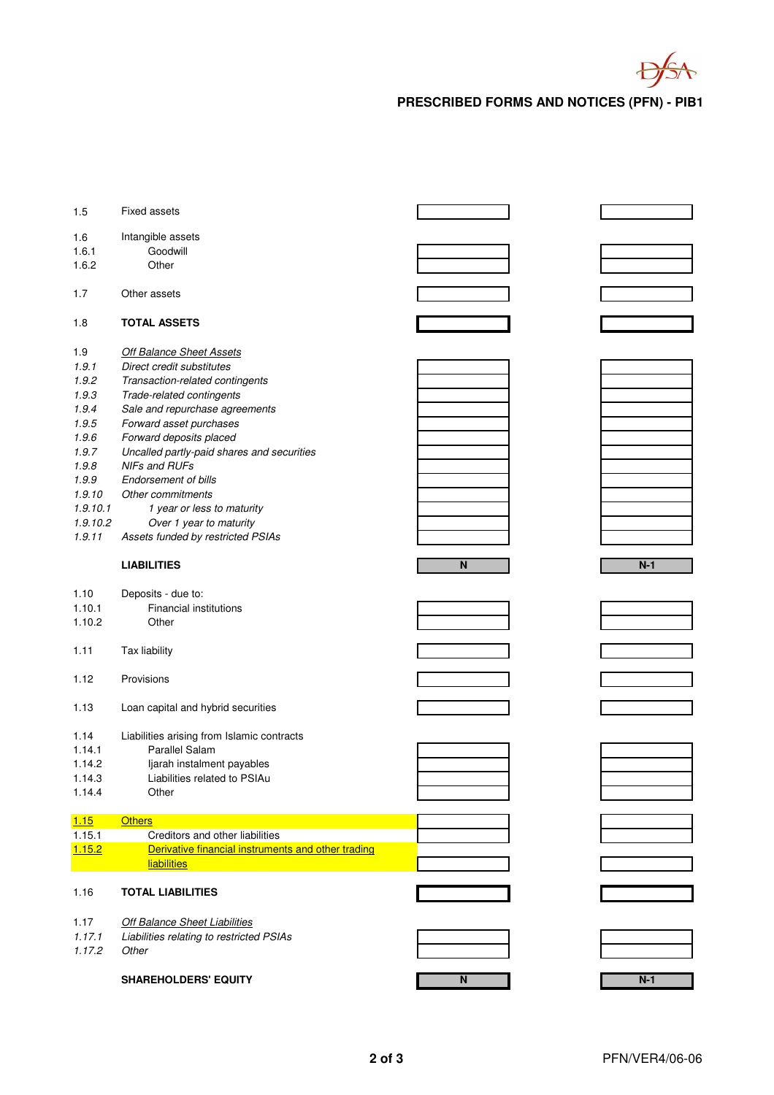

| 1.5      | <b>Fixed assets</b>                                |   |       |
|----------|----------------------------------------------------|---|-------|
|          |                                                    |   |       |
| 1.6      | Intangible assets                                  |   |       |
| 1.6.1    | Goodwill                                           |   |       |
| 1.6.2    | Other                                              |   |       |
| 1.7      | Other assets                                       |   |       |
|          |                                                    |   |       |
| 1.8      | <b>TOTAL ASSETS</b>                                |   |       |
|          |                                                    |   |       |
| 1.9      | <b>Off Balance Sheet Assets</b>                    |   |       |
| 1.9.1    | Direct credit substitutes                          |   |       |
| 1.9.2    | Transaction-related contingents                    |   |       |
| 1.9.3    | Trade-related contingents                          |   |       |
| 1.9.4    | Sale and repurchase agreements                     |   |       |
| 1.9.5    | Forward asset purchases                            |   |       |
| 1.9.6    | Forward deposits placed                            |   |       |
| 1.9.7    | Uncalled partly-paid shares and securities         |   |       |
| 1.9.8    | <b>NIFs and RUFs</b>                               |   |       |
| 1.9.9    | <b>Endorsement of bills</b>                        |   |       |
| 1.9.10   | Other commitments                                  |   |       |
| 1.9.10.1 | 1 year or less to maturity                         |   |       |
| 1.9.10.2 | Over 1 year to maturity                            |   |       |
| 1.9.11   | Assets funded by restricted PSIAs                  |   |       |
|          |                                                    |   |       |
|          | <b>LIABILITIES</b>                                 | N | $N-1$ |
| 1.10     | Deposits - due to:                                 |   |       |
| 1.10.1   | Financial institutions                             |   |       |
| 1.10.2   | Other                                              |   |       |
|          |                                                    |   |       |
| 1.11     |                                                    |   |       |
|          |                                                    |   |       |
|          | Tax liability                                      |   |       |
| 1.12     | Provisions                                         |   |       |
|          |                                                    |   |       |
| 1.13     | Loan capital and hybrid securities                 |   |       |
|          |                                                    |   |       |
| 1.14     | Liabilities arising from Islamic contracts         |   |       |
| 1.14.1   | Parallel Salam                                     |   |       |
| 1.14.2   | ljarah instalment payables                         |   |       |
| 1.14.3   | Liabilities related to PSIAu                       |   |       |
| 1.14.4   | Other                                              |   |       |
|          |                                                    |   |       |
| 1.15     | <b>Others</b>                                      |   |       |
| 1.15.1   | Creditors and other liabilities                    |   |       |
| 1.15.2   | Derivative financial instruments and other trading |   |       |
|          | <b>liabilities</b>                                 |   |       |
| 1.16     | <b>TOTAL LIABILITIES</b>                           |   |       |
|          |                                                    |   |       |
| 1.17     | Off Balance Sheet Liabilities                      |   |       |
| 1.17.1   | Liabilities relating to restricted PSIAs           |   |       |
| 1.17.2   | Other                                              |   |       |
|          | <b>SHAREHOLDERS' EQUITY</b>                        | N | $N-1$ |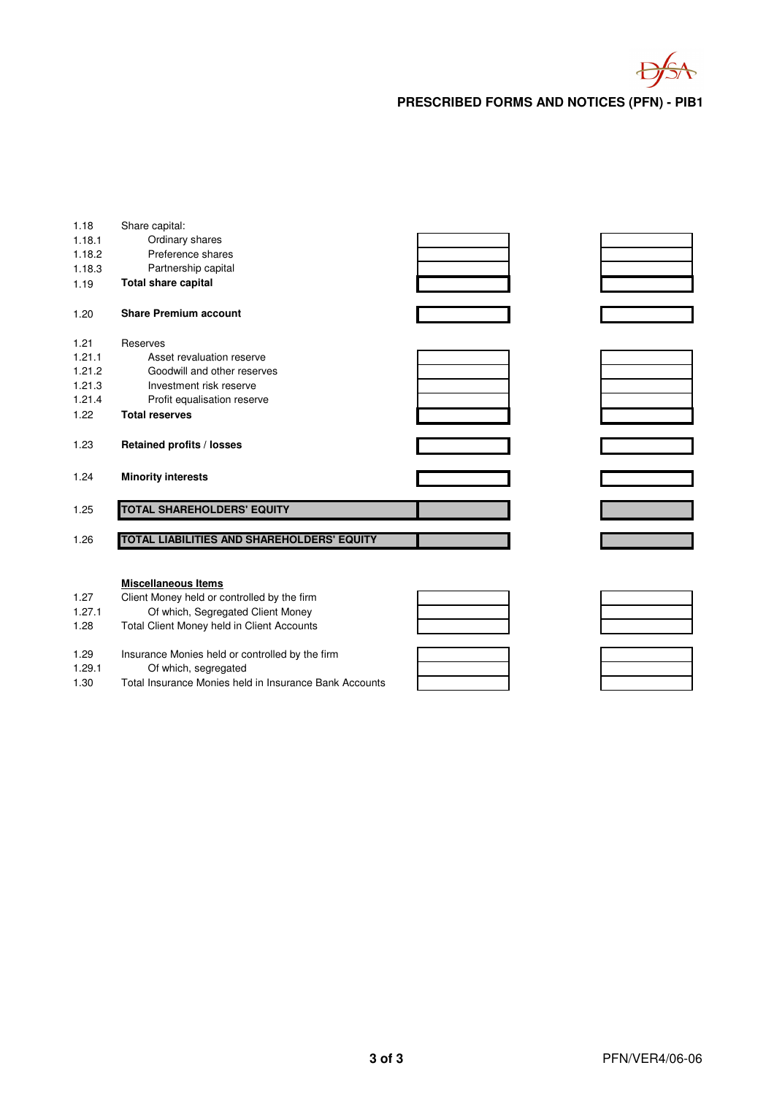

| 1.18   | Share capital:                                  |  |
|--------|-------------------------------------------------|--|
| 1.18.1 | Ordinary shares                                 |  |
| 1.18.2 | Preference shares                               |  |
| 1.18.3 | Partnership capital                             |  |
| 1.19   | <b>Total share capital</b>                      |  |
| 1.20   | <b>Share Premium account</b>                    |  |
| 1.21   | Reserves                                        |  |
| 1.21.1 | Asset revaluation reserve                       |  |
| 1.21.2 | Goodwill and other reserves                     |  |
| 1.21.3 | Investment risk reserve                         |  |
| 1.21.4 | Profit equalisation reserve                     |  |
| 1.22   | <b>Total reserves</b>                           |  |
| 1.23   | Retained profits / losses                       |  |
| 1.24   | <b>Minority interests</b>                       |  |
| 1.25   | <b>TOTAL SHAREHOLDERS' EQUITY</b>               |  |
| 1.26   | TOTAL LIABILITIES AND SHAREHOLDERS' EQUITY      |  |
|        | <b>Miscellaneous Items</b>                      |  |
| 1.27   | Client Money held or controlled by the firm     |  |
| 1.27.1 | Of which, Segregated Client Money               |  |
| 1.28   | Total Client Money held in Client Accounts      |  |
| 1.29   | Insurance Monies held or controlled by the firm |  |
| 1.29.1 | Of which, segregated                            |  |

1.30 Total Insurance Monies held in Insurance Bank Accounts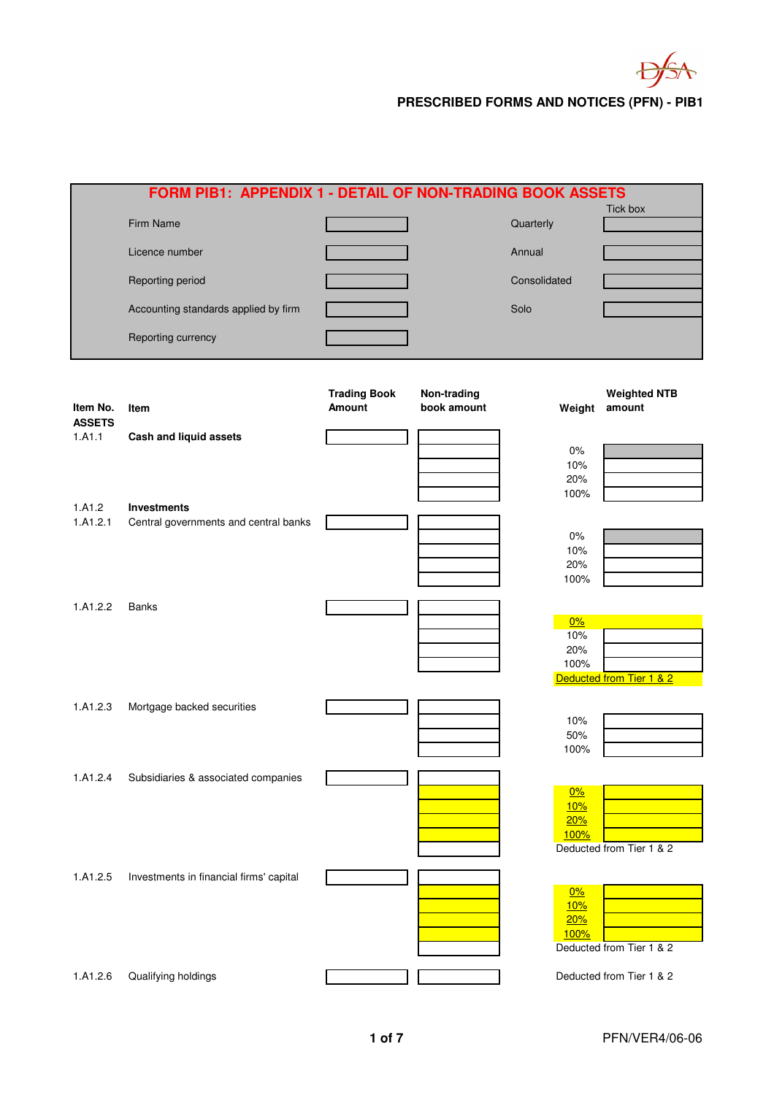

|                           | FORM PIB1: APPENDIX 1 - DETAIL OF NON-TRADING BOOK ASSETS   |                               |                            |                    |                               |
|---------------------------|-------------------------------------------------------------|-------------------------------|----------------------------|--------------------|-------------------------------|
|                           |                                                             |                               |                            |                    | Tick box                      |
|                           | Firm Name                                                   |                               |                            | Quarterly          |                               |
|                           | Licence number                                              |                               |                            | Annual             |                               |
|                           | Reporting period                                            |                               |                            | Consolidated       |                               |
|                           | Accounting standards applied by firm                        |                               |                            | Solo               |                               |
|                           | Reporting currency                                          |                               |                            |                    |                               |
| Item No.<br><b>ASSETS</b> | Item                                                        | <b>Trading Book</b><br>Amount | Non-trading<br>book amount | Weight             | <b>Weighted NTB</b><br>amount |
| 1.A1.1                    | Cash and liquid assets                                      |                               |                            | 0%                 |                               |
|                           |                                                             |                               |                            | 10%<br>20%<br>100% |                               |
| 1.A1.2<br>1.A1.2.1        | <b>Investments</b><br>Central governments and central banks |                               |                            |                    |                               |
|                           |                                                             |                               |                            | $0\%$              |                               |
|                           |                                                             |                               |                            | 10%<br>20%         |                               |
|                           |                                                             |                               |                            | 100%               |                               |
| 1.A1.2.2                  | <b>Banks</b>                                                |                               |                            |                    |                               |
|                           |                                                             |                               |                            | 0%<br>10%          |                               |
|                           |                                                             |                               |                            | 20%                |                               |
|                           |                                                             |                               |                            | 100%               | Deducted from Tier 1 & 2      |
|                           |                                                             |                               |                            |                    |                               |
| 1.A1.2.3                  | Mortgage backed securities                                  |                               |                            | 10%                |                               |
|                           |                                                             |                               |                            | 50%                |                               |
|                           |                                                             |                               |                            | 100%               |                               |
| 1.A1.2.4                  | Subsidiaries & associated companies                         |                               |                            |                    |                               |
|                           |                                                             |                               |                            | 0%<br>10%          |                               |
|                           |                                                             |                               |                            | 20%                |                               |
|                           |                                                             |                               |                            | 100%               | Deducted from Tier 1 & 2      |
| 1.A1.2.5                  | Investments in financial firms' capital                     |                               |                            |                    |                               |
|                           |                                                             |                               |                            | 0%                 |                               |
|                           |                                                             |                               |                            | 10%<br>20%         |                               |
|                           |                                                             |                               |                            | 100%               |                               |
|                           |                                                             |                               |                            |                    | Deducted from Tier 1 & 2      |
| 1.A1.2.6                  | Qualifying holdings                                         |                               |                            |                    | Deducted from Tier 1 & 2      |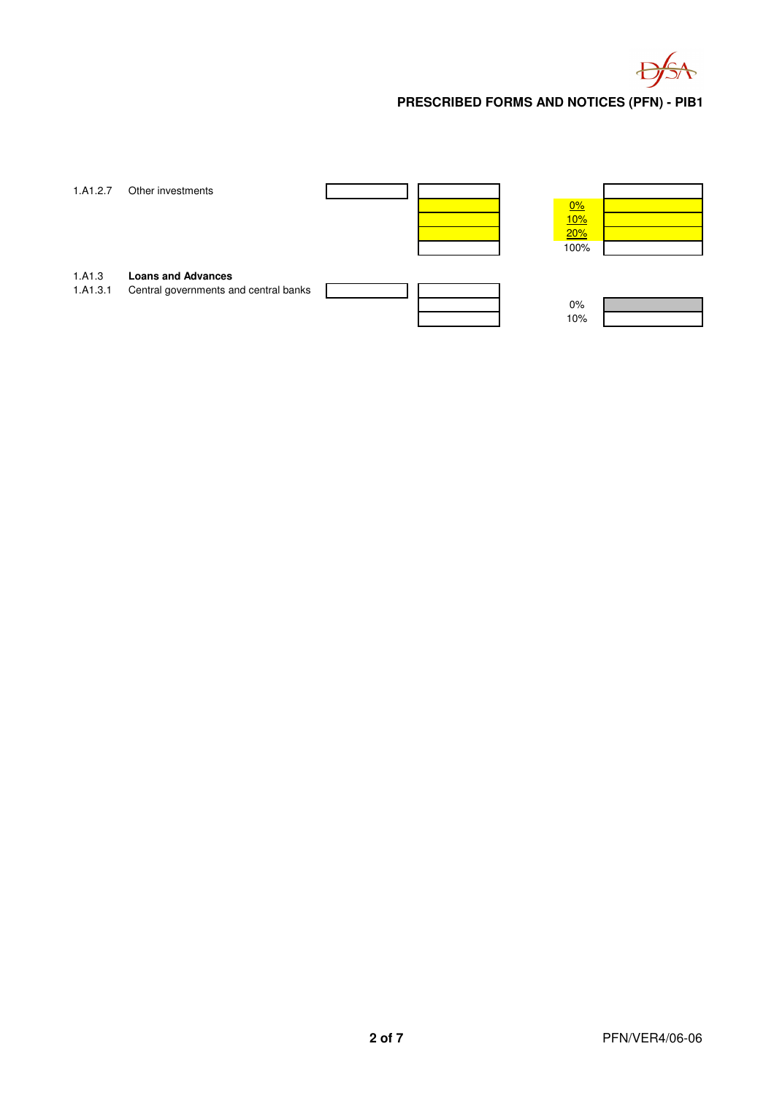

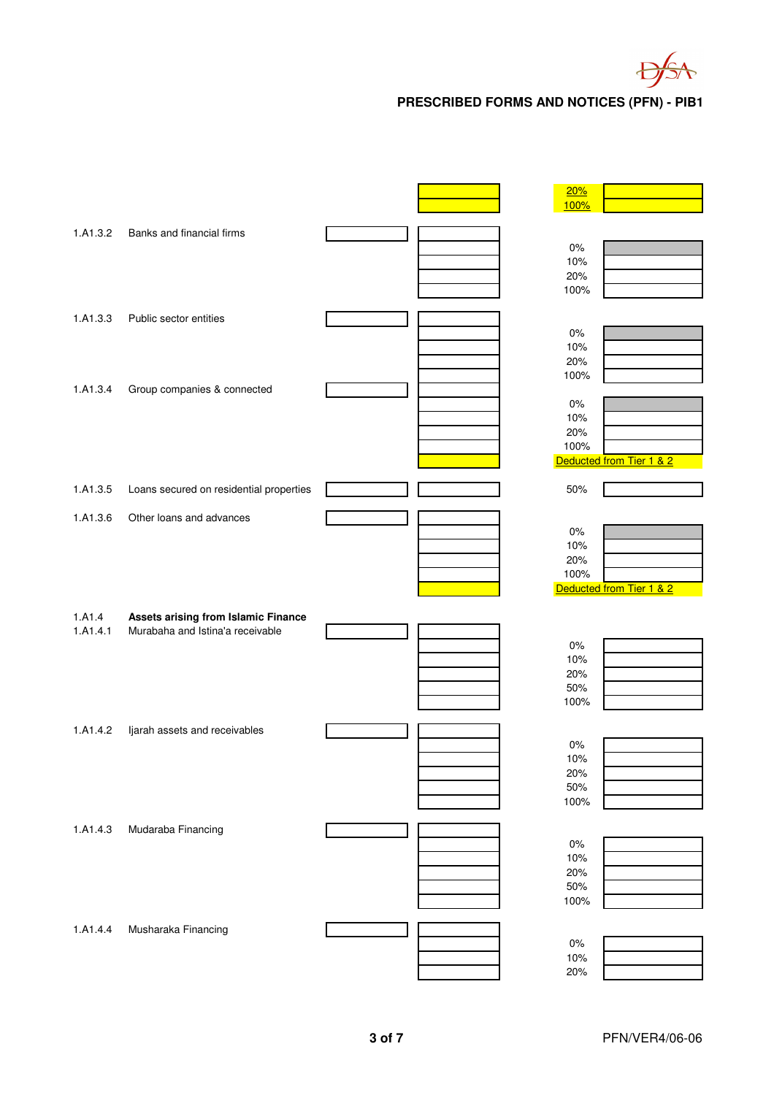

|          |                                            |  | 20%<br>100%  |                          |
|----------|--------------------------------------------|--|--------------|--------------------------|
| 1.A1.3.2 | Banks and financial firms                  |  |              |                          |
|          |                                            |  | $0\%$        |                          |
|          |                                            |  | 10%          |                          |
|          |                                            |  | 20%          |                          |
|          |                                            |  | 100%         |                          |
| 1.A1.3.3 | Public sector entities                     |  |              |                          |
|          |                                            |  | $0\%$        |                          |
|          |                                            |  | 10%          |                          |
|          |                                            |  | 20%          |                          |
| 1.A1.3.4 | Group companies & connected                |  | 100%         |                          |
|          |                                            |  | $0\%$        |                          |
|          |                                            |  | 10%          |                          |
|          |                                            |  | 20%          |                          |
|          |                                            |  | 100%         |                          |
|          |                                            |  |              | Deducted from Tier 1 & 2 |
| 1.A1.3.5 | Loans secured on residential properties    |  | 50%          |                          |
|          |                                            |  |              |                          |
| 1.A1.3.6 | Other loans and advances                   |  |              |                          |
|          |                                            |  | $0\%$        |                          |
|          |                                            |  | 10%<br>20%   |                          |
|          |                                            |  | 100%         |                          |
|          |                                            |  |              |                          |
|          |                                            |  |              | Deducted from Tier 1 & 2 |
|          |                                            |  |              |                          |
| 1.A1.4   | <b>Assets arising from Islamic Finance</b> |  |              |                          |
| 1.A1.4.1 | Murabaha and Istina'a receivable           |  |              |                          |
|          |                                            |  | $0\%$<br>10% |                          |
|          |                                            |  | 20%          |                          |
|          |                                            |  | 50%          |                          |
|          |                                            |  | 100%         |                          |
|          |                                            |  |              |                          |
| 1.A1.4.2 | ljarah assets and receivables              |  | $0\%$        |                          |
|          |                                            |  | 10%          |                          |
|          |                                            |  | 20%          |                          |
|          |                                            |  | 50%          |                          |
|          |                                            |  | 100%         |                          |
| 1.A1.4.3 | Mudaraba Financing                         |  |              |                          |
|          |                                            |  | $0\%$        |                          |
|          |                                            |  | 10%          |                          |
|          |                                            |  | 20%          |                          |
|          |                                            |  | 50%<br>100%  |                          |
|          |                                            |  |              |                          |
| 1.A1.4.4 | Musharaka Financing                        |  |              |                          |
|          |                                            |  | $0\%$<br>10% |                          |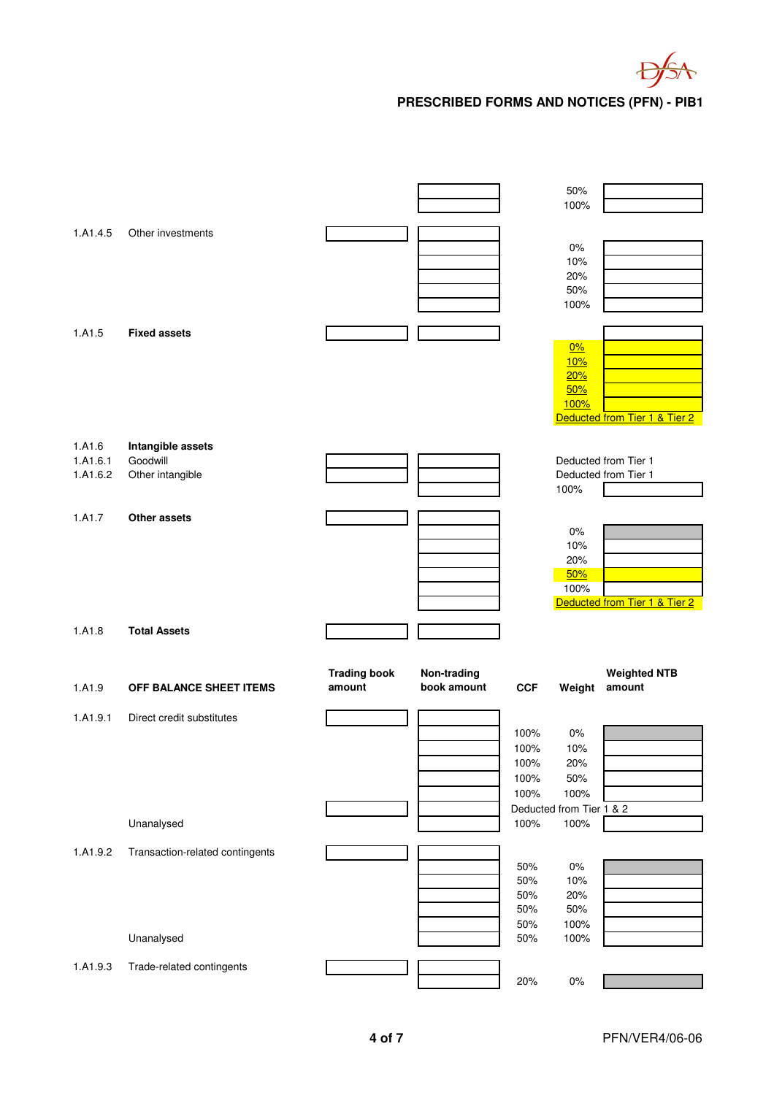

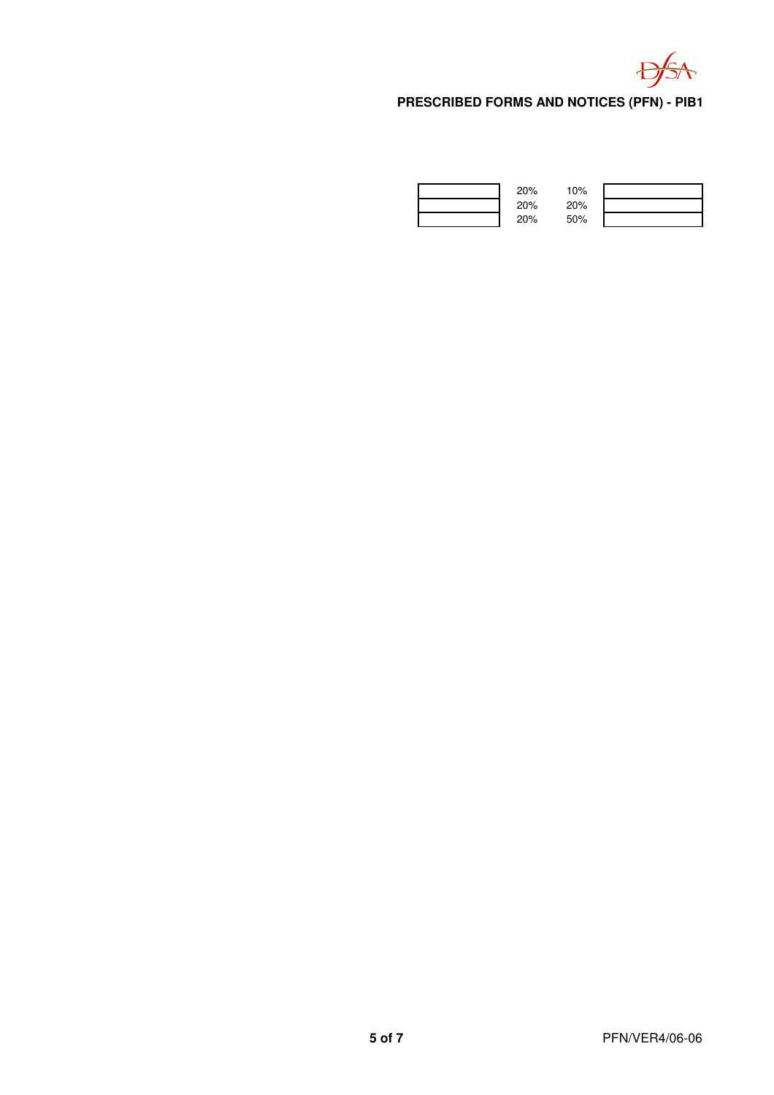

| 20% |
|-----|
| 20% |
| 20% |

20% 10% 20% 20% 20% 50%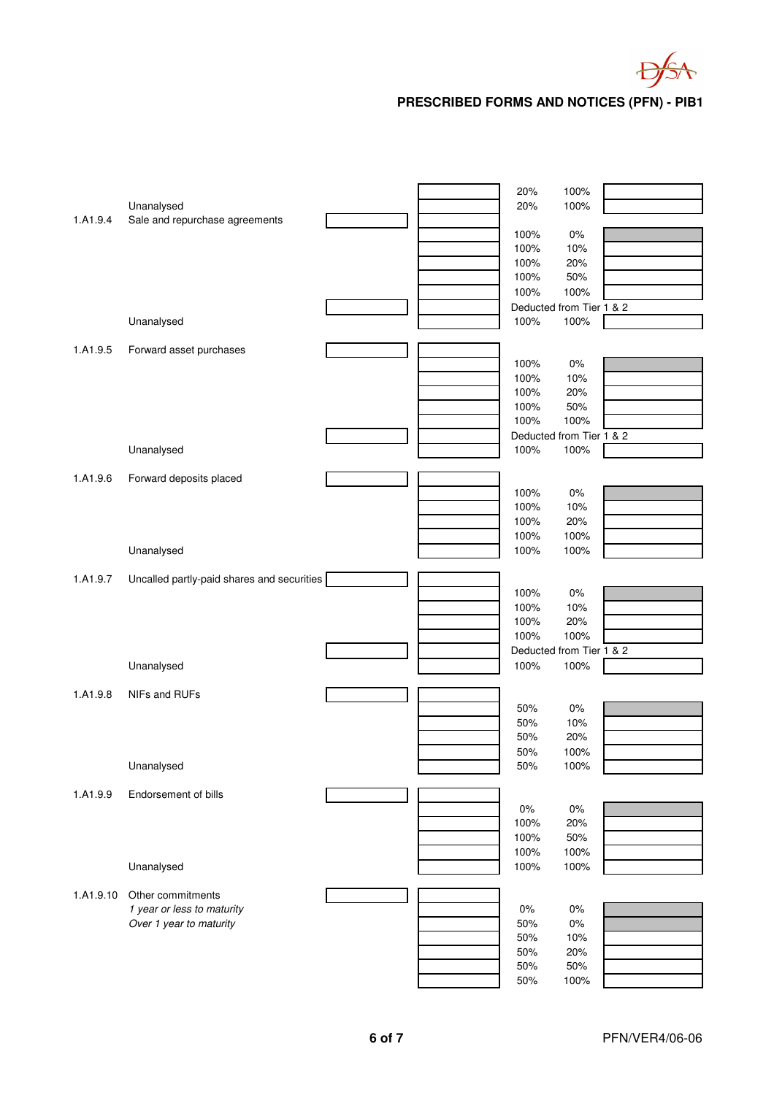

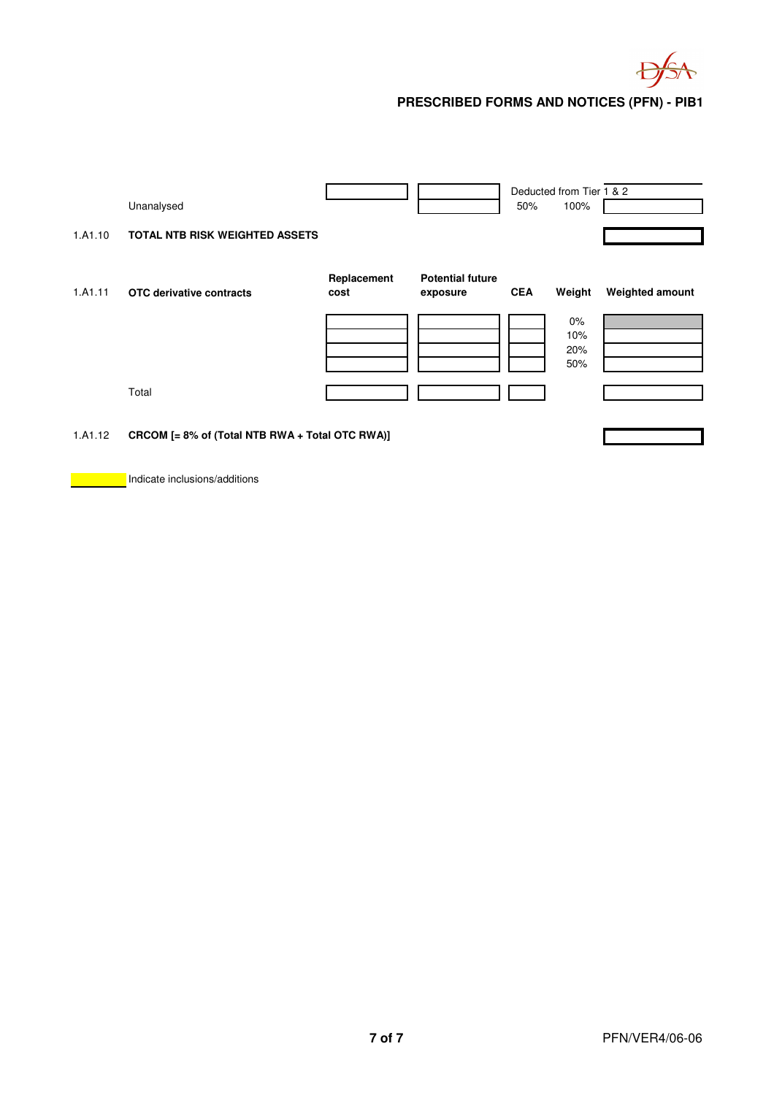



Indicate inclusions/additions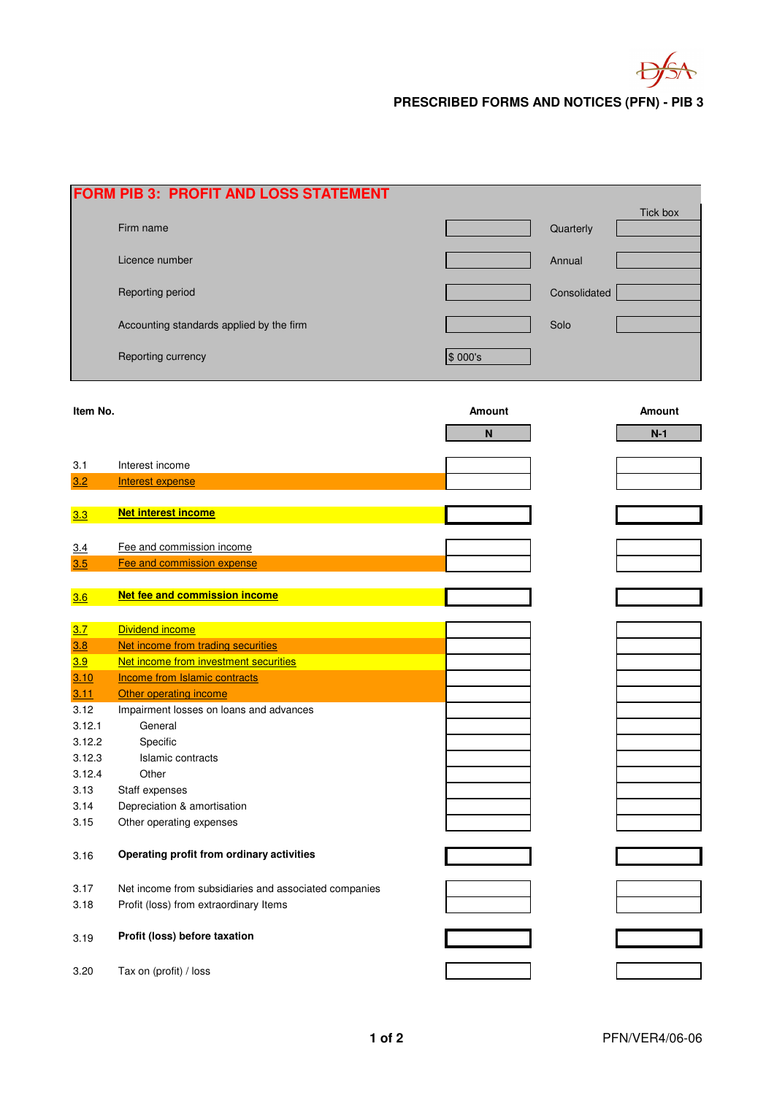

|            | <b>FORM PIB 3: PROFIT AND LOSS STATEMENT</b>          |               |               |  |
|------------|-------------------------------------------------------|---------------|---------------|--|
|            | Firm name                                             |               | Tick box      |  |
|            |                                                       |               | Quarterly     |  |
|            | Licence number                                        |               | Annual        |  |
|            |                                                       |               |               |  |
|            | Reporting period                                      |               | Consolidated  |  |
|            | Accounting standards applied by the firm              |               | Solo          |  |
|            | Reporting currency                                    | \$ 000's      |               |  |
|            |                                                       |               |               |  |
|            |                                                       |               |               |  |
| Item No.   |                                                       | <b>Amount</b> | <b>Amount</b> |  |
|            |                                                       | N             | $N-1$         |  |
|            |                                                       |               |               |  |
| 3.1        | Interest income                                       |               |               |  |
| 3.2        | Interest expense                                      |               |               |  |
| 3.3        | Net interest income                                   |               |               |  |
|            |                                                       |               |               |  |
| 3.4        | Fee and commission income                             |               |               |  |
| 3.5        | Fee and commission expense                            |               |               |  |
|            |                                                       |               |               |  |
| 3.6        | Net fee and commission income                         |               |               |  |
|            |                                                       |               |               |  |
| 3.7<br>3.8 | Dividend income<br>Net income from trading securities |               |               |  |
| 3.9        | Net income from investment securities                 |               |               |  |
| 3.10       | <b>Income from Islamic contracts</b>                  |               |               |  |
| 3.11       | Other operating income                                |               |               |  |
| 3.12       | Impairment losses on loans and advances               |               |               |  |
| 3.12.1     | General                                               |               |               |  |
| 3.12.2     | Specific                                              |               |               |  |
| 3.12.3     | Islamic contracts                                     |               |               |  |
| 3.12.4     | Other                                                 |               |               |  |
| 3.13       | Staff expenses                                        |               |               |  |
| 3.14       | Depreciation & amortisation                           |               |               |  |
| 3.15       | Other operating expenses                              |               |               |  |
|            |                                                       |               |               |  |
| 3.16       | Operating profit from ordinary activities             |               |               |  |
|            |                                                       |               |               |  |
| 3.17       | Net income from subsidiaries and associated companies |               |               |  |
| 3.18       | Profit (loss) from extraordinary Items                |               |               |  |
|            |                                                       |               |               |  |
| 3.19       | Profit (loss) before taxation                         |               |               |  |
|            |                                                       |               |               |  |
| 3.20       | Tax on (profit) / loss                                |               |               |  |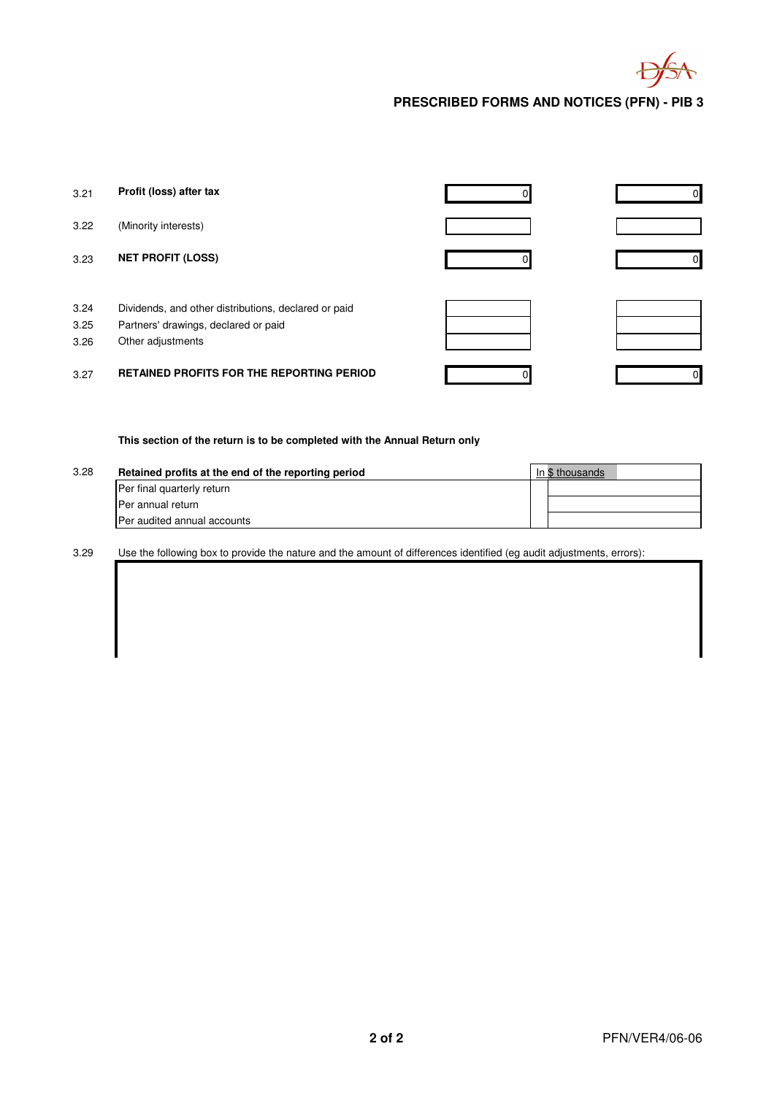

| 3.21                 | Profit (loss) after tax                                                                                           | 01 | $\overline{0}$ |
|----------------------|-------------------------------------------------------------------------------------------------------------------|----|----------------|
| 3.22                 | (Minority interests)                                                                                              |    |                |
| 3.23                 | <b>NET PROFIT (LOSS)</b>                                                                                          | O. | 0              |
| 3.24<br>3.25<br>3.26 | Dividends, and other distributions, declared or paid<br>Partners' drawings, declared or paid<br>Other adjustments |    |                |
| 3.27                 | <b>RETAINED PROFITS FOR THE REPORTING PERIOD</b>                                                                  | ΩI | $\Omega$       |

#### **This section of the return is to be completed with the Annual Return only**

| 3.28 | Retained profits at the end of the reporting period | In \$ thousands |
|------|-----------------------------------------------------|-----------------|
|      | Per final quarterly return                          |                 |
|      | Per annual return                                   |                 |
|      | <b>Per audited annual accounts</b>                  |                 |

#### 3.29 Use the following box to provide the nature and the amount of differences identified (eg audit adjustments, errors):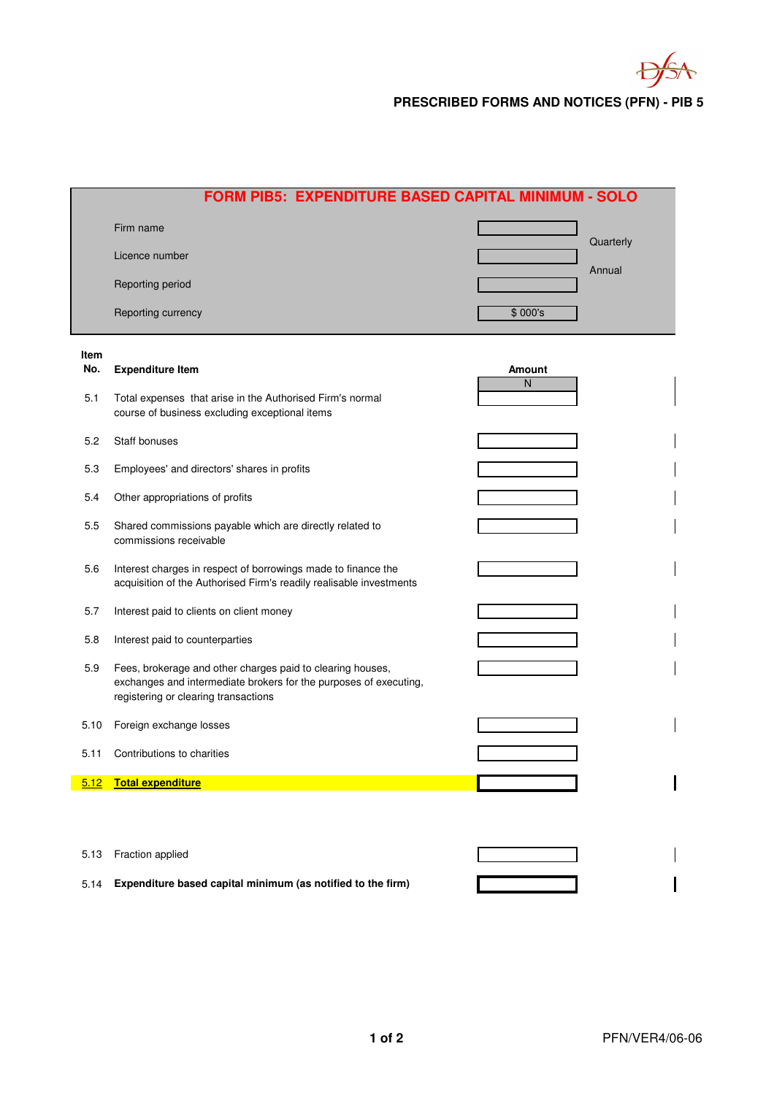

|             | <b>FORM PIB5: EXPENDITURE BASED CAPITAL MINIMUM - SOLO</b>                                                                                                              |           |           |  |  |  |  |  |
|-------------|-------------------------------------------------------------------------------------------------------------------------------------------------------------------------|-----------|-----------|--|--|--|--|--|
|             | Firm name                                                                                                                                                               |           |           |  |  |  |  |  |
|             | Licence number                                                                                                                                                          |           | Quarterly |  |  |  |  |  |
|             | Reporting period                                                                                                                                                        |           | Annual    |  |  |  |  |  |
|             | Reporting currency                                                                                                                                                      | \$000's   |           |  |  |  |  |  |
| Item<br>No. | <b>Expenditure Item</b>                                                                                                                                                 | Amount    |           |  |  |  |  |  |
| 5.1         | Total expenses that arise in the Authorised Firm's normal<br>course of business excluding exceptional items                                                             | ${\sf N}$ |           |  |  |  |  |  |
| 5.2         | Staff bonuses                                                                                                                                                           |           |           |  |  |  |  |  |
| 5.3         | Employees' and directors' shares in profits                                                                                                                             |           |           |  |  |  |  |  |
| 5.4         | Other appropriations of profits                                                                                                                                         |           |           |  |  |  |  |  |
| 5.5         | Shared commissions payable which are directly related to<br>commissions receivable                                                                                      |           |           |  |  |  |  |  |
| 5.6         | Interest charges in respect of borrowings made to finance the<br>acquisition of the Authorised Firm's readily realisable investments                                    |           |           |  |  |  |  |  |
| 5.7         | Interest paid to clients on client money                                                                                                                                |           |           |  |  |  |  |  |
| 5.8         | Interest paid to counterparties                                                                                                                                         |           |           |  |  |  |  |  |
| 5.9         | Fees, brokerage and other charges paid to clearing houses,<br>exchanges and intermediate brokers for the purposes of executing,<br>registering or clearing transactions |           |           |  |  |  |  |  |
| 5.10        | Foreign exchange losses                                                                                                                                                 |           |           |  |  |  |  |  |
| 5.11        | Contributions to charities                                                                                                                                              |           |           |  |  |  |  |  |
| 5.12        | <b>Total expenditure</b>                                                                                                                                                |           |           |  |  |  |  |  |
|             |                                                                                                                                                                         |           |           |  |  |  |  |  |
| 5.13        | Fraction applied                                                                                                                                                        |           |           |  |  |  |  |  |

5.14 **Expenditure based capital minimum (as notified to the firm)**

 $\begin{array}{c} \hline \end{array}$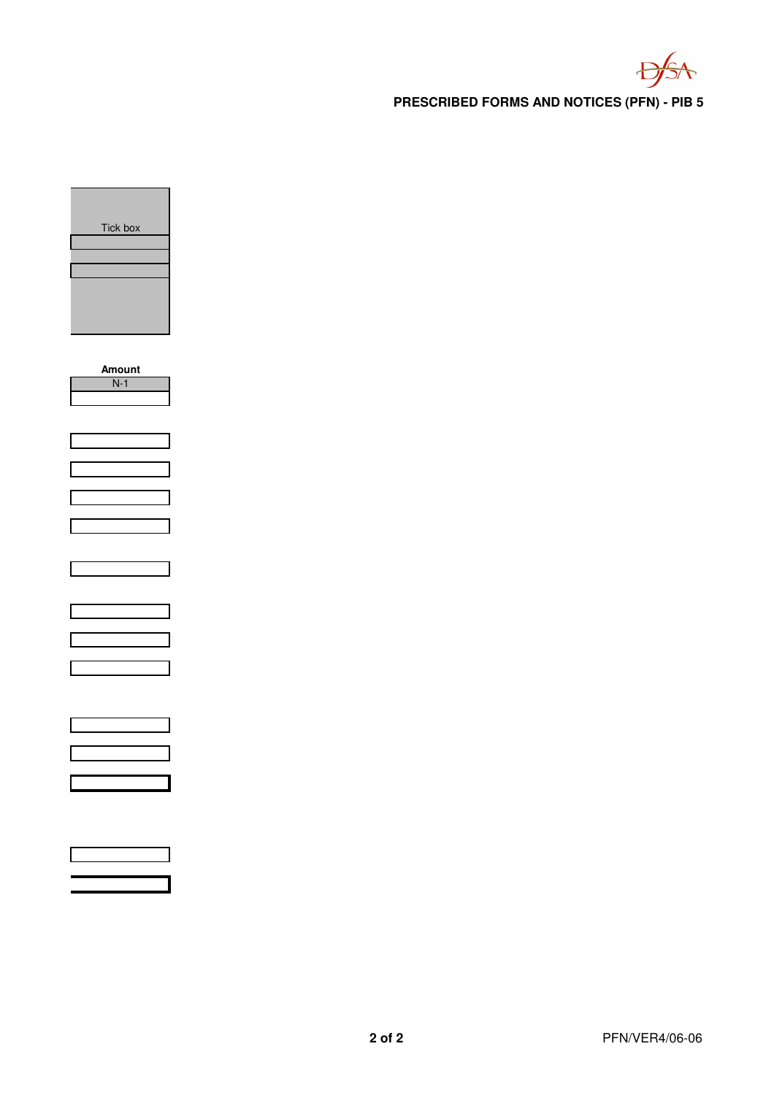

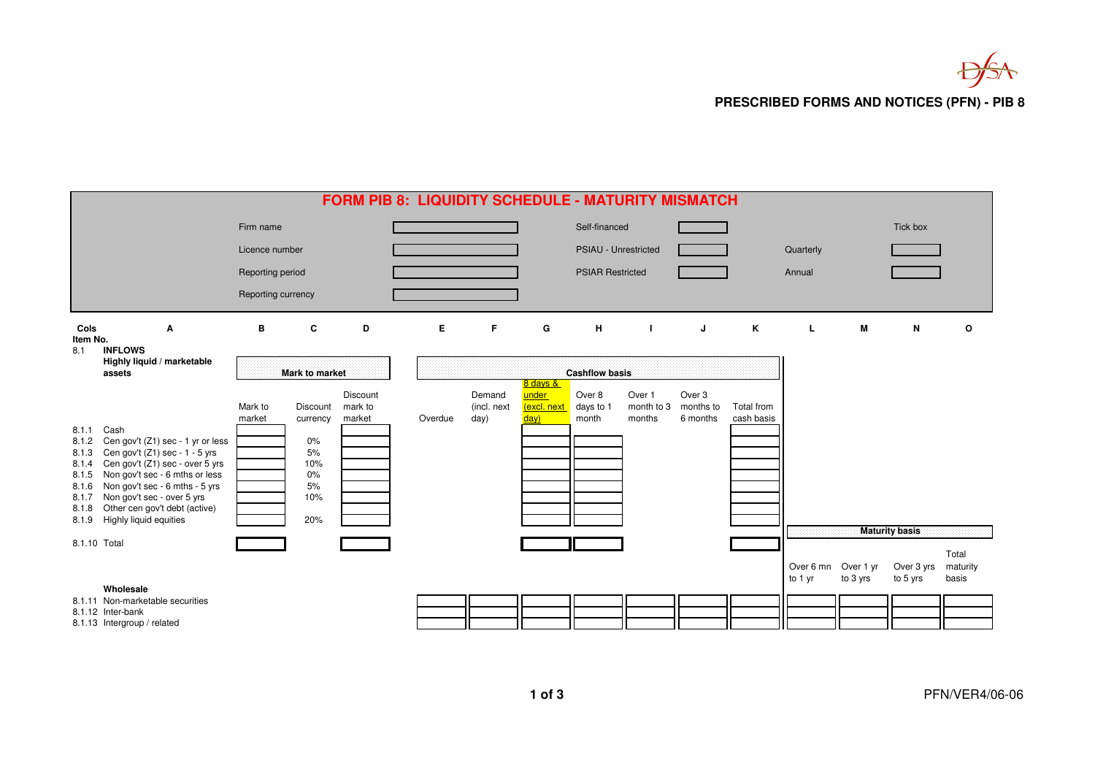

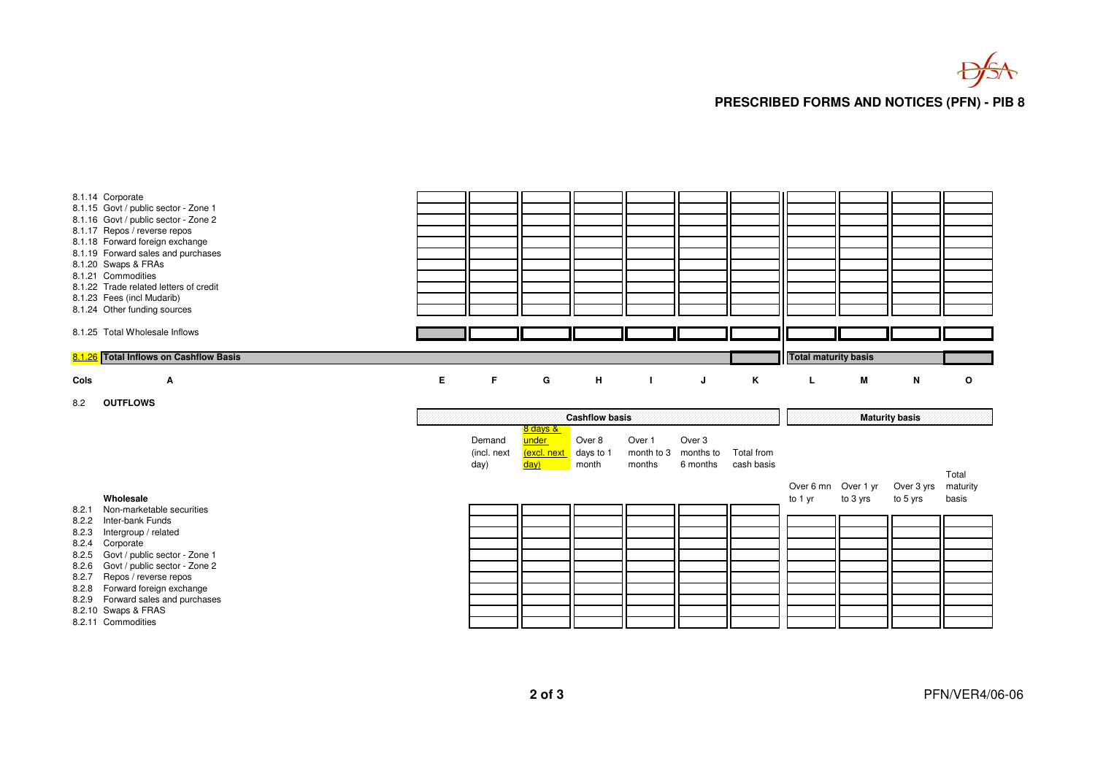|                                                                              |   |   | <b>Cashflow basis Access Cashflow Damas Cashflow Damas Cashflow Damas Cashflow Damas Cashflow Damas Cashflow Damas Cashflow Damas Cashflow Damas Cashflow Damas Cashflow Damas Cashflow Damas Cashflow Damas Cashflow Damas Cash</b> |   |   |   | .<br>.<br>.                 |   | Maturity basis |  |
|------------------------------------------------------------------------------|---|---|--------------------------------------------------------------------------------------------------------------------------------------------------------------------------------------------------------------------------------------|---|---|---|-----------------------------|---|----------------|--|
| <b>OUTFLOWS</b><br>8.2                                                       |   |   |                                                                                                                                                                                                                                      |   |   |   |                             |   |                |  |
| <b>Cols</b><br>A                                                             | Е | F | $\overline{\mathbf{G}}$                                                                                                                                                                                                              | H | J | K |                             | М | N              |  |
| 8.1.26 Total Inflows on Cashflow Basis                                       |   |   |                                                                                                                                                                                                                                      |   |   |   | <b>Total maturity basis</b> |   |                |  |
| 8.1.25 Total Wholesale Inflows                                               |   |   |                                                                                                                                                                                                                                      |   |   |   |                             |   |                |  |
| 8.1.24 Other funding sources                                                 |   |   |                                                                                                                                                                                                                                      |   |   |   |                             |   |                |  |
| 8.1.22 Trade related letters of credit<br>8.1.23 Fees (incl Mudarib)         |   |   |                                                                                                                                                                                                                                      |   |   |   |                             |   |                |  |
| 8.1.20 Swaps & FRAs<br>8.1.21 Commodities                                    |   |   |                                                                                                                                                                                                                                      |   |   |   |                             |   |                |  |
| 8.1.19 Forward sales and purchases                                           |   |   |                                                                                                                                                                                                                                      |   |   |   |                             |   |                |  |
| 8.1.17 Repos / reverse repos<br>8.1.18 Forward foreign exchange              |   |   |                                                                                                                                                                                                                                      |   |   |   |                             |   |                |  |
| 8.1.15 Govt / public sector - Zone 1<br>8.1.16 Govt / public sector - Zone 2 |   |   |                                                                                                                                                                                                                                      |   |   |   |                             |   |                |  |
| 8.1.14 Corporate                                                             |   |   |                                                                                                                                                                                                                                      |   |   |   |                             |   |                |  |

|                               |                                                     | <b>CASHIOW DASIS</b>         |                                |                                 |                          |                                |          |                        |                   |
|-------------------------------|-----------------------------------------------------|------------------------------|--------------------------------|---------------------------------|--------------------------|--------------------------------|----------|------------------------|-------------------|
| Demand<br>(incl. next<br>day) | <u>8 days &amp;</u><br>under<br>(excl. next<br>day) | Over 8<br>days to 1<br>month | Over 1<br>month to 3<br>months | Over 3<br>months to<br>6 months | Total from<br>cash basis |                                |          |                        | Total             |
|                               |                                                     |                              |                                |                                 |                          | Over 6 mn Over 1 yr<br>to 1 yr | to 3 yrs | Over 3 yrs<br>to 5 yrs | maturity<br>basis |
|                               |                                                     |                              |                                |                                 |                          |                                |          |                        |                   |
|                               |                                                     |                              |                                |                                 |                          |                                |          |                        |                   |
|                               |                                                     |                              |                                |                                 |                          |                                |          |                        |                   |
|                               |                                                     |                              |                                |                                 |                          |                                |          |                        |                   |
|                               |                                                     |                              |                                |                                 |                          |                                |          |                        |                   |
|                               |                                                     |                              |                                |                                 |                          |                                |          |                        |                   |
|                               |                                                     |                              |                                |                                 |                          |                                |          |                        |                   |
|                               |                                                     |                              |                                |                                 |                          |                                |          |                        |                   |
|                               |                                                     |                              |                                |                                 |                          |                                |          |                        |                   |
|                               |                                                     |                              |                                |                                 |                          |                                |          |                        |                   |

#### **Wholesale**

#### 8.2.1 Non-marketable securities

- 8.2.2 Inter-bank Funds
- 8.2.3 Intergroup / related
- 8.2.4 Corporate
- 8.2.5 Govt / public sector Zone 1
- 8.2.6 Govt / public sector Zone 2
- 8.2.7 Repos / reverse repos
- 8.2.8 Forward foreign exchange
- 8.2.9 Forward sales and purchases
- 8.2.10 Swaps & FRAS8.2.11 Commodities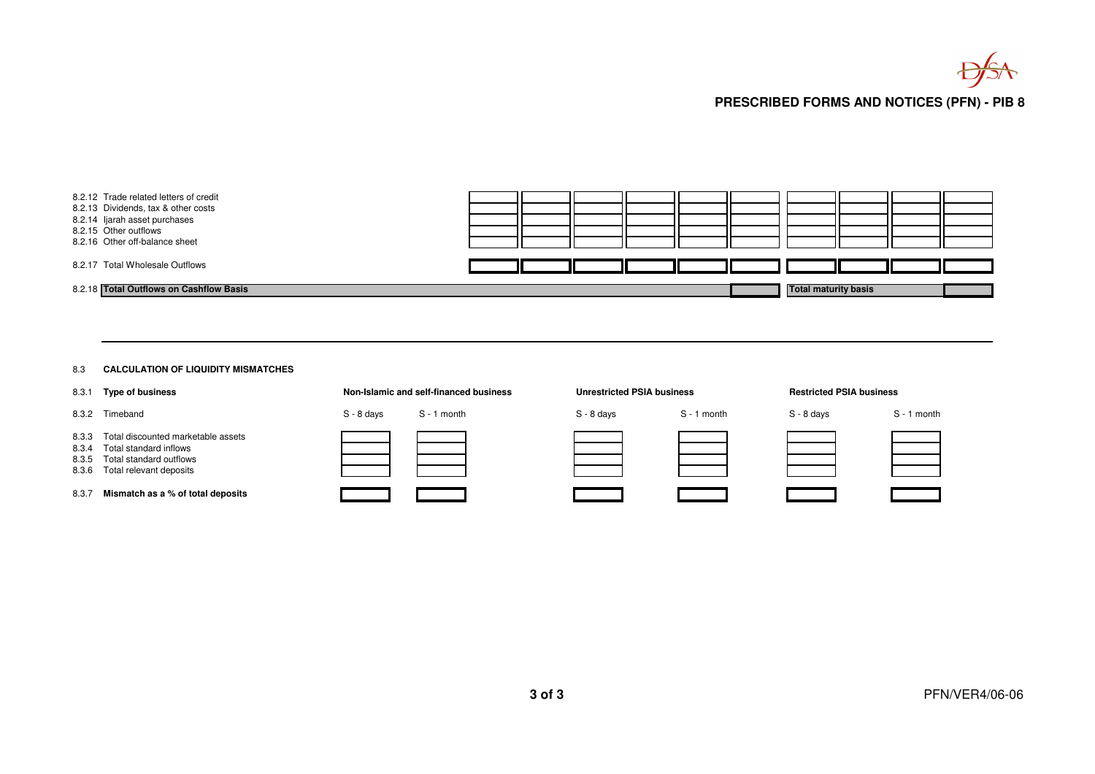



#### 8.3**CALCULATION OF LIQUIDITY MISMATCHES**

| <b>Type of business</b>                                                                                            |              | Non-Islamic and self-financed business | <b>Unrestricted PSIA business</b> |             | <b>Restricted PSIA business</b> |               |
|--------------------------------------------------------------------------------------------------------------------|--------------|----------------------------------------|-----------------------------------|-------------|---------------------------------|---------------|
|                                                                                                                    | $S - 8$ days | $S - 1$ month                          | S - 8 days                        | S - 1 month | $S - 8$ days                    | $S - 1$ month |
| Total discounted marketable assets<br>Total standard inflows<br>Total standard outflows<br>Total relevant deposits |              |                                        |                                   |             |                                 |               |
| Mismatch as a % of total deposits                                                                                  |              |                                        |                                   |             |                                 |               |
|                                                                                                                    |              |                                        |                                   |             |                                 |               |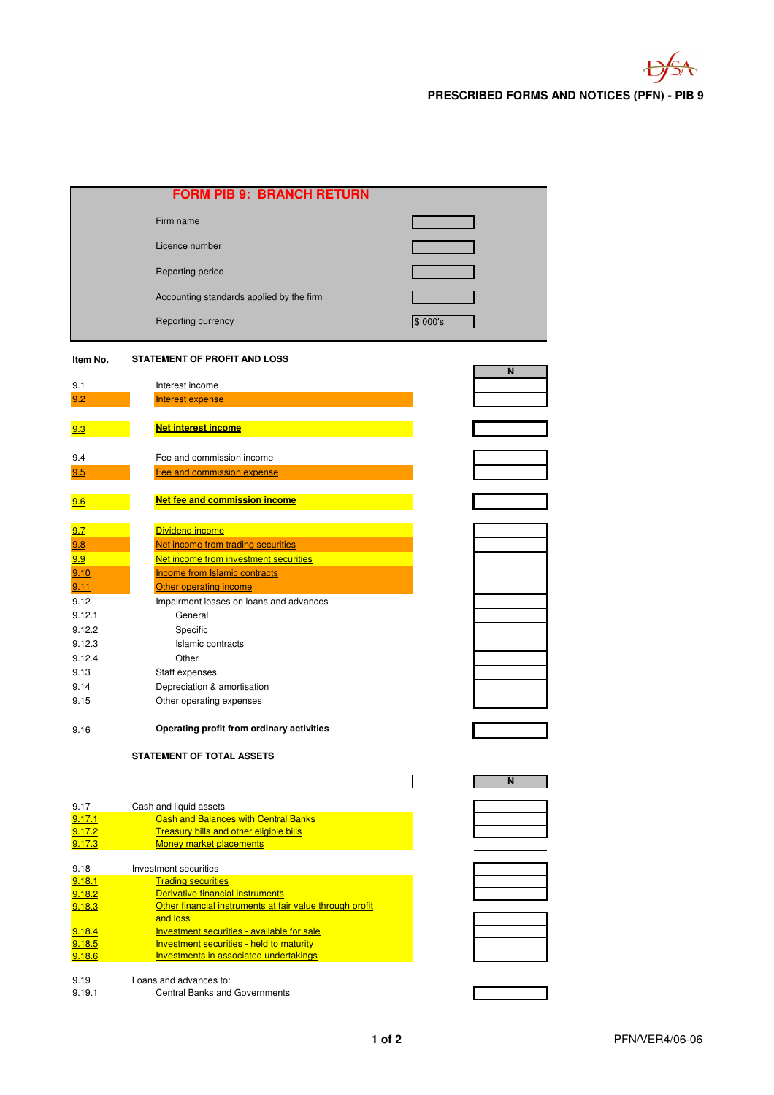|             | <b>FORM PIB 9: BRANCH RETURN</b>          |          |
|-------------|-------------------------------------------|----------|
|             | Firm name                                 |          |
|             | Licence number                            |          |
|             | Reporting period                          |          |
|             | Accounting standards applied by the firm  |          |
|             | Reporting currency                        | \$ 000's |
|             |                                           |          |
| ltem No.    | <b>STATEMENT OF PROFIT AND LOSS</b>       | N        |
| 9.1         | Interest income                           |          |
| <u>9.2</u>  | Interest expense                          |          |
|             |                                           |          |
| 9.3         | Net interest income                       |          |
| 9.4         | Fee and commission income                 |          |
| 9.5         | Fee and commission expense                |          |
|             |                                           |          |
| <u>9.6</u>  | Net fee and commission income             |          |
| <u>9.7</u>  | Dividend income                           |          |
| <u>9.8</u>  | Net income from trading securities        |          |
| 9.9         | Net income from investment securities     |          |
| <u>9.10</u> | Income from Islamic contracts             |          |
| 9.11        | Other operating income                    |          |
| 9.12        | Impairment losses on loans and advances   |          |
| 9.12.1      | General                                   |          |
| 9.12.2      | Specific                                  |          |
| 9.12.3      | <b>Islamic contracts</b>                  |          |
| 9.12.4      | Other                                     |          |
| 9.13        | Staff expenses                            |          |
| 9.14        | Depreciation & amortisation               |          |
| 9.15        | Other operating expenses                  |          |
| 9.16        | Operating profit from ordinary activities |          |
|             | STATEMENT OF TOTAL ASSETS                 |          |
|             |                                           | N        |
|             |                                           |          |
|             | .                                         |          |

| 9.17   | Cash and liquid assets                                   |
|--------|----------------------------------------------------------|
| 9.17.1 | <b>Cash and Balances with Central Banks</b>              |
| 9.17.2 | <b>Treasury bills and other eligible bills</b>           |
| 9.17.3 | <b>Money market placements</b>                           |
|        |                                                          |
| 9.18   | Investment securities                                    |
| 9.18.1 | <b>Trading securities</b>                                |
| 9.18.2 | Derivative financial instruments                         |
| 9.18.3 | Other financial instruments at fair value through profit |
|        | and loss                                                 |
| 9.18.4 | Investment securities - available for sale               |
| 9.18.5 | <b>Investment securities - held to maturity</b>          |
| 9.18.6 | Investments in associated undertakings                   |
|        |                                                          |
| 0.10   | Loope and odvences to:                                   |

9.19 Loans and advances to:<br>9.19.1 Central Banks and 9.19.1 Central Banks and Governments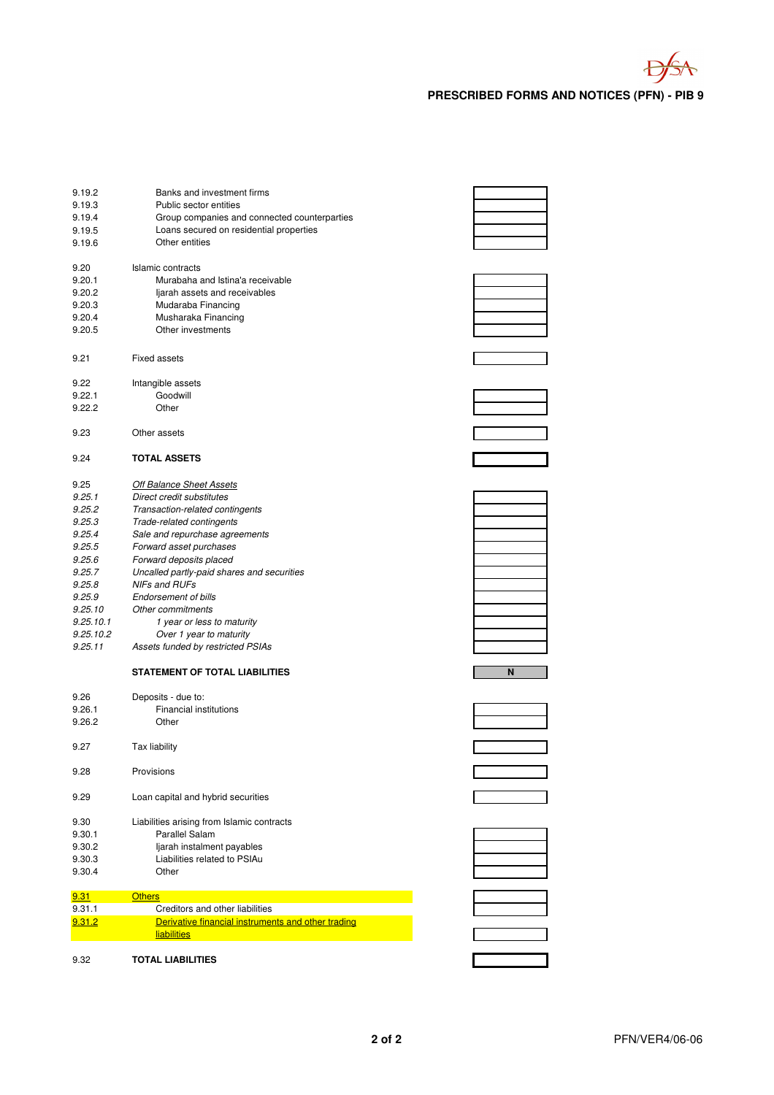

| 9.32             | <b>TOTAL LIABILITIES</b>                                     |   |
|------------------|--------------------------------------------------------------|---|
|                  | <b>liabilities</b>                                           |   |
| <u>9.31.2</u>    | Derivative financial instruments and other trading           |   |
| 9.31.1           | Creditors and other liabilities                              |   |
| 9.31             | <b>Others</b>                                                |   |
|                  |                                                              |   |
| 9.30.4           | Other                                                        |   |
| 9.30.3           | Liabilities related to PSIAu                                 |   |
| 9.30.1<br>9.30.2 | ljarah instalment payables                                   |   |
| 9.30             | Liabilities arising from Islamic contracts<br>Parallel Salam |   |
|                  |                                                              |   |
| 9.29             | Loan capital and hybrid securities                           |   |
| 9.28             | Provisions                                                   |   |
| 9.27             | <b>Tax liability</b>                                         |   |
|                  |                                                              |   |
| 9.26.2           | Other                                                        |   |
| 9.26.1           | Financial institutions                                       |   |
| 9.26             | Deposits - due to:                                           |   |
|                  | STATEMENT OF TOTAL LIABILITIES                               | N |
| 9.25.11          | Assets funded by restricted PSIAs                            |   |
| 9.25.10.2        | Over 1 year to maturity                                      |   |
| 9.25.10.1        | 1 year or less to maturity                                   |   |
| 9.25.10          | Other commitments                                            |   |
| 9.25.9           | <b>Endorsement of bills</b>                                  |   |
| 9.25.8           | <b>NIFs and RUFs</b>                                         |   |
| 9.25.7           | Uncalled partly-paid shares and securities                   |   |
| 9.25.6           | Forward deposits placed                                      |   |
| 9.25.5           | Forward asset purchases                                      |   |
| 9.25.4           | Sale and repurchase agreements                               |   |
| 9.25.3           | Transaction-related contingents<br>Trade-related contingents |   |
| 9.25.2           |                                                              |   |
| 9.25<br>9.25.1   | <b>Off Balance Sheet Assets</b><br>Direct credit substitutes |   |
|                  |                                                              |   |
| 9.24             | <b>TOTAL ASSETS</b>                                          |   |
| 9.23             | Other assets                                                 |   |
|                  |                                                              |   |
| 9.22.2           | Other                                                        |   |
| 9.22.1           | Goodwill                                                     |   |
| 9.22             | Intangible assets                                            |   |
| 9.21             | <b>Fixed assets</b>                                          |   |
| 9.20.5           | Other investments                                            |   |
| 9.20.4           | Musharaka Financing                                          |   |
| 9.20.3           | Mudaraba Financing                                           |   |
| 9.20.2           | ljarah assets and receivables                                |   |
| 9.20.1           | Murabaha and Istina'a receivable                             |   |
| 9.20             | Islamic contracts                                            |   |
| 9.19.6           | Other entities                                               |   |
| 9.19.5           | Loans secured on residential properties                      |   |
| 9.19.4           | Group companies and connected counterparties                 |   |
| 9.19.3           | Public sector entities                                       |   |
| 9.19.2           | Banks and investment firms                                   |   |
|                  |                                                              |   |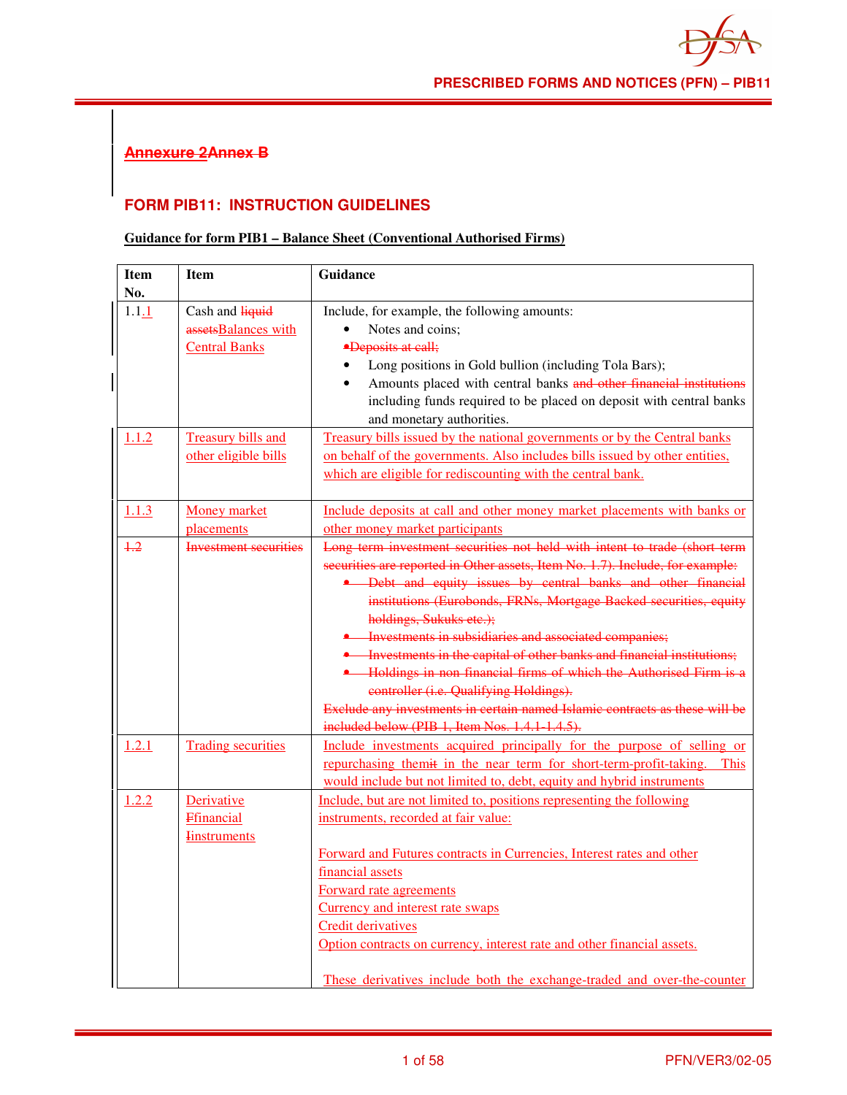# **Annexure 2Annex B**

### **FORM PIB11: INSTRUCTION GUIDELINES**

#### **Guidance for form PIB1 – Balance Sheet (Conventional Authorised Firms)**

| <b>Item</b> | <b>Item</b>                  | Guidance                                                                                                      |
|-------------|------------------------------|---------------------------------------------------------------------------------------------------------------|
| No.         |                              |                                                                                                               |
| 1.1.1       | Cash and <b>liquid</b>       | Include, for example, the following amounts:                                                                  |
|             | assetsBalances with          | Notes and coins;                                                                                              |
|             | <b>Central Banks</b>         | <b>*Deposits at call;</b>                                                                                     |
|             |                              | Long positions in Gold bullion (including Tola Bars);                                                         |
|             |                              | Amounts placed with central banks and other financial institutions<br>$\bullet$                               |
|             |                              | including funds required to be placed on deposit with central banks                                           |
|             |                              | and monetary authorities.                                                                                     |
| 1.1.2       | <b>Treasury bills and</b>    | Treasury bills issued by the national governments or by the Central banks                                     |
|             | other eligible bills         | on behalf of the governments. Also includes bills issued by other entities,                                   |
|             |                              | which are eligible for rediscounting with the central bank.                                                   |
| 1.1.3       | Money market                 | Include deposits at call and other money market placements with banks or                                      |
|             | placements                   | other money market participants                                                                               |
| $+2$        | <b>Investment securities</b> | Long term investment securities not held with intent to trade (short term                                     |
|             |                              | securities are reported in Other assets, Item No. 1.7). Include, for example:                                 |
|             |                              | <b>•</b> Debt and equity issues by central banks and other financial                                          |
|             |                              | institutions (Eurobonds, FRNs, Mortgage Backed securities, equity                                             |
|             |                              |                                                                                                               |
|             |                              | holdings, Sukuks etc.);<br><b>•</b> Investments in subsidiaries and associated companies;                     |
|             |                              |                                                                                                               |
|             |                              | <b>•</b> Investments in the capital of other banks and financial institutions;                                |
|             |                              | • Holdings in non-financial firms of which the Authorised Firm is a<br>controller (i.e. Qualifying Holdings). |
|             |                              | Exclude any investments in certain named Islamic contracts as these will be                                   |
|             |                              | included below (PIB 1, Item Nos. 1.4.1-1.4.5).                                                                |
| 1.2.1       | <b>Trading securities</b>    | Include investments acquired principally for the purpose of selling or                                        |
|             |                              | repurchasing themit in the near term for short-term-profit-taking.<br><b>This</b>                             |
|             |                              | would include but not limited to, debt, equity and hybrid instruments                                         |
| 1.2.2       | Derivative                   | Include, but are not limited to, positions representing the following                                         |
|             | <b>Ffinancial</b>            | instruments, recorded at fair value:                                                                          |
|             | <b>Hinstruments</b>          |                                                                                                               |
|             |                              | Forward and Futures contracts in Currencies, Interest rates and other                                         |
|             |                              | financial assets                                                                                              |
|             |                              | Forward rate agreements                                                                                       |
|             |                              | Currency and interest rate swaps                                                                              |
|             |                              | <b>Credit derivatives</b>                                                                                     |
|             |                              | Option contracts on currency, interest rate and other financial assets.                                       |
|             |                              | These derivatives include both the exchange-traded and over-the-counter                                       |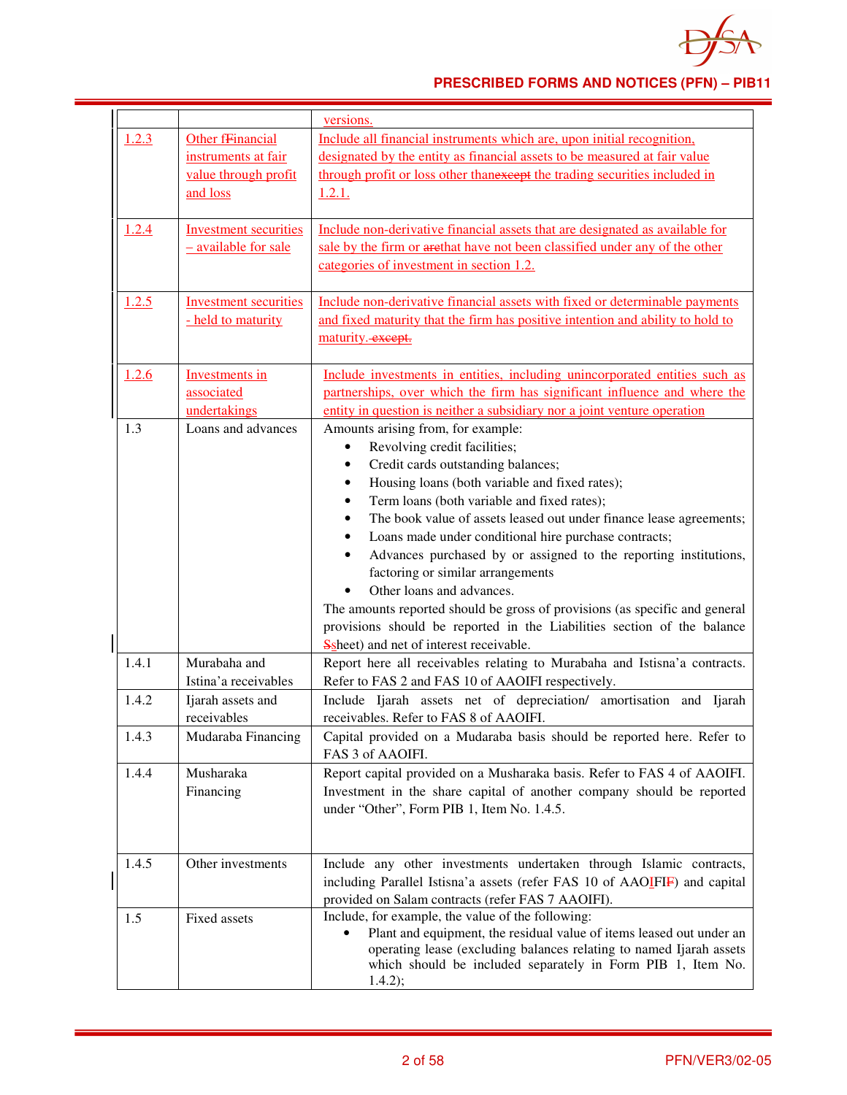

|       |                              | versions.                                                                                                                                   |
|-------|------------------------------|---------------------------------------------------------------------------------------------------------------------------------------------|
| 1.2.3 | Other fFinancial             | Include all financial instruments which are, upon initial recognition,                                                                      |
|       | instruments at fair          | designated by the entity as financial assets to be measured at fair value                                                                   |
|       | value through profit         | through profit or loss other than except the trading securities included in                                                                 |
|       | and loss                     | 1.2.1.                                                                                                                                      |
|       |                              |                                                                                                                                             |
| 1.2.4 | <b>Investment securities</b> | Include non-derivative financial assets that are designated as available for                                                                |
|       | $-$ available for sale       | sale by the firm or are that have not been classified under any of the other                                                                |
|       |                              | categories of investment in section 1.2.                                                                                                    |
|       |                              |                                                                                                                                             |
| 1.2.5 | <b>Investment securities</b> | Include non-derivative financial assets with fixed or determinable payments                                                                 |
|       | - held to maturity           | and fixed maturity that the firm has positive intention and ability to hold to                                                              |
|       |                              | maturity. except.                                                                                                                           |
|       |                              |                                                                                                                                             |
| 1.2.6 | <b>Investments</b> in        | Include investments in entities, including unincorporated entities such as                                                                  |
|       | associated                   | partnerships, over which the firm has significant influence and where the                                                                   |
|       | undertakings                 | entity in question is neither a subsidiary nor a joint venture operation                                                                    |
| 1.3   | Loans and advances           | Amounts arising from, for example:                                                                                                          |
|       |                              | Revolving credit facilities;<br>٠                                                                                                           |
|       |                              | Credit cards outstanding balances;<br>٠                                                                                                     |
|       |                              | Housing loans (both variable and fixed rates);<br>٠                                                                                         |
|       |                              | Term loans (both variable and fixed rates);                                                                                                 |
|       |                              | The book value of assets leased out under finance lease agreements;                                                                         |
|       |                              | Loans made under conditional hire purchase contracts;<br>٠                                                                                  |
|       |                              | Advances purchased by or assigned to the reporting institutions,                                                                            |
|       |                              | factoring or similar arrangements                                                                                                           |
|       |                              | Other loans and advances.                                                                                                                   |
|       |                              | The amounts reported should be gross of provisions (as specific and general                                                                 |
|       |                              | provisions should be reported in the Liabilities section of the balance                                                                     |
|       |                              | Ssheet) and net of interest receivable.                                                                                                     |
| 1.4.1 | Murabaha and                 | Report here all receivables relating to Murabaha and Istisna'a contracts.                                                                   |
|       | Istina'a receivables         | Refer to FAS 2 and FAS 10 of AAOIFI respectively.                                                                                           |
| 1.4.2 | Ijarah assets and            | Include Ijarah assets net of depreciation/ amortisation and Ijarah                                                                          |
|       | receivables                  | receivables. Refer to FAS 8 of AAOIFI.                                                                                                      |
| 1.4.3 | Mudaraba Financing           | Capital provided on a Mudaraba basis should be reported here. Refer to                                                                      |
|       |                              | FAS 3 of AAOIFI.                                                                                                                            |
| 1.4.4 | Musharaka                    | Report capital provided on a Musharaka basis. Refer to FAS 4 of AAOIFI.                                                                     |
|       | Financing                    | Investment in the share capital of another company should be reported                                                                       |
|       |                              | under "Other", Form PIB 1, Item No. 1.4.5.                                                                                                  |
|       |                              |                                                                                                                                             |
|       |                              |                                                                                                                                             |
| 1.4.5 | Other investments            | Include any other investments undertaken through Islamic contracts,                                                                         |
|       |                              | including Parallel Istisna'a assets (refer FAS 10 of AAOIFIF) and capital                                                                   |
|       |                              | provided on Salam contracts (refer FAS 7 AAOIFI).                                                                                           |
| 1.5   | Fixed assets                 | Include, for example, the value of the following:                                                                                           |
|       |                              | Plant and equipment, the residual value of items leased out under an<br>operating lease (excluding balances relating to named Ijarah assets |
|       |                              | which should be included separately in Form PIB 1, Item No.                                                                                 |
|       |                              | 1.4.2);                                                                                                                                     |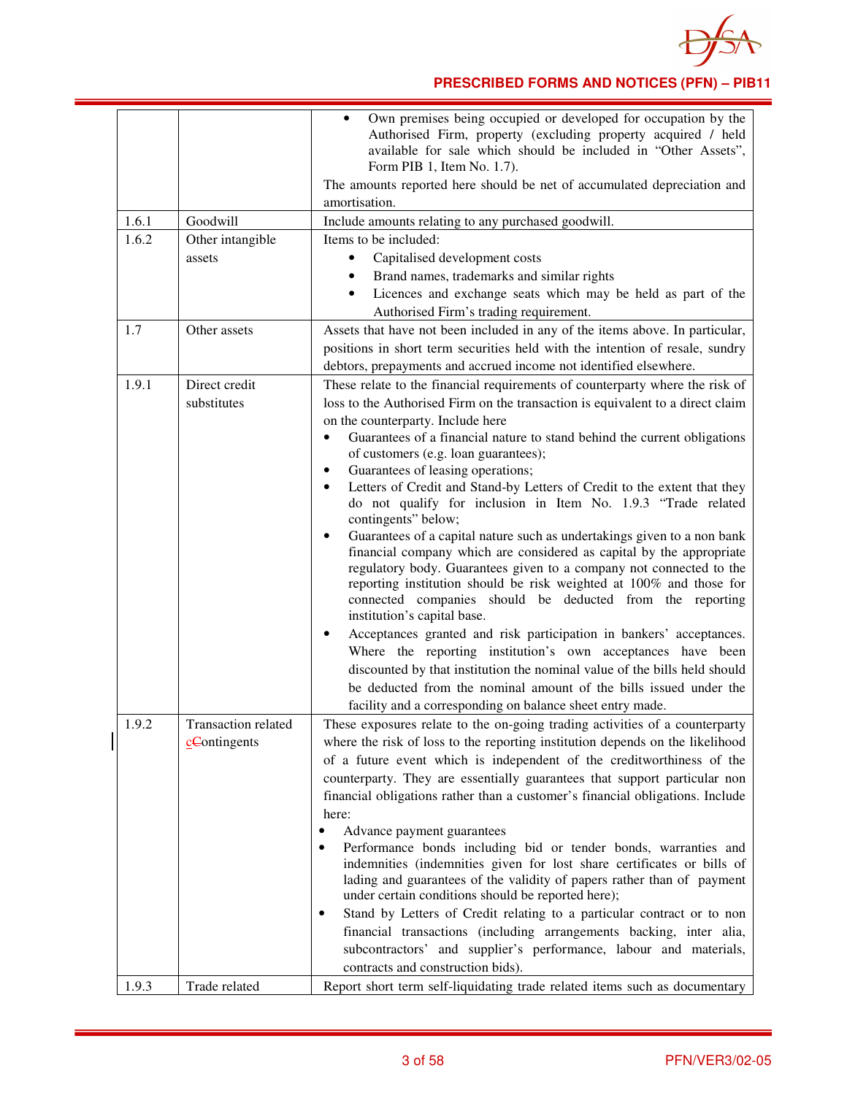

| 1.6.1<br>1.6.2 | Goodwill<br>Other intangible<br>assets     | Own premises being occupied or developed for occupation by the<br>$\bullet$<br>Authorised Firm, property (excluding property acquired / held<br>available for sale which should be included in "Other Assets",<br>Form PIB 1, Item No. 1.7).<br>The amounts reported here should be net of accumulated depreciation and<br>amortisation.<br>Include amounts relating to any purchased goodwill.<br>Items to be included:<br>Capitalised development costs<br>Brand names, trademarks and similar rights                                                                                                                                                                                                                                                                                                                                                                                                                                                                                                                                     |
|----------------|--------------------------------------------|---------------------------------------------------------------------------------------------------------------------------------------------------------------------------------------------------------------------------------------------------------------------------------------------------------------------------------------------------------------------------------------------------------------------------------------------------------------------------------------------------------------------------------------------------------------------------------------------------------------------------------------------------------------------------------------------------------------------------------------------------------------------------------------------------------------------------------------------------------------------------------------------------------------------------------------------------------------------------------------------------------------------------------------------|
| 1.7            | Other assets                               | Licences and exchange seats which may be held as part of the<br>Authorised Firm's trading requirement.<br>Assets that have not been included in any of the items above. In particular,<br>positions in short term securities held with the intention of resale, sundry                                                                                                                                                                                                                                                                                                                                                                                                                                                                                                                                                                                                                                                                                                                                                                      |
| 1.9.1          | Direct credit<br>substitutes               | debtors, prepayments and accrued income not identified elsewhere.<br>These relate to the financial requirements of counterparty where the risk of<br>loss to the Authorised Firm on the transaction is equivalent to a direct claim<br>on the counterparty. Include here<br>Guarantees of a financial nature to stand behind the current obligations<br>$\bullet$                                                                                                                                                                                                                                                                                                                                                                                                                                                                                                                                                                                                                                                                           |
|                |                                            | of customers (e.g. loan guarantees);<br>Guarantees of leasing operations;<br>$\bullet$<br>Letters of Credit and Stand-by Letters of Credit to the extent that they<br>$\bullet$<br>do not qualify for inclusion in Item No. 1.9.3 "Trade related<br>contingents" below;<br>Guarantees of a capital nature such as undertakings given to a non bank<br>$\bullet$<br>financial company which are considered as capital by the appropriate<br>regulatory body. Guarantees given to a company not connected to the<br>reporting institution should be risk weighted at 100% and those for<br>connected companies should be deducted from the reporting<br>institution's capital base.<br>Acceptances granted and risk participation in bankers' acceptances.<br>٠<br>Where the reporting institution's own acceptances have been<br>discounted by that institution the nominal value of the bills held should<br>be deducted from the nominal amount of the bills issued under the<br>facility and a corresponding on balance sheet entry made. |
| 1.9.2          | <b>Transaction related</b><br>cContingents | These exposures relate to the on-going trading activities of a counterparty<br>where the risk of loss to the reporting institution depends on the likelihood<br>of a future event which is independent of the creditworthiness of the<br>counterparty. They are essentially guarantees that support particular non<br>financial obligations rather than a customer's financial obligations. Include<br>here:<br>Advance payment guarantees<br>Performance bonds including bid or tender bonds, warranties and<br>indemnities (indemnities given for lost share certificates or bills of<br>lading and guarantees of the validity of papers rather than of payment<br>under certain conditions should be reported here);<br>Stand by Letters of Credit relating to a particular contract or to non<br>financial transactions (including arrangements backing, inter alia,<br>subcontractors' and supplier's performance, labour and materials,                                                                                               |
| 1.9.3          | Trade related                              | contracts and construction bids).<br>Report short term self-liquidating trade related items such as documentary                                                                                                                                                                                                                                                                                                                                                                                                                                                                                                                                                                                                                                                                                                                                                                                                                                                                                                                             |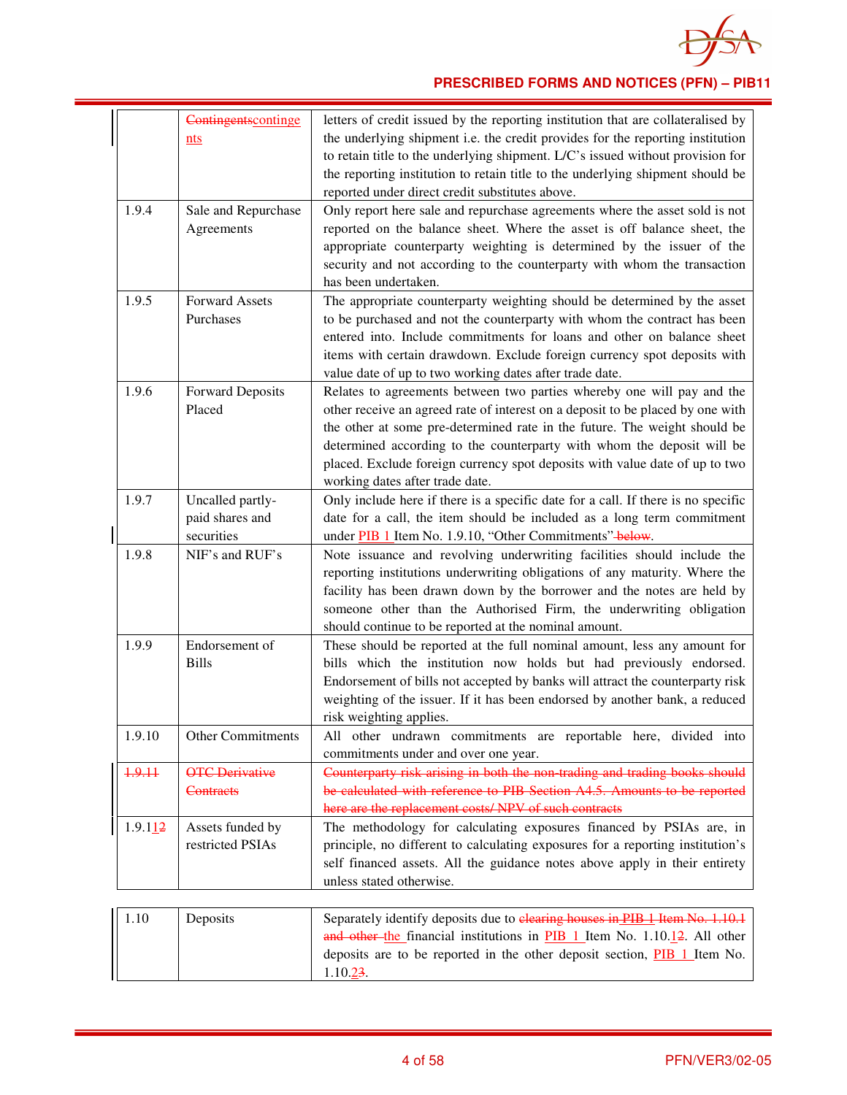

|         | <b>Contingentscontinge</b>                        | letters of credit issued by the reporting institution that are collateralised by                                                                                                                                                                                                                                                                                                                                                  |
|---------|---------------------------------------------------|-----------------------------------------------------------------------------------------------------------------------------------------------------------------------------------------------------------------------------------------------------------------------------------------------------------------------------------------------------------------------------------------------------------------------------------|
|         | $nts$                                             | the underlying shipment i.e. the credit provides for the reporting institution<br>to retain title to the underlying shipment. L/C's issued without provision for<br>the reporting institution to retain title to the underlying shipment should be<br>reported under direct credit substitutes above.                                                                                                                             |
|         |                                                   |                                                                                                                                                                                                                                                                                                                                                                                                                                   |
| 1.9.4   | Sale and Repurchase<br>Agreements                 | Only report here sale and repurchase agreements where the asset sold is not<br>reported on the balance sheet. Where the asset is off balance sheet, the<br>appropriate counterparty weighting is determined by the issuer of the<br>security and not according to the counterparty with whom the transaction<br>has been undertaken.                                                                                              |
| 1.9.5   | <b>Forward Assets</b><br>Purchases                | The appropriate counterparty weighting should be determined by the asset<br>to be purchased and not the counterparty with whom the contract has been<br>entered into. Include commitments for loans and other on balance sheet<br>items with certain drawdown. Exclude foreign currency spot deposits with<br>value date of up to two working dates after trade date.                                                             |
| 1.9.6   | <b>Forward Deposits</b><br>Placed                 | Relates to agreements between two parties whereby one will pay and the<br>other receive an agreed rate of interest on a deposit to be placed by one with<br>the other at some pre-determined rate in the future. The weight should be<br>determined according to the counterparty with whom the deposit will be<br>placed. Exclude foreign currency spot deposits with value date of up to two<br>working dates after trade date. |
| 1.9.7   | Uncalled partly-<br>paid shares and<br>securities | Only include here if there is a specific date for a call. If there is no specific<br>date for a call, the item should be included as a long term commitment<br>under PIB 1 Item No. 1.9.10, "Other Commitments"-below.                                                                                                                                                                                                            |
| 1.9.8   | NIF's and RUF's                                   | Note issuance and revolving underwriting facilities should include the<br>reporting institutions underwriting obligations of any maturity. Where the<br>facility has been drawn down by the borrower and the notes are held by<br>someone other than the Authorised Firm, the underwriting obligation<br>should continue to be reported at the nominal amount.                                                                    |
| 1.9.9   | Endorsement of<br><b>Bills</b>                    | These should be reported at the full nominal amount, less any amount for<br>bills which the institution now holds but had previously endorsed.<br>Endorsement of bills not accepted by banks will attract the counterparty risk<br>weighting of the issuer. If it has been endorsed by another bank, a reduced<br>risk weighting applies.                                                                                         |
| 1.9.10  | <b>Other Commitments</b>                          | All other undrawn commitments are reportable here, divided into<br>commitments under and over one year.                                                                                                                                                                                                                                                                                                                           |
| 1.9.11  | <b>OTC Derivative</b><br><b>Contracts</b>         | Counterparty risk arising in both the non trading and trading books should<br>be calculated with reference to PIB Section A4.5. Amounts to be reported<br>here are the replacement costs/ NPV of such contracts                                                                                                                                                                                                                   |
| 1.9.112 | Assets funded by<br>restricted PSIAs              | The methodology for calculating exposures financed by PSIAs are, in<br>principle, no different to calculating exposures for a reporting institution's<br>self financed assets. All the guidance notes above apply in their entirety<br>unless stated otherwise.                                                                                                                                                                   |
| 1.10    | Deposits                                          | Separately identify deposits due to elearing houses in PIB 1 Item No. 1.10.1                                                                                                                                                                                                                                                                                                                                                      |

| 1.10 | <b>Deposits</b> | Separately identify deposits due to clearing houses in PIB 1 Item No. 1.10.1 |
|------|-----------------|------------------------------------------------------------------------------|
|      |                 | and other the financial institutions in $PIB$ 1 Item No. 1.10.12. All other  |
|      |                 | deposits are to be reported in the other deposit section, PIB 1 Item No.     |
|      |                 | 1.10.23.                                                                     |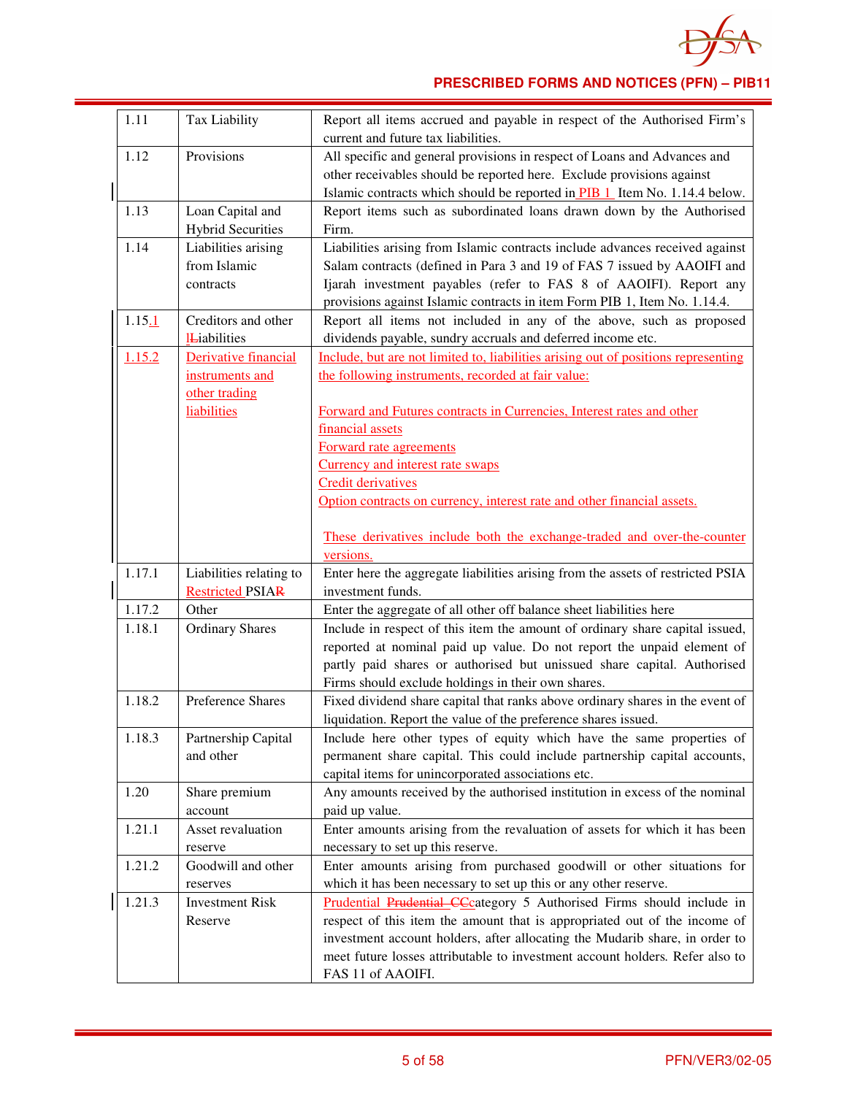

| 1.11   | Tax Liability                                    | Report all items accrued and payable in respect of the Authorised Firm's<br>current and future tax liabilities.                                                                                                                                                                         |
|--------|--------------------------------------------------|-----------------------------------------------------------------------------------------------------------------------------------------------------------------------------------------------------------------------------------------------------------------------------------------|
| 1.12   | Provisions                                       | All specific and general provisions in respect of Loans and Advances and<br>other receivables should be reported here. Exclude provisions against                                                                                                                                       |
|        |                                                  | Islamic contracts which should be reported in <b>PIB 1</b> Item No. 1.14.4 below.                                                                                                                                                                                                       |
| 1.13   | Loan Capital and                                 | Report items such as subordinated loans drawn down by the Authorised                                                                                                                                                                                                                    |
|        | <b>Hybrid Securities</b>                         | Firm.                                                                                                                                                                                                                                                                                   |
| 1.14   | Liabilities arising<br>from Islamic<br>contracts | Liabilities arising from Islamic contracts include advances received against<br>Salam contracts (defined in Para 3 and 19 of FAS 7 issued by AAOIFI and<br>Ijarah investment payables (refer to FAS 8 of AAOIFI). Report any                                                            |
|        |                                                  | provisions against Islamic contracts in item Form PIB 1, Item No. 1.14.4.                                                                                                                                                                                                               |
| 1.15.1 | Creditors and other<br><b>ILiabilities</b>       | Report all items not included in any of the above, such as proposed<br>dividends payable, sundry accruals and deferred income etc.                                                                                                                                                      |
| 1.15.2 | Derivative financial                             | Include, but are not limited to, liabilities arising out of positions representing                                                                                                                                                                                                      |
|        | instruments and                                  | the following instruments, recorded at fair value:                                                                                                                                                                                                                                      |
|        | other trading                                    |                                                                                                                                                                                                                                                                                         |
|        | liabilities                                      | Forward and Futures contracts in Currencies, Interest rates and other                                                                                                                                                                                                                   |
|        |                                                  | financial assets                                                                                                                                                                                                                                                                        |
|        |                                                  | Forward rate agreements                                                                                                                                                                                                                                                                 |
|        |                                                  | Currency and interest rate swaps                                                                                                                                                                                                                                                        |
|        |                                                  | <b>Credit derivatives</b>                                                                                                                                                                                                                                                               |
|        |                                                  | Option contracts on currency, interest rate and other financial assets.                                                                                                                                                                                                                 |
|        |                                                  |                                                                                                                                                                                                                                                                                         |
|        |                                                  | These derivatives include both the exchange-traded and over-the-counter                                                                                                                                                                                                                 |
|        |                                                  | versions.                                                                                                                                                                                                                                                                               |
| 1.17.1 | Liabilities relating to                          | Enter here the aggregate liabilities arising from the assets of restricted PSIA                                                                                                                                                                                                         |
|        | <b>Restricted PSIAR</b>                          | investment funds.                                                                                                                                                                                                                                                                       |
| 1.17.2 | Other                                            | Enter the aggregate of all other off balance sheet liabilities here                                                                                                                                                                                                                     |
| 1.18.1 | <b>Ordinary Shares</b>                           | Include in respect of this item the amount of ordinary share capital issued,<br>reported at nominal paid up value. Do not report the unpaid element of<br>partly paid shares or authorised but unissued share capital. Authorised<br>Firms should exclude holdings in their own shares. |
| 1.18.2 | Preference Shares                                | Fixed dividend share capital that ranks above ordinary shares in the event of                                                                                                                                                                                                           |
|        |                                                  | liquidation. Report the value of the preference shares issued.                                                                                                                                                                                                                          |
| 1.18.3 | Partnership Capital<br>and other                 | Include here other types of equity which have the same properties of<br>permanent share capital. This could include partnership capital accounts,<br>capital items for unincorporated associations etc.                                                                                 |
| 1.20   | Share premium                                    | Any amounts received by the authorised institution in excess of the nominal                                                                                                                                                                                                             |
|        | account                                          | paid up value.                                                                                                                                                                                                                                                                          |
| 1.21.1 | Asset revaluation                                | Enter amounts arising from the revaluation of assets for which it has been                                                                                                                                                                                                              |
|        | reserve                                          | necessary to set up this reserve.                                                                                                                                                                                                                                                       |
| 1.21.2 | Goodwill and other                               | Enter amounts arising from purchased goodwill or other situations for                                                                                                                                                                                                                   |
|        | reserves                                         | which it has been necessary to set up this or any other reserve.                                                                                                                                                                                                                        |
| 1.21.3 | <b>Investment Risk</b>                           | Prudential Prudential CCcategory 5 Authorised Firms should include in                                                                                                                                                                                                                   |
|        | Reserve                                          | respect of this item the amount that is appropriated out of the income of<br>investment account holders, after allocating the Mudarib share, in order to<br>meet future losses attributable to investment account holders. Refer also to<br>FAS 11 of AAOIFI.                           |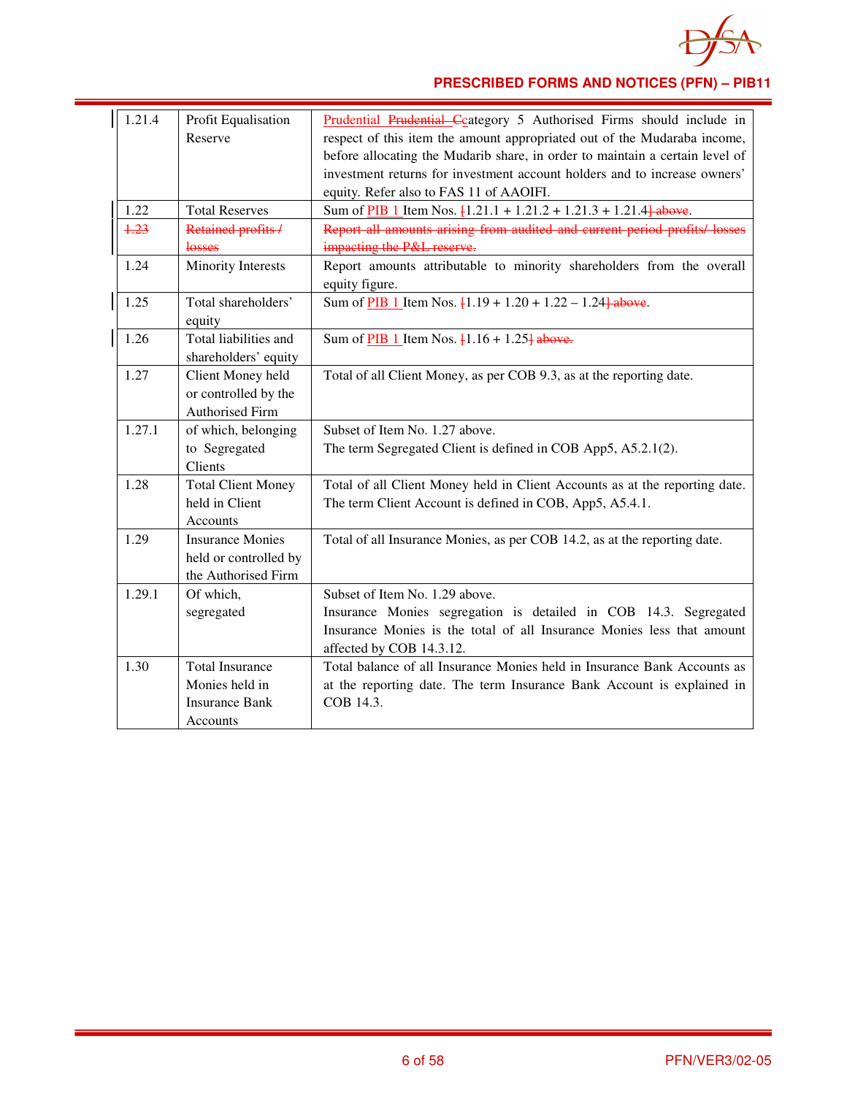

| 1.21.4 | Profit Equalisation       | Prudential Prudential Ccategory 5 Authorised Firms should include in                    |
|--------|---------------------------|-----------------------------------------------------------------------------------------|
|        | Reserve                   | respect of this item the amount appropriated out of the Mudaraba income,                |
|        |                           | before allocating the Mudarib share, in order to maintain a certain level of            |
|        |                           | investment returns for investment account holders and to increase owners'               |
|        |                           | equity. Refer also to FAS 11 of AAOIFI.                                                 |
| 1.22   | <b>Total Reserves</b>     | Sum of <b>PIB 1</b> Item Nos. $\{1.21.1 + 1.21.2 + 1.21.3 + 1.21.4\}$ above.            |
| $+23$  | Retained profits /        | Report all amounts arising from audited and current period profits/ losses              |
|        | losses                    | impacting the P&L reserve.                                                              |
| 1.24   | <b>Minority Interests</b> | Report amounts attributable to minority shareholders from the overall<br>equity figure. |
| 1.25   | Total shareholders'       | Sum of PIB 1 Item Nos. $\frac{1}{2}$ 1.19 + 1.20 + 1.22 – 1.24 + above.                 |
|        | equity                    |                                                                                         |
| 1.26   | Total liabilities and     | Sum of $\overline{PIB}$ 1 Item Nos. $\overline{\{1.16 + 1.25\}}$ above.                 |
|        | shareholders' equity      |                                                                                         |
| 1.27   | Client Money held         | Total of all Client Money, as per COB 9.3, as at the reporting date.                    |
|        | or controlled by the      |                                                                                         |
|        | Authorised Firm           |                                                                                         |
| 1.27.1 | of which, belonging       | Subset of Item No. 1.27 above.                                                          |
|        | to Segregated             | The term Segregated Client is defined in COB App5, A5.2.1(2).                           |
|        | Clients                   |                                                                                         |
| 1.28   | <b>Total Client Money</b> | Total of all Client Money held in Client Accounts as at the reporting date.             |
|        | held in Client            | The term Client Account is defined in COB, App5, A5.4.1.                                |
|        | Accounts                  |                                                                                         |
| 1.29   | <b>Insurance Monies</b>   | Total of all Insurance Monies, as per COB 14.2, as at the reporting date.               |
|        | held or controlled by     |                                                                                         |
|        | the Authorised Firm       |                                                                                         |
| 1.29.1 | Of which,                 | Subset of Item No. 1.29 above.                                                          |
|        | segregated                | Insurance Monies segregation is detailed in COB 14.3. Segregated                        |
|        |                           | Insurance Monies is the total of all Insurance Monies less that amount                  |
|        |                           | affected by COB 14.3.12.                                                                |
| 1.30   | <b>Total Insurance</b>    | Total balance of all Insurance Monies held in Insurance Bank Accounts as                |
|        | Monies held in            | at the reporting date. The term Insurance Bank Account is explained in                  |
|        | <b>Insurance Bank</b>     | COB 14.3.                                                                               |
|        | Accounts                  |                                                                                         |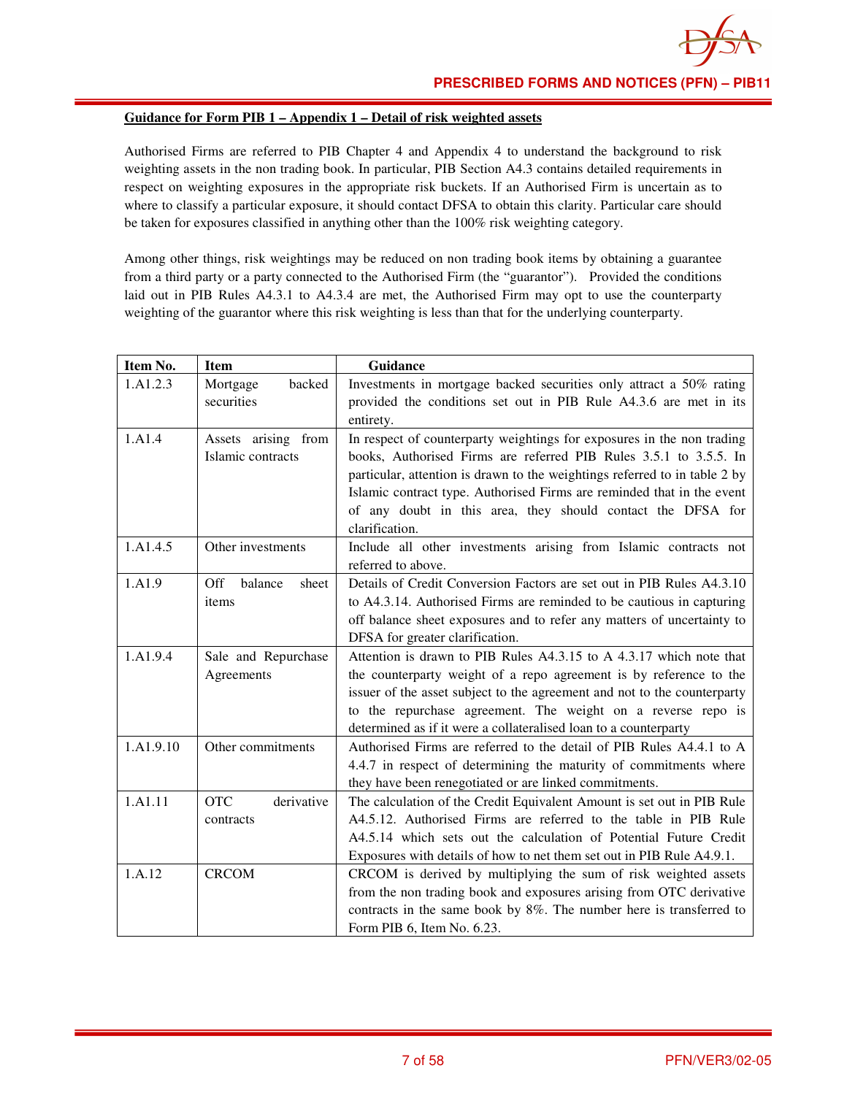

### **Guidance for Form PIB 1 – Appendix 1 – Detail of risk weighted assets**

Authorised Firms are referred to PIB Chapter 4 and Appendix 4 to understand the background to risk weighting assets in the non trading book. In particular, PIB Section A4.3 contains detailed requirements in respect on weighting exposures in the appropriate risk buckets. If an Authorised Firm is uncertain as to where to classify a particular exposure, it should contact DFSA to obtain this clarity. Particular care should be taken for exposures classified in anything other than the 100% risk weighting category.

Among other things, risk weightings may be reduced on non trading book items by obtaining a guarantee from a third party or a party connected to the Authorised Firm (the "guarantor"). Provided the conditions laid out in PIB Rules A4.3.1 to A4.3.4 are met, the Authorised Firm may opt to use the counterparty weighting of the guarantor where this risk weighting is less than that for the underlying counterparty.

| Item No.  | <b>Item</b>                              | Guidance                                                                                                                                                                                                                                                                                                                                                                             |
|-----------|------------------------------------------|--------------------------------------------------------------------------------------------------------------------------------------------------------------------------------------------------------------------------------------------------------------------------------------------------------------------------------------------------------------------------------------|
| 1.A1.2.3  | backed<br>Mortgage<br>securities         | Investments in mortgage backed securities only attract a 50% rating<br>provided the conditions set out in PIB Rule A4.3.6 are met in its<br>entirety.                                                                                                                                                                                                                                |
| 1.A1.4    | Assets arising from<br>Islamic contracts | In respect of counterparty weightings for exposures in the non trading<br>books, Authorised Firms are referred PIB Rules 3.5.1 to 3.5.5. In<br>particular, attention is drawn to the weightings referred to in table 2 by<br>Islamic contract type. Authorised Firms are reminded that in the event<br>of any doubt in this area, they should contact the DFSA for<br>clarification. |
| 1.A1.4.5  | Other investments                        | Include all other investments arising from Islamic contracts not<br>referred to above.                                                                                                                                                                                                                                                                                               |
| 1.A1.9    | Off<br>balance<br>sheet<br>items         | Details of Credit Conversion Factors are set out in PIB Rules A4.3.10<br>to A4.3.14. Authorised Firms are reminded to be cautious in capturing<br>off balance sheet exposures and to refer any matters of uncertainty to<br>DFSA for greater clarification.                                                                                                                          |
| 1.A1.9.4  | Sale and Repurchase<br>Agreements        | Attention is drawn to PIB Rules A4.3.15 to A 4.3.17 which note that<br>the counterparty weight of a repo agreement is by reference to the<br>issuer of the asset subject to the agreement and not to the counterparty<br>to the repurchase agreement. The weight on a reverse repo is<br>determined as if it were a collateralised loan to a counterparty                            |
| 1.A1.9.10 | Other commitments                        | Authorised Firms are referred to the detail of PIB Rules A4.4.1 to A<br>4.4.7 in respect of determining the maturity of commitments where<br>they have been renegotiated or are linked commitments.                                                                                                                                                                                  |
| 1.A1.11   | <b>OTC</b><br>derivative<br>contracts    | The calculation of the Credit Equivalent Amount is set out in PIB Rule<br>A4.5.12. Authorised Firms are referred to the table in PIB Rule<br>A4.5.14 which sets out the calculation of Potential Future Credit<br>Exposures with details of how to net them set out in PIB Rule A4.9.1.                                                                                              |
| 1.A.12    | <b>CRCOM</b>                             | CRCOM is derived by multiplying the sum of risk weighted assets<br>from the non trading book and exposures arising from OTC derivative<br>contracts in the same book by 8%. The number here is transferred to<br>Form PIB 6, Item No. 6.23.                                                                                                                                          |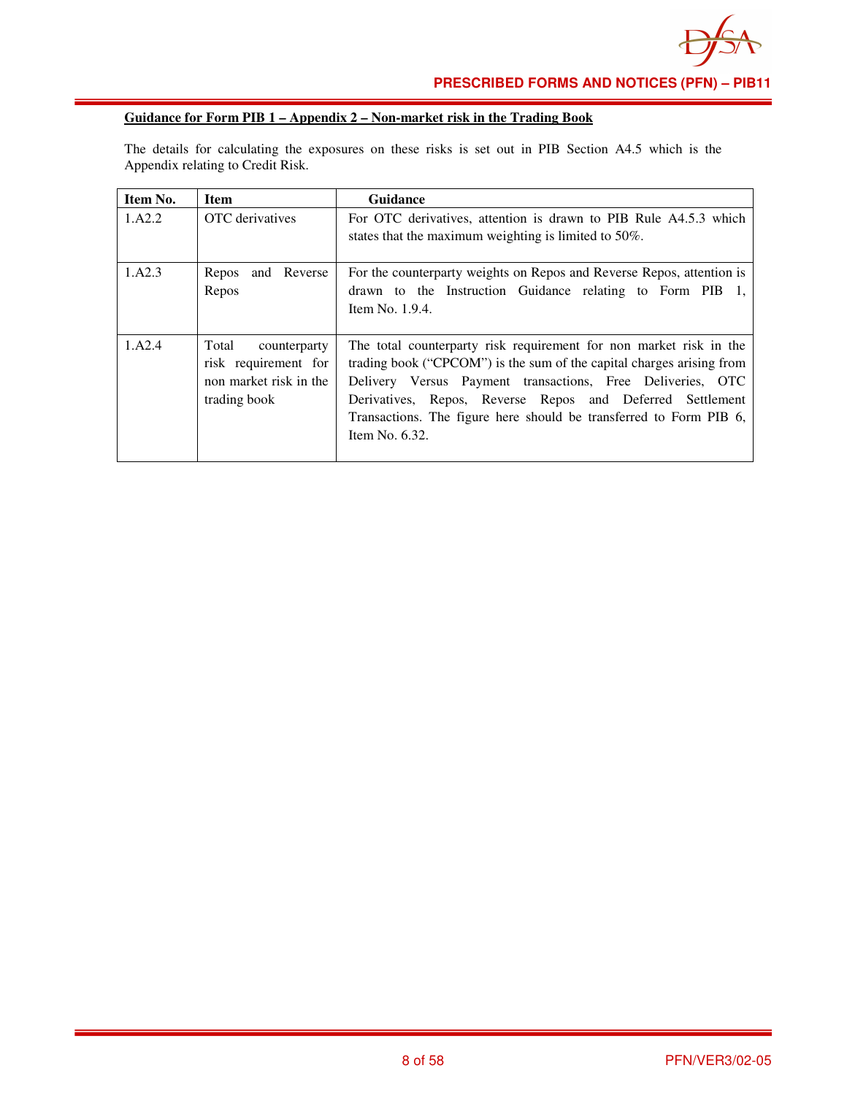

### **Guidance for Form PIB 1 – Appendix 2 – Non-market risk in the Trading Book**

The details for calculating the exposures on these risks is set out in PIB Section A4.5 which is the Appendix relating to Credit Risk.

| Item No. | <b>Item</b>                                                                             | <b>Guidance</b>                                                                                                                                                                                                                                                                                                                                                |
|----------|-----------------------------------------------------------------------------------------|----------------------------------------------------------------------------------------------------------------------------------------------------------------------------------------------------------------------------------------------------------------------------------------------------------------------------------------------------------------|
| 1.A2.2   | OTC derivatives                                                                         | For OTC derivatives, attention is drawn to PIB Rule A4.5.3 which<br>states that the maximum weighting is limited to 50%.                                                                                                                                                                                                                                       |
| 1.A2.3   | Repos and Reverse<br>Repos                                                              | For the counterparty weights on Repos and Reverse Repos, attention is<br>drawn to the Instruction Guidance relating to Form PIB 1,<br>Item No. 1.9.4.                                                                                                                                                                                                          |
| 1.A2.4   | Total<br>counterparty<br>risk requirement for<br>non market risk in the<br>trading book | The total counterparty risk requirement for non market risk in the<br>trading book ("CPCOM") is the sum of the capital charges arising from<br>Delivery Versus Payment transactions, Free Deliveries, OTC<br>Derivatives, Repos, Reverse Repos and Deferred Settlement<br>Transactions. The figure here should be transferred to Form PIB 6,<br>Item No. 6.32. |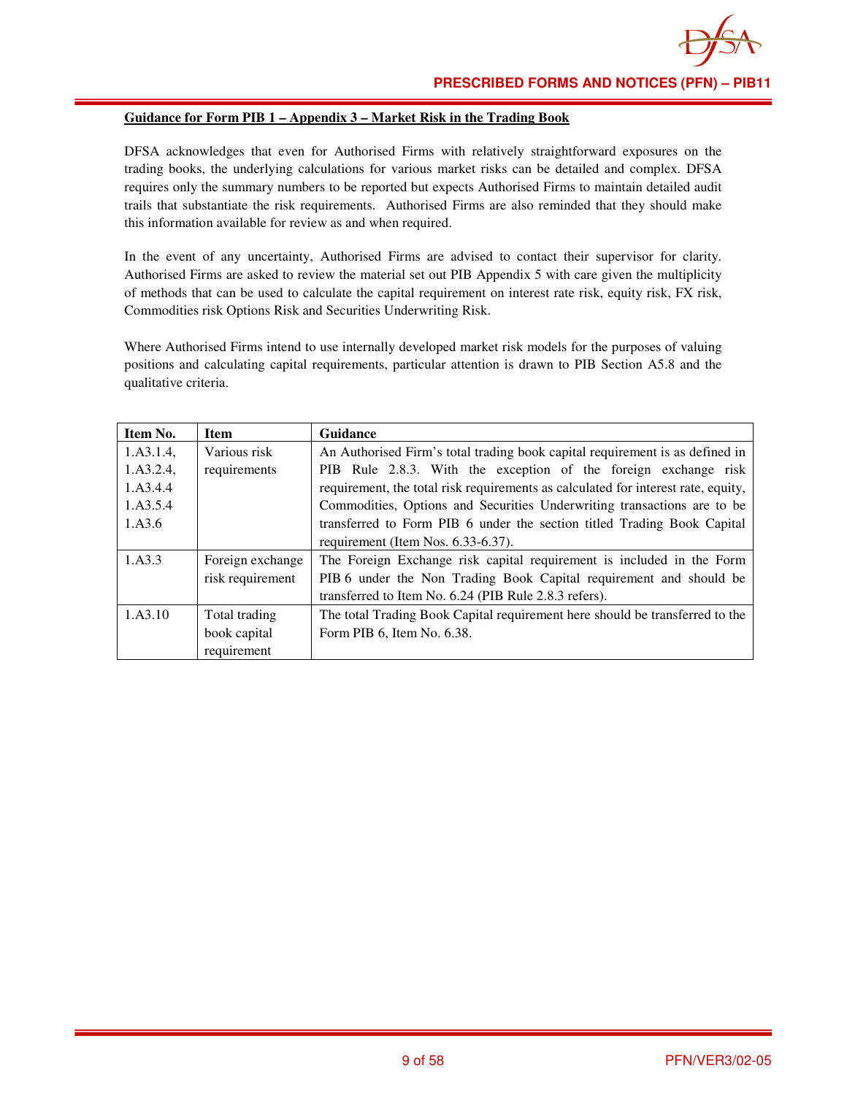

#### **Guidance for Form PIB 1 – Appendix 3 – Market Risk in the Trading Book**

DFSA acknowledges that even for Authorised Firms with relatively straightforward exposures on the trading books, the underlying calculations for various market risks can be detailed and complex. DFSA requires only the summary numbers to be reported but expects Authorised Firms to maintain detailed audit trails that substantiate the risk requirements. Authorised Firms are also reminded that they should make this information available for review as and when required.

In the event of any uncertainty, Authorised Firms are advised to contact their supervisor for clarity. Authorised Firms are asked to review the material set out PIB Appendix 5 with care given the multiplicity of methods that can be used to calculate the capital requirement on interest rate risk, equity risk, FX risk, Commodities risk Options Risk and Securities Underwriting Risk.

Where Authorised Firms intend to use internally developed market risk models for the purposes of valuing positions and calculating capital requirements, particular attention is drawn to PIB Section A5.8 and the qualitative criteria.

| Item No.     | <b>Item</b>      | <b>Guidance</b>                                                                   |
|--------------|------------------|-----------------------------------------------------------------------------------|
| $1.A3.1.4$ , | Various risk     | An Authorised Firm's total trading book capital requirement is as defined in      |
| 1.A3.2.4,    | requirements     | PIB Rule 2.8.3. With the exception of the foreign exchange risk                   |
| 1.A3.4.4     |                  | requirement, the total risk requirements as calculated for interest rate, equity, |
| 1.A3.5.4     |                  | Commodities, Options and Securities Underwriting transactions are to be           |
| 1.A3.6       |                  | transferred to Form PIB 6 under the section titled Trading Book Capital           |
|              |                  | requirement (Item Nos. 6.33-6.37).                                                |
| 1.A3.3       | Foreign exchange | The Foreign Exchange risk capital requirement is included in the Form             |
|              | risk requirement | PIB 6 under the Non Trading Book Capital requirement and should be                |
|              |                  | transferred to Item No. 6.24 (PIB Rule 2.8.3 refers).                             |
| 1, A3, 10    | Total trading    | The total Trading Book Capital requirement here should be transferred to the      |
|              | book capital     | Form PIB 6, Item No. 6.38.                                                        |
|              | requirement      |                                                                                   |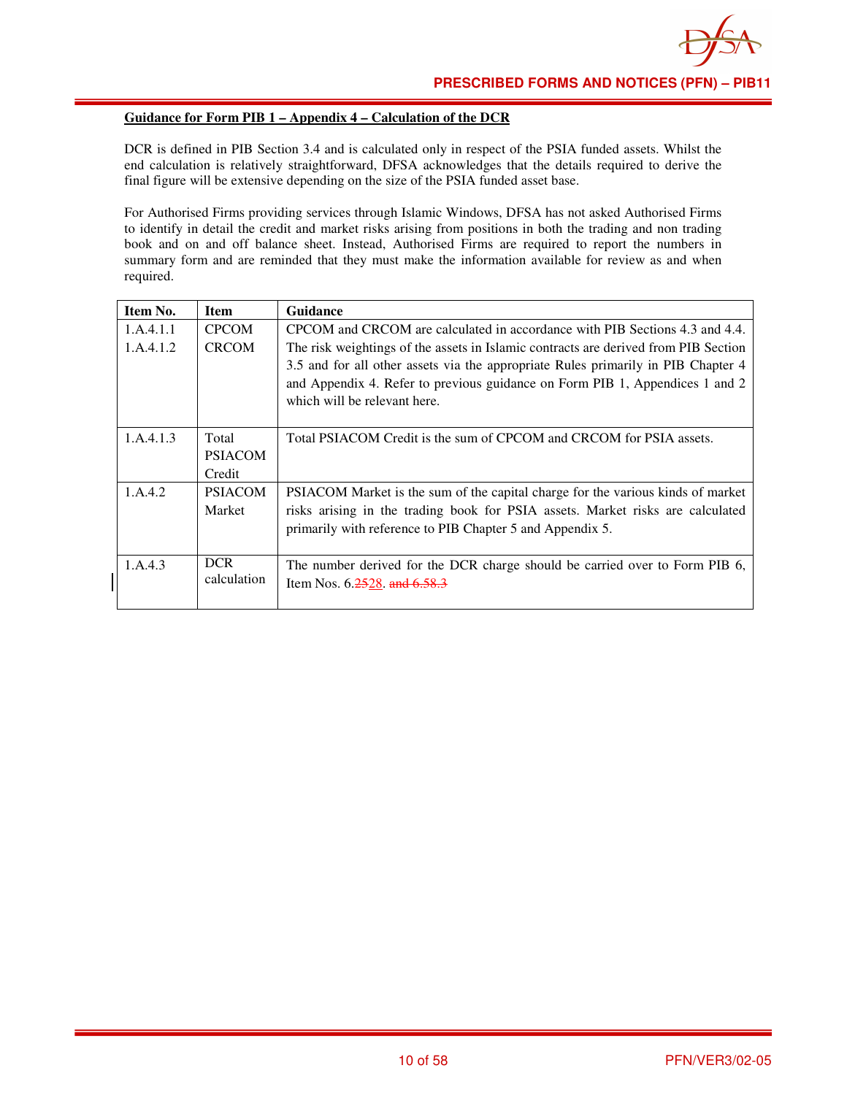

### **Guidance for Form PIB 1 – Appendix 4 – Calculation of the DCR**

DCR is defined in PIB Section 3.4 and is calculated only in respect of the PSIA funded assets. Whilst the end calculation is relatively straightforward, DFSA acknowledges that the details required to derive the final figure will be extensive depending on the size of the PSIA funded asset base.

For Authorised Firms providing services through Islamic Windows, DFSA has not asked Authorised Firms to identify in detail the credit and market risks arising from positions in both the trading and non trading book and on and off balance sheet. Instead, Authorised Firms are required to report the numbers in summary form and are reminded that they must make the information available for review as and when required.

| Item No.  | <b>Item</b>                       | <b>Guidance</b>                                                                                                                                                                                                                                                                          |
|-----------|-----------------------------------|------------------------------------------------------------------------------------------------------------------------------------------------------------------------------------------------------------------------------------------------------------------------------------------|
| 1.A.4.1.1 | <b>CPCOM</b>                      | CPCOM and CRCOM are calculated in accordance with PIB Sections 4.3 and 4.4.                                                                                                                                                                                                              |
| 1.A.4.1.2 | <b>CRCOM</b>                      | The risk weightings of the assets in Islamic contracts are derived from PIB Section<br>3.5 and for all other assets via the appropriate Rules primarily in PIB Chapter 4<br>and Appendix 4. Refer to previous guidance on Form PIB 1, Appendices 1 and 2<br>which will be relevant here. |
| 1.A.4.1.3 | Total<br><b>PSIACOM</b><br>Credit | Total PSIACOM Credit is the sum of CPCOM and CRCOM for PSIA assets.                                                                                                                                                                                                                      |
| 1.A.4.2   | <b>PSIACOM</b><br>Market          | PSIACOM Market is the sum of the capital charge for the various kinds of market<br>risks arising in the trading book for PSIA assets. Market risks are calculated<br>primarily with reference to PIB Chapter 5 and Appendix 5.                                                           |
| 1.A.4.3   | <b>DCR</b><br>calculation         | The number derived for the DCR charge should be carried over to Form PIB 6,<br>Item Nos. 6.2528. and 6.58.3                                                                                                                                                                              |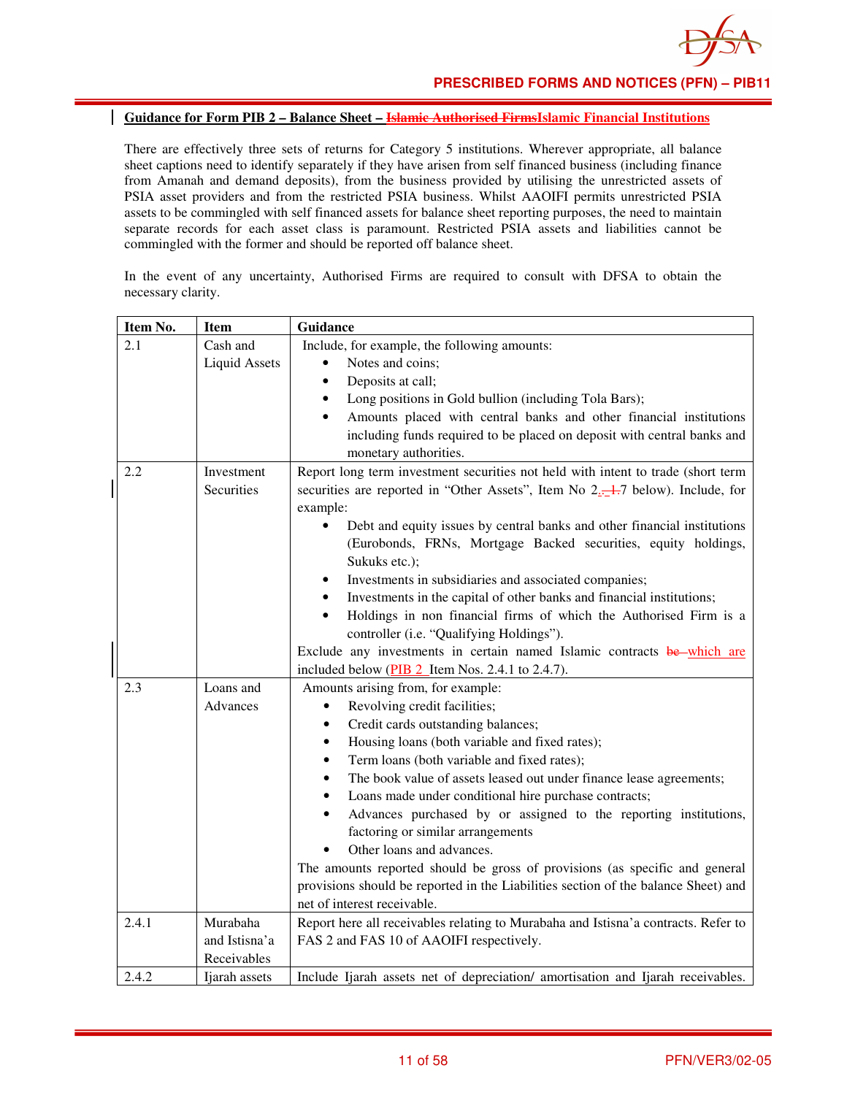

#### **Guidance for Form PIB 2 – Balance Sheet – Islamic Authorised FirmsIslamic Financial Institutions**

There are effectively three sets of returns for Category 5 institutions. Wherever appropriate, all balance sheet captions need to identify separately if they have arisen from self financed business (including finance from Amanah and demand deposits), from the business provided by utilising the unrestricted assets of PSIA asset providers and from the restricted PSIA business. Whilst AAOIFI permits unrestricted PSIA assets to be commingled with self financed assets for balance sheet reporting purposes, the need to maintain separate records for each asset class is paramount. Restricted PSIA assets and liabilities cannot be commingled with the former and should be reported off balance sheet.

In the event of any uncertainty, Authorised Firms are required to consult with DFSA to obtain the necessary clarity.

| Item No. | <b>Item</b>          | Guidance                                                                           |
|----------|----------------------|------------------------------------------------------------------------------------|
| 2.1      | Cash and             | Include, for example, the following amounts:                                       |
|          | <b>Liquid Assets</b> | Notes and coins;                                                                   |
|          |                      | Deposits at call;                                                                  |
|          |                      | Long positions in Gold bullion (including Tola Bars);                              |
|          |                      | Amounts placed with central banks and other financial institutions                 |
|          |                      | including funds required to be placed on deposit with central banks and            |
|          |                      | monetary authorities.                                                              |
| 2.2      | Investment           | Report long term investment securities not held with intent to trade (short term   |
|          | Securities           | securities are reported in "Other Assets", Item No $2.7$ –1.7 below). Include, for |
|          |                      | example:                                                                           |
|          |                      | Debt and equity issues by central banks and other financial institutions           |
|          |                      | (Eurobonds, FRNs, Mortgage Backed securities, equity holdings,                     |
|          |                      | Sukuks etc.);                                                                      |
|          |                      | Investments in subsidiaries and associated companies;                              |
|          |                      | Investments in the capital of other banks and financial institutions;              |
|          |                      | Holdings in non financial firms of which the Authorised Firm is a                  |
|          |                      | controller (i.e. "Qualifying Holdings").                                           |
|          |                      | Exclude any investments in certain named Islamic contracts be which are            |
|          |                      | included below $(PIB 2$ Item Nos. 2.4.1 to 2.4.7).                                 |
| 2.3      | Loans and            | Amounts arising from, for example:                                                 |
|          | Advances             | Revolving credit facilities;<br>٠                                                  |
|          |                      | Credit cards outstanding balances;<br>$\bullet$                                    |
|          |                      | Housing loans (both variable and fixed rates);                                     |
|          |                      | Term loans (both variable and fixed rates);                                        |
|          |                      | The book value of assets leased out under finance lease agreements;                |
|          |                      | Loans made under conditional hire purchase contracts;                              |
|          |                      | Advances purchased by or assigned to the reporting institutions,                   |
|          |                      | factoring or similar arrangements                                                  |
|          |                      | Other loans and advances.                                                          |
|          |                      | The amounts reported should be gross of provisions (as specific and general        |
|          |                      | provisions should be reported in the Liabilities section of the balance Sheet) and |
|          |                      | net of interest receivable.                                                        |
| 2.4.1    | Murabaha             | Report here all receivables relating to Murabaha and Istisna'a contracts. Refer to |
|          | and Istisna'a        | FAS 2 and FAS 10 of AAOIFI respectively.                                           |
|          | Receivables          |                                                                                    |
| 2.4.2    | Ijarah assets        | Include Ijarah assets net of depreciation/ amortisation and Ijarah receivables.    |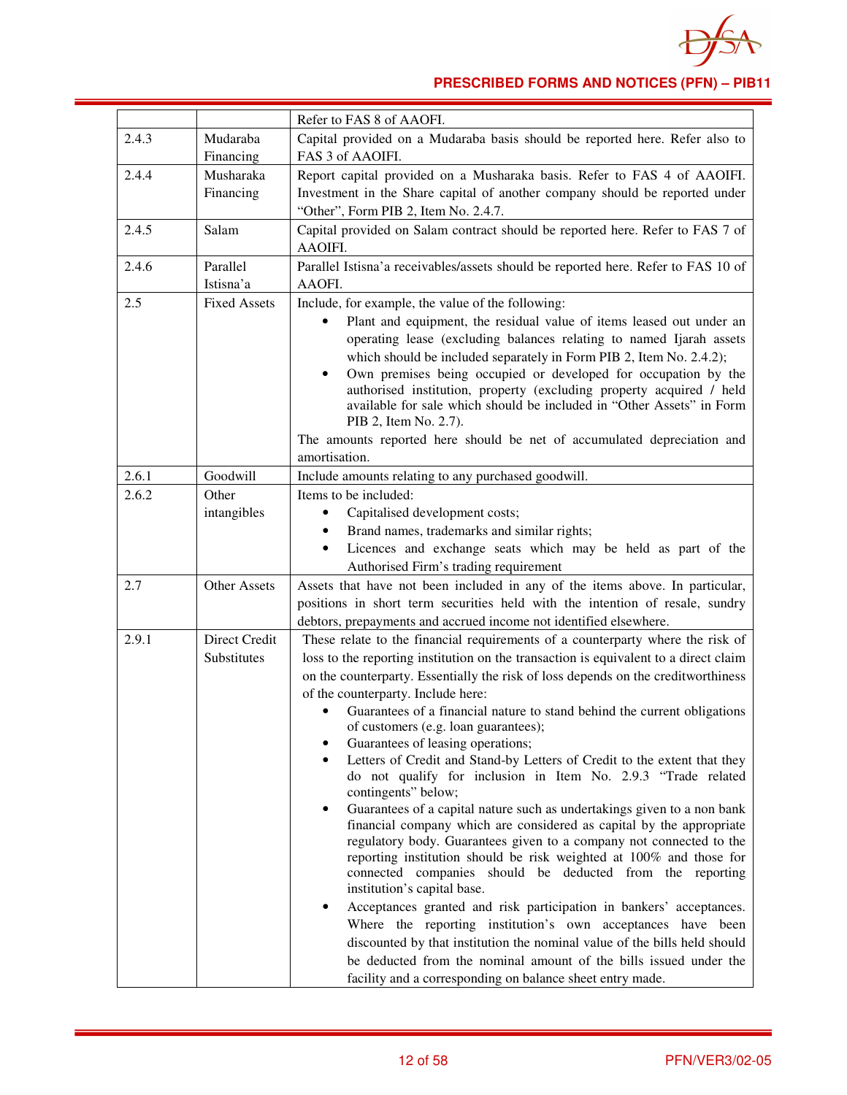

|       |                                     | Refer to FAS 8 of AAOFI.                                                                                                                                                                                                                                                                                                                                                                                                                                                                                                                                                                                                                                                                                                                                                                                                                                                                                                                                                                                                                                                                                                                                                                                                                                                                                                                                                                                     |
|-------|-------------------------------------|--------------------------------------------------------------------------------------------------------------------------------------------------------------------------------------------------------------------------------------------------------------------------------------------------------------------------------------------------------------------------------------------------------------------------------------------------------------------------------------------------------------------------------------------------------------------------------------------------------------------------------------------------------------------------------------------------------------------------------------------------------------------------------------------------------------------------------------------------------------------------------------------------------------------------------------------------------------------------------------------------------------------------------------------------------------------------------------------------------------------------------------------------------------------------------------------------------------------------------------------------------------------------------------------------------------------------------------------------------------------------------------------------------------|
| 2.4.3 | Mudaraba                            | Capital provided on a Mudaraba basis should be reported here. Refer also to                                                                                                                                                                                                                                                                                                                                                                                                                                                                                                                                                                                                                                                                                                                                                                                                                                                                                                                                                                                                                                                                                                                                                                                                                                                                                                                                  |
|       | Financing                           | FAS 3 of AAOIFI.                                                                                                                                                                                                                                                                                                                                                                                                                                                                                                                                                                                                                                                                                                                                                                                                                                                                                                                                                                                                                                                                                                                                                                                                                                                                                                                                                                                             |
| 2.4.4 | Musharaka                           | Report capital provided on a Musharaka basis. Refer to FAS 4 of AAOIFI.                                                                                                                                                                                                                                                                                                                                                                                                                                                                                                                                                                                                                                                                                                                                                                                                                                                                                                                                                                                                                                                                                                                                                                                                                                                                                                                                      |
|       | Financing                           | Investment in the Share capital of another company should be reported under                                                                                                                                                                                                                                                                                                                                                                                                                                                                                                                                                                                                                                                                                                                                                                                                                                                                                                                                                                                                                                                                                                                                                                                                                                                                                                                                  |
|       |                                     | "Other", Form PIB 2, Item No. 2.4.7.                                                                                                                                                                                                                                                                                                                                                                                                                                                                                                                                                                                                                                                                                                                                                                                                                                                                                                                                                                                                                                                                                                                                                                                                                                                                                                                                                                         |
| 2.4.5 | Salam                               | Capital provided on Salam contract should be reported here. Refer to FAS 7 of<br>AAOIFI.                                                                                                                                                                                                                                                                                                                                                                                                                                                                                                                                                                                                                                                                                                                                                                                                                                                                                                                                                                                                                                                                                                                                                                                                                                                                                                                     |
| 2.4.6 | Parallel<br>Istisna'a               | Parallel Istisna'a receivables/assets should be reported here. Refer to FAS 10 of<br>AAOFI.                                                                                                                                                                                                                                                                                                                                                                                                                                                                                                                                                                                                                                                                                                                                                                                                                                                                                                                                                                                                                                                                                                                                                                                                                                                                                                                  |
| 2.5   | <b>Fixed Assets</b>                 | Include, for example, the value of the following:<br>Plant and equipment, the residual value of items leased out under an<br>operating lease (excluding balances relating to named Ijarah assets<br>which should be included separately in Form PIB 2, Item No. 2.4.2);<br>Own premises being occupied or developed for occupation by the<br>authorised institution, property (excluding property acquired / held<br>available for sale which should be included in "Other Assets" in Form<br>PIB 2, Item No. 2.7).<br>The amounts reported here should be net of accumulated depreciation and                                                                                                                                                                                                                                                                                                                                                                                                                                                                                                                                                                                                                                                                                                                                                                                                               |
| 2.6.1 | Goodwill                            | amortisation.                                                                                                                                                                                                                                                                                                                                                                                                                                                                                                                                                                                                                                                                                                                                                                                                                                                                                                                                                                                                                                                                                                                                                                                                                                                                                                                                                                                                |
| 2.6.2 | Other                               | Include amounts relating to any purchased goodwill.<br>Items to be included:                                                                                                                                                                                                                                                                                                                                                                                                                                                                                                                                                                                                                                                                                                                                                                                                                                                                                                                                                                                                                                                                                                                                                                                                                                                                                                                                 |
|       | intangibles                         | Capitalised development costs;<br>Brand names, trademarks and similar rights;<br>Licences and exchange seats which may be held as part of the<br>Authorised Firm's trading requirement                                                                                                                                                                                                                                                                                                                                                                                                                                                                                                                                                                                                                                                                                                                                                                                                                                                                                                                                                                                                                                                                                                                                                                                                                       |
| 2.7   | <b>Other Assets</b>                 | Assets that have not been included in any of the items above. In particular,<br>positions in short term securities held with the intention of resale, sundry<br>debtors, prepayments and accrued income not identified elsewhere.                                                                                                                                                                                                                                                                                                                                                                                                                                                                                                                                                                                                                                                                                                                                                                                                                                                                                                                                                                                                                                                                                                                                                                            |
| 2.9.1 | <b>Direct Credit</b><br>Substitutes | These relate to the financial requirements of a counterparty where the risk of<br>loss to the reporting institution on the transaction is equivalent to a direct claim<br>on the counterparty. Essentially the risk of loss depends on the creditworthiness<br>of the counterparty. Include here:<br>Guarantees of a financial nature to stand behind the current obligations<br>of customers (e.g. loan guarantees);<br>Guarantees of leasing operations;<br>٠<br>Letters of Credit and Stand-by Letters of Credit to the extent that they<br>$\bullet$<br>do not qualify for inclusion in Item No. 2.9.3 "Trade related<br>contingents" below;<br>Guarantees of a capital nature such as undertakings given to a non bank<br>٠<br>financial company which are considered as capital by the appropriate<br>regulatory body. Guarantees given to a company not connected to the<br>reporting institution should be risk weighted at 100% and those for<br>connected companies should be deducted from the reporting<br>institution's capital base.<br>Acceptances granted and risk participation in bankers' acceptances.<br>٠<br>Where the reporting institution's own acceptances have been<br>discounted by that institution the nominal value of the bills held should<br>be deducted from the nominal amount of the bills issued under the<br>facility and a corresponding on balance sheet entry made. |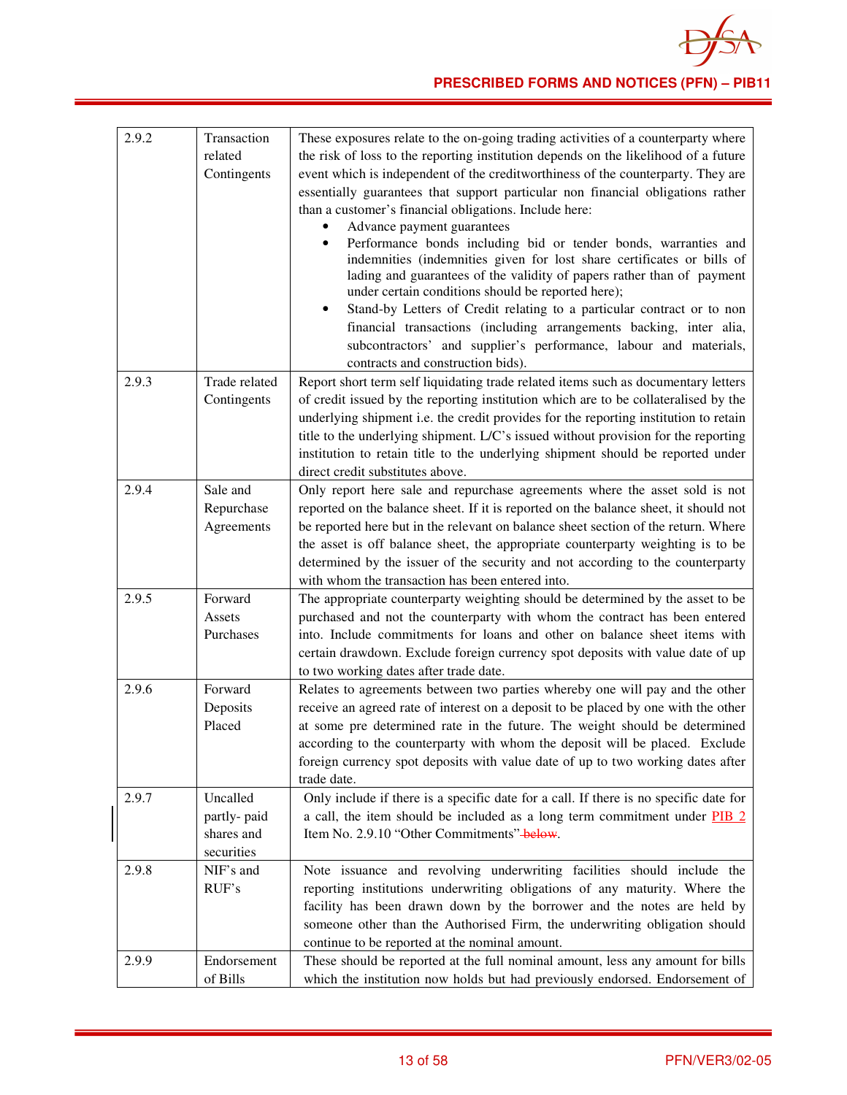

| 2.9.2 | Transaction<br>related<br>Contingents               | These exposures relate to the on-going trading activities of a counterparty where<br>the risk of loss to the reporting institution depends on the likelihood of a future<br>event which is independent of the creditworthiness of the counterparty. They are<br>essentially guarantees that support particular non financial obligations rather<br>than a customer's financial obligations. Include here:<br>Advance payment guarantees<br>Performance bonds including bid or tender bonds, warranties and<br>indemnities (indemnities given for lost share certificates or bills of<br>lading and guarantees of the validity of papers rather than of payment<br>under certain conditions should be reported here);<br>Stand-by Letters of Credit relating to a particular contract or to non<br>financial transactions (including arrangements backing, inter alia,<br>subcontractors' and supplier's performance, labour and materials,<br>contracts and construction bids). |
|-------|-----------------------------------------------------|---------------------------------------------------------------------------------------------------------------------------------------------------------------------------------------------------------------------------------------------------------------------------------------------------------------------------------------------------------------------------------------------------------------------------------------------------------------------------------------------------------------------------------------------------------------------------------------------------------------------------------------------------------------------------------------------------------------------------------------------------------------------------------------------------------------------------------------------------------------------------------------------------------------------------------------------------------------------------------|
| 2.9.3 | Trade related<br>Contingents                        | Report short term self liquidating trade related items such as documentary letters<br>of credit issued by the reporting institution which are to be collateralised by the<br>underlying shipment i.e. the credit provides for the reporting institution to retain<br>title to the underlying shipment. L/C's issued without provision for the reporting<br>institution to retain title to the underlying shipment should be reported under<br>direct credit substitutes above.                                                                                                                                                                                                                                                                                                                                                                                                                                                                                                  |
| 2.9.4 | Sale and<br>Repurchase<br>Agreements                | Only report here sale and repurchase agreements where the asset sold is not<br>reported on the balance sheet. If it is reported on the balance sheet, it should not<br>be reported here but in the relevant on balance sheet section of the return. Where<br>the asset is off balance sheet, the appropriate counterparty weighting is to be<br>determined by the issuer of the security and not according to the counterparty<br>with whom the transaction has been entered into.                                                                                                                                                                                                                                                                                                                                                                                                                                                                                              |
| 2.9.5 | Forward<br>Assets<br>Purchases                      | The appropriate counterparty weighting should be determined by the asset to be<br>purchased and not the counterparty with whom the contract has been entered<br>into. Include commitments for loans and other on balance sheet items with<br>certain drawdown. Exclude foreign currency spot deposits with value date of up<br>to two working dates after trade date.                                                                                                                                                                                                                                                                                                                                                                                                                                                                                                                                                                                                           |
| 2.9.6 | Forward<br>Deposits<br>Placed                       | Relates to agreements between two parties whereby one will pay and the other<br>receive an agreed rate of interest on a deposit to be placed by one with the other<br>at some pre determined rate in the future. The weight should be determined<br>according to the counterparty with whom the deposit will be placed. Exclude<br>foreign currency spot deposits with value date of up to two working dates after<br>trade date.                                                                                                                                                                                                                                                                                                                                                                                                                                                                                                                                               |
| 2.9.7 | Uncalled<br>partly-paid<br>shares and<br>securities | Only include if there is a specific date for a call. If there is no specific date for<br>a call, the item should be included as a long term commitment under PIB 2<br>Item No. 2.9.10 "Other Commitments"-below.                                                                                                                                                                                                                                                                                                                                                                                                                                                                                                                                                                                                                                                                                                                                                                |
| 2.9.8 | NIF's and<br>RUF's                                  | Note issuance and revolving underwriting facilities should include the<br>reporting institutions underwriting obligations of any maturity. Where the<br>facility has been drawn down by the borrower and the notes are held by<br>someone other than the Authorised Firm, the underwriting obligation should<br>continue to be reported at the nominal amount.                                                                                                                                                                                                                                                                                                                                                                                                                                                                                                                                                                                                                  |
| 2.9.9 | Endorsement<br>of Bills                             | These should be reported at the full nominal amount, less any amount for bills<br>which the institution now holds but had previously endorsed. Endorsement of                                                                                                                                                                                                                                                                                                                                                                                                                                                                                                                                                                                                                                                                                                                                                                                                                   |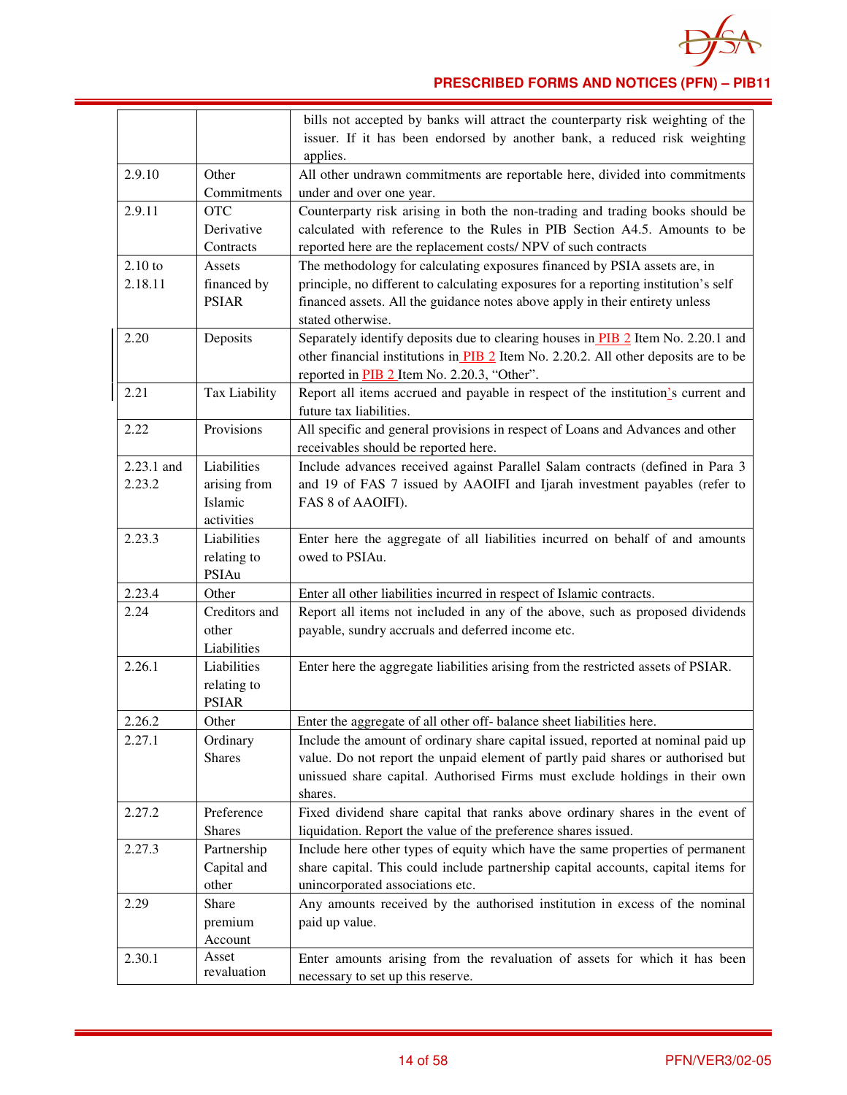

|            |                  | bills not accepted by banks will attract the counterparty risk weighting of the                                        |
|------------|------------------|------------------------------------------------------------------------------------------------------------------------|
|            |                  | issuer. If it has been endorsed by another bank, a reduced risk weighting                                              |
|            |                  | applies.                                                                                                               |
| 2.9.10     | Other            | All other undrawn commitments are reportable here, divided into commitments                                            |
|            | Commitments      | under and over one year.                                                                                               |
| 2.9.11     | <b>OTC</b>       | Counterparty risk arising in both the non-trading and trading books should be                                          |
|            | Derivative       | calculated with reference to the Rules in PIB Section A4.5. Amounts to be                                              |
|            | Contracts        | reported here are the replacement costs/ NPV of such contracts                                                         |
| $2.10$ to  | Assets           | The methodology for calculating exposures financed by PSIA assets are, in                                              |
| 2.18.11    | financed by      | principle, no different to calculating exposures for a reporting institution's self                                    |
|            | <b>PSIAR</b>     | financed assets. All the guidance notes above apply in their entirety unless<br>stated otherwise.                      |
| 2.20       | Deposits         | Separately identify deposits due to clearing houses in PIB 2 Item No. 2.20.1 and                                       |
|            |                  | other financial institutions in <b>PIB 2</b> Item No. 2.20.2. All other deposits are to be                             |
|            |                  | reported in PIB 2 Item No. 2.20.3, "Other".                                                                            |
| 2.21       | Tax Liability    | Report all items accrued and payable in respect of the institution's current and<br>future tax liabilities.            |
| 2.22       | Provisions       | All specific and general provisions in respect of Loans and Advances and other<br>receivables should be reported here. |
| 2.23.1 and | Liabilities      | Include advances received against Parallel Salam contracts (defined in Para 3                                          |
| 2.23.2     | arising from     | and 19 of FAS 7 issued by AAOIFI and Ijarah investment payables (refer to                                              |
|            | Islamic          | FAS 8 of AAOIFI).                                                                                                      |
|            | activities       |                                                                                                                        |
| 2.23.3     | Liabilities      | Enter here the aggregate of all liabilities incurred on behalf of and amounts                                          |
|            | relating to      | owed to PSIAu.                                                                                                         |
|            | PSIAu            |                                                                                                                        |
| 2.23.4     | Other            | Enter all other liabilities incurred in respect of Islamic contracts.                                                  |
| 2.24       | Creditors and    | Report all items not included in any of the above, such as proposed dividends                                          |
|            | other            | payable, sundry accruals and deferred income etc.                                                                      |
|            | Liabilities      |                                                                                                                        |
| 2.26.1     | Liabilities      | Enter here the aggregate liabilities arising from the restricted assets of PSIAR.                                      |
|            | relating to      |                                                                                                                        |
|            | <b>PSIAR</b>     |                                                                                                                        |
| 2.26.2     | Other            | Enter the aggregate of all other off- balance sheet liabilities here.                                                  |
| 2.27.1     | Ordinary         | Include the amount of ordinary share capital issued, reported at nominal paid up                                       |
|            | <b>Shares</b>    | value. Do not report the unpaid element of partly paid shares or authorised but                                        |
|            |                  | unissued share capital. Authorised Firms must exclude holdings in their own                                            |
|            |                  | shares.                                                                                                                |
| 2.27.2     | Preference       | Fixed dividend share capital that ranks above ordinary shares in the event of                                          |
|            | <b>Shares</b>    | liquidation. Report the value of the preference shares issued.                                                         |
| 2.27.3     | Partnership      | Include here other types of equity which have the same properties of permanent                                         |
|            | Capital and      | share capital. This could include partnership capital accounts, capital items for                                      |
|            | other            | unincorporated associations etc.                                                                                       |
| 2.29       | Share            | Any amounts received by the authorised institution in excess of the nominal                                            |
|            | premium          | paid up value.                                                                                                         |
|            | Account<br>Asset |                                                                                                                        |
| 2.30.1     | revaluation      | Enter amounts arising from the revaluation of assets for which it has been                                             |
|            |                  | necessary to set up this reserve.                                                                                      |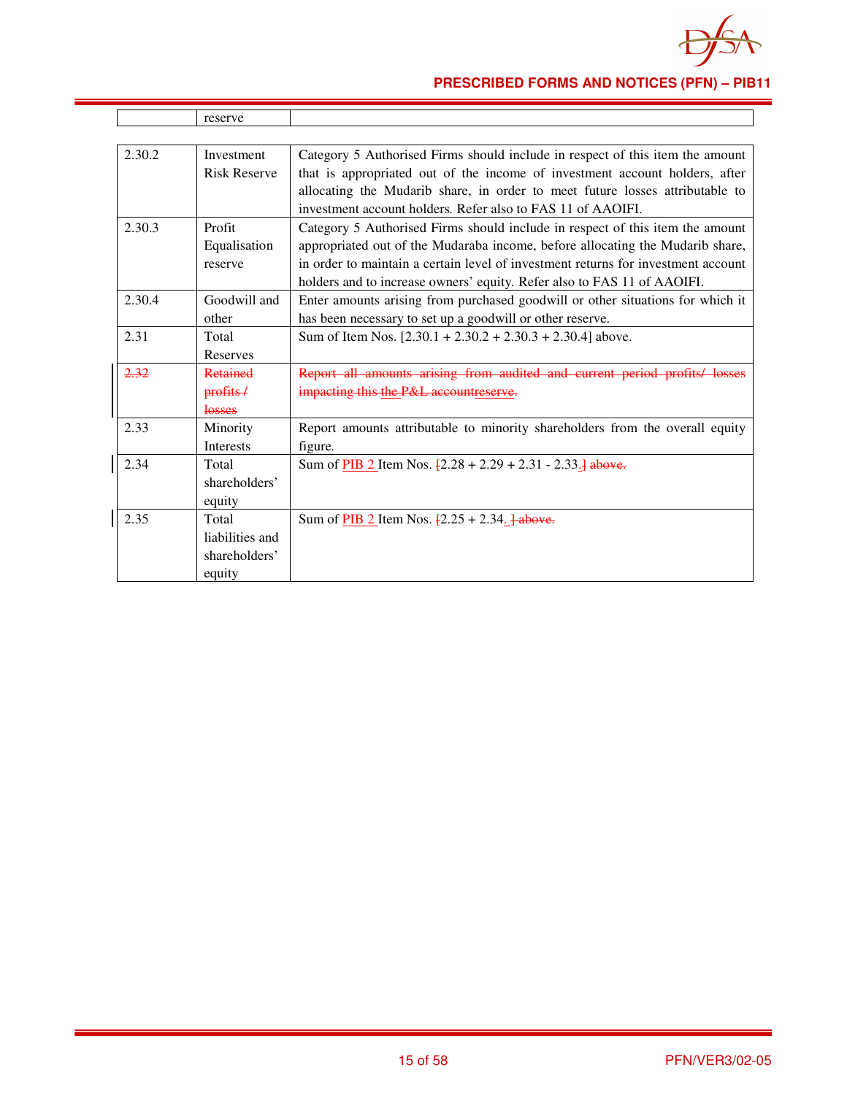

|        | reserve                           |                                                                                                                                                                                                                                                                                                                                |
|--------|-----------------------------------|--------------------------------------------------------------------------------------------------------------------------------------------------------------------------------------------------------------------------------------------------------------------------------------------------------------------------------|
|        |                                   |                                                                                                                                                                                                                                                                                                                                |
| 2.30.2 | Investment<br><b>Risk Reserve</b> | Category 5 Authorised Firms should include in respect of this item the amount<br>that is appropriated out of the income of investment account holders, after<br>allocating the Mudarib share, in order to meet future losses attributable to<br>investment account holders. Refer also to FAS 11 of AAOIFI.                    |
| 2.30.3 | Profit<br>Equalisation<br>reserve | Category 5 Authorised Firms should include in respect of this item the amount<br>appropriated out of the Mudaraba income, before allocating the Mudarib share,<br>in order to maintain a certain level of investment returns for investment account<br>holders and to increase owners' equity. Refer also to FAS 11 of AAOIFI. |
| 2.30.4 | Goodwill and                      | Enter amounts arising from purchased goodwill or other situations for which it                                                                                                                                                                                                                                                 |
|        | other                             | has been necessary to set up a goodwill or other reserve.                                                                                                                                                                                                                                                                      |
| 2.31   | Total                             | Sum of Item Nos. $[2.30.1 + 2.30.2 + 2.30.3 + 2.30.4]$ above.                                                                                                                                                                                                                                                                  |
|        | Reserves                          |                                                                                                                                                                                                                                                                                                                                |
| 2.32   | <b>Retained</b>                   | Report all amounts arising from audited and current period profits/                                                                                                                                                                                                                                                            |
|        | $prefix$                          | impacting this the P&L accountreserve.                                                                                                                                                                                                                                                                                         |
|        | losses                            |                                                                                                                                                                                                                                                                                                                                |
| 2.33   | Minority                          | Report amounts attributable to minority shareholders from the overall equity                                                                                                                                                                                                                                                   |
|        | <b>Interests</b>                  | figure.                                                                                                                                                                                                                                                                                                                        |
| 2.34   | Total                             | Sum of PIB 2 Item Nos. $\frac{2.28 + 2.29 + 2.31 - 2.33.1}{400}$                                                                                                                                                                                                                                                               |
|        | shareholders'                     |                                                                                                                                                                                                                                                                                                                                |
|        | equity                            |                                                                                                                                                                                                                                                                                                                                |
| 2.35   | Total                             | Sum of $PIB$ 2 Item Nos. $\frac{2.25 + 2.34.1}{100}$ + above.                                                                                                                                                                                                                                                                  |
|        | liabilities and                   |                                                                                                                                                                                                                                                                                                                                |
|        | shareholders'                     |                                                                                                                                                                                                                                                                                                                                |
|        | equity                            |                                                                                                                                                                                                                                                                                                                                |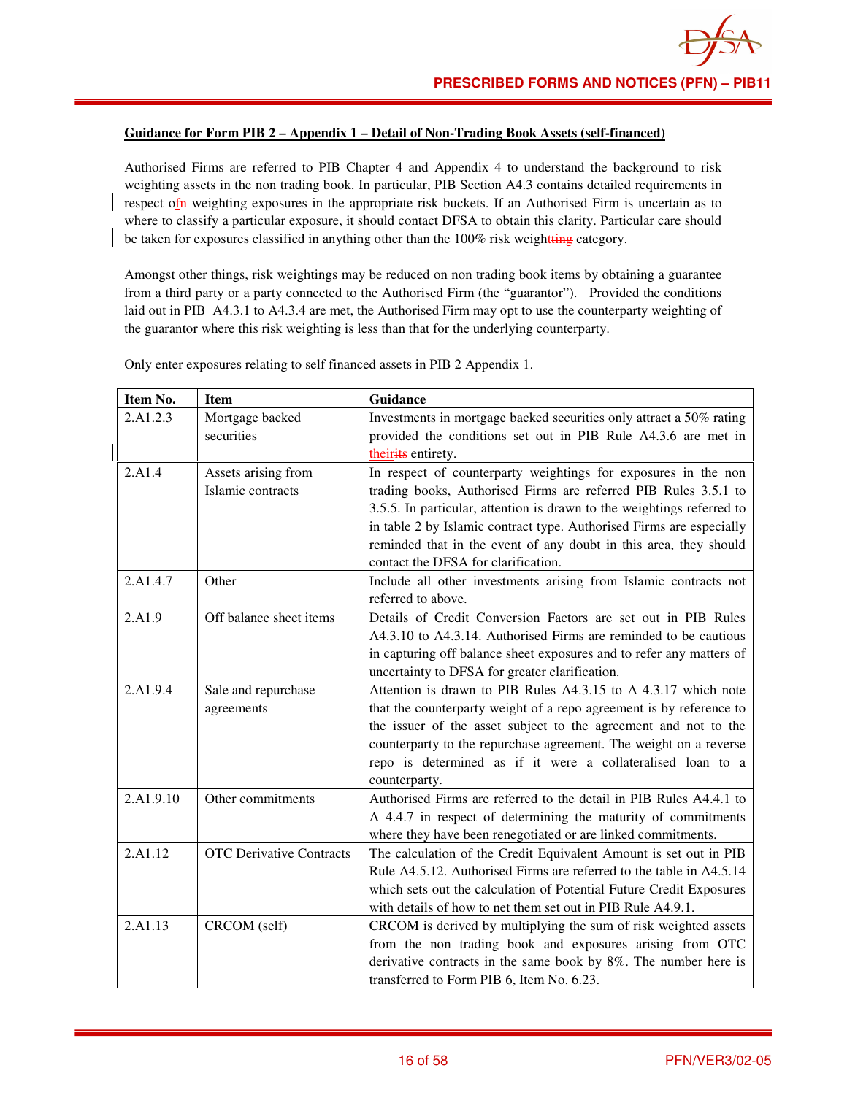### **Guidance for Form PIB 2 – Appendix 1 – Detail of Non-Trading Book Assets (self-financed)**

Authorised Firms are referred to PIB Chapter 4 and Appendix 4 to understand the background to risk weighting assets in the non trading book. In particular, PIB Section A4.3 contains detailed requirements in respect of  $\frac{\partial f}{\partial r}$  weighting exposures in the appropriate risk buckets. If an Authorised Firm is uncertain as to where to classify a particular exposure, it should contact DFSA to obtain this clarity. Particular care should be taken for exposures classified in anything other than the 100% risk weighting category.

Amongst other things, risk weightings may be reduced on non trading book items by obtaining a guarantee from a third party or a party connected to the Authorised Firm (the "guarantor"). Provided the conditions laid out in PIB A4.3.1 to A4.3.4 are met, the Authorised Firm may opt to use the counterparty weighting of the guarantor where this risk weighting is less than that for the underlying counterparty.

| Item No.  | <b>Item</b>                              | <b>Guidance</b>                                                                                                                                                                                                                                                                                                                                               |
|-----------|------------------------------------------|---------------------------------------------------------------------------------------------------------------------------------------------------------------------------------------------------------------------------------------------------------------------------------------------------------------------------------------------------------------|
| 2.A1.2.3  | Mortgage backed<br>securities            | Investments in mortgage backed securities only attract a 50% rating<br>provided the conditions set out in PIB Rule A4.3.6 are met in                                                                                                                                                                                                                          |
|           |                                          | theirits entirety.                                                                                                                                                                                                                                                                                                                                            |
| 2.A1.4    | Assets arising from<br>Islamic contracts | In respect of counterparty weightings for exposures in the non<br>trading books, Authorised Firms are referred PIB Rules 3.5.1 to<br>3.5.5. In particular, attention is drawn to the weightings referred to<br>in table 2 by Islamic contract type. Authorised Firms are especially<br>reminded that in the event of any doubt in this area, they should      |
|           |                                          | contact the DFSA for clarification.                                                                                                                                                                                                                                                                                                                           |
| 2.A1.4.7  | Other                                    | Include all other investments arising from Islamic contracts not<br>referred to above.                                                                                                                                                                                                                                                                        |
| 2.A1.9    | Off balance sheet items                  | Details of Credit Conversion Factors are set out in PIB Rules<br>A4.3.10 to A4.3.14. Authorised Firms are reminded to be cautious<br>in capturing off balance sheet exposures and to refer any matters of<br>uncertainty to DFSA for greater clarification.                                                                                                   |
| 2.A1.9.4  | Sale and repurchase<br>agreements        | Attention is drawn to PIB Rules A4.3.15 to A 4.3.17 which note<br>that the counterparty weight of a repo agreement is by reference to<br>the issuer of the asset subject to the agreement and not to the<br>counterparty to the repurchase agreement. The weight on a reverse<br>repo is determined as if it were a collateralised loan to a<br>counterparty. |
| 2.A1.9.10 | Other commitments                        | Authorised Firms are referred to the detail in PIB Rules A4.4.1 to<br>A 4.4.7 in respect of determining the maturity of commitments<br>where they have been renegotiated or are linked commitments.                                                                                                                                                           |
| 2.A1.12   | <b>OTC</b> Derivative Contracts          | The calculation of the Credit Equivalent Amount is set out in PIB<br>Rule A4.5.12. Authorised Firms are referred to the table in A4.5.14<br>which sets out the calculation of Potential Future Credit Exposures<br>with details of how to net them set out in PIB Rule A4.9.1.                                                                                |
| 2.A1.13   | CRCOM (self)                             | CRCOM is derived by multiplying the sum of risk weighted assets<br>from the non trading book and exposures arising from OTC<br>derivative contracts in the same book by 8%. The number here is<br>transferred to Form PIB 6, Item No. 6.23.                                                                                                                   |

Only enter exposures relating to self financed assets in PIB 2 Appendix 1.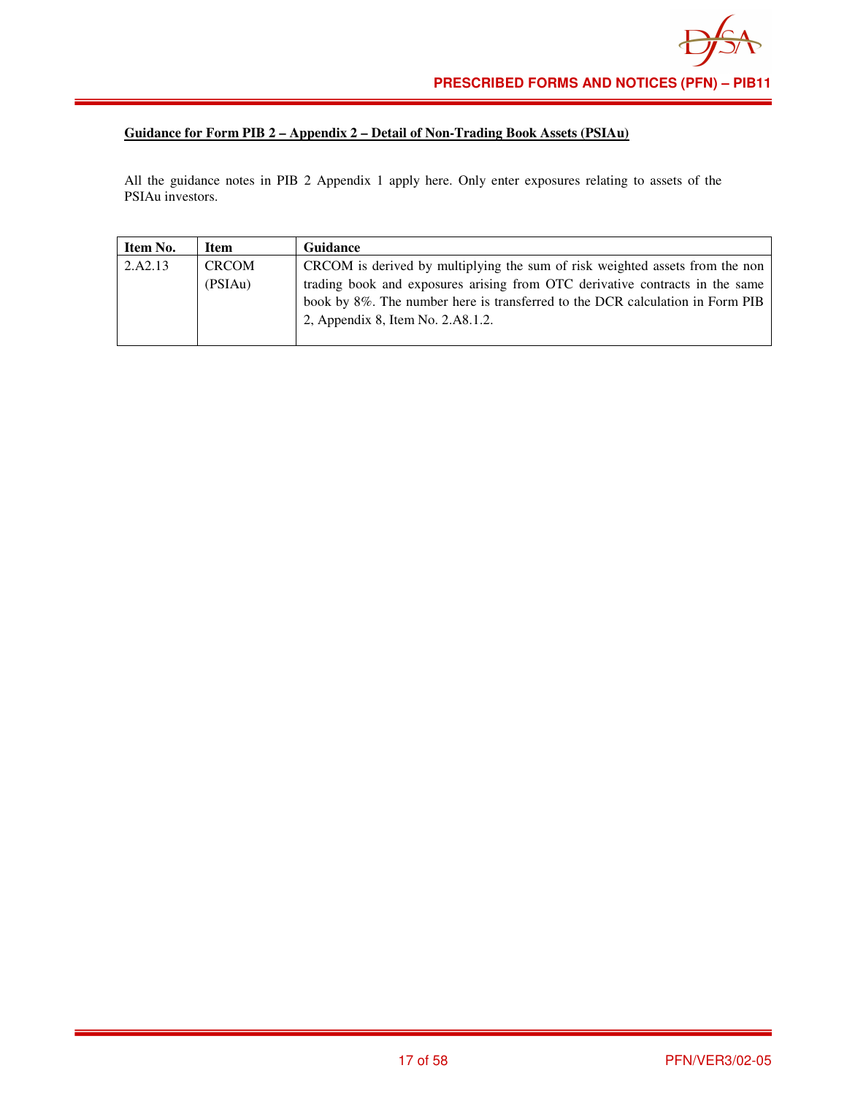### **Guidance for Form PIB 2 – Appendix 2 – Detail of Non-Trading Book Assets (PSIAu)**

All the guidance notes in PIB 2 Appendix 1 apply here. Only enter exposures relating to assets of the PSIAu investors.

| Item No. | <b>Item</b>  | <b>Guidance</b>                                                               |
|----------|--------------|-------------------------------------------------------------------------------|
| 2.A2.13  | <b>CRCOM</b> | CRCOM is derived by multiplying the sum of risk weighted assets from the non  |
|          | (PSIAu)      | trading book and exposures arising from OTC derivative contracts in the same  |
|          |              | book by 8%. The number here is transferred to the DCR calculation in Form PIB |
|          |              | 2, Appendix 8, Item No. 2.A8.1.2.                                             |
|          |              |                                                                               |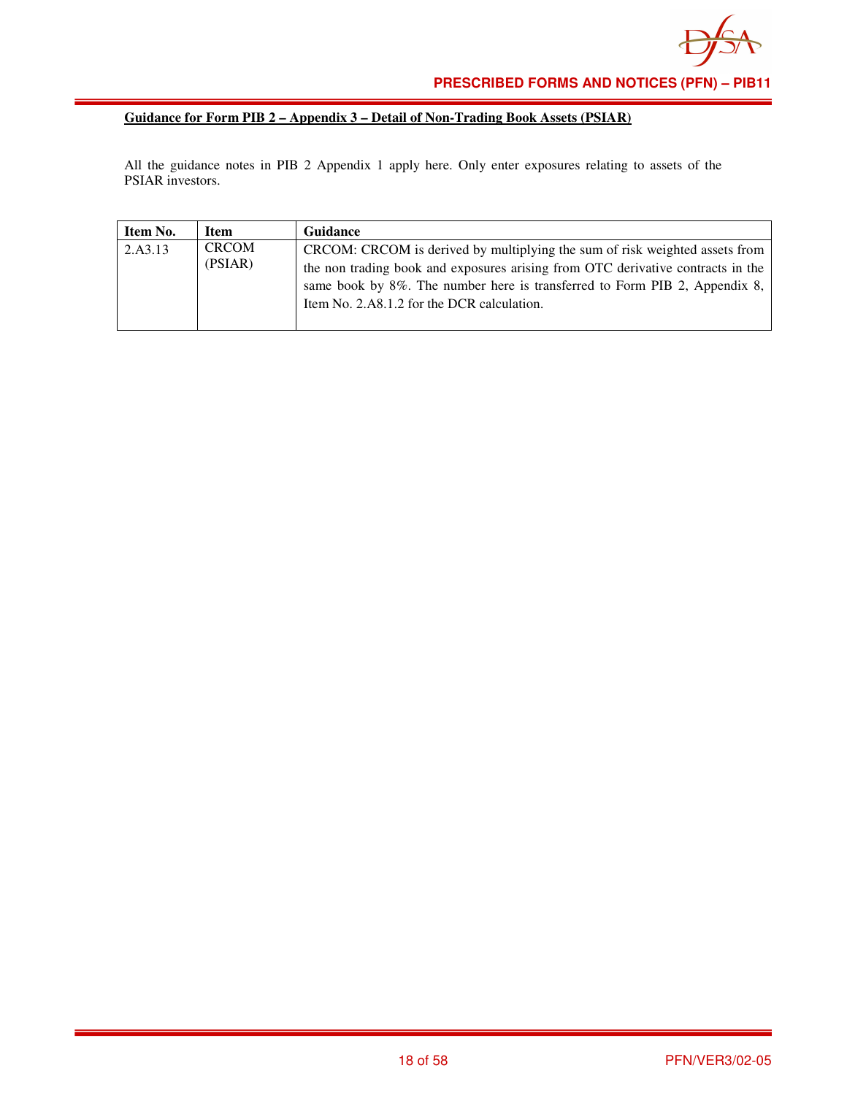

# **Guidance for Form PIB 2 – Appendix 3 – Detail of Non-Trading Book Assets (PSIAR)**

All the guidance notes in PIB 2 Appendix 1 apply here. Only enter exposures relating to assets of the PSIAR investors.

| Item No. | <b>Item</b>  | <b>Guidance</b>                                                                 |
|----------|--------------|---------------------------------------------------------------------------------|
| 2.A3.13  | <b>CRCOM</b> | CRCOM: CRCOM is derived by multiplying the sum of risk weighted assets from     |
|          | (PSIAR)      | the non trading book and exposures arising from OTC derivative contracts in the |
|          |              | same book by 8%. The number here is transferred to Form PIB 2, Appendix 8,      |
|          |              | Item No. 2.88.1.2 for the DCR calculation.                                      |
|          |              |                                                                                 |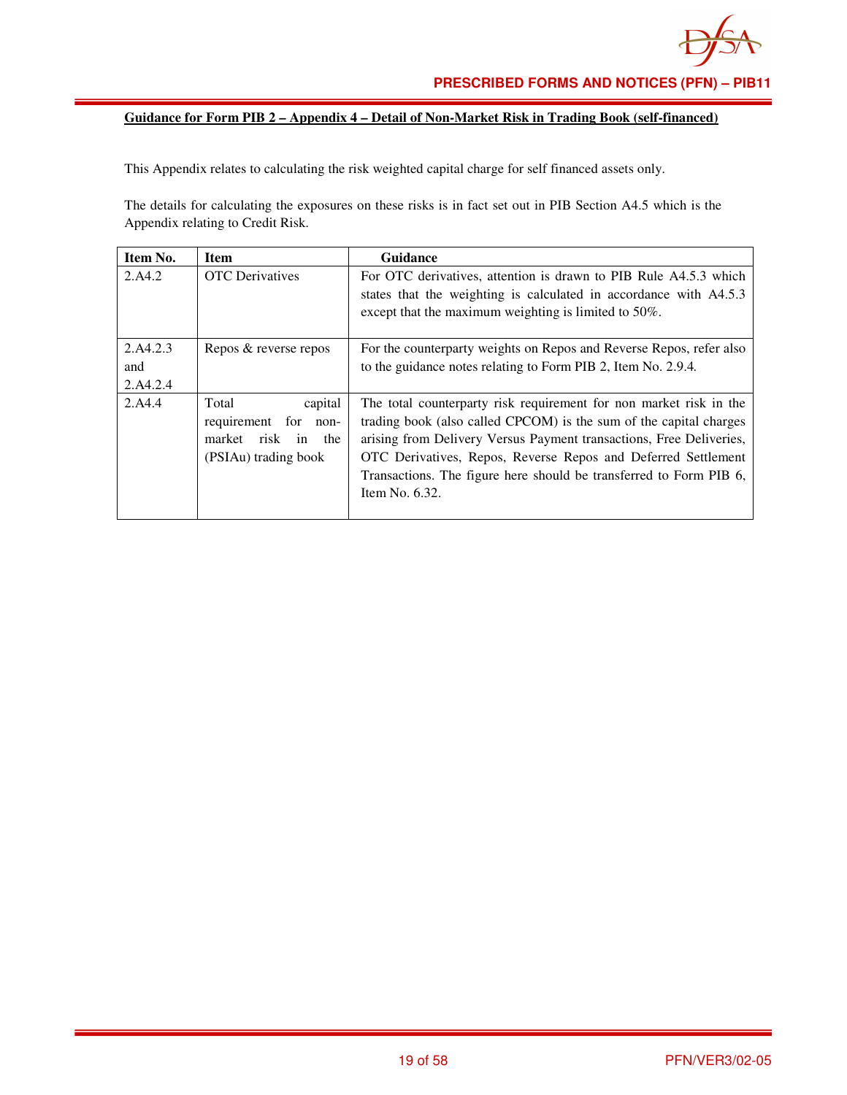

## **Guidance for Form PIB 2 – Appendix 4 – Detail of Non-Market Risk in Trading Book (self-financed)**

This Appendix relates to calculating the risk weighted capital charge for self financed assets only.

The details for calculating the exposures on these risks is in fact set out in PIB Section A4.5 which is the Appendix relating to Credit Risk.

| Item No.                    | <b>Item</b>                                                                            | <b>Guidance</b>                                                                                                                                                                                                                                                                                                                                                          |
|-----------------------------|----------------------------------------------------------------------------------------|--------------------------------------------------------------------------------------------------------------------------------------------------------------------------------------------------------------------------------------------------------------------------------------------------------------------------------------------------------------------------|
| 2.A4.2                      | <b>OTC</b> Derivatives                                                                 | For OTC derivatives, attention is drawn to PIB Rule A4.5.3 which<br>states that the weighting is calculated in accordance with A4.5.3<br>except that the maximum weighting is limited to 50%.                                                                                                                                                                            |
| 2.A4.2.3<br>and<br>2.A4.2.4 | Repos & reverse repos                                                                  | For the counterparty weights on Repos and Reverse Repos, refer also<br>to the guidance notes relating to Form PIB 2, Item No. 2.9.4.                                                                                                                                                                                                                                     |
| 2.A4.4                      | Total<br>capital<br>requirement for non-<br>market risk in the<br>(PSIAu) trading book | The total counterparty risk requirement for non market risk in the<br>trading book (also called CPCOM) is the sum of the capital charges<br>arising from Delivery Versus Payment transactions, Free Deliveries,<br>OTC Derivatives, Repos, Reverse Repos and Deferred Settlement<br>Transactions. The figure here should be transferred to Form PIB 6,<br>Item No. 6.32. |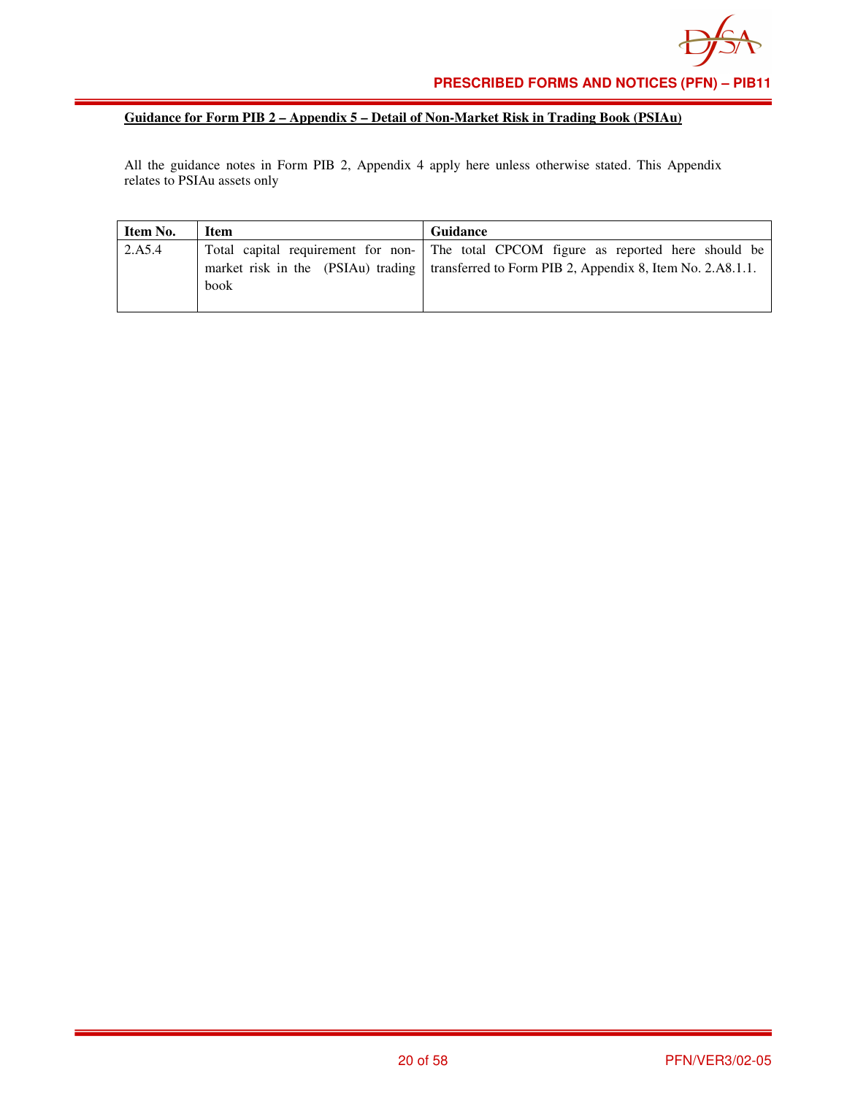

## **Guidance for Form PIB 2 – Appendix 5 – Detail of Non-Market Risk in Trading Book (PSIAu)**

All the guidance notes in Form PIB 2, Appendix 4 apply here unless otherwise stated. This Appendix relates to PSIAu assets only

| Item No. | Item | Guidance                                                                                                                                                                             |
|----------|------|--------------------------------------------------------------------------------------------------------------------------------------------------------------------------------------|
| 2.A5.4   | book | Total capital requirement for non- The total CPCOM figure as reported here should be<br>market risk in the (PSIAu) trading transferred to Form PIB 2, Appendix 8, Item No. 2.A8.1.1. |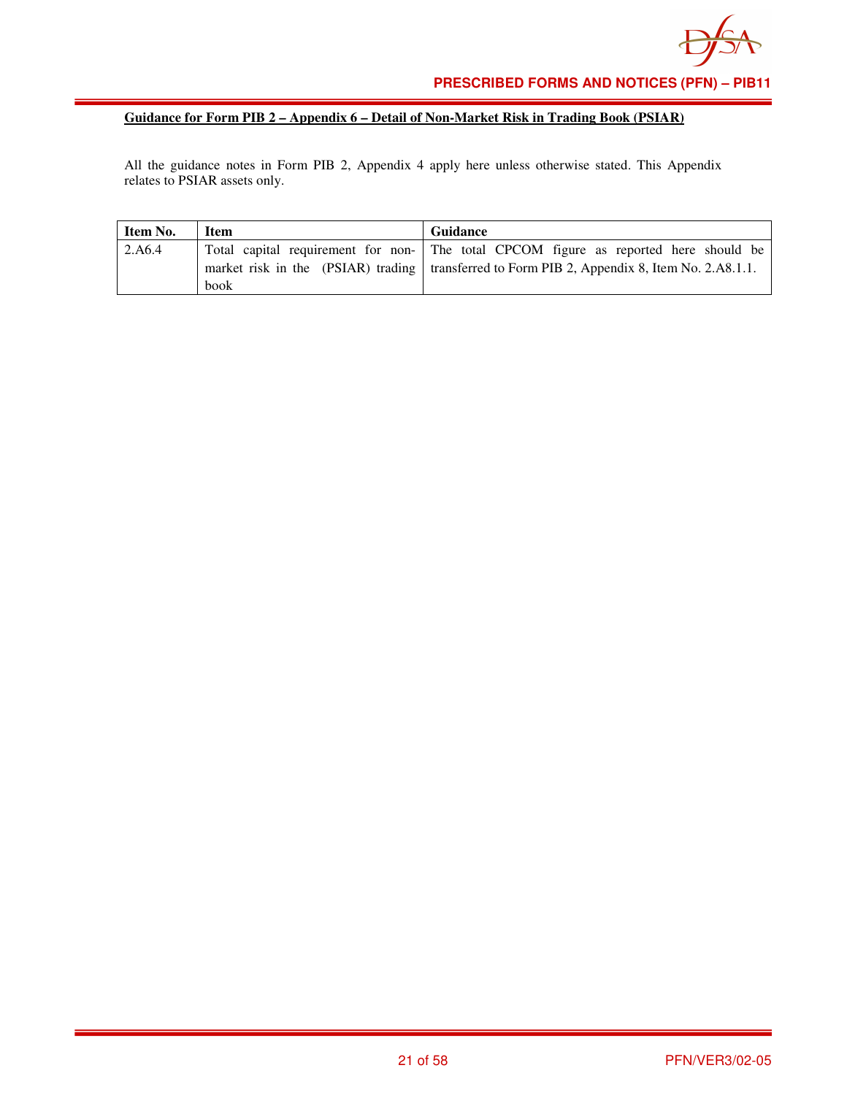

## **Guidance for Form PIB 2 – Appendix 6 – Detail of Non-Market Risk in Trading Book (PSIAR)**

All the guidance notes in Form PIB 2, Appendix 4 apply here unless otherwise stated. This Appendix relates to PSIAR assets only.

| Item No. | Item | Guidance                                                                                     |
|----------|------|----------------------------------------------------------------------------------------------|
| 2.A6.4   |      | Total capital requirement for non- The total CPCOM figure as reported here should be         |
|          |      | market risk in the (PSIAR) trading transferred to Form PIB 2, Appendix 8, Item No. 2.A8.1.1. |
|          | book |                                                                                              |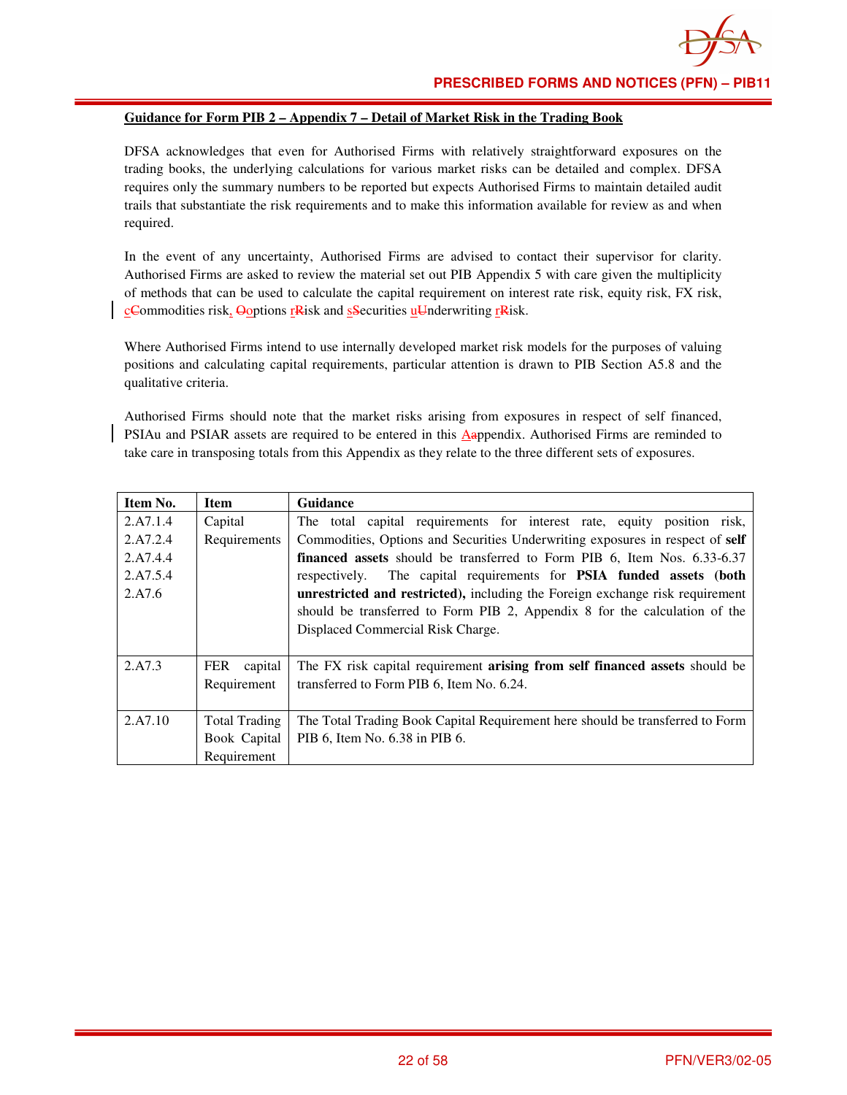#### **Guidance for Form PIB 2 – Appendix 7 – Detail of Market Risk in the Trading Book**

DFSA acknowledges that even for Authorised Firms with relatively straightforward exposures on the trading books, the underlying calculations for various market risks can be detailed and complex. DFSA requires only the summary numbers to be reported but expects Authorised Firms to maintain detailed audit trails that substantiate the risk requirements and to make this information available for review as and when required.

In the event of any uncertainty, Authorised Firms are advised to contact their supervisor for clarity. Authorised Firms are asked to review the material set out PIB Appendix 5 with care given the multiplicity of methods that can be used to calculate the capital requirement on interest rate risk, equity risk, FX risk, cCommodities risk, Ooptions rRisk and sSecurities uUnderwriting rRisk.

Where Authorised Firms intend to use internally developed market risk models for the purposes of valuing positions and calculating capital requirements, particular attention is drawn to PIB Section A5.8 and the qualitative criteria.

Authorised Firms should note that the market risks arising from exposures in respect of self financed, PSIAu and PSIAR assets are required to be entered in this Aappendix. Authorised Firms are reminded to take care in transposing totals from this Appendix as they relate to the three different sets of exposures.

| Item No. | Item                  | <b>Guidance</b>                                                                       |  |
|----------|-----------------------|---------------------------------------------------------------------------------------|--|
| 2.A7.1.4 | Capital               | The total capital requirements for interest rate, equity position risk,               |  |
| 2.A7.2.4 | Requirements          | Commodities, Options and Securities Underwriting exposures in respect of self         |  |
| 2.A7.4.4 |                       | <b>financed assets</b> should be transferred to Form PIB 6, Item Nos. 6.33-6.37       |  |
| 2.A7.5.4 |                       | The capital requirements for PSIA funded assets (both<br>respectively.                |  |
| 2.A7.6   |                       | <b>unrestricted and restricted)</b> , including the Foreign exchange risk requirement |  |
|          |                       | should be transferred to Form PIB 2, Appendix 8 for the calculation of the            |  |
|          |                       | Displaced Commercial Risk Charge.                                                     |  |
|          |                       |                                                                                       |  |
| 2.A7.3   | <b>FER</b><br>capital | The FX risk capital requirement arising from self financed assets should be           |  |
|          | Requirement           | transferred to Form PIB 6, Item No. 6.24.                                             |  |
|          |                       |                                                                                       |  |
| 2.A7.10  | <b>Total Trading</b>  | The Total Trading Book Capital Requirement here should be transferred to Form         |  |
|          | Book Capital          | PIB 6, Item No. 6.38 in PIB 6.                                                        |  |
|          | Requirement           |                                                                                       |  |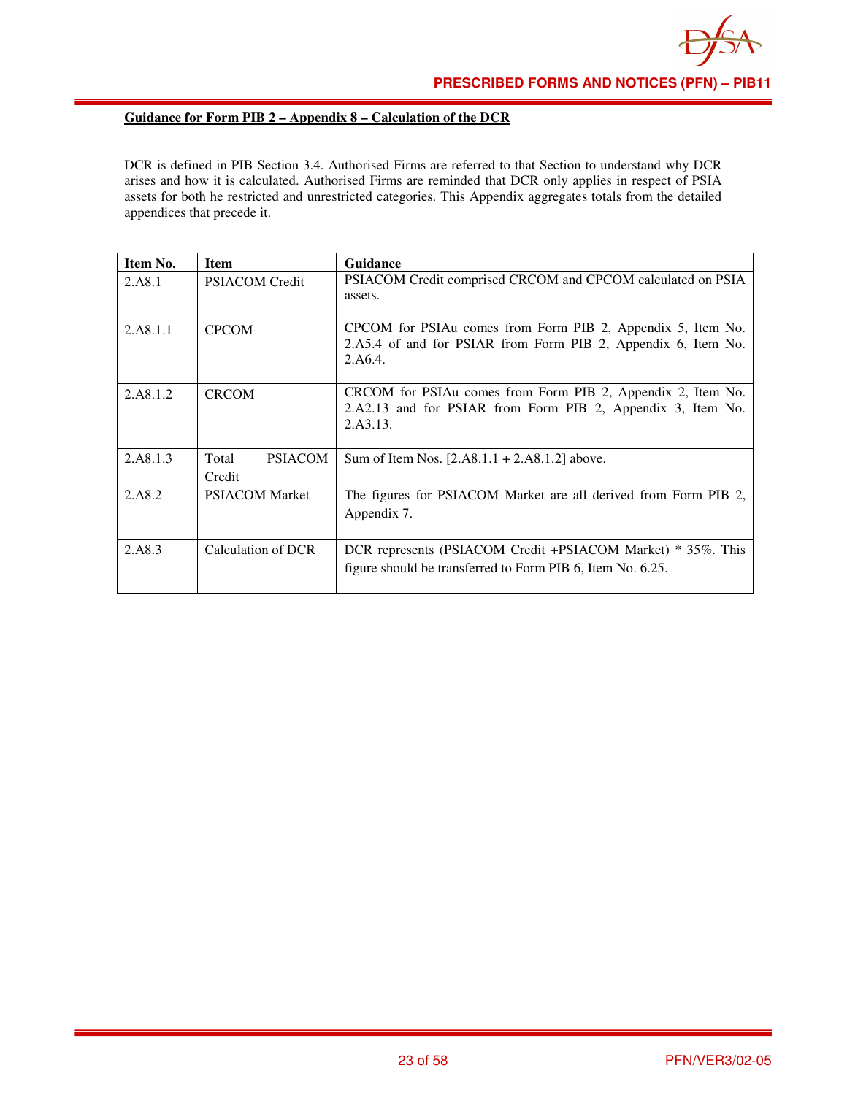# **Guidance for Form PIB 2 – Appendix 8 – Calculation of the DCR**

DCR is defined in PIB Section 3.4. Authorised Firms are referred to that Section to understand why DCR arises and how it is calculated. Authorised Firms are reminded that DCR only applies in respect of PSIA assets for both he restricted and unrestricted categories. This Appendix aggregates totals from the detailed appendices that precede it.

| Item No.  | <b>Item</b>                       | Guidance                                                                                                                               |
|-----------|-----------------------------------|----------------------------------------------------------------------------------------------------------------------------------------|
| 2.A8.1    | <b>PSIACOM Credit</b>             | PSIACOM Credit comprised CRCOM and CPCOM calculated on PSIA                                                                            |
|           |                                   | assets.                                                                                                                                |
| 2. A8.1.1 | <b>CPCOM</b>                      | CPCOM for PSIAu comes from Form PIB 2, Appendix 5, Item No.<br>2.A5.4 of and for PSIAR from Form PIB 2, Appendix 6, Item No.           |
|           |                                   | 2.A6.4.                                                                                                                                |
| 2.A8.1.2  | <b>CRCOM</b>                      | CRCOM for PSIAu comes from Form PIB 2, Appendix 2, Item No.<br>2.A2.13 and for PSIAR from Form PIB 2, Appendix 3, Item No.<br>2.A3.13. |
| 2.A8.1.3  | Total<br><b>PSIACOM</b><br>Credit | Sum of Item Nos. $[2.48.1.1 + 2.48.1.2]$ above.                                                                                        |
| 2.A8.2    | <b>PSIACOM Market</b>             | The figures for PSIACOM Market are all derived from Form PIB 2,<br>Appendix 7.                                                         |
| 2.A8.3    | Calculation of DCR                | DCR represents (PSIACOM Credit +PSIACOM Market) * 35%. This<br>figure should be transferred to Form PIB 6, Item No. 6.25.              |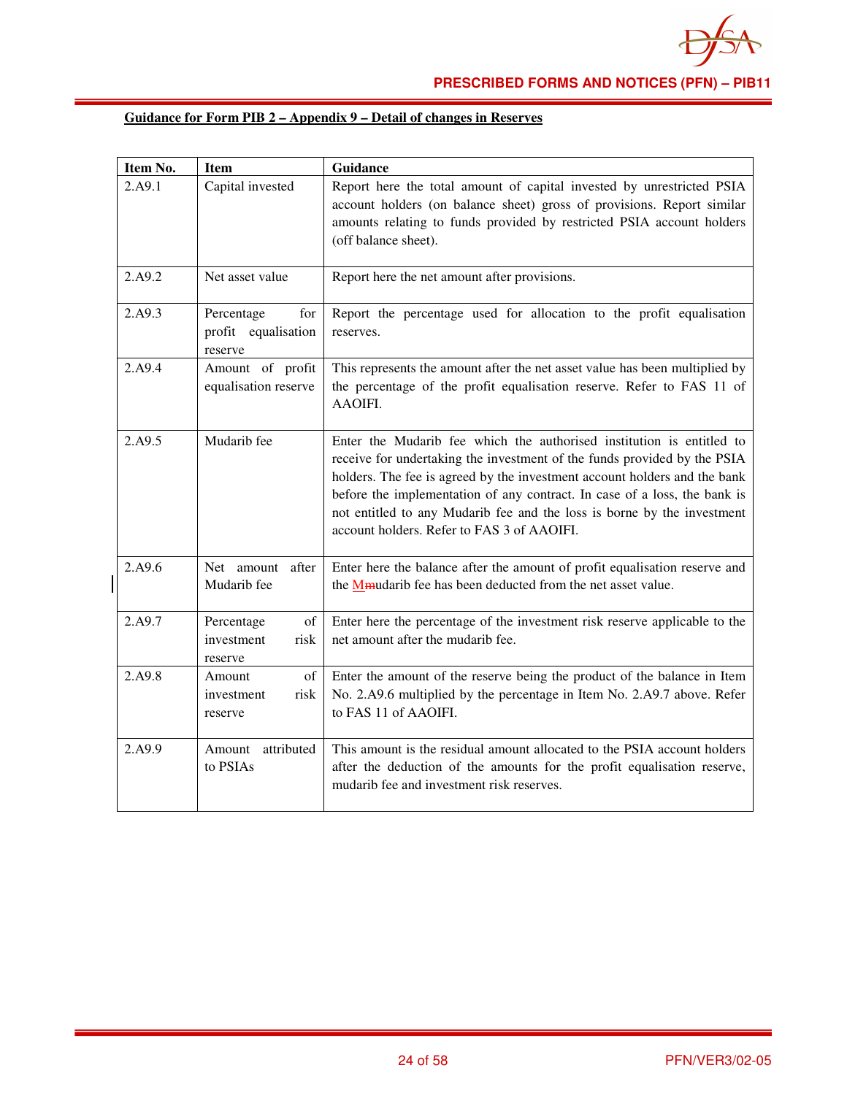

# **Guidance for Form PIB 2 – Appendix 9 – Detail of changes in Reserves**

| Item No. | <b>Item</b>                                         | Guidance                                                                                                                                                                                                                                                                                                                                                                                                                             |
|----------|-----------------------------------------------------|--------------------------------------------------------------------------------------------------------------------------------------------------------------------------------------------------------------------------------------------------------------------------------------------------------------------------------------------------------------------------------------------------------------------------------------|
| 2.A9.1   | Capital invested                                    | Report here the total amount of capital invested by unrestricted PSIA<br>account holders (on balance sheet) gross of provisions. Report similar<br>amounts relating to funds provided by restricted PSIA account holders<br>(off balance sheet).                                                                                                                                                                                     |
| 2.A9.2   | Net asset value                                     | Report here the net amount after provisions.                                                                                                                                                                                                                                                                                                                                                                                         |
| 2.A9.3   | Percentage<br>for<br>profit equalisation<br>reserve | Report the percentage used for allocation to the profit equalisation<br>reserves.                                                                                                                                                                                                                                                                                                                                                    |
| 2.A9.4   | Amount of profit<br>equalisation reserve            | This represents the amount after the net asset value has been multiplied by<br>the percentage of the profit equalisation reserve. Refer to FAS 11 of<br>AAOIFI.                                                                                                                                                                                                                                                                      |
| 2.A9.5   | Mudarib fee                                         | Enter the Mudarib fee which the authorised institution is entitled to<br>receive for undertaking the investment of the funds provided by the PSIA<br>holders. The fee is agreed by the investment account holders and the bank<br>before the implementation of any contract. In case of a loss, the bank is<br>not entitled to any Mudarib fee and the loss is borne by the investment<br>account holders. Refer to FAS 3 of AAOIFI. |
| 2.A9.6   | Net amount after<br>Mudarib fee                     | Enter here the balance after the amount of profit equalisation reserve and<br>the M <sub>mu</sub> darib fee has been deducted from the net asset value.                                                                                                                                                                                                                                                                              |
| 2.A9.7   | Percentage<br>of<br>investment<br>risk<br>reserve   | Enter here the percentage of the investment risk reserve applicable to the<br>net amount after the mudarib fee.                                                                                                                                                                                                                                                                                                                      |
| 2.A9.8   | Amount<br>of<br>risk<br>investment<br>reserve       | Enter the amount of the reserve being the product of the balance in Item<br>No. 2.A9.6 multiplied by the percentage in Item No. 2.A9.7 above. Refer<br>to FAS 11 of AAOIFI.                                                                                                                                                                                                                                                          |
| 2.A9.9   | Amount attributed<br>to PSIAs                       | This amount is the residual amount allocated to the PSIA account holders<br>after the deduction of the amounts for the profit equalisation reserve,<br>mudarib fee and investment risk reserves.                                                                                                                                                                                                                                     |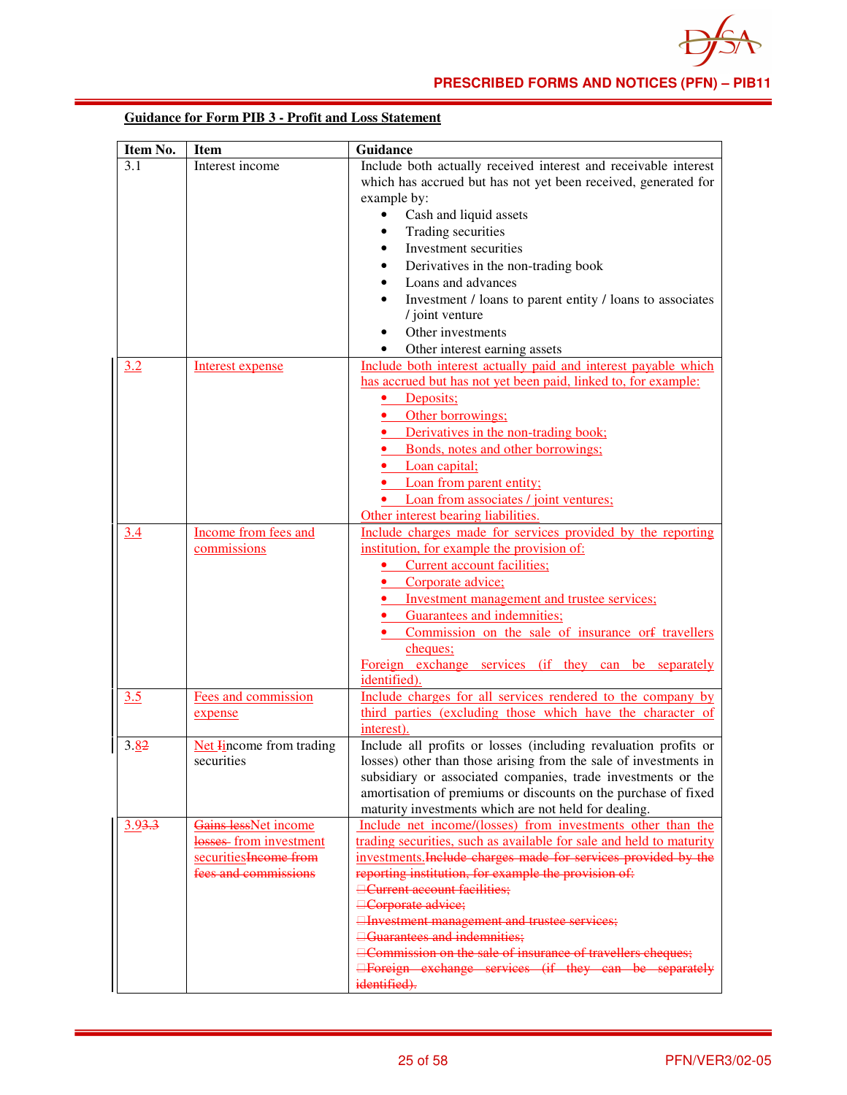

| Item No. | <b>Item</b>                    | Guidance                                                                                                                                                                                |
|----------|--------------------------------|-----------------------------------------------------------------------------------------------------------------------------------------------------------------------------------------|
| 3.1      | Interest income                | Include both actually received interest and receivable interest<br>which has accrued but has not yet been received, generated for<br>example by:<br>Cash and liquid assets<br>$\bullet$ |
|          |                                | Trading securities<br>$\bullet$                                                                                                                                                         |
|          |                                | Investment securities<br>$\bullet$                                                                                                                                                      |
|          |                                | Derivatives in the non-trading book<br>٠                                                                                                                                                |
|          |                                | Loans and advances<br>$\bullet$                                                                                                                                                         |
|          |                                | Investment / loans to parent entity / loans to associates<br>$\bullet$                                                                                                                  |
|          |                                | / joint venture                                                                                                                                                                         |
|          |                                | Other investments                                                                                                                                                                       |
|          |                                | Other interest earning assets                                                                                                                                                           |
| 3.2      | <b>Interest expense</b>        | Include both interest actually paid and interest payable which                                                                                                                          |
|          |                                | has accrued but has not yet been paid, linked to, for example:                                                                                                                          |
|          |                                | • Deposits;                                                                                                                                                                             |
|          |                                | • Other borrowings:                                                                                                                                                                     |
|          |                                | • Derivatives in the non-trading book;                                                                                                                                                  |
|          |                                | • Bonds, notes and other borrowings;                                                                                                                                                    |
|          |                                | • Loan capital;                                                                                                                                                                         |
|          |                                | • Loan from parent entity;                                                                                                                                                              |
|          |                                | • Loan from associates / joint ventures;                                                                                                                                                |
|          |                                | Other interest bearing liabilities.                                                                                                                                                     |
| 3.4      | Income from fees and           | Include charges made for services provided by the reporting                                                                                                                             |
|          | commissions                    | institution, for example the provision of:                                                                                                                                              |
|          |                                | • Current account facilities;                                                                                                                                                           |
|          |                                | • Corporate advice;                                                                                                                                                                     |
|          |                                | • Investment management and trustee services;                                                                                                                                           |
|          |                                | • Guarantees and indemnities;                                                                                                                                                           |
|          |                                | Commission on the sale of insurance orf travellers                                                                                                                                      |
|          |                                | cheques;                                                                                                                                                                                |
|          |                                | Foreign exchange services (if they can be separately<br>identified).                                                                                                                    |
|          |                                |                                                                                                                                                                                         |
| 3.5      | Fees and commission<br>expense | Include charges for all services rendered to the company by<br>third parties (excluding those which have the character of                                                               |
|          |                                | interest).                                                                                                                                                                              |
| 3.82     | <b>Net Income from trading</b> | Include all profits or losses (including revaluation profits or                                                                                                                         |
|          | securities                     | losses) other than those arising from the sale of investments in                                                                                                                        |
|          |                                | subsidiary or associated companies, trade investments or the                                                                                                                            |
|          |                                | amortisation of premiums or discounts on the purchase of fixed                                                                                                                          |
|          |                                | maturity investments which are not held for dealing.                                                                                                                                    |
| 3.93.3   | Gains lessNet income           | Include net income/(losses) from investments other than the                                                                                                                             |
|          | losses-from investment         | trading securities, such as available for sale and held to maturity                                                                                                                     |
|          | securities <b>Income</b> from  | investments. Include charges made for services provided by the                                                                                                                          |
|          | fees and commissions           | reporting institution, for example the provision of:                                                                                                                                    |
|          |                                | <b>Current account facilities;</b>                                                                                                                                                      |
|          |                                | -Corporate advice;                                                                                                                                                                      |
|          |                                | Investment management and trustee services;<br><b>Guarantees and indemnities:</b>                                                                                                       |
|          |                                | - Commission on the sale of insurance of travellers cheques;                                                                                                                            |
|          |                                | - Foreign exchange services (if they can be separately                                                                                                                                  |
|          |                                | identified).                                                                                                                                                                            |
|          |                                |                                                                                                                                                                                         |

**Guidance for Form PIB 3 - Profit and Loss Statement**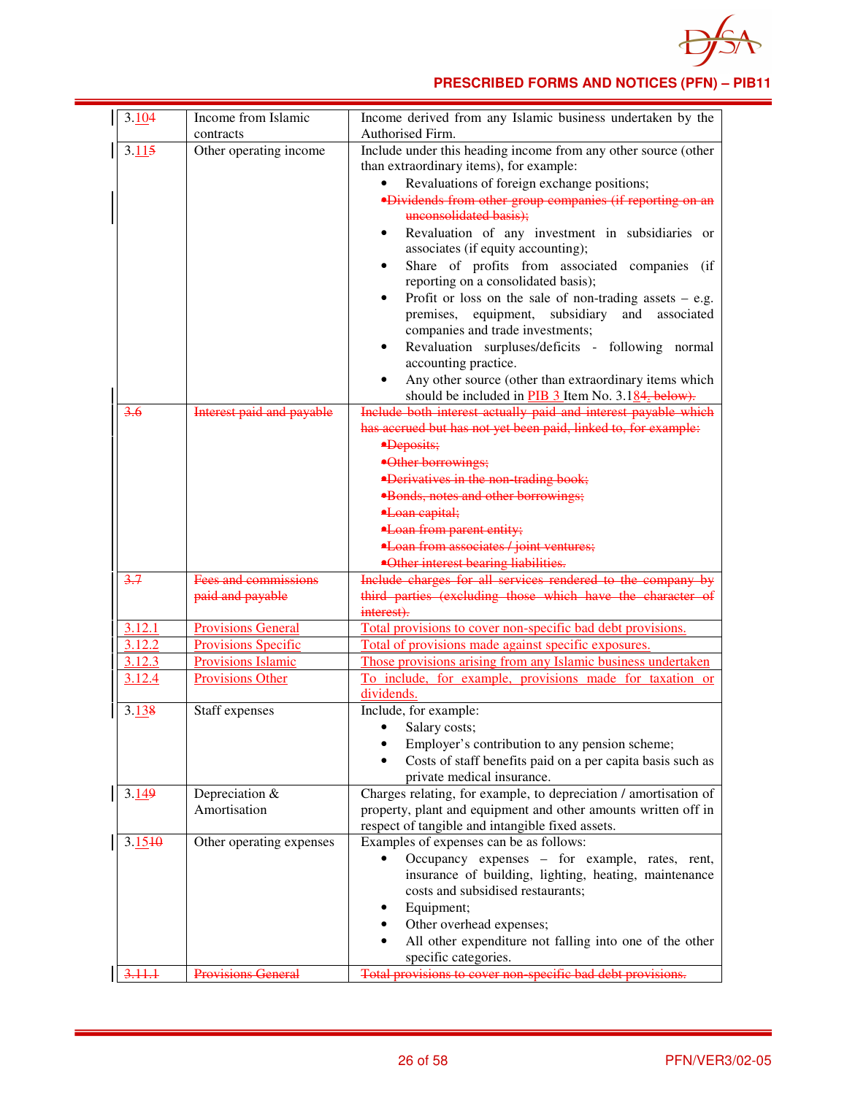

| 3.104  | Income from Islamic        | Income derived from any Islamic business undertaken by the                          |
|--------|----------------------------|-------------------------------------------------------------------------------------|
|        | contracts                  | Authorised Firm.                                                                    |
| 3.115  | Other operating income     | Include under this heading income from any other source (other                      |
|        |                            | than extraordinary items), for example:                                             |
|        |                            | Revaluations of foreign exchange positions;                                         |
|        |                            | ·Dividends from other group companies (if reporting on an                           |
|        |                            | unconsolidated basis);                                                              |
|        |                            | Revaluation of any investment in subsidiaries or<br>$\bullet$                       |
|        |                            | associates (if equity accounting);                                                  |
|        |                            | Share of profits from associated companies (if<br>٠                                 |
|        |                            | reporting on a consolidated basis);                                                 |
|        |                            | Profit or loss on the sale of non-trading assets $-$ e.g.                           |
|        |                            | premises, equipment, subsidiary and associated                                      |
|        |                            | companies and trade investments;                                                    |
|        |                            | Revaluation surpluses/deficits - following normal                                   |
|        |                            | accounting practice.                                                                |
|        |                            | Any other source (other than extraordinary items which                              |
|        |                            | should be included in $PIB$ 3 Item No. 3.1 $84$ -below).                            |
| 3.6    | Interest paid and payable  | Include both interest actually paid and interest payable which                      |
|        |                            | has accrued but has not yet been paid, linked to, for example:                      |
|        |                            | ·Deposits;                                                                          |
|        |                            | *Other borrowings;                                                                  |
|        |                            | *Derivatives in the non-trading book;                                               |
|        |                            | <b>*Bonds, notes and other borrowings;</b>                                          |
|        |                            | ·Loan capital;                                                                      |
|        |                            | ·Loan from parent entity;                                                           |
|        |                            | •Loan from associates / joint ventures;                                             |
|        |                            | *Other interest bearing liabilities.                                                |
| 3.7    | Fees and commissions       | Include charges for all services rendered to the company by                         |
|        | paid and payable           | third parties (excluding those which have the character of                          |
|        |                            | interest).                                                                          |
| 3.12.1 | <b>Provisions General</b>  | Total provisions to cover non-specific bad debt provisions.                         |
| 3.12.2 | <b>Provisions Specific</b> | Total of provisions made against specific exposures.                                |
| 3.12.3 | <b>Provisions Islamic</b>  | Those provisions arising from any Islamic business undertaken                       |
| 3.12.4 | <b>Provisions Other</b>    | To include, for example, provisions made for taxation or                            |
|        |                            | dividends.                                                                          |
| 3.138  | Staff expenses             | Include, for example:                                                               |
|        |                            | • Salary costs;                                                                     |
|        |                            | Employer's contribution to any pension scheme;                                      |
|        |                            | Costs of staff benefits paid on a per capita basis such as                          |
|        |                            | private medical insurance.                                                          |
| 3.149  | Depreciation &             | Charges relating, for example, to depreciation / amortisation of                    |
|        | Amortisation               | property, plant and equipment and other amounts written off in                      |
|        |                            | respect of tangible and intangible fixed assets.                                    |
| 3.1510 | Other operating expenses   | Examples of expenses can be as follows:                                             |
|        |                            | Occupancy expenses - for example, rates, rent,                                      |
|        |                            | insurance of building, lighting, heating, maintenance                               |
|        |                            | costs and subsidised restaurants;                                                   |
|        |                            | Equipment;                                                                          |
|        |                            | Other overhead expenses;                                                            |
|        |                            | All other expenditure not falling into one of the other                             |
| 3.11.1 | <b>Provisions General</b>  | specific categories.<br>Total provisions to cover non-specific bad debt provisions. |
|        |                            |                                                                                     |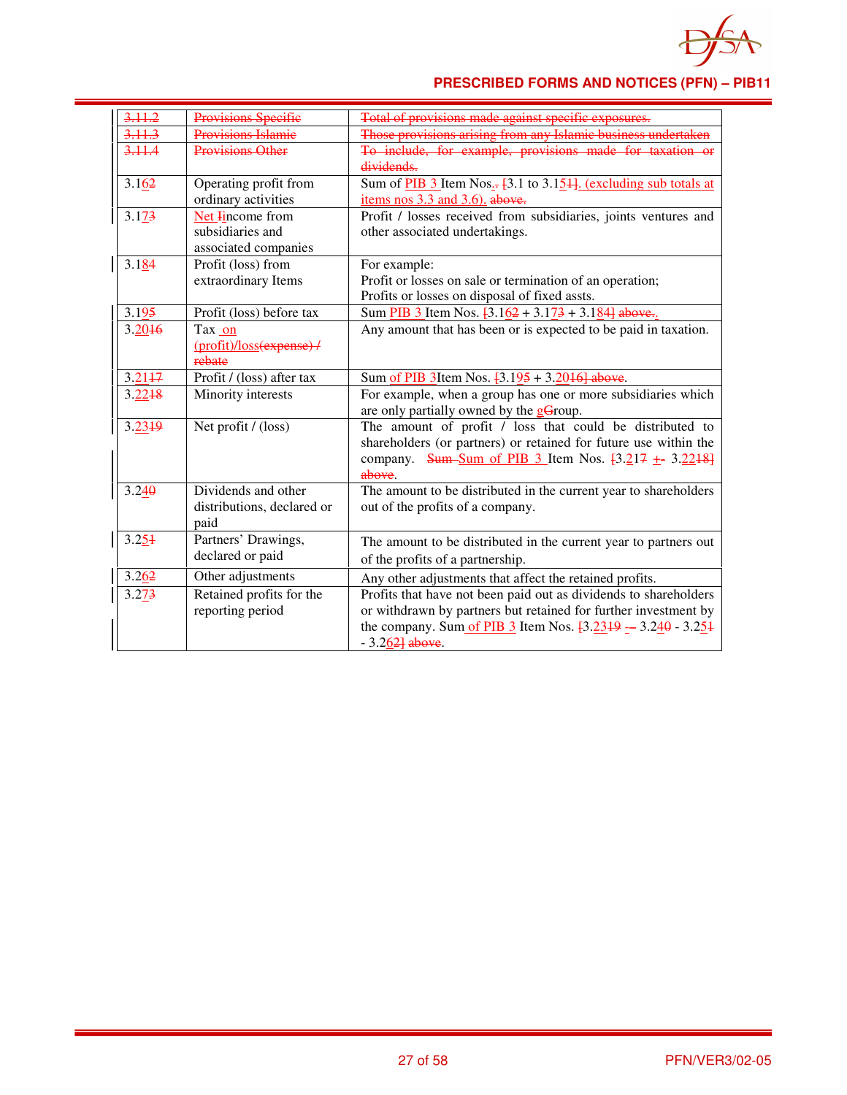

| 3.11.2     | <b>Provisions Specific</b>                                   | Total of provisions made against specific exposures.                                                                                                                                                                             |
|------------|--------------------------------------------------------------|----------------------------------------------------------------------------------------------------------------------------------------------------------------------------------------------------------------------------------|
| 3.11.3     | <b>Provisions Islamic</b>                                    | Those provisions arising from any Islamic business undertaken                                                                                                                                                                    |
| 3.11.4     | <b>Provisions Other</b>                                      | To include, for example, provisions made for taxation or<br>dividends.                                                                                                                                                           |
| 3.162      | Operating profit from<br>ordinary activities                 | Sum of $\underline{PIB}$ 3 Item Nos <sub>1</sub> , [3.1 to 3.15 <sup>1</sup> ]. (excluding sub totals at<br>items nos 3.3 and 3.6). above.                                                                                       |
| 3.173      | Net Iincome from<br>subsidiaries and<br>associated companies | Profit / losses received from subsidiaries, joints ventures and<br>other associated undertakings.                                                                                                                                |
| 3.184      | Profit (loss) from<br>extraordinary Items                    | For example:<br>Profit or losses on sale or termination of an operation;<br>Profits or losses on disposal of fixed assts.                                                                                                        |
| 3.195      | Profit (loss) before tax                                     | Sum PIB 3 Item Nos. $\frac{53.162}{+3.173} + 3.184$ above.                                                                                                                                                                       |
| 3.2046     | Tax on<br>(profit)/loss(expense)                             | Any amount that has been or is expected to be paid in taxation.                                                                                                                                                                  |
|            | rebate                                                       |                                                                                                                                                                                                                                  |
| $3.21 + 7$ | Profit / (loss) after tax                                    | Sum of PIB 3Item Nos. $\left[3.195 + 3.2016\right]$ above.                                                                                                                                                                       |
| $3.22 + 8$ | Minority interests                                           | For example, when a group has one or more subsidiaries which<br>are only partially owned by the $gG$ roup.                                                                                                                       |
| 3.2349     | Net profit / (loss)                                          | The amount of profit / loss that could be distributed to<br>shareholders (or partners) or retained for future use within the<br>company. Sum-Sum of PIB 3 Item Nos. $[3.217 + 3.2218]$<br>above.                                 |
| 3.240      | Dividends and other<br>distributions, declared or<br>paid    | The amount to be distributed in the current year to shareholders<br>out of the profits of a company.                                                                                                                             |
| 3.251      | Partners' Drawings,<br>declared or paid                      | The amount to be distributed in the current year to partners out<br>of the profits of a partnership.                                                                                                                             |
| 3.262      | Other adjustments                                            | Any other adjustments that affect the retained profits.                                                                                                                                                                          |
| 3.273      | Retained profits for the<br>reporting period                 | Profits that have not been paid out as dividends to shareholders<br>or withdrawn by partners but retained for further investment by<br>the company. Sum of PIB 3 Item Nos. $\frac{5.2349}{2} - 3.240 - 3.254$<br>$-3.262$ above. |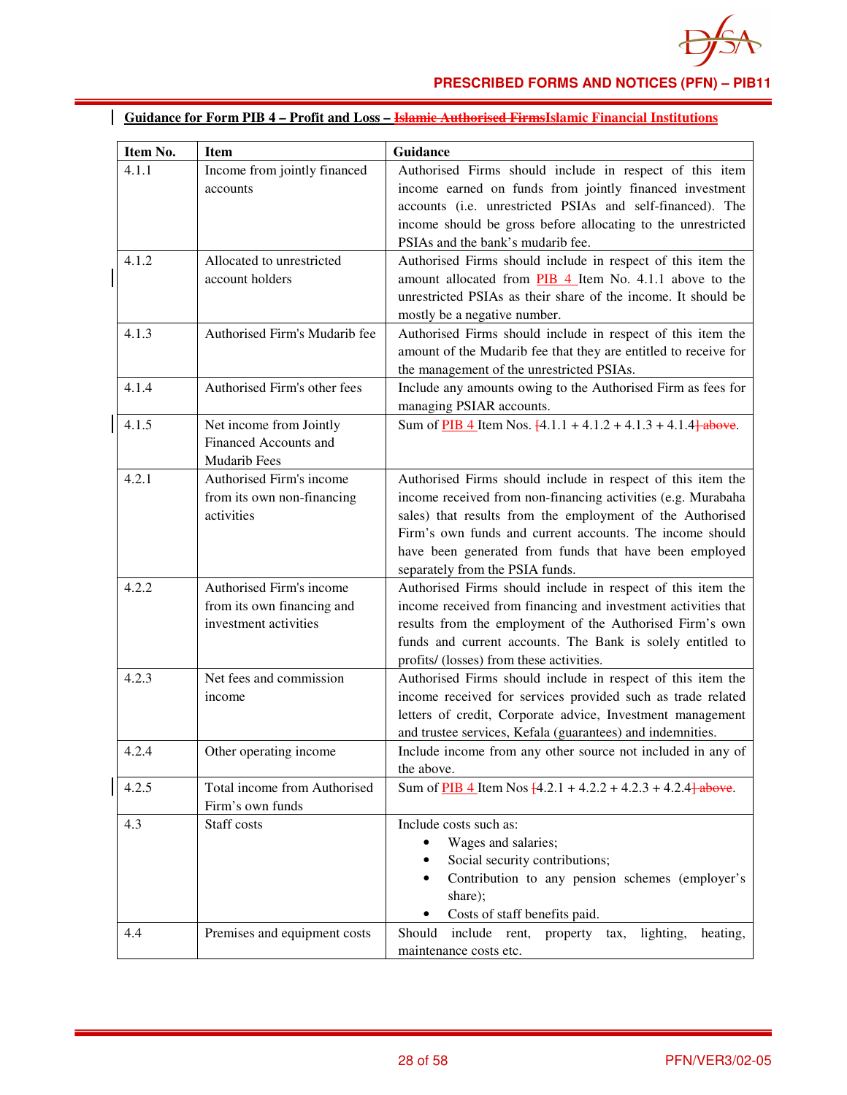

## **Guidance for Form PIB 4 – Profit and Loss – Islamic Authorised FirmsIslamic Financial Institutions**

| Item No.                     | <b>Item</b>                                                                                                               | Guidance                                                                                                                                                                                                                                                                                                                                                                                                                                                                                                                                                                                                                             |
|------------------------------|---------------------------------------------------------------------------------------------------------------------------|--------------------------------------------------------------------------------------------------------------------------------------------------------------------------------------------------------------------------------------------------------------------------------------------------------------------------------------------------------------------------------------------------------------------------------------------------------------------------------------------------------------------------------------------------------------------------------------------------------------------------------------|
| 4.1.1                        | Income from jointly financed                                                                                              | Authorised Firms should include in respect of this item                                                                                                                                                                                                                                                                                                                                                                                                                                                                                                                                                                              |
|                              | accounts                                                                                                                  | income earned on funds from jointly financed investment                                                                                                                                                                                                                                                                                                                                                                                                                                                                                                                                                                              |
|                              |                                                                                                                           | accounts (i.e. unrestricted PSIAs and self-financed). The                                                                                                                                                                                                                                                                                                                                                                                                                                                                                                                                                                            |
|                              |                                                                                                                           | income should be gross before allocating to the unrestricted                                                                                                                                                                                                                                                                                                                                                                                                                                                                                                                                                                         |
|                              |                                                                                                                           | PSIAs and the bank's mudarib fee.                                                                                                                                                                                                                                                                                                                                                                                                                                                                                                                                                                                                    |
| 4.1.2                        | Allocated to unrestricted                                                                                                 | Authorised Firms should include in respect of this item the                                                                                                                                                                                                                                                                                                                                                                                                                                                                                                                                                                          |
|                              | account holders                                                                                                           | amount allocated from PIB 4 Item No. 4.1.1 above to the                                                                                                                                                                                                                                                                                                                                                                                                                                                                                                                                                                              |
|                              |                                                                                                                           | unrestricted PSIAs as their share of the income. It should be                                                                                                                                                                                                                                                                                                                                                                                                                                                                                                                                                                        |
|                              |                                                                                                                           | mostly be a negative number.                                                                                                                                                                                                                                                                                                                                                                                                                                                                                                                                                                                                         |
| 4.1.3                        | Authorised Firm's Mudarib fee                                                                                             | Authorised Firms should include in respect of this item the                                                                                                                                                                                                                                                                                                                                                                                                                                                                                                                                                                          |
|                              |                                                                                                                           | amount of the Mudarib fee that they are entitled to receive for                                                                                                                                                                                                                                                                                                                                                                                                                                                                                                                                                                      |
|                              |                                                                                                                           | the management of the unrestricted PSIAs.                                                                                                                                                                                                                                                                                                                                                                                                                                                                                                                                                                                            |
| 4.1.4                        | Authorised Firm's other fees                                                                                              | Include any amounts owing to the Authorised Firm as fees for                                                                                                                                                                                                                                                                                                                                                                                                                                                                                                                                                                         |
|                              |                                                                                                                           | managing PSIAR accounts.                                                                                                                                                                                                                                                                                                                                                                                                                                                                                                                                                                                                             |
| 4.1.5                        | Net income from Jointly<br>Financed Accounts and                                                                          | Sum of $\frac{PIB}{4}$ Item Nos. $\frac{[4.1.1 + 4.1.2 + 4.1.3 + 4.1.4]}{[4.1.4 + 4.1.3 + 4.1.4]}$                                                                                                                                                                                                                                                                                                                                                                                                                                                                                                                                   |
|                              | <b>Mudarib Fees</b>                                                                                                       |                                                                                                                                                                                                                                                                                                                                                                                                                                                                                                                                                                                                                                      |
| 4.2.1                        | Authorised Firm's income                                                                                                  | Authorised Firms should include in respect of this item the                                                                                                                                                                                                                                                                                                                                                                                                                                                                                                                                                                          |
|                              | from its own non-financing                                                                                                | income received from non-financing activities (e.g. Murabaha                                                                                                                                                                                                                                                                                                                                                                                                                                                                                                                                                                         |
|                              | activities                                                                                                                | sales) that results from the employment of the Authorised                                                                                                                                                                                                                                                                                                                                                                                                                                                                                                                                                                            |
|                              |                                                                                                                           | Firm's own funds and current accounts. The income should                                                                                                                                                                                                                                                                                                                                                                                                                                                                                                                                                                             |
|                              |                                                                                                                           | have been generated from funds that have been employed                                                                                                                                                                                                                                                                                                                                                                                                                                                                                                                                                                               |
|                              |                                                                                                                           | separately from the PSIA funds.                                                                                                                                                                                                                                                                                                                                                                                                                                                                                                                                                                                                      |
| 4.2.2                        | Authorised Firm's income                                                                                                  | Authorised Firms should include in respect of this item the                                                                                                                                                                                                                                                                                                                                                                                                                                                                                                                                                                          |
|                              | from its own financing and                                                                                                | income received from financing and investment activities that                                                                                                                                                                                                                                                                                                                                                                                                                                                                                                                                                                        |
|                              | investment activities                                                                                                     | results from the employment of the Authorised Firm's own                                                                                                                                                                                                                                                                                                                                                                                                                                                                                                                                                                             |
|                              |                                                                                                                           | funds and current accounts. The Bank is solely entitled to                                                                                                                                                                                                                                                                                                                                                                                                                                                                                                                                                                           |
|                              |                                                                                                                           | profits/ (losses) from these activities.                                                                                                                                                                                                                                                                                                                                                                                                                                                                                                                                                                                             |
| 4.2.3                        | Net fees and commission                                                                                                   | Authorised Firms should include in respect of this item the                                                                                                                                                                                                                                                                                                                                                                                                                                                                                                                                                                          |
|                              | income                                                                                                                    |                                                                                                                                                                                                                                                                                                                                                                                                                                                                                                                                                                                                                                      |
|                              |                                                                                                                           |                                                                                                                                                                                                                                                                                                                                                                                                                                                                                                                                                                                                                                      |
|                              |                                                                                                                           |                                                                                                                                                                                                                                                                                                                                                                                                                                                                                                                                                                                                                                      |
|                              |                                                                                                                           |                                                                                                                                                                                                                                                                                                                                                                                                                                                                                                                                                                                                                                      |
|                              |                                                                                                                           |                                                                                                                                                                                                                                                                                                                                                                                                                                                                                                                                                                                                                                      |
|                              |                                                                                                                           |                                                                                                                                                                                                                                                                                                                                                                                                                                                                                                                                                                                                                                      |
|                              |                                                                                                                           |                                                                                                                                                                                                                                                                                                                                                                                                                                                                                                                                                                                                                                      |
|                              |                                                                                                                           |                                                                                                                                                                                                                                                                                                                                                                                                                                                                                                                                                                                                                                      |
|                              |                                                                                                                           |                                                                                                                                                                                                                                                                                                                                                                                                                                                                                                                                                                                                                                      |
|                              |                                                                                                                           |                                                                                                                                                                                                                                                                                                                                                                                                                                                                                                                                                                                                                                      |
|                              |                                                                                                                           |                                                                                                                                                                                                                                                                                                                                                                                                                                                                                                                                                                                                                                      |
|                              |                                                                                                                           |                                                                                                                                                                                                                                                                                                                                                                                                                                                                                                                                                                                                                                      |
|                              |                                                                                                                           |                                                                                                                                                                                                                                                                                                                                                                                                                                                                                                                                                                                                                                      |
|                              |                                                                                                                           |                                                                                                                                                                                                                                                                                                                                                                                                                                                                                                                                                                                                                                      |
| 4.2.4<br>4.2.5<br>4.3<br>4.4 | Other operating income<br>Total income from Authorised<br>Firm's own funds<br>Staff costs<br>Premises and equipment costs | income received for services provided such as trade related<br>letters of credit, Corporate advice, Investment management<br>and trustee services, Kefala (guarantees) and indemnities.<br>Include income from any other source not included in any of<br>the above.<br>Sum of PIB 4 Item Nos $[4.2.1 + 4.2.2 + 4.2.3 + 4.2.4]$ above.<br>Include costs such as:<br>Wages and salaries;<br>$\bullet$<br>Social security contributions;<br>Contribution to any pension schemes (employer's<br>share);<br>Costs of staff benefits paid.<br>Should<br>lighting,<br>heating,<br>include rent, property<br>tax,<br>maintenance costs etc. |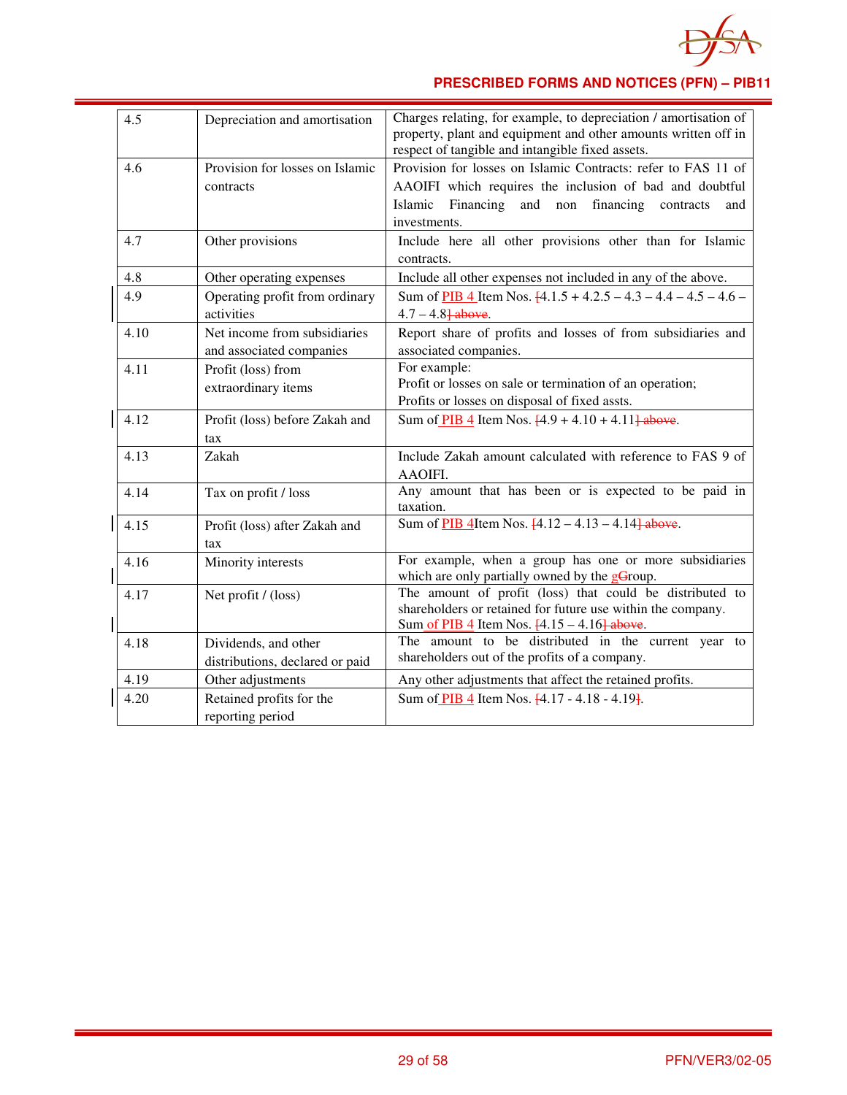

| 4.5  | Depreciation and amortisation                            | Charges relating, for example, to depreciation / amortisation of<br>property, plant and equipment and other amounts written off in<br>respect of tangible and intangible fixed assets.                          |
|------|----------------------------------------------------------|-----------------------------------------------------------------------------------------------------------------------------------------------------------------------------------------------------------------|
| 4.6  | Provision for losses on Islamic<br>contracts             | Provision for losses on Islamic Contracts: refer to FAS 11 of<br>AAOIFI which requires the inclusion of bad and doubtful<br>Financing<br>Islamic<br>and<br>non<br>financing<br>contracts<br>and<br>investments. |
| 4.7  | Other provisions                                         | Include here all other provisions other than for Islamic<br>contracts.                                                                                                                                          |
| 4.8  | Other operating expenses                                 | Include all other expenses not included in any of the above.                                                                                                                                                    |
| 4.9  | Operating profit from ordinary<br>activities             | Sum of PIB 4 Item Nos. $[4.1.5 + 4.2.5 - 4.3 - 4.4 - 4.5 - 4.6 -$<br>$4.7 - 4.8$ above.                                                                                                                         |
| 4.10 | Net income from subsidiaries<br>and associated companies | Report share of profits and losses of from subsidiaries and<br>associated companies.                                                                                                                            |
| 4.11 | Profit (loss) from<br>extraordinary items                | For example:<br>Profit or losses on sale or termination of an operation;<br>Profits or losses on disposal of fixed assts.                                                                                       |
| 4.12 | Profit (loss) before Zakah and<br>tax                    | Sum of PIB 4 Item Nos. $[4.9 + 4.10 + 4.11]$ above.                                                                                                                                                             |
| 4.13 | Zakah                                                    | Include Zakah amount calculated with reference to FAS 9 of<br>AAOIFI.                                                                                                                                           |
| 4.14 | Tax on profit / loss                                     | Any amount that has been or is expected to be paid in<br>taxation.                                                                                                                                              |
| 4.15 | Profit (loss) after Zakah and<br>tax                     | Sum of $\frac{PIB}{4}$ Item Nos. $\frac{[4.12 - 4.13 - 4.14]}{above}$ .                                                                                                                                         |
| 4.16 | Minority interests                                       | For example, when a group has one or more subsidiaries<br>which are only partially owned by the gGroup.                                                                                                         |
| 4.17 | Net profit / (loss)                                      | The amount of profit (loss) that could be distributed to<br>shareholders or retained for future use within the company.<br>Sum of PIB 4 Item Nos. $\frac{4.15 - 4.16}{ab^2}$ above.                             |
| 4.18 | Dividends, and other<br>distributions, declared or paid  | The amount to be distributed in the current year to<br>shareholders out of the profits of a company.                                                                                                            |
| 4.19 | Other adjustments                                        | Any other adjustments that affect the retained profits.                                                                                                                                                         |
| 4.20 | Retained profits for the<br>reporting period             | Sum of PIB 4 Item Nos. $[4.17 - 4.18 - 4.19]$ .                                                                                                                                                                 |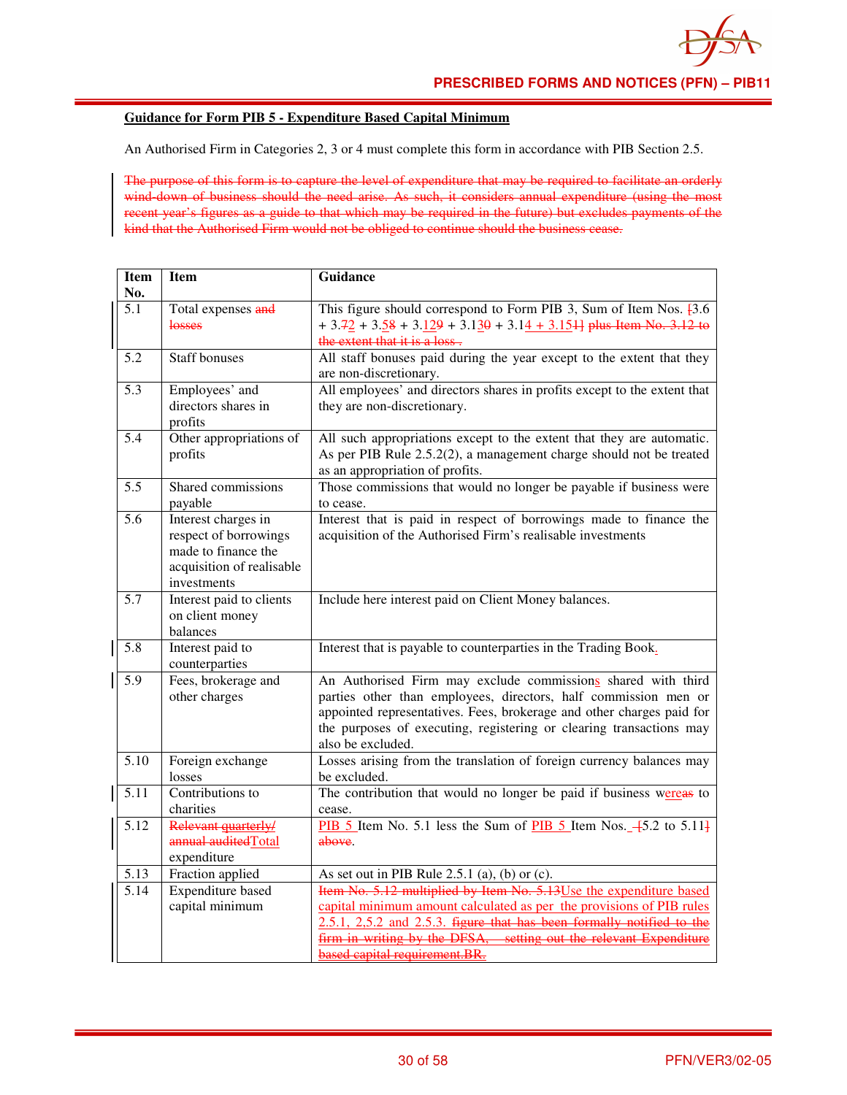#### **Guidance for Form PIB 5 - Expenditure Based Capital Minimum**

An Authorised Firm in Categories 2, 3 or 4 must complete this form in accordance with PIB Section 2.5.

The purpose of this form is to capture the level of expenditure that may be required to facilitate an orderly wind-down of business should the need arise. As such, it considers annual expenditure (using the most recent year's figures as a guide to that which may be required in the future) but excludes payments of the kind that the Authorised Firm would not be obliged to continue should the business cease.

| <b>Item</b><br>No. | <b>Item</b>                                                                                                     | <b>Guidance</b>                                                                                                                                                                                                                                                                                                            |
|--------------------|-----------------------------------------------------------------------------------------------------------------|----------------------------------------------------------------------------------------------------------------------------------------------------------------------------------------------------------------------------------------------------------------------------------------------------------------------------|
| 5.1                | Total expenses and<br>losses                                                                                    | This figure should correspond to Form PIB 3, Sum of Item Nos. $\frac{1}{2}3.6$<br>$+3.72 + 3.58 + 3.129 + 3.130 + 3.14 + 3.151$ plus Item No. 3.12 to<br>the extent that it is a loss.                                                                                                                                     |
| 5.2                | <b>Staff bonuses</b>                                                                                            | All staff bonuses paid during the year except to the extent that they<br>are non-discretionary.                                                                                                                                                                                                                            |
| 5.3                | Employees' and<br>directors shares in<br>profits                                                                | All employees' and directors shares in profits except to the extent that<br>they are non-discretionary.                                                                                                                                                                                                                    |
| $\overline{5.4}$   | Other appropriations of<br>profits                                                                              | All such appropriations except to the extent that they are automatic.<br>As per PIB Rule 2.5.2(2), a management charge should not be treated<br>as an appropriation of profits.                                                                                                                                            |
| 5.5                | Shared commissions<br>payable                                                                                   | Those commissions that would no longer be payable if business were<br>to cease.                                                                                                                                                                                                                                            |
| 5.6                | Interest charges in<br>respect of borrowings<br>made to finance the<br>acquisition of realisable<br>investments | Interest that is paid in respect of borrowings made to finance the<br>acquisition of the Authorised Firm's realisable investments                                                                                                                                                                                          |
| 5.7                | Interest paid to clients<br>on client money<br>balances                                                         | Include here interest paid on Client Money balances.                                                                                                                                                                                                                                                                       |
| 5.8                | Interest paid to<br>counterparties                                                                              | Interest that is payable to counterparties in the Trading Book.                                                                                                                                                                                                                                                            |
| 5.9                | Fees, brokerage and<br>other charges                                                                            | An Authorised Firm may exclude commissions shared with third<br>parties other than employees, directors, half commission men or<br>appointed representatives. Fees, brokerage and other charges paid for<br>the purposes of executing, registering or clearing transactions may<br>also be excluded.                       |
| 5.10               | Foreign exchange<br>losses                                                                                      | Losses arising from the translation of foreign currency balances may<br>be excluded.                                                                                                                                                                                                                                       |
| $\overline{5.11}$  | Contributions to<br>charities                                                                                   | The contribution that would no longer be paid if business wereas to<br>cease.                                                                                                                                                                                                                                              |
| 5.12               | Relevant quarterly/<br>annual auditedTotal<br>expenditure                                                       | <b>PIB 5</b> Item No. 5.1 less the Sum of $PIB$ 5 Item Nos. $-5.2$ to 5.11 $\frac{1}{2}$<br>above.                                                                                                                                                                                                                         |
| 5.13               | Fraction applied                                                                                                | As set out in PIB Rule $2.5.1$ (a), (b) or (c).                                                                                                                                                                                                                                                                            |
| $\overline{5.14}$  | <b>Expenditure</b> based<br>capital minimum                                                                     | Item No. 5.12 multiplied by Item No. 5.13Use the expenditure based<br>capital minimum amount calculated as per the provisions of PIB rules<br>2.5.1, 2,5.2 and 2.5.3. figure that has been formally notified to the<br>firm in writing by the DFSA, setting out the relevant Expenditure<br>based capital requirement. BR. |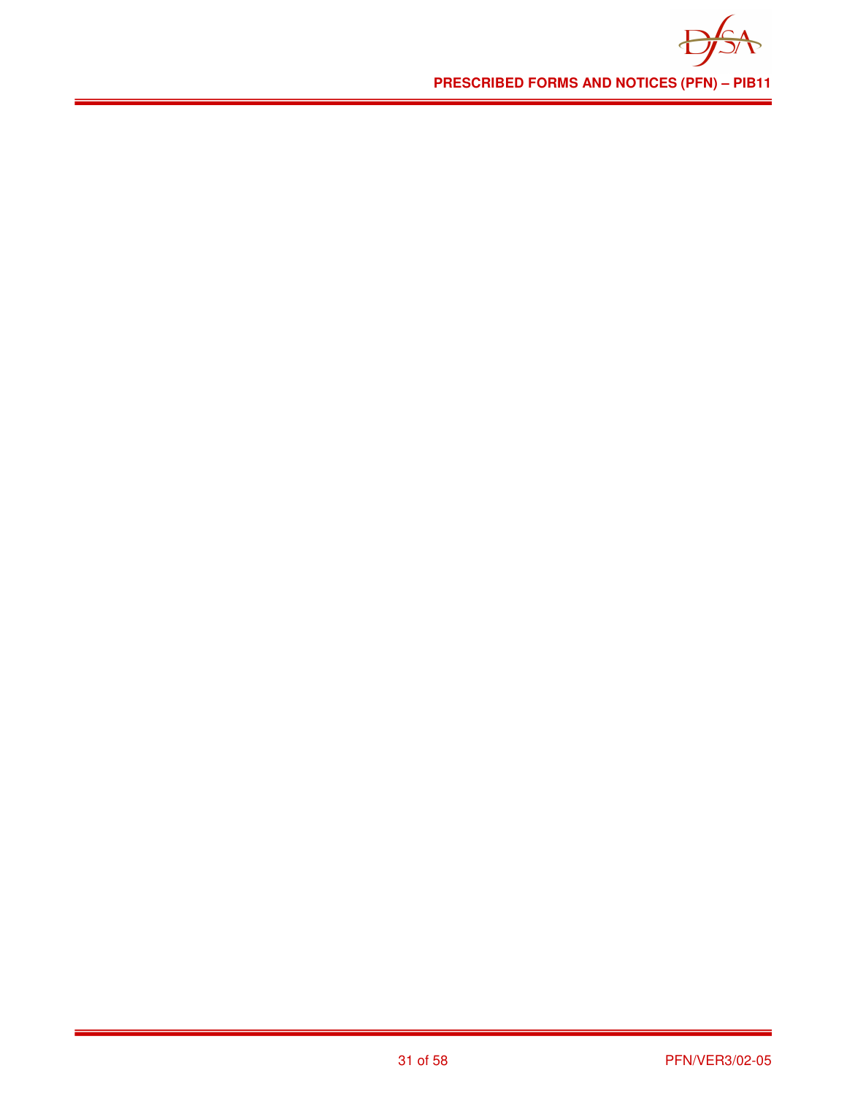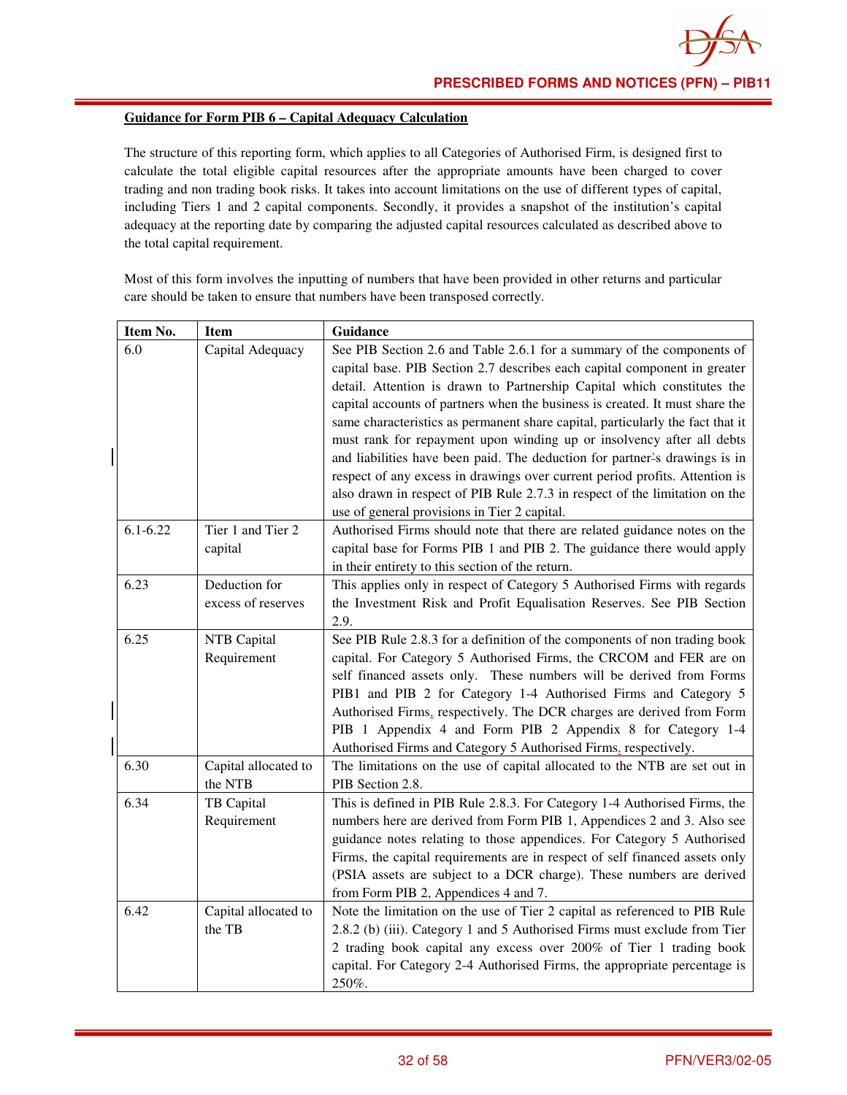## **Guidance for Form PIB 6 – Capital Adequacy Calculation**

The structure of this reporting form, which applies to all Categories of Authorised Firm, is designed first to calculate the total eligible capital resources after the appropriate amounts have been charged to cover trading and non trading book risks. It takes into account limitations on the use of different types of capital, including Tiers 1 and 2 capital components. Secondly, it provides a snapshot of the institution's capital adequacy at the reporting date by comparing the adjusted capital resources calculated as described above to the total capital requirement.

Most of this form involves the inputting of numbers that have been provided in other returns and particular care should be taken to ensure that numbers have been transposed correctly.

| Item No.     | <b>Item</b>                         | Guidance                                                                                                                                                                                                                                                                                                                                                                                                                                                                                                                                                                                                                                                                                                                                                              |
|--------------|-------------------------------------|-----------------------------------------------------------------------------------------------------------------------------------------------------------------------------------------------------------------------------------------------------------------------------------------------------------------------------------------------------------------------------------------------------------------------------------------------------------------------------------------------------------------------------------------------------------------------------------------------------------------------------------------------------------------------------------------------------------------------------------------------------------------------|
| 6.0          | Capital Adequacy                    | See PIB Section 2.6 and Table 2.6.1 for a summary of the components of<br>capital base. PIB Section 2.7 describes each capital component in greater<br>detail. Attention is drawn to Partnership Capital which constitutes the<br>capital accounts of partners when the business is created. It must share the<br>same characteristics as permanent share capital, particularly the fact that it<br>must rank for repayment upon winding up or insolvency after all debts<br>and liabilities have been paid. The deduction for partner's drawings is in<br>respect of any excess in drawings over current period profits. Attention is<br>also drawn in respect of PIB Rule 2.7.3 in respect of the limitation on the<br>use of general provisions in Tier 2 capital. |
| $6.1 - 6.22$ | Tier 1 and Tier 2<br>capital        | Authorised Firms should note that there are related guidance notes on the<br>capital base for Forms PIB 1 and PIB 2. The guidance there would apply<br>in their entirety to this section of the return.                                                                                                                                                                                                                                                                                                                                                                                                                                                                                                                                                               |
| 6.23         | Deduction for<br>excess of reserves | This applies only in respect of Category 5 Authorised Firms with regards<br>the Investment Risk and Profit Equalisation Reserves. See PIB Section<br>2.9.                                                                                                                                                                                                                                                                                                                                                                                                                                                                                                                                                                                                             |
| 6.25         | NTB Capital<br>Requirement          | See PIB Rule 2.8.3 for a definition of the components of non trading book<br>capital. For Category 5 Authorised Firms, the CRCOM and FER are on<br>self financed assets only. These numbers will be derived from Forms<br>PIB1 and PIB 2 for Category 1-4 Authorised Firms and Category 5<br>Authorised Firms, respectively. The DCR charges are derived from Form<br>PIB 1 Appendix 4 and Form PIB 2 Appendix 8 for Category 1-4<br>Authorised Firms and Category 5 Authorised Firms, respectively.                                                                                                                                                                                                                                                                  |
| 6.30         | Capital allocated to<br>the NTB     | The limitations on the use of capital allocated to the NTB are set out in<br>PIB Section 2.8.                                                                                                                                                                                                                                                                                                                                                                                                                                                                                                                                                                                                                                                                         |
| 6.34         | TB Capital<br>Requirement           | This is defined in PIB Rule 2.8.3. For Category 1-4 Authorised Firms, the<br>numbers here are derived from Form PIB 1, Appendices 2 and 3. Also see<br>guidance notes relating to those appendices. For Category 5 Authorised<br>Firms, the capital requirements are in respect of self financed assets only<br>(PSIA assets are subject to a DCR charge). These numbers are derived<br>from Form PIB 2, Appendices 4 and 7.                                                                                                                                                                                                                                                                                                                                          |
| 6.42         | Capital allocated to<br>the TB      | Note the limitation on the use of Tier 2 capital as referenced to PIB Rule<br>2.8.2 (b) (iii). Category 1 and 5 Authorised Firms must exclude from Tier<br>2 trading book capital any excess over 200% of Tier 1 trading book<br>capital. For Category 2-4 Authorised Firms, the appropriate percentage is<br>250%.                                                                                                                                                                                                                                                                                                                                                                                                                                                   |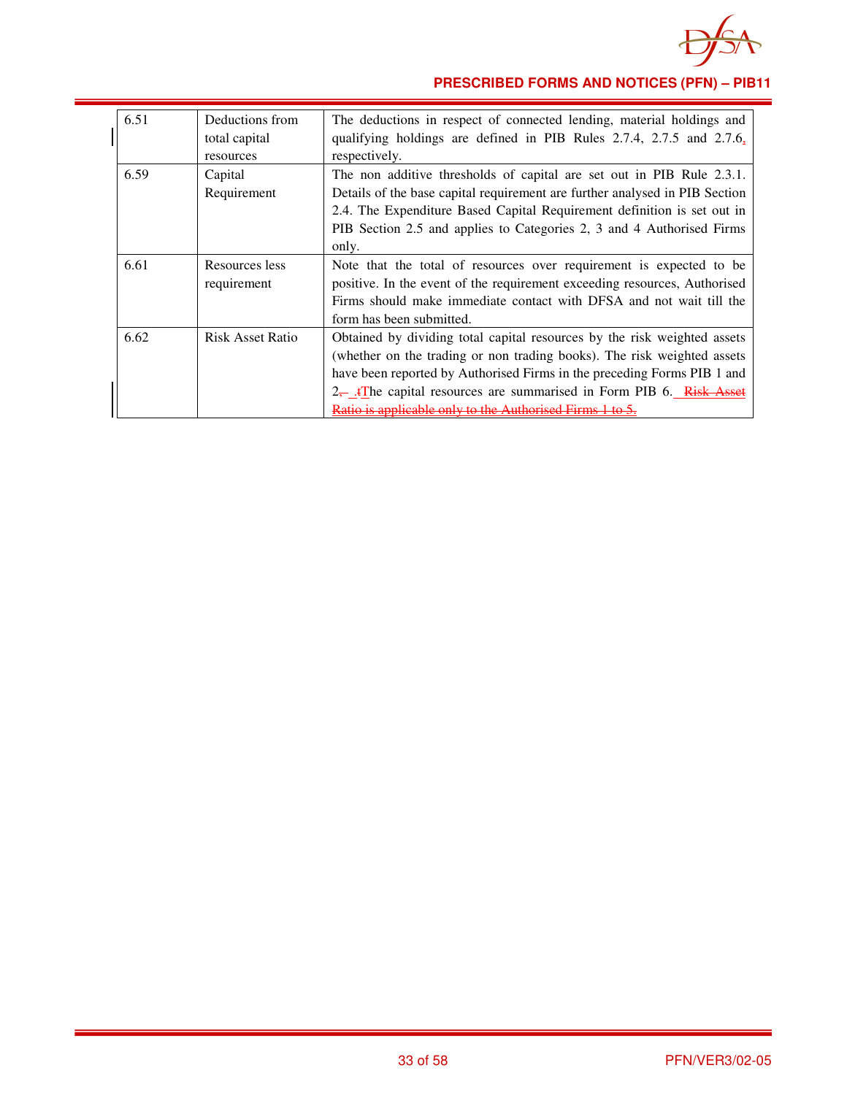

| 6.51 | Deductions from         | The deductions in respect of connected lending, material holdings and        |
|------|-------------------------|------------------------------------------------------------------------------|
|      | total capital           | qualifying holdings are defined in PIB Rules $2.7.4$ , $2.7.5$ and $2.7.6$ , |
|      | resources               | respectively.                                                                |
| 6.59 | Capital                 | The non additive thresholds of capital are set out in PIB Rule 2.3.1.        |
|      | Requirement             | Details of the base capital requirement are further analysed in PIB Section  |
|      |                         | 2.4. The Expenditure Based Capital Requirement definition is set out in      |
|      |                         | PIB Section 2.5 and applies to Categories 2, 3 and 4 Authorised Firms        |
|      |                         | only.                                                                        |
| 6.61 | Resources less          | Note that the total of resources over requirement is expected to be          |
|      | requirement             | positive. In the event of the requirement exceeding resources, Authorised    |
|      |                         | Firms should make immediate contact with DFSA and not wait till the          |
|      |                         | form has been submitted.                                                     |
| 6.62 | <b>Risk Asset Ratio</b> | Obtained by dividing total capital resources by the risk weighted assets     |
|      |                         | (whether on the trading or non trading books). The risk weighted assets      |
|      |                         | have been reported by Authorised Firms in the preceding Forms PIB 1 and      |
|      |                         | $2$ — .tThe capital resources are summarised in Form PIB 6. Risk Asset       |
|      |                         | Ratio is applicable only to the Authorised Firms 1 to 5.                     |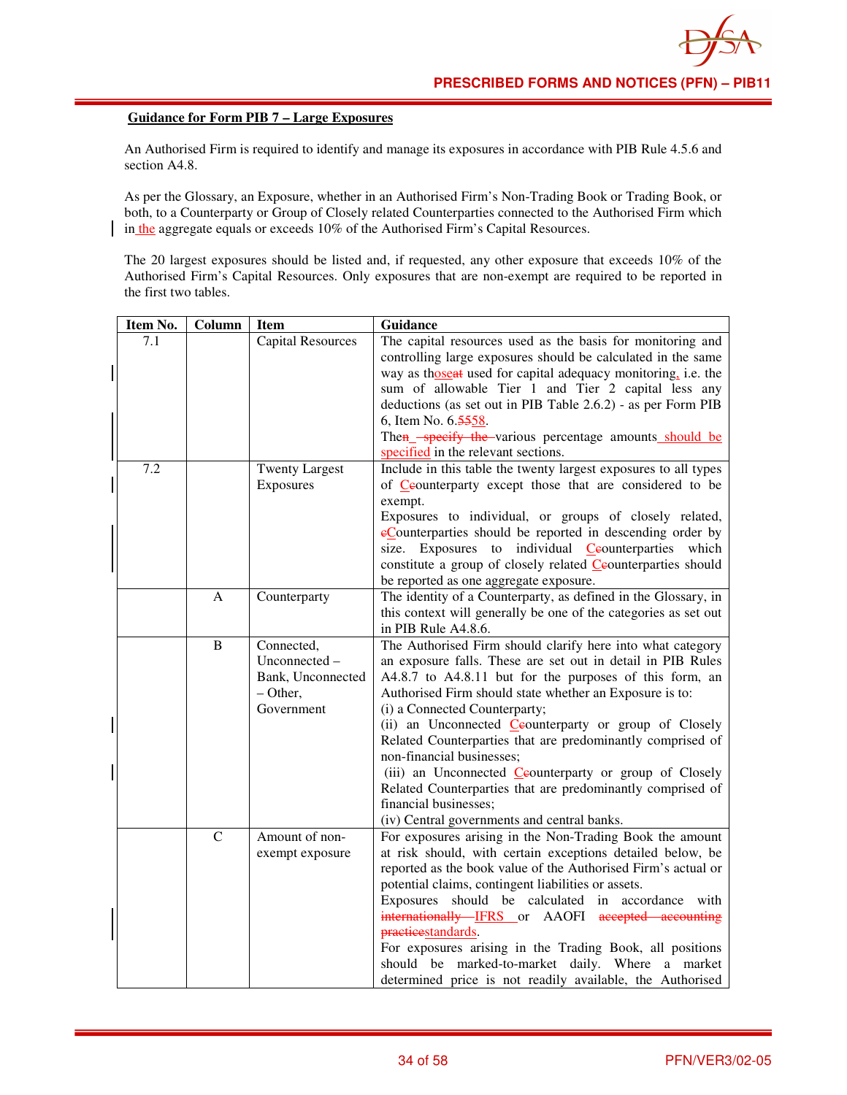## **Guidance for Form PIB 7 – Large Exposures**

An Authorised Firm is required to identify and manage its exposures in accordance with PIB Rule 4.5.6 and section A4.8.

As per the Glossary, an Exposure, whether in an Authorised Firm's Non-Trading Book or Trading Book, or both, to a Counterparty or Group of Closely related Counterparties connected to the Authorised Firm which in the aggregate equals or exceeds 10% of the Authorised Firm's Capital Resources.

The 20 largest exposures should be listed and, if requested, any other exposure that exceeds 10% of the Authorised Firm's Capital Resources. Only exposures that are non-exempt are required to be reported in the first two tables.

| Item No. | Column         | <b>Item</b>                                                                 | Guidance                                                                                                                                                                                                                                                                                                                                                                                                                                                                                                                                                                                                                             |
|----------|----------------|-----------------------------------------------------------------------------|--------------------------------------------------------------------------------------------------------------------------------------------------------------------------------------------------------------------------------------------------------------------------------------------------------------------------------------------------------------------------------------------------------------------------------------------------------------------------------------------------------------------------------------------------------------------------------------------------------------------------------------|
| 7.1      |                | <b>Capital Resources</b>                                                    | The capital resources used as the basis for monitoring and<br>controlling large exposures should be calculated in the same<br>way as those at used for capital adequacy monitoring, i.e. the<br>sum of allowable Tier 1 and Tier 2 capital less any<br>deductions (as set out in PIB Table 2.6.2) - as per Form PIB<br>6, Item No. 6.5558.<br>Then_specify the various percentage amounts should be                                                                                                                                                                                                                                  |
|          |                |                                                                             | specified in the relevant sections.                                                                                                                                                                                                                                                                                                                                                                                                                                                                                                                                                                                                  |
| 7.2      |                | <b>Twenty Largest</b><br>Exposures                                          | Include in this table the twenty largest exposures to all types<br>of Ceounterparty except those that are considered to be<br>exempt.<br>Exposures to individual, or groups of closely related,<br>eCounterparties should be reported in descending order by<br>size. Exposures to individual Ceounterparties<br>which<br>constitute a group of closely related Ceounterparties should<br>be reported as one aggregate exposure.                                                                                                                                                                                                     |
|          | A              | Counterparty                                                                | The identity of a Counterparty, as defined in the Glossary, in<br>this context will generally be one of the categories as set out<br>in PIB Rule A4.8.6.                                                                                                                                                                                                                                                                                                                                                                                                                                                                             |
|          | B              | Connected,<br>Unconnected-<br>Bank, Unconnected<br>$-$ Other,<br>Government | The Authorised Firm should clarify here into what category<br>an exposure falls. These are set out in detail in PIB Rules<br>A4.8.7 to A4.8.11 but for the purposes of this form, an<br>Authorised Firm should state whether an Exposure is to:<br>(i) a Connected Counterparty;<br>(ii) an Unconnected Ceounterparty or group of Closely<br>Related Counterparties that are predominantly comprised of<br>non-financial businesses;<br>(iii) an Unconnected Ceounterparty or group of Closely<br>Related Counterparties that are predominantly comprised of<br>financial businesses;<br>(iv) Central governments and central banks. |
|          | $\overline{C}$ | Amount of non-<br>exempt exposure                                           | For exposures arising in the Non-Trading Book the amount<br>at risk should, with certain exceptions detailed below, be<br>reported as the book value of the Authorised Firm's actual or<br>potential claims, contingent liabilities or assets.<br>Exposures should be calculated in accordance with<br>internationally IFRS or AAOFI accepted accounting<br>practicestandards.<br>For exposures arising in the Trading Book, all positions<br>should be marked-to-market daily. Where a market<br>determined price is not readily available, the Authorised                                                                          |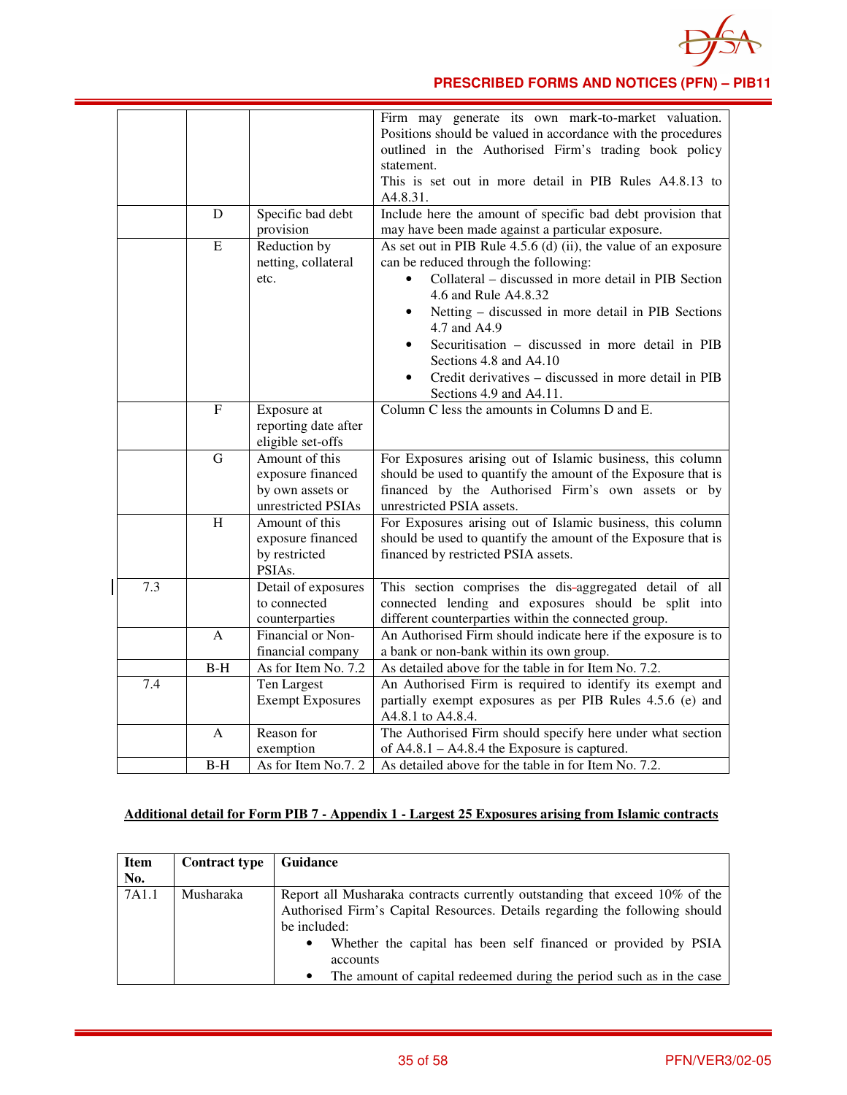

|     |                |                                                                               | Firm may generate its own mark-to-market valuation.<br>Positions should be valued in accordance with the procedures<br>outlined in the Authorised Firm's trading book policy<br>statement.<br>This is set out in more detail in PIB Rules A4.8.13 to<br>A4.8.31.                                                                                                                                                                |
|-----|----------------|-------------------------------------------------------------------------------|---------------------------------------------------------------------------------------------------------------------------------------------------------------------------------------------------------------------------------------------------------------------------------------------------------------------------------------------------------------------------------------------------------------------------------|
|     | D              | Specific bad debt<br>provision                                                | Include here the amount of specific bad debt provision that<br>may have been made against a particular exposure.                                                                                                                                                                                                                                                                                                                |
|     | ${\bf E}$      | Reduction by<br>netting, collateral<br>etc.                                   | As set out in PIB Rule 4.5.6 (d) (ii), the value of an exposure<br>can be reduced through the following:<br>Collateral – discussed in more detail in PIB Section<br>4.6 and Rule A4.8.32<br>Netting – discussed in more detail in PIB Sections<br>4.7 and A4.9<br>Securitisation - discussed in more detail in PIB<br>Sections 4.8 and A4.10<br>Credit derivatives – discussed in more detail in PIB<br>Sections 4.9 and A4.11. |
|     | ${\bf F}$      | Exposure at<br>reporting date after<br>eligible set-offs                      | Column C less the amounts in Columns D and E.                                                                                                                                                                                                                                                                                                                                                                                   |
|     | $\overline{G}$ | Amount of this<br>exposure financed<br>by own assets or<br>unrestricted PSIAs | For Exposures arising out of Islamic business, this column<br>should be used to quantify the amount of the Exposure that is<br>financed by the Authorised Firm's own assets or by<br>unrestricted PSIA assets.                                                                                                                                                                                                                  |
|     | H              | Amount of this<br>exposure financed<br>by restricted<br>PSIAs.                | For Exposures arising out of Islamic business, this column<br>should be used to quantify the amount of the Exposure that is<br>financed by restricted PSIA assets.                                                                                                                                                                                                                                                              |
| 7.3 |                | Detail of exposures<br>to connected<br>counterparties                         | This section comprises the dis-aggregated detail of all<br>connected lending and exposures should be split into<br>different counterparties within the connected group.                                                                                                                                                                                                                                                         |
|     | A              | Financial or Non-<br>financial company                                        | An Authorised Firm should indicate here if the exposure is to<br>a bank or non-bank within its own group.                                                                                                                                                                                                                                                                                                                       |
|     | $B-H$          | As for Item No. 7.2                                                           | As detailed above for the table in for Item No. 7.2.                                                                                                                                                                                                                                                                                                                                                                            |
| 7.4 |                | Ten Largest<br><b>Exempt Exposures</b>                                        | An Authorised Firm is required to identify its exempt and<br>partially exempt exposures as per PIB Rules 4.5.6 (e) and<br>A4.8.1 to A4.8.4.                                                                                                                                                                                                                                                                                     |
|     | A              | Reason for<br>exemption                                                       | The Authorised Firm should specify here under what section<br>of $A4.8.1 - A4.8.4$ the Exposure is captured.                                                                                                                                                                                                                                                                                                                    |
|     | $B-H$          | As for Item No.7.2                                                            | As detailed above for the table in for Item No. 7.2.                                                                                                                                                                                                                                                                                                                                                                            |

## **Additional detail for Form PIB 7 - Appendix 1 - Largest 25 Exposures arising from Islamic contracts**

| <b>Item</b> | <b>Contract type</b> | <b>Guidance</b>                                                                   |
|-------------|----------------------|-----------------------------------------------------------------------------------|
| No.         |                      |                                                                                   |
| 7A1.1       | Musharaka            | Report all Musharaka contracts currently outstanding that exceed 10% of the       |
|             |                      | Authorised Firm's Capital Resources. Details regarding the following should       |
|             |                      | be included:                                                                      |
|             |                      | Whether the capital has been self financed or provided by PSIA<br>$\bullet$       |
|             |                      | accounts                                                                          |
|             |                      | The amount of capital redeemed during the period such as in the case<br>$\bullet$ |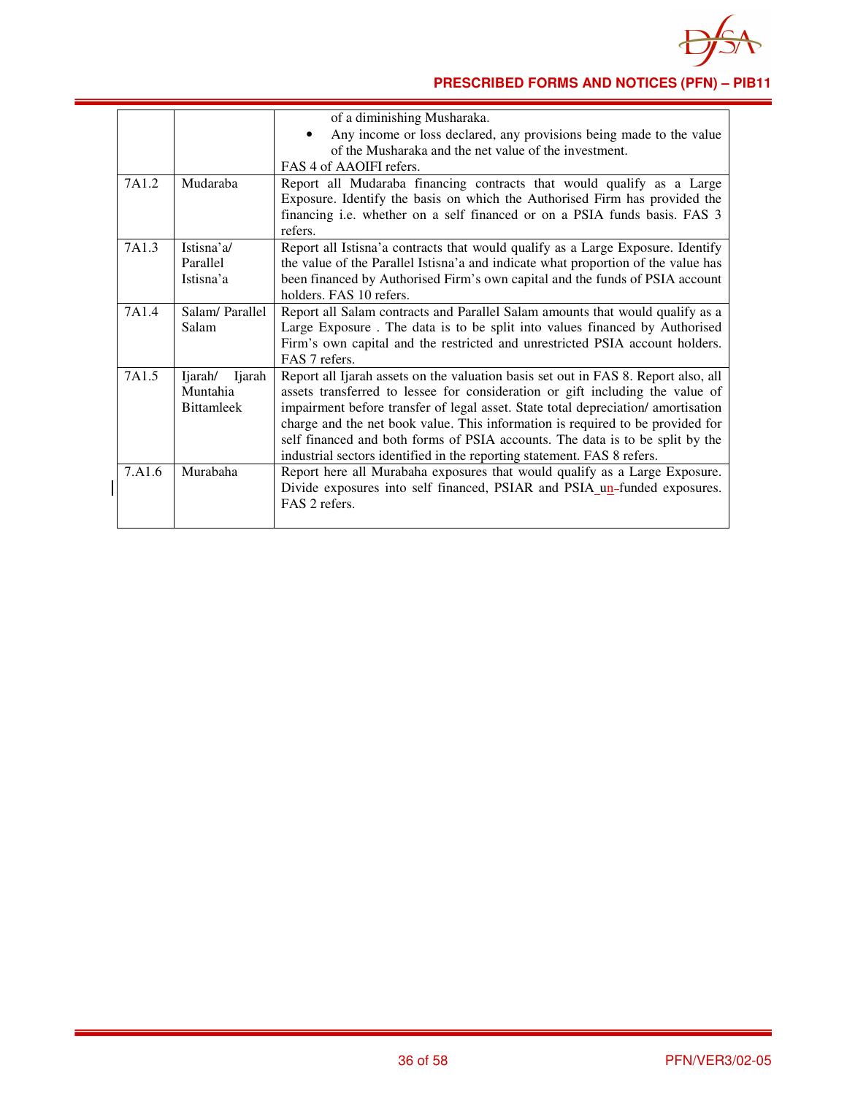

|        |                   | of a diminishing Musharaka.                                                        |
|--------|-------------------|------------------------------------------------------------------------------------|
|        |                   | Any income or loss declared, any provisions being made to the value                |
|        |                   | of the Musharaka and the net value of the investment.                              |
|        |                   | FAS 4 of AAOIFI refers.                                                            |
| 7A1.2  | Mudaraba          | Report all Mudaraba financing contracts that would qualify as a Large              |
|        |                   | Exposure. Identify the basis on which the Authorised Firm has provided the         |
|        |                   | financing i.e. whether on a self financed or on a PSIA funds basis. FAS 3          |
|        |                   | refers.                                                                            |
| 7A1.3  | Istisna'a/        | Report all Istisna'a contracts that would qualify as a Large Exposure. Identify    |
|        | Parallel          | the value of the Parallel Istisna'a and indicate what proportion of the value has  |
|        | Istisna'a         | been financed by Authorised Firm's own capital and the funds of PSIA account       |
|        |                   | holders. FAS 10 refers.                                                            |
| 7A1.4  | Salam/Parallel    | Report all Salam contracts and Parallel Salam amounts that would qualify as a      |
| Salam  |                   | Large Exposure . The data is to be split into values financed by Authorised        |
|        |                   | Firm's own capital and the restricted and unrestricted PSIA account holders.       |
|        |                   | FAS 7 refers.                                                                      |
| 7A1.5  | Ijarah/<br>Ijarah | Report all Ijarah assets on the valuation basis set out in FAS 8. Report also, all |
|        | Muntahia          | assets transferred to lessee for consideration or gift including the value of      |
|        | <b>Bittamleek</b> | impairment before transfer of legal asset. State total depreciation/ amortisation  |
|        |                   | charge and the net book value. This information is required to be provided for     |
|        |                   | self financed and both forms of PSIA accounts. The data is to be split by the      |
|        |                   | industrial sectors identified in the reporting statement. FAS 8 refers.            |
| 7.A1.6 | Murabaha          | Report here all Murabaha exposures that would qualify as a Large Exposure.         |
|        |                   | Divide exposures into self financed, PSIAR and PSIA_un-funded exposures.           |
|        |                   | FAS 2 refers.                                                                      |
|        |                   |                                                                                    |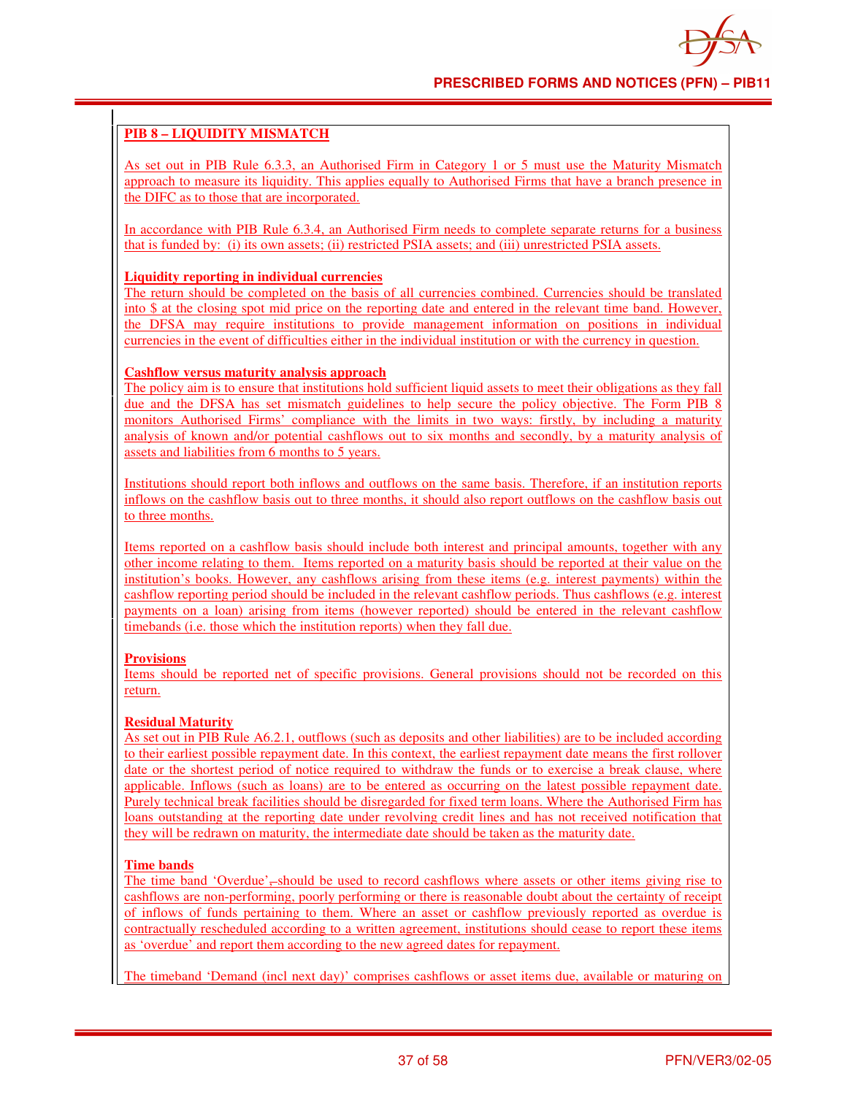

## **PIB 8 – LIQUIDITY MISMATCH**

As set out in PIB Rule 6.3.3, an Authorised Firm in Category 1 or 5 must use the Maturity Mismatch approach to measure its liquidity. This applies equally to Authorised Firms that have a branch presence in the DIFC as to those that are incorporated.

In accordance with PIB Rule 6.3.4, an Authorised Firm needs to complete separate returns for a business that is funded by: (i) its own assets; (ii) restricted PSIA assets; and (iii) unrestricted PSIA assets.

#### **Liquidity reporting in individual currencies**

The return should be completed on the basis of all currencies combined. Currencies should be translated into \$ at the closing spot mid price on the reporting date and entered in the relevant time band. However, the DFSA may require institutions to provide management information on positions in individual currencies in the event of difficulties either in the individual institution or with the currency in question.

#### **Cashflow versus maturity analysis approach**

The policy aim is to ensure that institutions hold sufficient liquid assets to meet their obligations as they fall due and the DFSA has set mismatch guidelines to help secure the policy objective. The Form PIB 8 monitors Authorised Firms' compliance with the limits in two ways: firstly, by including a maturity analysis of known and/or potential cashflows out to six months and secondly, by a maturity analysis of assets and liabilities from 6 months to 5 years.

Institutions should report both inflows and outflows on the same basis. Therefore, if an institution reports inflows on the cashflow basis out to three months, it should also report outflows on the cashflow basis out to three months.

Items reported on a cashflow basis should include both interest and principal amounts, together with any other income relating to them. Items reported on a maturity basis should be reported at their value on the institution's books. However, any cashflows arising from these items (e.g. interest payments) within the cashflow reporting period should be included in the relevant cashflow periods. Thus cashflows (e.g. interest payments on a loan) arising from items (however reported) should be entered in the relevant cashflow timebands (i.e. those which the institution reports) when they fall due.

#### **Provisions**

Items should be reported net of specific provisions. General provisions should not be recorded on this return.

#### **Residual Maturity**

As set out in PIB Rule A6.2.1, outflows (such as deposits and other liabilities) are to be included according to their earliest possible repayment date. In this context, the earliest repayment date means the first rollover date or the shortest period of notice required to withdraw the funds or to exercise a break clause, where applicable. Inflows (such as loans) are to be entered as occurring on the latest possible repayment date. Purely technical break facilities should be disregarded for fixed term loans. Where the Authorised Firm has loans outstanding at the reporting date under revolving credit lines and has not received notification that they will be redrawn on maturity, the intermediate date should be taken as the maturity date.

#### **Time bands**

The time band 'Overdue',-should be used to record cashflows where assets or other items giving rise to cashflows are non-performing, poorly performing or there is reasonable doubt about the certainty of receipt of inflows of funds pertaining to them. Where an asset or cashflow previously reported as overdue is contractually rescheduled according to a written agreement, institutions should cease to report these items as 'overdue' and report them according to the new agreed dates for repayment.

The timeband 'Demand (incl next day)' comprises cashflows or asset items due, available or maturing on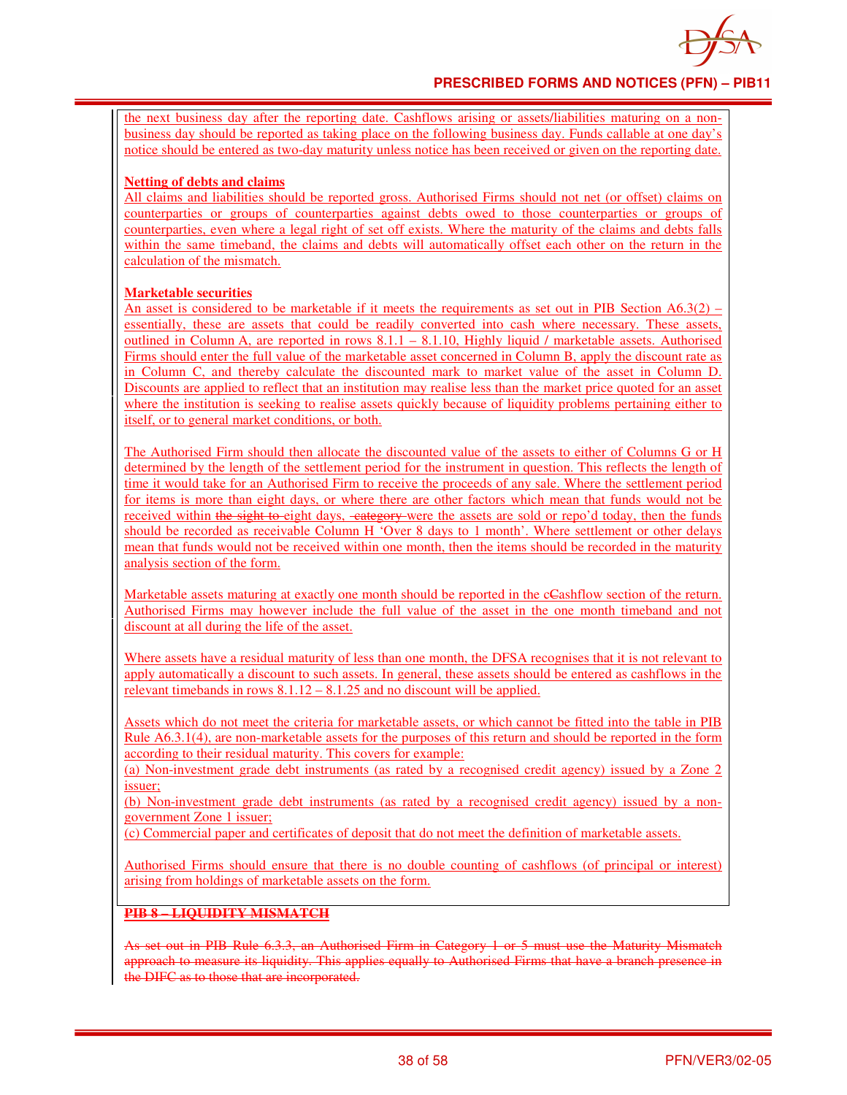

the next business day after the reporting date. Cashflows arising or assets/liabilities maturing on a nonbusiness day should be reported as taking place on the following business day. Funds callable at one day's notice should be entered as two-day maturity unless notice has been received or given on the reporting date.

#### **Netting of debts and claims**

All claims and liabilities should be reported gross. Authorised Firms should not net (or offset) claims on counterparties or groups of counterparties against debts owed to those counterparties or groups of counterparties, even where a legal right of set off exists. Where the maturity of the claims and debts falls within the same timeband, the claims and debts will automatically offset each other on the return in the calculation of the mismatch.

#### **Marketable securities**

An asset is considered to be marketable if it meets the requirements as set out in PIB Section A6.3(2) – essentially, these are assets that could be readily converted into cash where necessary. These assets, outlined in Column A, are reported in rows 8.1.1 – 8.1.10, Highly liquid / marketable assets. Authorised Firms should enter the full value of the marketable asset concerned in Column B, apply the discount rate as in Column C, and thereby calculate the discounted mark to market value of the asset in Column D. Discounts are applied to reflect that an institution may realise less than the market price quoted for an asset where the institution is seeking to realise assets quickly because of liquidity problems pertaining either to itself, or to general market conditions, or both.

The Authorised Firm should then allocate the discounted value of the assets to either of Columns G or H determined by the length of the settlement period for the instrument in question. This reflects the length of time it would take for an Authorised Firm to receive the proceeds of any sale. Where the settlement period for items is more than eight days, or where there are other factors which mean that funds would not be received within the sight to eight days, eategory were the assets are sold or repo'd today, then the funds should be recorded as receivable Column H 'Over 8 days to 1 month'. Where settlement or other delays mean that funds would not be received within one month, then the items should be recorded in the maturity analysis section of the form.

Marketable assets maturing at exactly one month should be reported in the cCashflow section of the return. Authorised Firms may however include the full value of the asset in the one month timeband and not discount at all during the life of the asset.

Where assets have a residual maturity of less than one month, the DFSA recognises that it is not relevant to apply automatically a discount to such assets. In general, these assets should be entered as cashflows in the relevant timebands in rows  $8.1.12 - 8.1.25$  and no discount will be applied.

Assets which do not meet the criteria for marketable assets, or which cannot be fitted into the table in PIB Rule A6.3.1(4), are non-marketable assets for the purposes of this return and should be reported in the form according to their residual maturity. This covers for example:

(a) Non-investment grade debt instruments (as rated by a recognised credit agency) issued by a Zone 2 issuer;

(b) Non-investment grade debt instruments (as rated by a recognised credit agency) issued by a nongovernment Zone 1 issuer;

(c) Commercial paper and certificates of deposit that do not meet the definition of marketable assets.

Authorised Firms should ensure that there is no double counting of cashflows (of principal or interest) arising from holdings of marketable assets on the form.

#### **PIB 8 – LIQUIDITY MISMATCH**

As set out in PIB Rule 6.3.3, an Authorised Firm in Category 1 or 5 must use the Maturity Mismatch approach to measure its liquidity. This applies equally to Authorised Firms that have a branch presence in the DIFC as to those that are incorporated.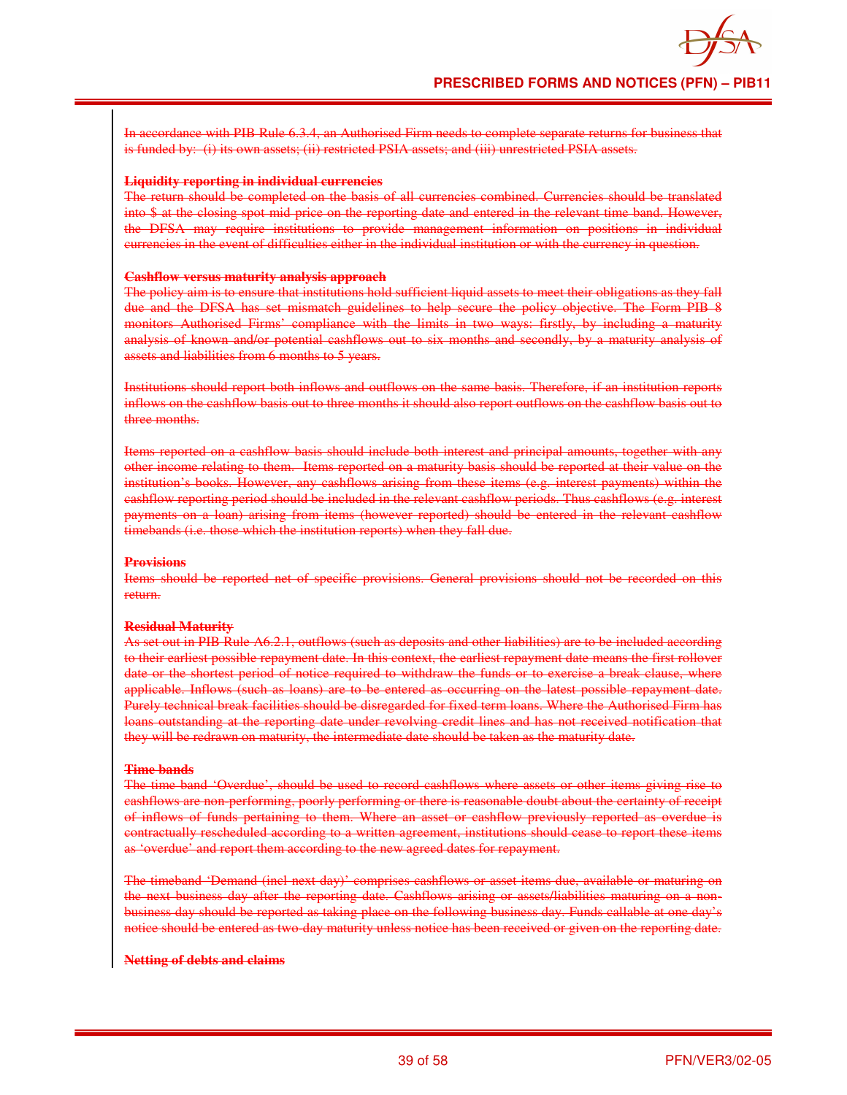In accordance with PIB Rule 6.3.4, an Authorised Firm needs to complete separate returns for business that is funded by: (i) its own assets; (ii) restricted PSIA assets; and (iii) unrestricted PSIA assets.

#### **Liquidity reporting in individual currencies**

The return should be completed on the basis of all currencies combined. Currencies should be translated into \$ at the closing spot mid price on the reporting date and entered in the relevant time band. However, the DFSA may require institutions to provide management information on positions in individual currencies in the event of difficulties either in the individual institution or with the currency in question.

#### **Cashflow versus maturity analysis approach**

The policy aim is to ensure that institutions hold sufficient liquid assets to meet their obligations as they fall due and the DFSA has set mismatch guidelines to help secure the policy objective. The Form PIB 8 monitors Authorised Firms' compliance with the limits in two ways: firstly, by including a maturity analysis of known and/or potential cashflows out to six months and secondly, by a maturity analysis of assets and liabilities from 6 months to 5 years.

Institutions should report both inflows and outflows on the same basis. Therefore, if an institution reports inflows on the cashflow basis out to three months it should also report outflows on the cashflow basis out to three months.

Items reported on a cashflow basis should include both interest and principal amounts, together with any other income relating to them. Items reported on a maturity basis should be reported at their value on the institution's books. However, any cashflows arising from these items (e.g. interest payments) within the cashflow reporting period should be included in the relevant cashflow periods. Thus cashflows (e.g. interest payments on a loan) arising from items (however reported) should be entered in the relevant cashflow timebands (i.e. those which the institution reports) when they fall due.

#### **Provisions**

Items should be reported net of specific provisions. General provisions should not be recorded on this return.

#### **Residual Maturity**

As set out in PIB Rule A6.2.1, outflows (such as deposits and other liabilities) are to be included according to their earliest possible repayment date. In this context, the earliest repayment date means the first rollover date or the shortest period of notice required to withdraw the funds or to exercise a break clause, where applicable. Inflows (such as loans) are to be entered as occurring on the latest possible repayment date. Purely technical break facilities should be disregarded for fixed term loans. Where the Authorised Firm has loans outstanding at the reporting date under revolving credit lines and has not received notification that they will be redrawn on maturity, the intermediate date should be taken as the maturity date.

#### **Time bands**

The time band 'Overdue', should be used to record cashflows where assets or other items giving rise to cashflows are non-performing, poorly performing or there is reasonable doubt about the certainty of receipt of inflows of funds pertaining to them. Where an asset or cashflow previously reported as overdue is contractually rescheduled according to a written agreement, institutions should cease to report these items as 'overdue' and report them according to the new agreed dates for repayment.

The timeband 'Demand (incl next day)' comprises cashflows or asset items due, available or maturing on the next business day after the reporting date. Cashflows arising or assets/liabilities maturing on a nonbusiness day should be reported as taking place on the following business day. Funds callable at one day's notice should be entered as two-day maturity unless notice has been received or given on the reporting date.

#### **Netting of debts and claims**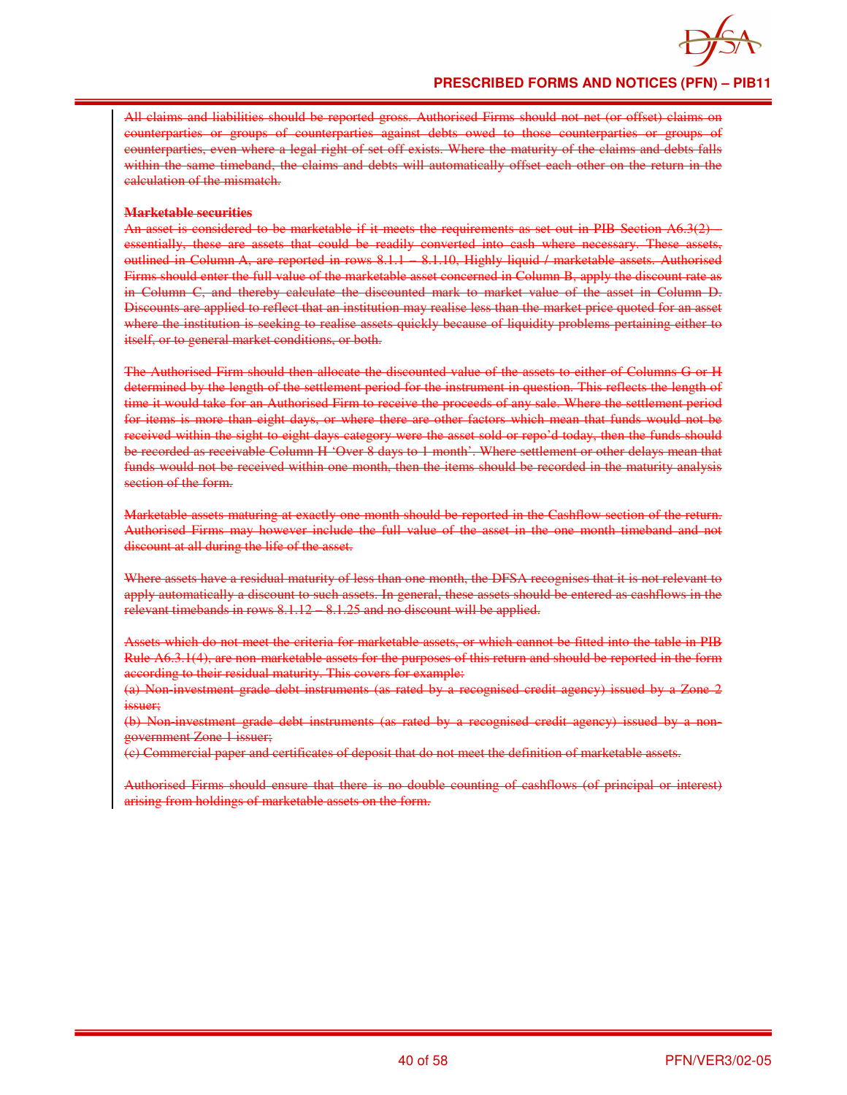

All claims and liabilities should be reported gross. Authorised Firms should not net (or offset) claims on counterparties or groups of counterparties against debts owed to those counterparties or groups of counterparties, even where a legal right of set off exists. Where the maturity of the claims and debts falls within the same timeband, the claims and debts will automatically offset each other on the return in the calculation of the mismatch.

#### **Marketable securities**

An asset is considered to be marketable if it meets the requirements as set out in PIB Section A6.3(2) – essentially, these are assets that could be readily converted into cash where necessary. These assets, outlined in Column A, are reported in rows 8.1.1 – 8.1.10, Highly liquid / marketable assets. Authorised Firms should enter the full value of the marketable asset concerned in Column B, apply the discount rate as in Column C, and thereby calculate the discounted mark to market value of the asset in Column D. Discounts are applied to reflect that an institution may realise less than the market price quoted for an asset where the institution is seeking to realise assets quickly because of liquidity problems pertaining either to itself, or to general market conditions, or both.

The Authorised Firm should then allocate the discounted value of the assets to either of Columns G or H determined by the length of the settlement period for the instrument in question. This reflects the length of time it would take for an Authorised Firm to receive the proceeds of any sale. Where the settlement period for items is more than eight days, or where there are other factors which mean that funds would not be received within the sight to eight days category were the asset sold or repo'd today, then the funds should be recorded as receivable Column H 'Over 8 days to 1 month'. Where settlement or other delays mean that funds would not be received within one month, then the items should be recorded in the maturity analysis section of the form.

Marketable assets maturing at exactly one month should be reported in the Cashflow section of the return. Authorised Firms may however include the full value of the asset in the one month timeband and not discount at all during the life of the asset.

Where assets have a residual maturity of less than one month, the DFSA recognises that it is not relevant to apply automatically a discount to such assets. In general, these assets should be entered as cashflows in the relevant timebands in rows 8.1.12 – 8.1.25 and no discount will be applied.

Assets which do not meet the criteria for marketable assets, or which cannot be fitted into the table in PIB Rule A6.3.1(4), are non-marketable assets for the purposes of this return and should be reported in the form according to their residual maturity. This covers for example:

(a) Non-investment grade debt instruments (as rated by a recognised credit agency) issued by a Zone 2 issuer;

(b) Non-investment grade debt instruments (as rated by a recognised credit agency) issued by a nongovernment Zone 1 issuer;

(c) Commercial paper and certificates of deposit that do not meet the definition of marketable assets.

Authorised Firms should ensure that there is no double counting of cashflows (of principal or interest) arising from holdings of marketable assets on the form.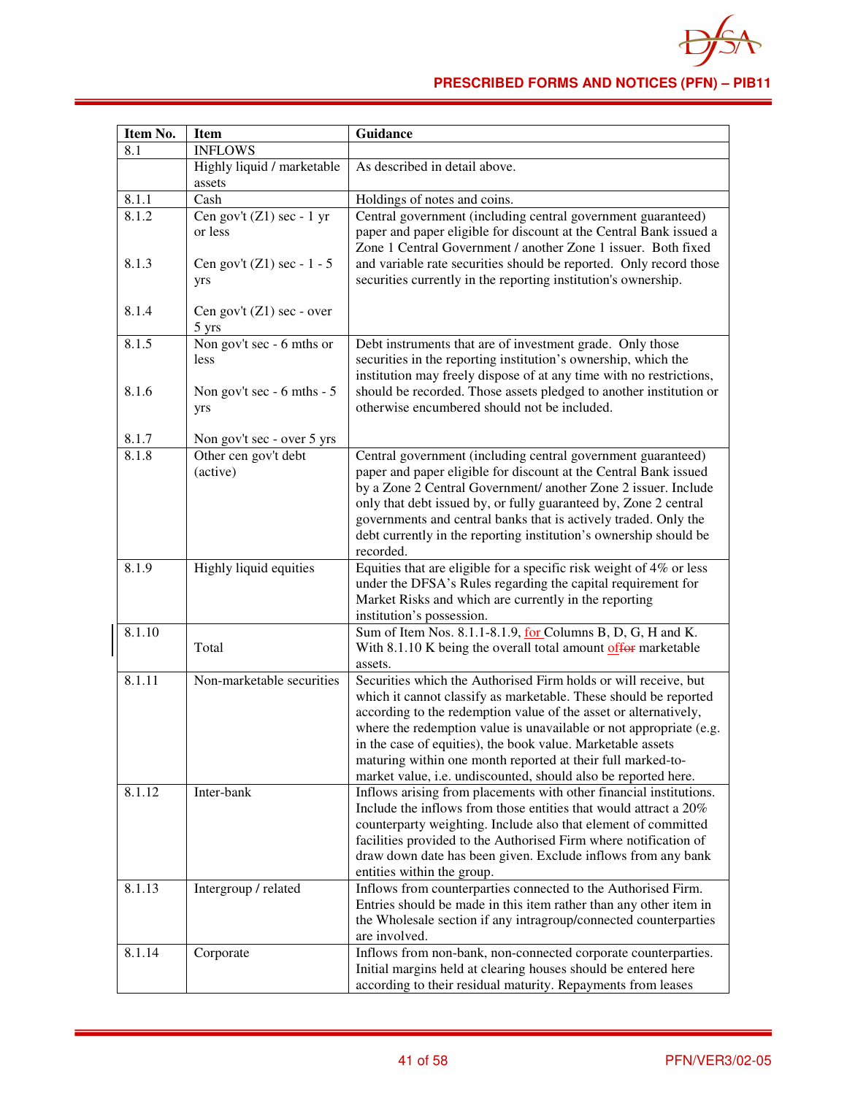

| Item No.           | <b>Item</b>                            | Guidance                                                                                                                                                                                                                                                                                                                                                                                                                                                                      |
|--------------------|----------------------------------------|-------------------------------------------------------------------------------------------------------------------------------------------------------------------------------------------------------------------------------------------------------------------------------------------------------------------------------------------------------------------------------------------------------------------------------------------------------------------------------|
| 8.1                | <b>INFLOWS</b>                         |                                                                                                                                                                                                                                                                                                                                                                                                                                                                               |
|                    | Highly liquid / marketable             | As described in detail above.                                                                                                                                                                                                                                                                                                                                                                                                                                                 |
|                    | assets                                 |                                                                                                                                                                                                                                                                                                                                                                                                                                                                               |
| $\overline{8.1.1}$ | Cash                                   | Holdings of notes and coins.                                                                                                                                                                                                                                                                                                                                                                                                                                                  |
| 8.1.2              | Cen gov't $(Z1)$ sec - 1 yr<br>or less | Central government (including central government guaranteed)<br>paper and paper eligible for discount at the Central Bank issued a<br>Zone 1 Central Government / another Zone 1 issuer. Both fixed                                                                                                                                                                                                                                                                           |
| 8.1.3              | Cen gov't $(Z1)$ sec - 1 - 5<br>yrs    | and variable rate securities should be reported. Only record those<br>securities currently in the reporting institution's ownership.                                                                                                                                                                                                                                                                                                                                          |
| 8.1.4              | Cen gov't (Z1) sec - over<br>5 yrs     |                                                                                                                                                                                                                                                                                                                                                                                                                                                                               |
| 8.1.5              | Non gov't sec - 6 mths or<br>less      | Debt instruments that are of investment grade. Only those<br>securities in the reporting institution's ownership, which the<br>institution may freely dispose of at any time with no restrictions,                                                                                                                                                                                                                                                                            |
| 8.1.6              | Non gov't sec $-6$ mths $-5$<br>yrs    | should be recorded. Those assets pledged to another institution or<br>otherwise encumbered should not be included.                                                                                                                                                                                                                                                                                                                                                            |
| 8.1.7              | Non gov't sec - over 5 yrs             |                                                                                                                                                                                                                                                                                                                                                                                                                                                                               |
| 8.1.8              | Other cen gov't debt<br>(active)       | Central government (including central government guaranteed)<br>paper and paper eligible for discount at the Central Bank issued<br>by a Zone 2 Central Government/ another Zone 2 issuer. Include<br>only that debt issued by, or fully guaranteed by, Zone 2 central<br>governments and central banks that is actively traded. Only the<br>debt currently in the reporting institution's ownership should be<br>recorded.                                                   |
| 8.1.9              | Highly liquid equities                 | Equities that are eligible for a specific risk weight of 4% or less<br>under the DFSA's Rules regarding the capital requirement for<br>Market Risks and which are currently in the reporting<br>institution's possession.                                                                                                                                                                                                                                                     |
| 8.1.10             | Total                                  | Sum of Item Nos. 8.1.1-8.1.9, for Columns B, D, G, H and K.<br>With 8.1.10 K being the overall total amount offor marketable<br>assets.                                                                                                                                                                                                                                                                                                                                       |
| 8.1.11             | Non-marketable securities              | Securities which the Authorised Firm holds or will receive, but<br>which it cannot classify as marketable. These should be reported<br>according to the redemption value of the asset or alternatively,<br>where the redemption value is unavailable or not appropriate (e.g.<br>in the case of equities), the book value. Marketable assets<br>maturing within one month reported at their full marked-to-<br>market value, i.e. undiscounted, should also be reported here. |
| 8.1.12             | Inter-bank                             | Inflows arising from placements with other financial institutions.<br>Include the inflows from those entities that would attract a 20%<br>counterparty weighting. Include also that element of committed<br>facilities provided to the Authorised Firm where notification of<br>draw down date has been given. Exclude inflows from any bank<br>entities within the group.                                                                                                    |
| 8.1.13             | Intergroup / related                   | Inflows from counterparties connected to the Authorised Firm.<br>Entries should be made in this item rather than any other item in<br>the Wholesale section if any intragroup/connected counterparties<br>are involved.                                                                                                                                                                                                                                                       |
| 8.1.14             | Corporate                              | Inflows from non-bank, non-connected corporate counterparties.<br>Initial margins held at clearing houses should be entered here<br>according to their residual maturity. Repayments from leases                                                                                                                                                                                                                                                                              |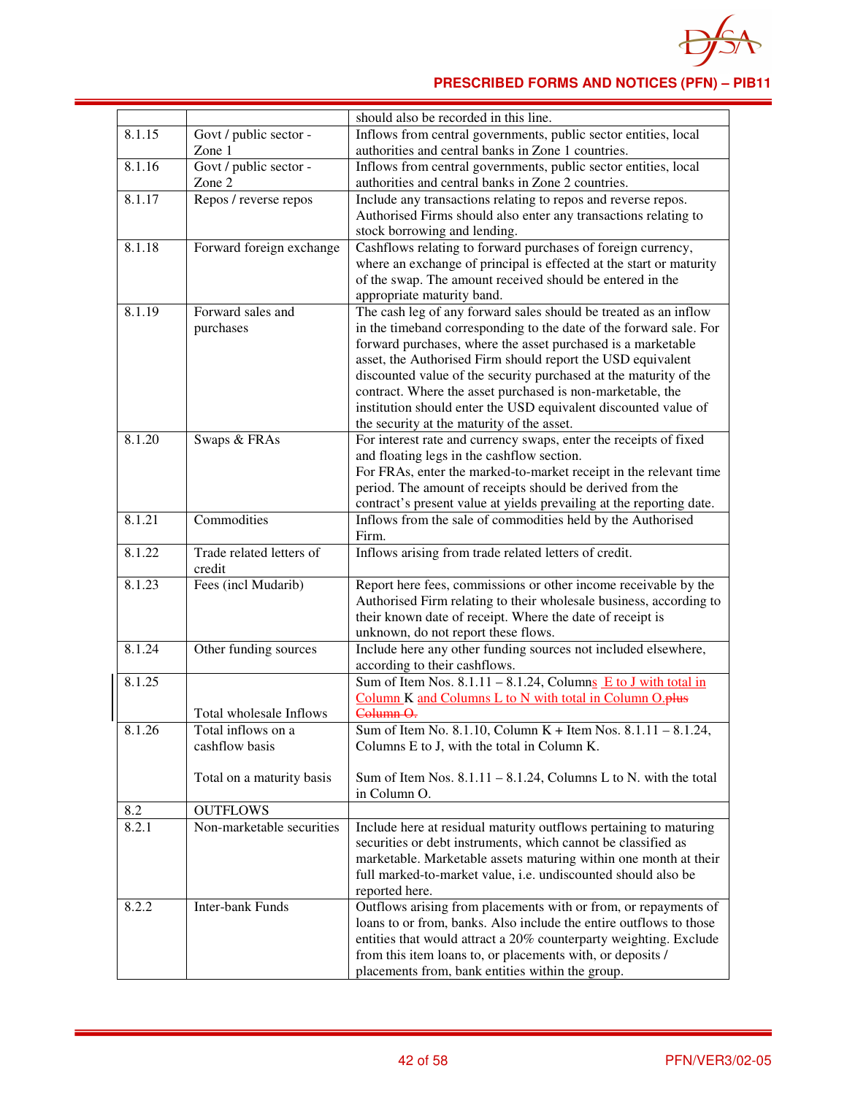

|        |                                      | should also be recorded in this line.                                                                                                                                                                                                                                                                                                                                                                                                                                                                                     |
|--------|--------------------------------------|---------------------------------------------------------------------------------------------------------------------------------------------------------------------------------------------------------------------------------------------------------------------------------------------------------------------------------------------------------------------------------------------------------------------------------------------------------------------------------------------------------------------------|
| 8.1.15 | Govt / public sector -<br>Zone 1     | Inflows from central governments, public sector entities, local<br>authorities and central banks in Zone 1 countries.                                                                                                                                                                                                                                                                                                                                                                                                     |
| 8.1.16 | Govt / public sector -<br>Zone 2     | Inflows from central governments, public sector entities, local<br>authorities and central banks in Zone 2 countries.                                                                                                                                                                                                                                                                                                                                                                                                     |
| 8.1.17 | Repos / reverse repos                | Include any transactions relating to repos and reverse repos.<br>Authorised Firms should also enter any transactions relating to<br>stock borrowing and lending.                                                                                                                                                                                                                                                                                                                                                          |
| 8.1.18 | Forward foreign exchange             | Cashflows relating to forward purchases of foreign currency,<br>where an exchange of principal is effected at the start or maturity<br>of the swap. The amount received should be entered in the<br>appropriate maturity band.                                                                                                                                                                                                                                                                                            |
| 8.1.19 | Forward sales and<br>purchases       | The cash leg of any forward sales should be treated as an inflow<br>in the timeband corresponding to the date of the forward sale. For<br>forward purchases, where the asset purchased is a marketable<br>asset, the Authorised Firm should report the USD equivalent<br>discounted value of the security purchased at the maturity of the<br>contract. Where the asset purchased is non-marketable, the<br>institution should enter the USD equivalent discounted value of<br>the security at the maturity of the asset. |
| 8.1.20 | Swaps & FRAs                         | For interest rate and currency swaps, enter the receipts of fixed<br>and floating legs in the cashflow section.<br>For FRAs, enter the marked-to-market receipt in the relevant time<br>period. The amount of receipts should be derived from the<br>contract's present value at yields prevailing at the reporting date.                                                                                                                                                                                                 |
| 8.1.21 | Commodities                          | Inflows from the sale of commodities held by the Authorised<br>Firm.                                                                                                                                                                                                                                                                                                                                                                                                                                                      |
| 8.1.22 | Trade related letters of<br>credit   | Inflows arising from trade related letters of credit.                                                                                                                                                                                                                                                                                                                                                                                                                                                                     |
| 8.1.23 | Fees (incl Mudarib)                  | Report here fees, commissions or other income receivable by the<br>Authorised Firm relating to their wholesale business, according to<br>their known date of receipt. Where the date of receipt is<br>unknown, do not report these flows.                                                                                                                                                                                                                                                                                 |
| 8.1.24 | Other funding sources                | Include here any other funding sources not included elsewhere,<br>according to their cashflows.                                                                                                                                                                                                                                                                                                                                                                                                                           |
| 8.1.25 | Total wholesale Inflows              | Sum of Item Nos. $8.1.11 - 8.1.24$ , Columns E to J with total in<br>Column K and Columns L to N with total in Column O.plus<br>Column O.                                                                                                                                                                                                                                                                                                                                                                                 |
| 8.1.26 | Total inflows on a<br>cashflow basis | Sum of Item No. 8.1.10, Column K + Item Nos. 8.1.11 – 8.1.24,<br>Columns E to J, with the total in Column K.                                                                                                                                                                                                                                                                                                                                                                                                              |
|        | Total on a maturity basis            | Sum of Item Nos. $8.1.11 - 8.1.24$ , Columns L to N. with the total<br>in Column O.                                                                                                                                                                                                                                                                                                                                                                                                                                       |
| 8.2    | <b>OUTFLOWS</b>                      |                                                                                                                                                                                                                                                                                                                                                                                                                                                                                                                           |
| 8.2.1  | Non-marketable securities            | Include here at residual maturity outflows pertaining to maturing<br>securities or debt instruments, which cannot be classified as<br>marketable. Marketable assets maturing within one month at their<br>full marked-to-market value, i.e. undiscounted should also be<br>reported here.                                                                                                                                                                                                                                 |
| 8.2.2  | <b>Inter-bank Funds</b>              | Outflows arising from placements with or from, or repayments of<br>loans to or from, banks. Also include the entire outflows to those<br>entities that would attract a 20% counterparty weighting. Exclude<br>from this item loans to, or placements with, or deposits /<br>placements from, bank entities within the group.                                                                                                                                                                                              |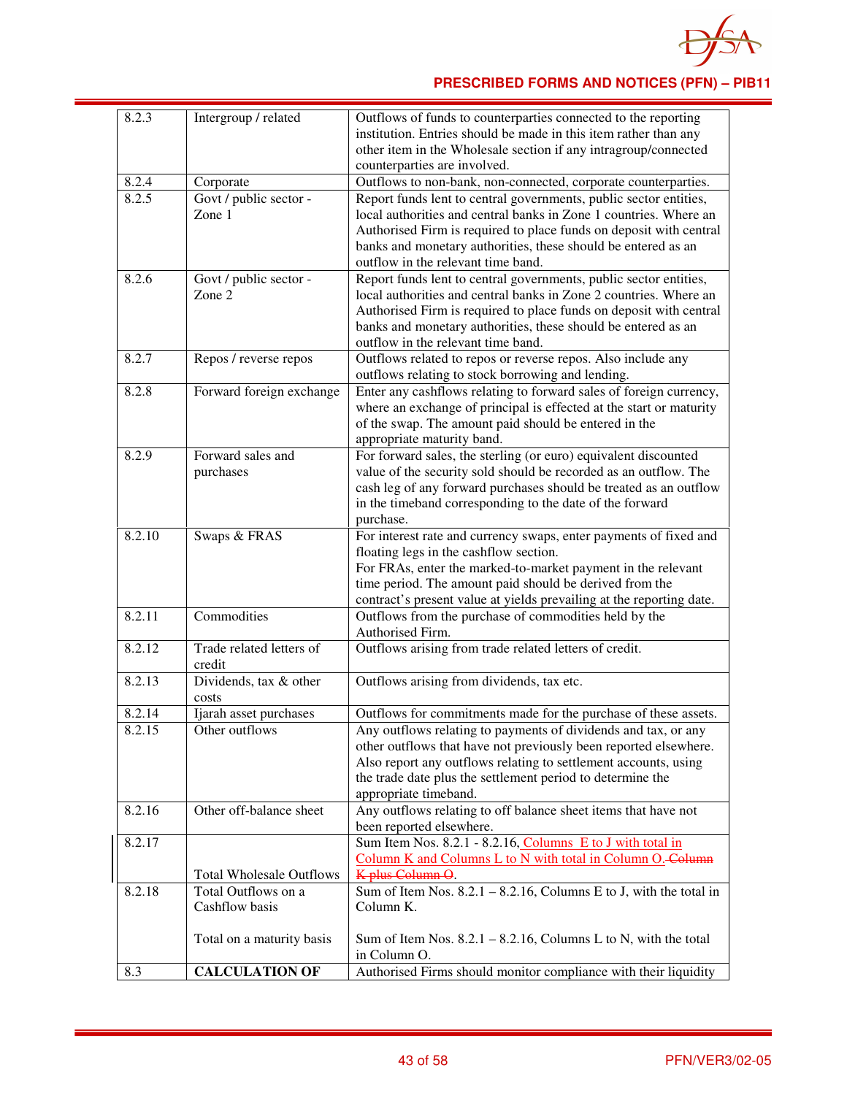

| 8.2.3  | Intergroup / related            | Outflows of funds to counterparties connected to the reporting<br>institution. Entries should be made in this item rather than any<br>other item in the Wholesale section if any intragroup/connected |
|--------|---------------------------------|-------------------------------------------------------------------------------------------------------------------------------------------------------------------------------------------------------|
|        |                                 | counterparties are involved.                                                                                                                                                                          |
| 8.2.4  | Corporate                       | Outflows to non-bank, non-connected, corporate counterparties.                                                                                                                                        |
| 8.2.5  | Govt / public sector -          | Report funds lent to central governments, public sector entities,                                                                                                                                     |
|        | Zone 1                          | local authorities and central banks in Zone 1 countries. Where an                                                                                                                                     |
|        |                                 | Authorised Firm is required to place funds on deposit with central                                                                                                                                    |
|        |                                 | banks and monetary authorities, these should be entered as an                                                                                                                                         |
|        |                                 | outflow in the relevant time band.                                                                                                                                                                    |
| 8.2.6  | Govt / public sector -          | Report funds lent to central governments, public sector entities,                                                                                                                                     |
|        | Zone 2                          | local authorities and central banks in Zone 2 countries. Where an                                                                                                                                     |
|        |                                 | Authorised Firm is required to place funds on deposit with central                                                                                                                                    |
|        |                                 | banks and monetary authorities, these should be entered as an                                                                                                                                         |
| 8.2.7  | Repos / reverse repos           | outflow in the relevant time band.<br>Outflows related to repos or reverse repos. Also include any                                                                                                    |
|        |                                 | outflows relating to stock borrowing and lending.                                                                                                                                                     |
| 8.2.8  | Forward foreign exchange        | Enter any cashflows relating to forward sales of foreign currency,                                                                                                                                    |
|        |                                 | where an exchange of principal is effected at the start or maturity                                                                                                                                   |
|        |                                 | of the swap. The amount paid should be entered in the                                                                                                                                                 |
|        |                                 | appropriate maturity band.                                                                                                                                                                            |
| 8.2.9  | Forward sales and               | For forward sales, the sterling (or euro) equivalent discounted                                                                                                                                       |
|        | purchases                       | value of the security sold should be recorded as an outflow. The                                                                                                                                      |
|        |                                 | cash leg of any forward purchases should be treated as an outflow                                                                                                                                     |
|        |                                 | in the timeband corresponding to the date of the forward                                                                                                                                              |
|        |                                 | purchase.                                                                                                                                                                                             |
| 8.2.10 | Swaps & FRAS                    | For interest rate and currency swaps, enter payments of fixed and                                                                                                                                     |
|        |                                 | floating legs in the cashflow section.                                                                                                                                                                |
|        |                                 | For FRAs, enter the marked-to-market payment in the relevant<br>time period. The amount paid should be derived from the                                                                               |
|        |                                 | contract's present value at yields prevailing at the reporting date.                                                                                                                                  |
| 8.2.11 | Commodities                     | Outflows from the purchase of commodities held by the                                                                                                                                                 |
|        |                                 | Authorised Firm.                                                                                                                                                                                      |
| 8.2.12 | Trade related letters of        | Outflows arising from trade related letters of credit.                                                                                                                                                |
|        | credit                          |                                                                                                                                                                                                       |
| 8.2.13 | Dividends, tax & other          | Outflows arising from dividends, tax etc.                                                                                                                                                             |
|        | costs                           |                                                                                                                                                                                                       |
| 8.2.14 | Ijarah asset purchases          | Outflows for commitments made for the purchase of these assets.                                                                                                                                       |
| 8.2.15 | Other outflows                  | Any outflows relating to payments of dividends and tax, or any                                                                                                                                        |
|        |                                 | other outflows that have not previously been reported elsewhere.                                                                                                                                      |
|        |                                 | Also report any outflows relating to settlement accounts, using<br>the trade date plus the settlement period to determine the                                                                         |
|        |                                 | appropriate timeband.                                                                                                                                                                                 |
| 8.2.16 | Other off-balance sheet         | Any outflows relating to off balance sheet items that have not                                                                                                                                        |
|        |                                 | been reported elsewhere.                                                                                                                                                                              |
| 8.2.17 |                                 | Sum Item Nos. 8.2.1 - 8.2.16, Columns E to J with total in                                                                                                                                            |
|        |                                 | Column K and Columns L to N with total in Column O. Column                                                                                                                                            |
|        | <b>Total Wholesale Outflows</b> | K plus Column O.                                                                                                                                                                                      |
| 8.2.18 | Total Outflows on a             | Sum of Item Nos. $8.2.1 - 8.2.16$ , Columns E to J, with the total in                                                                                                                                 |
|        | Cashflow basis                  | Column K.                                                                                                                                                                                             |
|        |                                 |                                                                                                                                                                                                       |
|        | Total on a maturity basis       | Sum of Item Nos. $8.2.1 - 8.2.16$ , Columns L to N, with the total                                                                                                                                    |
|        |                                 | in Column O.                                                                                                                                                                                          |
| 8.3    | <b>CALCULATION OF</b>           | Authorised Firms should monitor compliance with their liquidity                                                                                                                                       |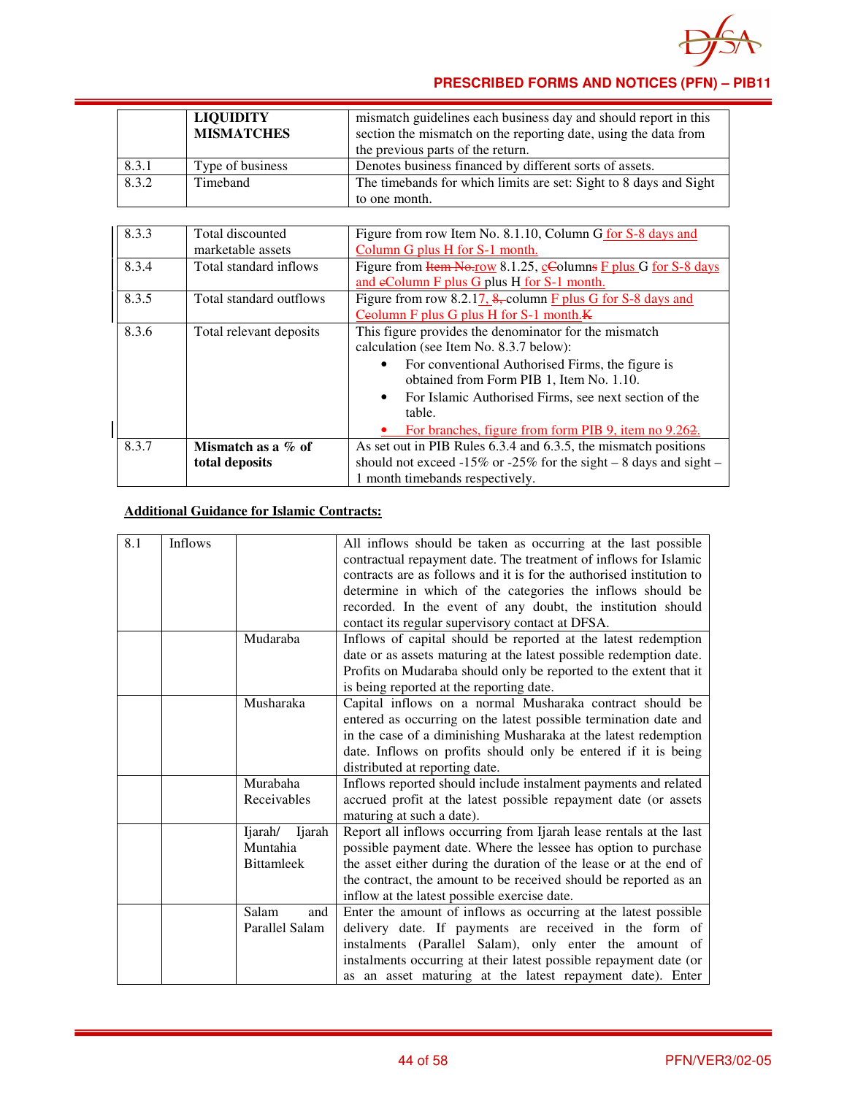

|       | <b>LIQUIDITY</b><br><b>MISMATCHES</b> | mismatch guidelines each business day and should report in this<br>section the mismatch on the reporting date, using the data from<br>the previous parts of the return. |
|-------|---------------------------------------|-------------------------------------------------------------------------------------------------------------------------------------------------------------------------|
| 8.3.1 | Type of business                      | Denotes business financed by different sorts of assets.                                                                                                                 |
| 8.3.2 | Timeband                              | The timebands for which limits are set: Sight to 8 days and Sight                                                                                                       |
|       |                                       | to one month.                                                                                                                                                           |

| 8.3.3 | Total discounted        | Figure from row Item No. 8.1.10, Column G for S-8 days and                                                                                                                                                                           |
|-------|-------------------------|--------------------------------------------------------------------------------------------------------------------------------------------------------------------------------------------------------------------------------------|
|       | marketable assets       | Column G plus H for S-1 month.                                                                                                                                                                                                       |
| 8.3.4 | Total standard inflows  | Figure from Hem No.row 8.1.25, cend umns F plus G for S-8 days                                                                                                                                                                       |
|       |                         | and eColumn F plus G plus H for S-1 month.                                                                                                                                                                                           |
| 8.3.5 | Total standard outflows | Figure from row 8.2.17, $\frac{8}{2}$ , column F plus G for S-8 days and                                                                                                                                                             |
|       |                         | Ceolumn F plus G plus H for S-1 month.K                                                                                                                                                                                              |
| 8.3.6 | Total relevant deposits | This figure provides the denominator for the mismatch<br>calculation (see Item No. 8.3.7 below):                                                                                                                                     |
|       |                         | For conventional Authorised Firms, the figure is<br>$\bullet$<br>obtained from Form PIB 1, Item No. 1.10.<br>For Islamic Authorised Firms, see next section of the<br>table.<br>For branches, figure from form PIB 9, item no 9.262. |
| 8.3.7 | Mismatch as a % of      | As set out in PIB Rules 6.3.4 and 6.3.5, the mismatch positions                                                                                                                                                                      |
|       | total deposits          | should not exceed -15% or -25% for the sight – 8 days and sight –                                                                                                                                                                    |
|       |                         | 1 month timebands respectively.                                                                                                                                                                                                      |

## **Additional Guidance for Islamic Contracts:**

| 8.1 | Inflows |                                                    | All inflows should be taken as occurring at the last possible<br>contractual repayment date. The treatment of inflows for Islamic<br>contracts are as follows and it is for the authorised institution to<br>determine in which of the categories the inflows should be<br>recorded. In the event of any doubt, the institution should |
|-----|---------|----------------------------------------------------|----------------------------------------------------------------------------------------------------------------------------------------------------------------------------------------------------------------------------------------------------------------------------------------------------------------------------------------|
|     |         |                                                    | contact its regular supervisory contact at DFSA.                                                                                                                                                                                                                                                                                       |
|     |         | Mudaraba                                           | Inflows of capital should be reported at the latest redemption<br>date or as assets maturing at the latest possible redemption date.<br>Profits on Mudaraba should only be reported to the extent that it<br>is being reported at the reporting date.                                                                                  |
|     |         | Musharaka                                          | Capital inflows on a normal Musharaka contract should be<br>entered as occurring on the latest possible termination date and<br>in the case of a diminishing Musharaka at the latest redemption<br>date. Inflows on profits should only be entered if it is being<br>distributed at reporting date.                                    |
|     |         | Murabaha<br>Receivables                            | Inflows reported should include instalment payments and related<br>accrued profit at the latest possible repayment date (or assets<br>maturing at such a date).                                                                                                                                                                        |
|     |         | Ijarah/<br>Ijarah<br>Muntahia<br><b>Bittamleek</b> | Report all inflows occurring from Ijarah lease rentals at the last<br>possible payment date. Where the lessee has option to purchase<br>the asset either during the duration of the lease or at the end of<br>the contract, the amount to be received should be reported as an<br>inflow at the latest possible exercise date.         |
|     |         | Salam<br>and<br>Parallel Salam                     | Enter the amount of inflows as occurring at the latest possible<br>delivery date. If payments are received in the form of<br>instalments (Parallel Salam), only enter the amount of<br>instalments occurring at their latest possible repayment date (or<br>as an asset maturing at the latest repayment date). Enter                  |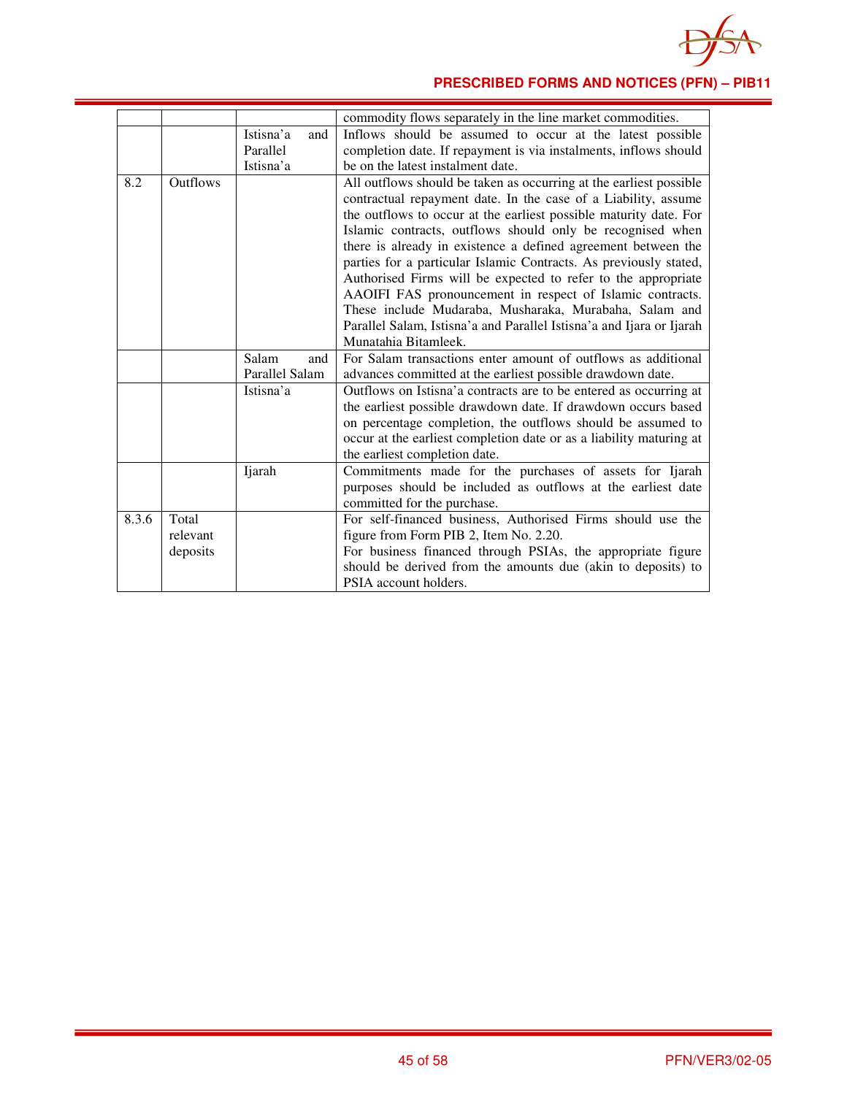

|       |                               |                  | commodity flows separately in the line market commodities.                                                                                                                                                                                                                                                                                                                                                                                                                                                                                                                                                                                                                                            |
|-------|-------------------------------|------------------|-------------------------------------------------------------------------------------------------------------------------------------------------------------------------------------------------------------------------------------------------------------------------------------------------------------------------------------------------------------------------------------------------------------------------------------------------------------------------------------------------------------------------------------------------------------------------------------------------------------------------------------------------------------------------------------------------------|
|       |                               | Istisna'a<br>and | Inflows should be assumed to occur at the latest possible                                                                                                                                                                                                                                                                                                                                                                                                                                                                                                                                                                                                                                             |
|       |                               | Parallel         | completion date. If repayment is via instalments, inflows should                                                                                                                                                                                                                                                                                                                                                                                                                                                                                                                                                                                                                                      |
|       |                               | Istisna'a        | be on the latest instalment date.                                                                                                                                                                                                                                                                                                                                                                                                                                                                                                                                                                                                                                                                     |
| 8.2   | Outflows                      |                  | All outflows should be taken as occurring at the earliest possible<br>contractual repayment date. In the case of a Liability, assume<br>the outflows to occur at the earliest possible maturity date. For<br>Islamic contracts, outflows should only be recognised when<br>there is already in existence a defined agreement between the<br>parties for a particular Islamic Contracts. As previously stated,<br>Authorised Firms will be expected to refer to the appropriate<br>AAOIFI FAS pronouncement in respect of Islamic contracts.<br>These include Mudaraba, Musharaka, Murabaha, Salam and<br>Parallel Salam, Istisna'a and Parallel Istisna'a and Ijara or Ijarah<br>Munatahia Bitamleek. |
|       |                               | Salam<br>and     | For Salam transactions enter amount of outflows as additional                                                                                                                                                                                                                                                                                                                                                                                                                                                                                                                                                                                                                                         |
|       |                               | Parallel Salam   | advances committed at the earliest possible drawdown date.                                                                                                                                                                                                                                                                                                                                                                                                                                                                                                                                                                                                                                            |
|       |                               | Istisna'a        | Outflows on Istisna'a contracts are to be entered as occurring at<br>the earliest possible drawdown date. If drawdown occurs based<br>on percentage completion, the outflows should be assumed to<br>occur at the earliest completion date or as a liability maturing at<br>the earliest completion date.                                                                                                                                                                                                                                                                                                                                                                                             |
|       |                               | Ijarah           | Commitments made for the purchases of assets for Ijarah<br>purposes should be included as outflows at the earliest date<br>committed for the purchase.                                                                                                                                                                                                                                                                                                                                                                                                                                                                                                                                                |
| 8.3.6 | Total<br>relevant<br>deposits |                  | For self-financed business, Authorised Firms should use the<br>figure from Form PIB 2, Item No. 2.20.<br>For business financed through PSIAs, the appropriate figure<br>should be derived from the amounts due (akin to deposits) to<br>PSIA account holders.                                                                                                                                                                                                                                                                                                                                                                                                                                         |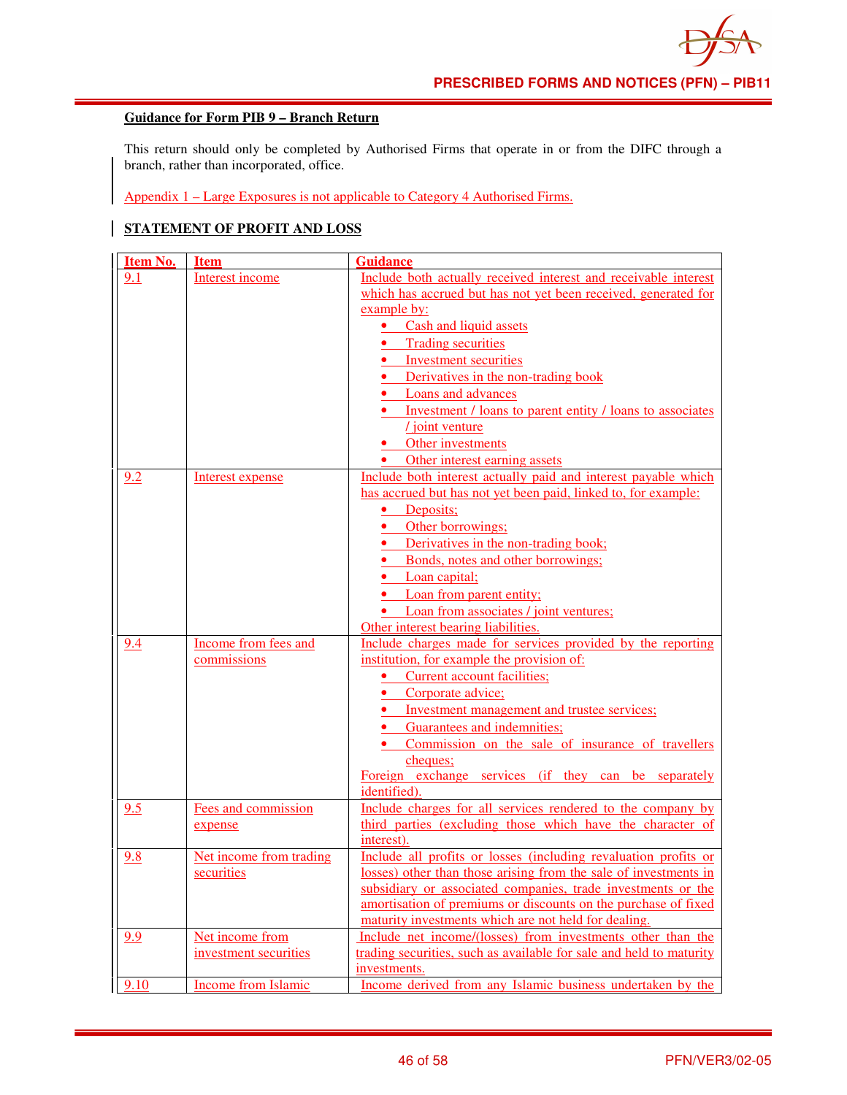

### **Guidance for Form PIB 9 – Branch Return**

This return should only be completed by Authorised Firms that operate in or from the DIFC through a branch, rather than incorporated, office.

Appendix 1 – Large Exposures is not applicable to Category 4 Authorised Firms.

## **STATEMENT OF PROFIT AND LOSS**

| <b>Item No.</b> | <b>Item</b>                | <b>Guidance</b>                                                      |
|-----------------|----------------------------|----------------------------------------------------------------------|
| 9.1             | Interest income            | Include both actually received interest and receivable interest      |
|                 |                            | which has accrued but has not yet been received, generated for       |
|                 |                            | example by:                                                          |
|                 |                            | Cash and liquid assets                                               |
|                 |                            | <b>Trading securities</b>                                            |
|                 |                            | <b>Investment securities</b>                                         |
|                 |                            | Derivatives in the non-trading book                                  |
|                 |                            | Loans and advances                                                   |
|                 |                            | • Investment / loans to parent entity / loans to associates          |
|                 |                            | / joint venture                                                      |
|                 |                            | Other investments                                                    |
|                 |                            | Other interest earning assets                                        |
| 9.2             | Interest expense           | Include both interest actually paid and interest payable which       |
|                 |                            | has accrued but has not yet been paid, linked to, for example:       |
|                 |                            | Deposits:                                                            |
|                 |                            | Other borrowings;                                                    |
|                 |                            | • Derivatives in the non-trading book;                               |
|                 |                            | • Bonds, notes and other borrowings;                                 |
|                 |                            | • Loan capital:                                                      |
|                 |                            | • Loan from parent entity;                                           |
|                 |                            | • Loan from associates / joint ventures;                             |
|                 |                            | Other interest bearing liabilities.                                  |
| 9.4             | Income from fees and       | Include charges made for services provided by the reporting          |
|                 | commissions                | institution, for example the provision of:                           |
|                 |                            | Current account facilities;                                          |
|                 |                            | Corporate advice;                                                    |
|                 |                            | Investment management and trustee services;                          |
|                 |                            | Guarantees and indemnities;                                          |
|                 |                            | Commission on the sale of insurance of travellers                    |
|                 |                            | cheques;                                                             |
|                 |                            | Foreign exchange services (if they can be separately<br>identified). |
| 9.5             | Fees and commission        | Include charges for all services rendered to the company by          |
|                 |                            | third parties (excluding those which have the character of           |
|                 | expense                    | interest).                                                           |
| 9.8             | Net income from trading    | Include all profits or losses (including revaluation profits or      |
|                 | securities                 | losses) other than those arising from the sale of investments in     |
|                 |                            | subsidiary or associated companies, trade investments or the         |
|                 |                            | amortisation of premiums or discounts on the purchase of fixed       |
|                 |                            | maturity investments which are not held for dealing.                 |
| 9.9             | Net income from            | Include net income/(losses) from investments other than the          |
|                 | investment securities      | trading securities, such as available for sale and held to maturity  |
|                 |                            | investments.                                                         |
| 9.10            | <b>Income from Islamic</b> | Income derived from any Islamic business undertaken by the           |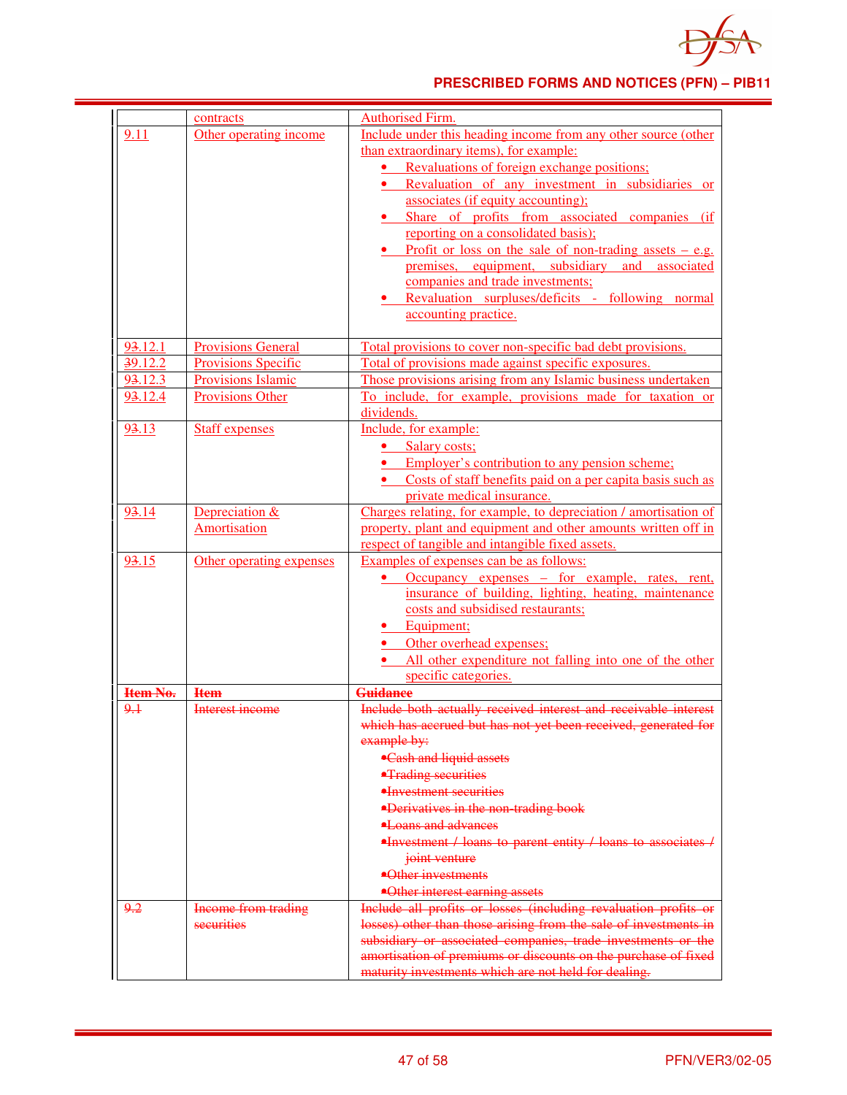

|                               | contracts                                                                            | <b>Authorised Firm.</b>                                                                                                                                                                                                                                                                                                                                                                                                                                                                                                                                                                                                                |
|-------------------------------|--------------------------------------------------------------------------------------|----------------------------------------------------------------------------------------------------------------------------------------------------------------------------------------------------------------------------------------------------------------------------------------------------------------------------------------------------------------------------------------------------------------------------------------------------------------------------------------------------------------------------------------------------------------------------------------------------------------------------------------|
| 9.11                          | Other operating income                                                               | Include under this heading income from any other source (other<br>than extraordinary items), for example:<br>Revaluations of foreign exchange positions;                                                                                                                                                                                                                                                                                                                                                                                                                                                                               |
| 93.12.1<br>39.12.2<br>93.12.3 | <b>Provisions General</b><br><b>Provisions Specific</b><br><b>Provisions Islamic</b> | Revaluation of any investment in subsidiaries or<br>$\bullet$<br>associates (if equity accounting);<br>Share of profits from associated companies (if<br>$\bullet$<br>reporting on a consolidated basis);<br>Profit or loss on the sale of non-trading assets $-$ e.g.<br>٠<br>premises, equipment, subsidiary and associated<br>companies and trade investments;<br>Revaluation surpluses/deficits - following normal<br>accounting practice.<br>Total provisions to cover non-specific bad debt provisions.<br>Total of provisions made against specific exposures.<br>Those provisions arising from any Islamic business undertaken |
| 93.12.4                       | <b>Provisions Other</b>                                                              | To include, for example, provisions made for taxation or<br>dividends.                                                                                                                                                                                                                                                                                                                                                                                                                                                                                                                                                                 |
| 93.13                         | <b>Staff</b> expenses                                                                | Include, for example:<br>• Salary costs;<br>Employer's contribution to any pension scheme;<br>Costs of staff benefits paid on a per capita basis such as<br>private medical insurance.                                                                                                                                                                                                                                                                                                                                                                                                                                                 |
| 93.14                         | Depreciation $&$<br>Amortisation                                                     | Charges relating, for example, to depreciation / amortisation of<br>property, plant and equipment and other amounts written off in<br>respect of tangible and intangible fixed assets.                                                                                                                                                                                                                                                                                                                                                                                                                                                 |
| 93.15                         | Other operating expenses                                                             | Examples of expenses can be as follows:<br>Occupancy expenses – for example, rates, rent,<br>insurance of building, lighting, heating, maintenance<br>costs and subsidised restaurants;<br>Equipment;<br>• Other overhead expenses:<br>• All other expenditure not falling into one of the other<br>specific categories.                                                                                                                                                                                                                                                                                                               |
| Hem No.                       | <b>Item</b>                                                                          | <b>Guidance</b>                                                                                                                                                                                                                                                                                                                                                                                                                                                                                                                                                                                                                        |
| 9.1                           | Interest income                                                                      | Include both actually received interest and receivable interest<br>which has accrued but has not yet been received, generated for<br>example by:<br><b>.Cash and liquid assets</b><br><b>•Trading securities</b><br>•Investment securities<br><b>*Derivatives in the non trading book</b><br>•Loans and advances<br>•Investment / loans to parent entity / loans to associates /<br>joint venture<br>•Other investments<br>•Other interest earning assets                                                                                                                                                                              |
| 9.2                           | <b>Income from trading</b><br>securities                                             | Include all profits or losses (including revaluation profits or<br>losses) other than those arising from the sale of investments in<br>subsidiary or associated companies, trade investments or the<br>amortisation of premiums or discounts on the purchase of fixed<br>maturity investments which are not held for dealing.                                                                                                                                                                                                                                                                                                          |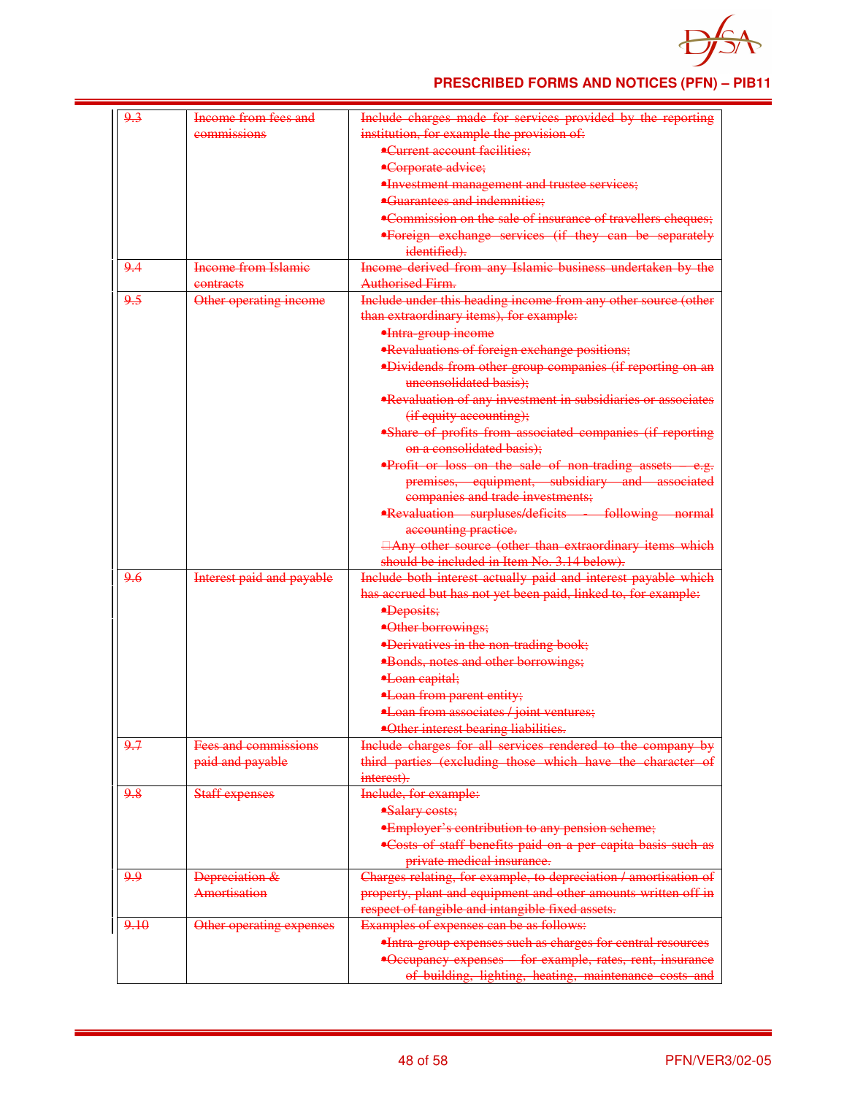

| 9.3  | Income from fees and       | Include charges made for services provided by the reporting      |
|------|----------------------------|------------------------------------------------------------------|
|      | eommissions                | institution, for example the provision of:                       |
|      |                            | <b>*Current account facilities;</b>                              |
|      |                            | <b>*Corporate advice;</b>                                        |
|      |                            | ·Investment management and trustee services;                     |
|      |                            | <b>*Guarantees and indemnities;</b>                              |
|      |                            | *Commission on the sale of insurance of travellers cheques;      |
|      |                            | ·Foreign exchange services (if they can be separately            |
|      |                            | identified).                                                     |
| 9.4  | <b>Income from Islamic</b> | Income derived from any Islamic business undertaken by the       |
|      | eontracts                  | Authorised Firm.                                                 |
| 9.5  | Other operating income     | Include under this heading income from any other source (other   |
|      |                            | than extraordinary items), for example:                          |
|      |                            | •Intra-group income                                              |
|      |                            | *Revaluations of foreign exchange positions;                     |
|      |                            | *Dividends from other group companies (if reporting on an        |
|      |                            | unconsolidated basis);                                           |
|      |                            | *Revaluation of any investment in subsidiaries or associates     |
|      |                            | (if equity accounting);                                          |
|      |                            | *Share of profits from associated companies (if reporting        |
|      |                            | on a consolidated basis);                                        |
|      |                            | ·Profit or loss on the sale of non-trading assets e.g.           |
|      |                            | premises, equipment, subsidiary and associated                   |
|      |                            | companies and trade investments;                                 |
|      |                            | •Revaluation surpluses/deficits following normal                 |
|      |                            | accounting practice.                                             |
|      |                            | -Any other source (other than extraordinary items which          |
|      |                            | should be included in Item No. 3.14 below).                      |
| 9.6  | Interest paid and payable  | Include both interest actually paid and interest payable which   |
|      |                            | has accrued but has not yet been paid, linked to, for example:   |
|      |                            | ·Deposits;                                                       |
|      |                            | *Other borrowings;                                               |
|      |                            | *Derivatives in the non-trading book;                            |
|      |                            | <b>*Bonds, notes and other borrowings;</b>                       |
|      |                            | ·Loan capital;                                                   |
|      |                            | ·Loan from parent entity;                                        |
|      |                            | •Loan from associates / joint ventures;                          |
|      |                            | <b>*Other interest bearing liabilities.</b>                      |
| 9.7  | Fees and commissions       | Include charges for all services rendered to the company by      |
|      | paid and payable           | third parties (excluding those which have the character of       |
|      |                            | interest).                                                       |
| 9.8  | <b>Staff expenses</b>      | Include, for example:                                            |
|      |                            | ·Salary costs;                                                   |
|      |                            | *Employer's contribution to any pension scheme;                  |
|      |                            | ·Costs of staff benefits paid on a per capita basis such as      |
|      |                            | private medical insurance.                                       |
| 9.9  | Depreciation &             | Charges relating, for example, to depreciation / amortisation of |
|      | Amortisation               | property, plant and equipment and other amounts written off in   |
|      |                            |                                                                  |
|      |                            | respect of tangible and intangible fixed assets.                 |
| 9.10 | Other operating expenses   | Examples of expenses can be as follows:                          |
|      |                            | *Intra group expenses such as charges for central resources      |
|      |                            | *Occupancy expenses for example, rates, rent, insurance          |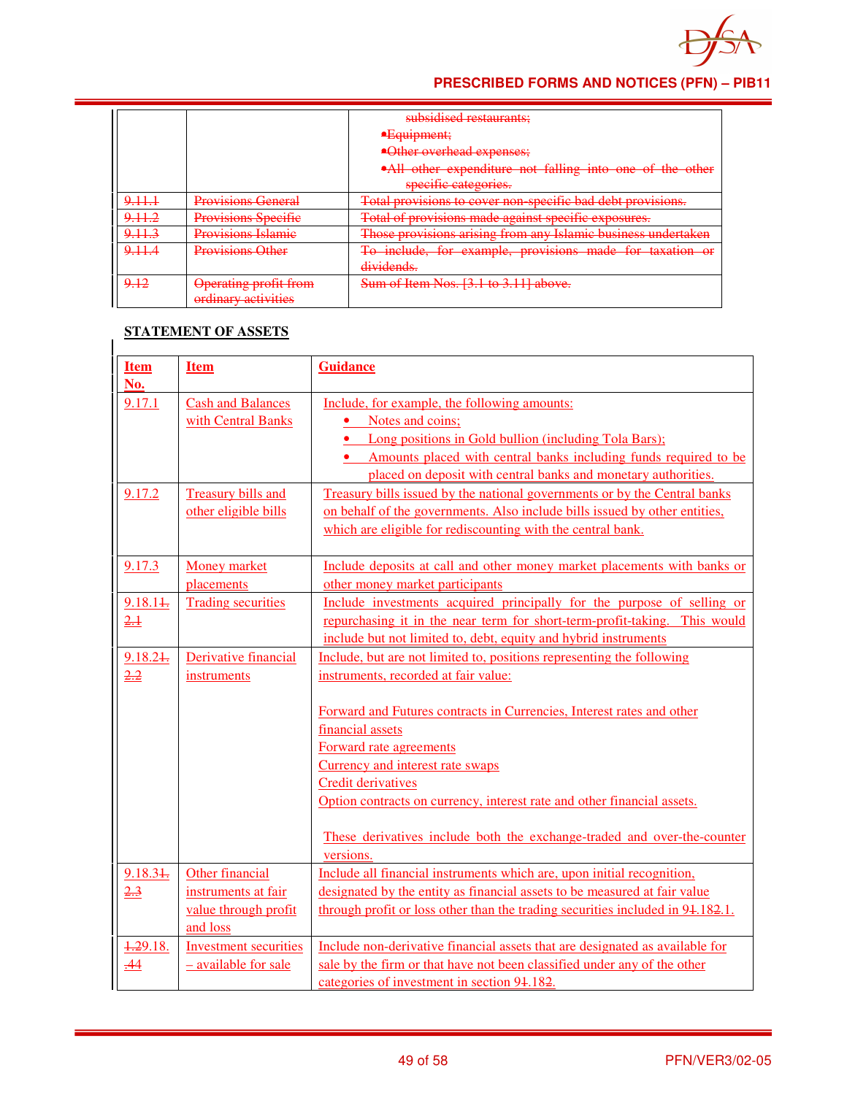

|                                  |                                                               | subsidised restaurants;                                                                                                                                                               |
|----------------------------------|---------------------------------------------------------------|---------------------------------------------------------------------------------------------------------------------------------------------------------------------------------------|
|                                  |                                                               | <del>•Equipment:</del>                                                                                                                                                                |
|                                  |                                                               | ●Other overhead expenses;                                                                                                                                                             |
|                                  |                                                               | •All other expenditure not falling into one of the other                                                                                                                              |
|                                  |                                                               | enecific categories<br><del>specific categories.</del>                                                                                                                                |
| 0.111<br><del>,,,,,,</del>       | <b>Provisions General</b>                                     | Total provisions to cover non-specific bad debt provisions.                                                                                                                           |
| 0.11.2<br>$\sqrt{1 + 1}$         | <b>Provisions Specific</b>                                    | Total of provisions made against specific exposures.                                                                                                                                  |
| 0.11.2<br><del>, , , , , ,</del> | <b>Provisions Islamic</b><br><del>r ivy kalvins islamic</del> | $\cdot$ $\cdot$<br>$\cdot$ $\cdot$<br>Those provisions arising from any Islamic husiness undertaken<br><b>ENOU providing among from ally foldfille business that idividi</b>          |
| 011A<br><b>Service State</b>     | <b>Provisions Other</b><br><del>riversions canon</del>        | . .<br>To include for example<br>provisione made for favotion or<br>$\frac{1}{2}$<br><b>BUILDING IN A STATISTICS</b><br><b>THEREST COMPANY</b><br><b>TWI</b><br><b>SERVATESHAVASI</b> |
|                                  |                                                               | dividende<br><b>THE STATE OF A TO A REPORT</b>                                                                                                                                        |
| 0.12<br>$\overline{1}$           | <b>Operating profit from</b>                                  | Sum of Item Nos. [3.1 to 3.11] above.                                                                                                                                                 |
|                                  | ordinary activities<br><del>orumar v acu viucs</del>          |                                                                                                                                                                                       |

# **STATEMENT OF ASSETS**

| <b>Item</b> | <b>Item</b>                  | <b>Guidance</b>                                                                |
|-------------|------------------------------|--------------------------------------------------------------------------------|
| No.         |                              |                                                                                |
| 9.17.1      | <b>Cash and Balances</b>     | Include, for example, the following amounts:                                   |
|             | with Central Banks           | Notes and coins;<br>٠                                                          |
|             |                              | • Long positions in Gold bullion (including Tola Bars);                        |
|             |                              | • Amounts placed with central banks including funds required to be             |
|             |                              | placed on deposit with central banks and monetary authorities.                 |
| 9.17.2      | <b>Treasury bills and</b>    | Treasury bills issued by the national governments or by the Central banks      |
|             | other eligible bills         | on behalf of the governments. Also include bills issued by other entities,     |
|             |                              | which are eligible for rediscounting with the central bank.                    |
|             |                              |                                                                                |
| 9.17.3      | Money market                 | Include deposits at call and other money market placements with banks or       |
|             | placements                   | other money market participants                                                |
| $9.18.1 +$  | <b>Trading securities</b>    | Include investments acquired principally for the purpose of selling or         |
| 2.1         |                              | repurchasing it in the near term for short-term-profit-taking. This would      |
|             |                              | include but not limited to, debt, equity and hybrid instruments                |
| $9.18.2 +$  | Derivative financial         | Include, but are not limited to, positions representing the following          |
|             | instruments                  | instruments, recorded at fair value:                                           |
|             |                              |                                                                                |
|             |                              | Forward and Futures contracts in Currencies, Interest rates and other          |
|             |                              | financial assets                                                               |
|             |                              | Forward rate agreements                                                        |
|             |                              | Currency and interest rate swaps                                               |
|             |                              | <b>Credit derivatives</b>                                                      |
|             |                              | Option contracts on currency, interest rate and other financial assets.        |
|             |                              |                                                                                |
|             |                              | These derivatives include both the exchange-traded and over-the-counter        |
|             |                              | versions.                                                                      |
| $9.18.3 +$  | Other financial              | Include all financial instruments which are, upon initial recognition,         |
|             | instruments at fair          | designated by the entity as financial assets to be measured at fair value      |
|             | value through profit         | through profit or loss other than the trading securities included in 94.182.1. |
|             | and loss                     |                                                                                |
| 1.29.18.    | <b>Investment securities</b> | Include non-derivative financial assets that are designated as available for   |
| <u>.44</u>  | - available for sale         | sale by the firm or that have not been classified under any of the other       |
|             |                              | categories of investment in section 94.182.                                    |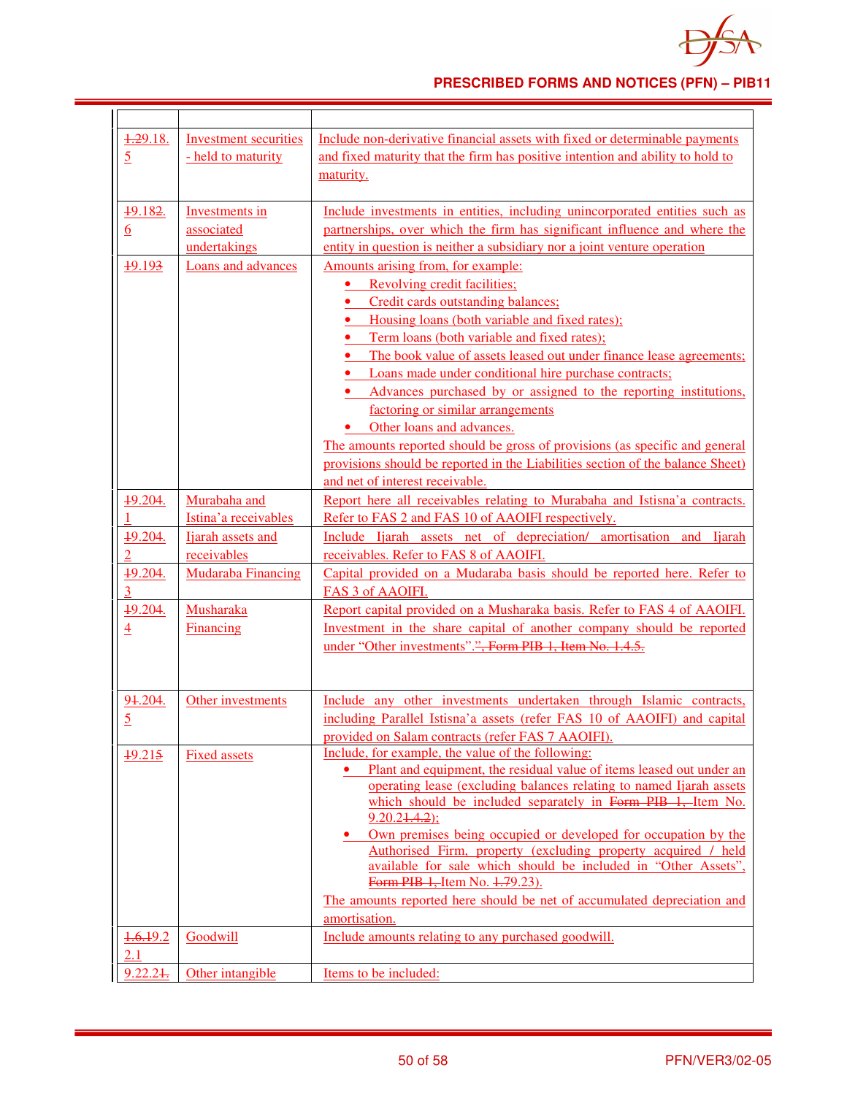

| 1.29.18.<br><u>5</u> | <b>Investment securities</b><br>- held to maturity | Include non-derivative financial assets with fixed or determinable payments<br>and fixed maturity that the firm has positive intention and ability to hold to |
|----------------------|----------------------------------------------------|---------------------------------------------------------------------------------------------------------------------------------------------------------------|
|                      |                                                    | <u>maturity.</u>                                                                                                                                              |
| 19.182.              | <b>Investments</b> in                              | Include investments in entities, including unincorporated entities such as                                                                                    |
| <u>6</u>             | associated                                         | partnerships, over which the firm has significant influence and where the                                                                                     |
|                      | undertakings                                       | entity in question is neither a subsidiary nor a joint venture operation                                                                                      |
| 19.193               | <b>Loans</b> and advances                          | Amounts arising from, for example:                                                                                                                            |
|                      |                                                    | Revolving credit facilities;                                                                                                                                  |
|                      |                                                    | Credit cards outstanding balances;                                                                                                                            |
|                      |                                                    | Housing loans (both variable and fixed rates);<br>٠                                                                                                           |
|                      |                                                    | Term loans (both variable and fixed rates);<br>٠                                                                                                              |
|                      |                                                    | The book value of assets leased out under finance lease agreements;<br>$\bullet$                                                                              |
|                      |                                                    | Loans made under conditional hire purchase contracts;                                                                                                         |
|                      |                                                    | Advances purchased by or assigned to the reporting institutions,                                                                                              |
|                      |                                                    | factoring or similar arrangements                                                                                                                             |
|                      |                                                    | Other loans and advances.<br>$\bullet$                                                                                                                        |
|                      |                                                    | The amounts reported should be gross of provisions (as specific and general                                                                                   |
|                      |                                                    | provisions should be reported in the Liabilities section of the balance Sheet)                                                                                |
|                      |                                                    | and net of interest receivable.                                                                                                                               |
| 19.204.              | Murabaha and                                       | Report here all receivables relating to Murabaha and Istisna'a contracts.                                                                                     |
|                      | Istina'a receivables                               | Refer to FAS 2 and FAS 10 of AAOIFI respectively.                                                                                                             |
| 19.204.              | <b>Ijarah</b> assets and                           | Include Ijarah assets net of depreciation/ amortisation and Ijarah                                                                                            |
| 2                    | receivables                                        | receivables. Refer to FAS 8 of AAOIFI.                                                                                                                        |
| 19.204.              | <b>Mudaraba Financing</b>                          | Capital provided on a Mudaraba basis should be reported here. Refer to                                                                                        |
| 3                    |                                                    | FAS 3 of AAOIFI.                                                                                                                                              |
| 19.204.              | Musharaka                                          | Report capital provided on a Musharaka basis. Refer to FAS 4 of AAOIFI.                                                                                       |
| $\overline{4}$       | Financing                                          | Investment in the share capital of another company should be reported<br>under "Other investments".", Form PIB 1, Item No. 1.4.5.                             |
|                      |                                                    |                                                                                                                                                               |
| 94.204.              | Other investments                                  | Include any other investments undertaken through Islamic contracts,                                                                                           |
| <u>5</u>             |                                                    | including Parallel Istisna'a assets (refer FAS 10 of AAOIFI) and capital                                                                                      |
|                      |                                                    | provided on Salam contracts (refer FAS 7 AAOIFI).                                                                                                             |
| 19.215               | <b>Fixed assets</b>                                | Include, for example, the value of the following:                                                                                                             |
|                      |                                                    | Plant and equipment, the residual value of items leased out under an                                                                                          |
|                      |                                                    | operating lease (excluding balances relating to named Ijarah assets<br>which should be included separately in Form PIB 1, Item No.                            |
|                      |                                                    | $9.20.24.4.2$ ;                                                                                                                                               |
|                      |                                                    | Own premises being occupied or developed for occupation by the                                                                                                |
|                      |                                                    | Authorised Firm, property (excluding property acquired / held                                                                                                 |
|                      |                                                    | available for sale which should be included in "Other Assets",                                                                                                |
|                      |                                                    | Form PIB 1, Item No. 1.79.23).                                                                                                                                |
|                      |                                                    | The amounts reported here should be net of accumulated depreciation and                                                                                       |
|                      |                                                    | amortisation.                                                                                                                                                 |
| 1.6.19.2             | Goodwill                                           | Include amounts relating to any purchased goodwill.                                                                                                           |
| 2.1                  |                                                    |                                                                                                                                                               |
| $9.22.2 +$           | Other intangible                                   | Items to be included:                                                                                                                                         |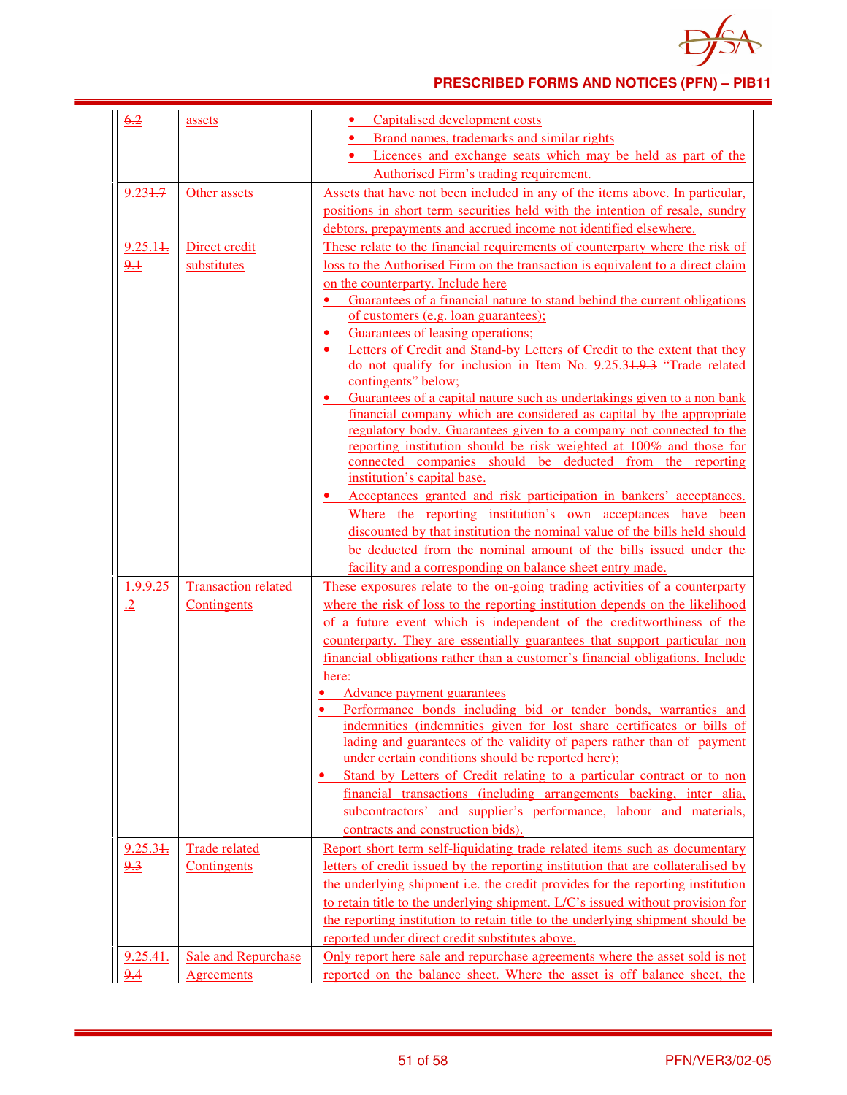

| 6.2               | assets                     | Capitalised development costs<br>٠                                                                                                                          |
|-------------------|----------------------------|-------------------------------------------------------------------------------------------------------------------------------------------------------------|
|                   |                            | Brand names, trademarks and similar rights                                                                                                                  |
|                   |                            | Licences and exchange seats which may be held as part of the                                                                                                |
|                   |                            | Authorised Firm's trading requirement.                                                                                                                      |
| $9.23 + 7$        | Other assets               | Assets that have not been included in any of the items above. In particular,                                                                                |
|                   |                            | positions in short term securities held with the intention of resale, sundry                                                                                |
|                   |                            | debtors, prepayments and accrued income not identified elsewhere.                                                                                           |
| $9.25.1 +$        | Direct credit              | These relate to the financial requirements of counterparty where the risk of                                                                                |
| $\frac{9.1}{9.1}$ | substitutes                | loss to the Authorised Firm on the transaction is equivalent to a direct claim                                                                              |
|                   |                            | on the counterparty. Include here                                                                                                                           |
|                   |                            | Guarantees of a financial nature to stand behind the current obligations                                                                                    |
|                   |                            | of customers (e.g. loan guarantees);                                                                                                                        |
|                   |                            | Guarantees of leasing operations;                                                                                                                           |
|                   |                            | Letters of Credit and Stand-by Letters of Credit to the extent that they<br>do not qualify for inclusion in Item No. 9.25.3 <del>1.9.3</del> "Trade related |
|                   |                            | contingents" below;                                                                                                                                         |
|                   |                            | Guarantees of a capital nature such as undertakings given to a non bank                                                                                     |
|                   |                            | financial company which are considered as capital by the appropriate                                                                                        |
|                   |                            | regulatory body. Guarantees given to a company not connected to the                                                                                         |
|                   |                            | reporting institution should be risk weighted at 100% and those for                                                                                         |
|                   |                            | connected companies should be deducted from the reporting                                                                                                   |
|                   |                            | institution's capital base.                                                                                                                                 |
|                   |                            | Acceptances granted and risk participation in bankers' acceptances.                                                                                         |
|                   |                            | Where the reporting institution's own acceptances have been                                                                                                 |
|                   |                            | discounted by that institution the nominal value of the bills held should                                                                                   |
|                   |                            | be deducted from the nominal amount of the bills issued under the                                                                                           |
|                   |                            | facility and a corresponding on balance sheet entry made.                                                                                                   |
| 1.9.9.25          | <b>Transaction related</b> | These exposures relate to the on-going trading activities of a counterparty                                                                                 |
| $\cdot^2$         | <b>Contingents</b>         | where the risk of loss to the reporting institution depends on the likelihood                                                                               |
|                   |                            | of a future event which is independent of the creditworthiness of the                                                                                       |
|                   |                            | counterparty. They are essentially guarantees that support particular non                                                                                   |
|                   |                            | financial obligations rather than a customer's financial obligations. Include                                                                               |
|                   |                            | here:<br>Advance payment guarantees                                                                                                                         |
|                   |                            | Performance bonds including bid or tender bonds, warranties and                                                                                             |
|                   |                            | indemnities (indemnities given for lost share certificates or bills of                                                                                      |
|                   |                            | lading and guarantees of the validity of papers rather than of payment                                                                                      |
|                   |                            | under certain conditions should be reported here);                                                                                                          |
|                   |                            | Stand by Letters of Credit relating to a particular contract or to non                                                                                      |
|                   |                            | financial transactions (including arrangements backing, inter alia,                                                                                         |
|                   |                            | subcontractors' and supplier's performance, labour and materials,                                                                                           |
|                   |                            | contracts and construction bids).                                                                                                                           |
| $9.25.3 +$        | <b>Trade related</b>       | Report short term self-liquidating trade related items such as documentary                                                                                  |
| 9.3               | Contingents                | letters of credit issued by the reporting institution that are collateralised by                                                                            |
|                   |                            | the underlying shipment i.e. the credit provides for the reporting institution                                                                              |
|                   |                            | to retain title to the underlying shipment. L/C's issued without provision for                                                                              |
|                   |                            | the reporting institution to retain title to the underlying shipment should be                                                                              |
|                   |                            | reported under direct credit substitutes above.                                                                                                             |
| 9.25.41           | <b>Sale and Repurchase</b> | Only report here sale and repurchase agreements where the asset sold is not                                                                                 |
| 9.4               | <u>Agreements</u>          | reported on the balance sheet. Where the asset is off balance sheet, the                                                                                    |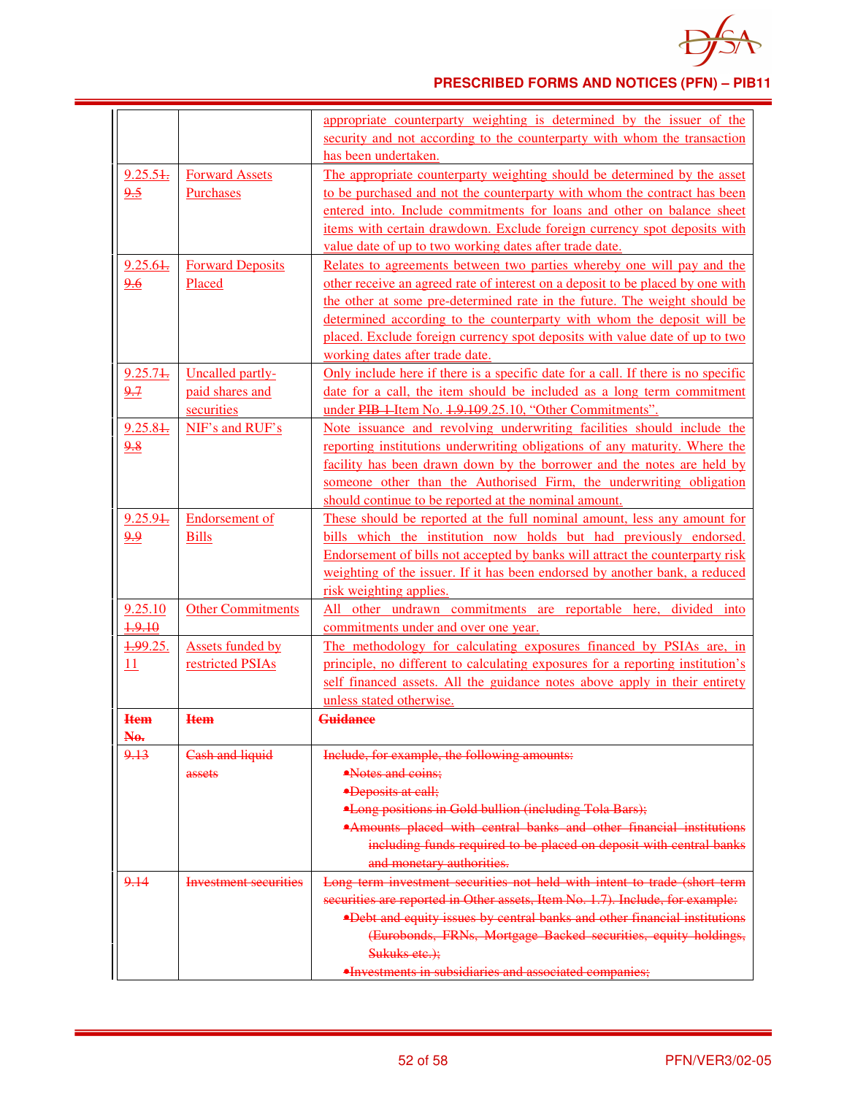

|            |                              | appropriate counterparty weighting is determined by the issuer of the             |
|------------|------------------------------|-----------------------------------------------------------------------------------|
|            |                              | security and not according to the counterparty with whom the transaction          |
|            |                              | has been undertaken.                                                              |
| 9.25.51    | <b>Forward Assets</b>        | The appropriate counterparty weighting should be determined by the asset          |
|            | Purchases                    | to be purchased and not the counterparty with whom the contract has been          |
|            |                              | entered into. Include commitments for loans and other on balance sheet            |
|            |                              | items with certain drawdown. Exclude foreign currency spot deposits with          |
|            |                              | value date of up to two working dates after trade date.                           |
| 9.25.61    | <b>Forward Deposits</b>      | Relates to agreements between two parties whereby one will pay and the            |
| <u>9.6</u> | Placed                       | other receive an agreed rate of interest on a deposit to be placed by one with    |
|            |                              | the other at some pre-determined rate in the future. The weight should be         |
|            |                              | determined according to the counterparty with whom the deposit will be            |
|            |                              | placed. Exclude foreign currency spot deposits with value date of up to two       |
|            |                              | working dates after trade date.                                                   |
| 9.25.71    | Uncalled partly-             | Only include here if there is a specific date for a call. If there is no specific |
| 9.7        | paid shares and              | date for a call, the item should be included as a long term commitment            |
|            | securities                   | under PIB 1-Item No. 1.9.109.25.10, "Other Commitments".                          |
| 9.25.81    | NIF's and RUF's              | Note issuance and revolving underwriting facilities should include the            |
| 9.8        |                              | reporting institutions underwriting obligations of any maturity. Where the        |
|            |                              | facility has been drawn down by the borrower and the notes are held by            |
|            |                              | someone other than the Authorised Firm, the underwriting obligation               |
|            |                              | should continue to be reported at the nominal amount.                             |
| 9.25.91    | Endorsement of               | These should be reported at the full nominal amount, less any amount for          |
| <u>و و</u> | <b>Bills</b>                 | bills which the institution now holds but had previously endorsed.                |
|            |                              | Endorsement of bills not accepted by banks will attract the counterparty risk     |
|            |                              | weighting of the issuer. If it has been endorsed by another bank, a reduced       |
|            |                              | risk weighting applies.                                                           |
| 9.25.10    | <b>Other Commitments</b>     | All other undrawn commitments are reportable here, divided into                   |
| 1.9.10     |                              | commitments under and over one year.                                              |
| 1.99.25.   | <b>Assets funded by</b>      | The methodology for calculating exposures financed by PSIAs are, in               |
| 11         | restricted PSIAs             | principle, no different to calculating exposures for a reporting institution's    |
|            |                              | self financed assets. All the guidance notes above apply in their entirety        |
|            |                              | unless stated otherwise.                                                          |
| <b>Hem</b> | <b>Hem</b>                   | <b>Guidance</b>                                                                   |
| No.        |                              |                                                                                   |
| 9.13       | <b>Cash and liquid</b>       | Include, for example, the following amounts:                                      |
|            | assets                       | •Notes and coins;                                                                 |
|            |                              | <b>*Deposits at call;</b>                                                         |
|            |                              | *Long positions in Gold bullion (including Tola Bars);                            |
|            |                              | •Amounts placed with central banks and other financial institutions               |
|            |                              | including funds required to be placed on deposit with central banks               |
|            |                              | and monetary authorities.                                                         |
| 9.14       | <b>Investment securities</b> | Long term investment securities not held with intent to trade (short term         |
|            |                              | securities are reported in Other assets, Item No. 1.7). Include, for example:     |
|            |                              | *Debt and equity issues by central banks and other financial institutions         |
|            |                              | (Eurobonds, FRNs, Mortgage Backed securities, equity holdings,                    |
|            |                              | Sukuks etc.);                                                                     |
|            |                              | ·Investments in subsidiaries and associated companies;                            |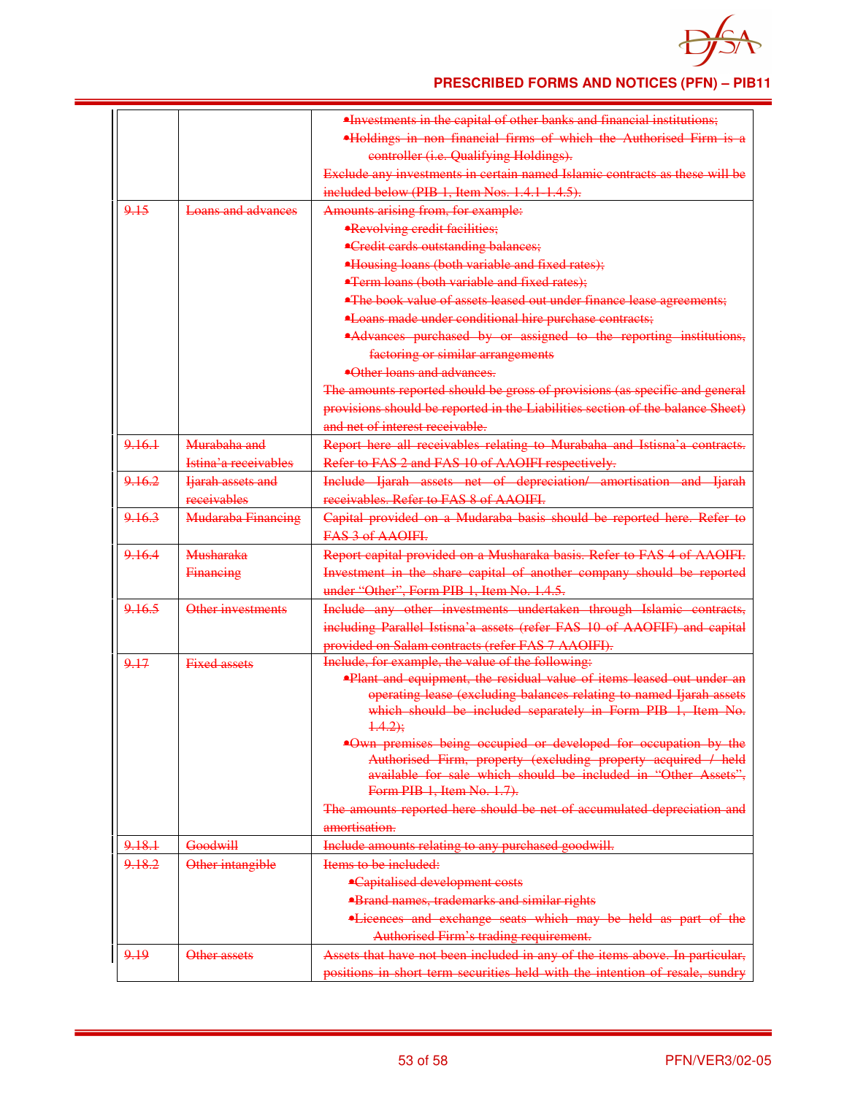

|        |                         | •Investments in the capital of other banks and financial institutions;                                                          |
|--------|-------------------------|---------------------------------------------------------------------------------------------------------------------------------|
|        |                         | <b>*Holdings in non financial firms of which the Authorised Firm is a</b>                                                       |
|        |                         | controller (i.e. Qualifying Holdings).                                                                                          |
|        |                         | Exclude any investments in certain named Islamic contracts as these will be                                                     |
|        |                         | included below (PIB 1, Item Nos. 1.4.1 1.4.5).                                                                                  |
| 9.15   | Loans and advances      | Amounts arising from, for example:                                                                                              |
|        |                         | ·Revolving credit facilities;                                                                                                   |
|        |                         | <b>*Credit cards outstanding balances;</b>                                                                                      |
|        |                         | <b>*Housing loans (both variable and fixed rates);</b>                                                                          |
|        |                         | <b>•Term loans (both variable and fixed rates);</b>                                                                             |
|        |                         | •The book value of assets leased out under finance lease agreements;                                                            |
|        |                         | *Loans made under conditional hire purchase contracts;                                                                          |
|        |                         | *Advances purchased by or assigned to the reporting institutions,                                                               |
|        |                         | factoring or similar arrangements                                                                                               |
|        |                         | •Other loans and advances.                                                                                                      |
|        |                         | The amounts reported should be gross of provisions (as specific and general                                                     |
|        |                         | provisions should be reported in the Liabilities section of the balance Sheet)                                                  |
|        |                         | and net of interest receivable.                                                                                                 |
| 9.16.1 | Murabaha and            | Report here all receivables relating to Murabaha and Istisna'a contracts.                                                       |
|        | Istina'a receivables    | Refer to FAS 2 and FAS 10 of AAOIFI respectively.                                                                               |
| 9.16.2 | <b>Harah assets and</b> | Include Ijarah assets net of depreciation/ amortisation and Ijarah                                                              |
|        | receivables             | receivables. Refer to FAS 8 of AAOIFI.                                                                                          |
| 9.16.3 | Mudaraba Financing      | Capital provided on a Mudaraba basis should be reported here. Refer to                                                          |
|        |                         | FAS 3 of AAOIFI.                                                                                                                |
| 9.16.4 | Musharaka               | Report capital provided on a Musharaka basis. Refer to FAS 4 of AAOIFI.                                                         |
|        | <b>Financing</b>        | Investment in the share capital of another company should be reported                                                           |
|        |                         | under "Other", Form PIB 1, Item No. 1.4.5.                                                                                      |
| 9.16.5 | Other investments       | Include any other investments undertaken through Islamic contracts,                                                             |
|        |                         | including Parallel Istisna'a assets (refer FAS 10 of AAOFIF) and capital                                                        |
|        |                         | provided on Salam contracts (refer FAS 7 AAOIFI).                                                                               |
| 9.17   | <b>Fixed assets</b>     | Include, for example, the value of the following:                                                                               |
|        |                         | ·Plant and equipment, the residual value of items leased out under an                                                           |
|        |                         | operating lease (excluding balances relating to named Ijarah assets                                                             |
|        |                         | which should be included separately in Form PIB 1, Item No.                                                                     |
|        |                         | $+4.2$                                                                                                                          |
|        |                         | .Own premises being occupied or developed for occupation by the                                                                 |
|        |                         | Authorised Firm, property (excluding property acquired / held<br>available for sale which should be included in "Other Assets", |
|        |                         | Form PIB 1, Item No. 1.7).                                                                                                      |
|        |                         | The amounts reported here should be net of accumulated depreciation and                                                         |
|        |                         | amortisation.                                                                                                                   |
| 9.18.1 | Goodwill                | Include amounts relating to any purchased goodwill.                                                                             |
| 9.18.2 | Other intangible        | Items to be included:                                                                                                           |
|        |                         | <b>*Capitalised development costs</b>                                                                                           |
|        |                         | <b>*Brand names, trademarks and similar rights</b>                                                                              |
|        |                         | ·Licences and exchange seats which may be held as part of the                                                                   |
|        |                         | Authorised Firm's trading requirement.                                                                                          |
| 9.19   | Other assets            | Assets that have not been included in any of the items above. In particular,                                                    |
|        |                         | positions in short term securities held with the intention of resale, sundry                                                    |
|        |                         |                                                                                                                                 |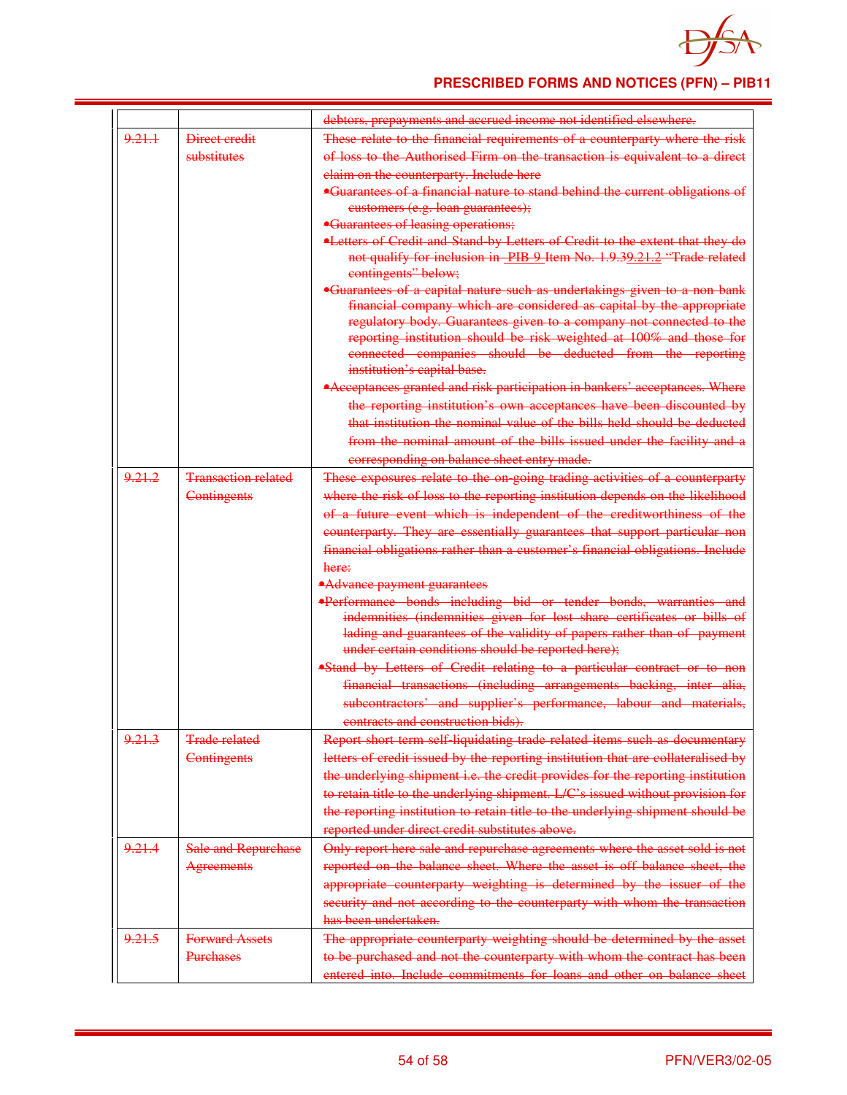

|                         |                            | debtors, prepayments and accrued income not identified elsewhere.                                                                                                             |  |
|-------------------------|----------------------------|-------------------------------------------------------------------------------------------------------------------------------------------------------------------------------|--|
| 9.21.1<br>Direct credit |                            | These relate to the financial requirements of a counterparty where the risk                                                                                                   |  |
|                         | substitutes                | of loss to the Authorised Firm on the transaction is equivalent to a direct                                                                                                   |  |
|                         |                            | claim on the counterparty. Include here                                                                                                                                       |  |
|                         |                            | <b>*Guarantees of a financial nature to stand behind the current obligations of</b>                                                                                           |  |
|                         |                            | eustomers (e.g. loan guarantees);                                                                                                                                             |  |
|                         |                            | <b>*Guarantees of leasing operations;</b>                                                                                                                                     |  |
|                         |                            | ·Letters of Credit and Stand by Letters of Credit to the extent that they do<br>not qualify for inclusion in PIB 9 Item No. 1.9.39.21.2 "Trade related<br>contingents" below; |  |
|                         |                            | <b>*Guarantees of a capital nature such as undertakings given to a non bank</b>                                                                                               |  |
|                         |                            | financial company which are considered as capital by the appropriate                                                                                                          |  |
|                         |                            | regulatory body. Guarantees given to a company not connected to the                                                                                                           |  |
|                         |                            | reporting institution should be risk weighted at 100% and those for<br>connected companies should be deducted from the reporting<br>institution's capital base.               |  |
|                         |                            | *Acceptances granted and risk participation in bankers' acceptances. Where                                                                                                    |  |
|                         |                            | the reporting institution's own acceptances have been discounted by                                                                                                           |  |
|                         |                            | that institution the nominal value of the bills held should be deducted                                                                                                       |  |
|                         |                            | from the nominal amount of the bills issued under the facility and a                                                                                                          |  |
|                         |                            | corresponding on balance sheet entry made.                                                                                                                                    |  |
| 9.21.2                  | <b>Transaction related</b> | These exposures relate to the on going trading activities of a counterparty                                                                                                   |  |
|                         | <b>Contingents</b>         | where the risk of loss to the reporting institution depends on the likelihood                                                                                                 |  |
|                         |                            | of a future event which is independent of the creditworthiness of the                                                                                                         |  |
|                         |                            | counterparty. They are essentially guarantees that support particular non                                                                                                     |  |
|                         |                            | financial obligations rather than a customer's financial obligations. Include                                                                                                 |  |
|                         |                            | here:                                                                                                                                                                         |  |
|                         |                            | •Advance payment guarantees                                                                                                                                                   |  |
|                         |                            | *Performance bonds including bid or tender bonds, warranties and                                                                                                              |  |
|                         |                            | indemnities (indemnities given for lost share certificates or bills of<br>lading and guarantees of the validity of papers rather than of payment                              |  |
|                         |                            | under certain conditions should be reported here);                                                                                                                            |  |
|                         |                            | *Stand by Letters of Credit relating to a particular contract or to non                                                                                                       |  |
|                         |                            | financial transactions (including arrangements backing, inter alia,                                                                                                           |  |
|                         |                            | subcontractors' and supplier's performance, labour and materials,                                                                                                             |  |
|                         |                            | contracts and construction bids).                                                                                                                                             |  |
| 9.21.3                  | <b>Trade related</b>       | Report short term self-liquidating trade related items such as documentary                                                                                                    |  |
|                         | <b>Contingents</b>         | letters of credit issued by the reporting institution that are collateralised by                                                                                              |  |
|                         |                            | the underlying shipment i.e. the credit provides for the reporting institution                                                                                                |  |
|                         |                            | to retain title to the underlying shipment. L/C's issued without provision for                                                                                                |  |
|                         |                            | the reporting institution to retain title to the underlying shipment should be                                                                                                |  |
|                         |                            | reported under direct credit substitutes above.                                                                                                                               |  |
| 9.21.4                  | <b>Sale and Repurchase</b> | Only report here sale and repurchase agreements where the asset sold is not                                                                                                   |  |
|                         | <b>Agreements</b>          | reported on the balance sheet. Where the asset is off balance sheet, the                                                                                                      |  |
|                         |                            | appropriate counterparty weighting is determined by the issuer of the                                                                                                         |  |
|                         |                            | security and not according to the counterparty with whom the transaction                                                                                                      |  |
|                         |                            | has been undertaken.                                                                                                                                                          |  |
| 9.21.5                  | <b>Forward Assets</b>      | The appropriate counterparty weighting should be determined by the asset                                                                                                      |  |
|                         | <b>Purchases</b>           | to be purchased and not the counterparty with whom the contract has been                                                                                                      |  |
|                         |                            | entered into. Include commitments for loans and other on balance sheet                                                                                                        |  |
|                         |                            |                                                                                                                                                                               |  |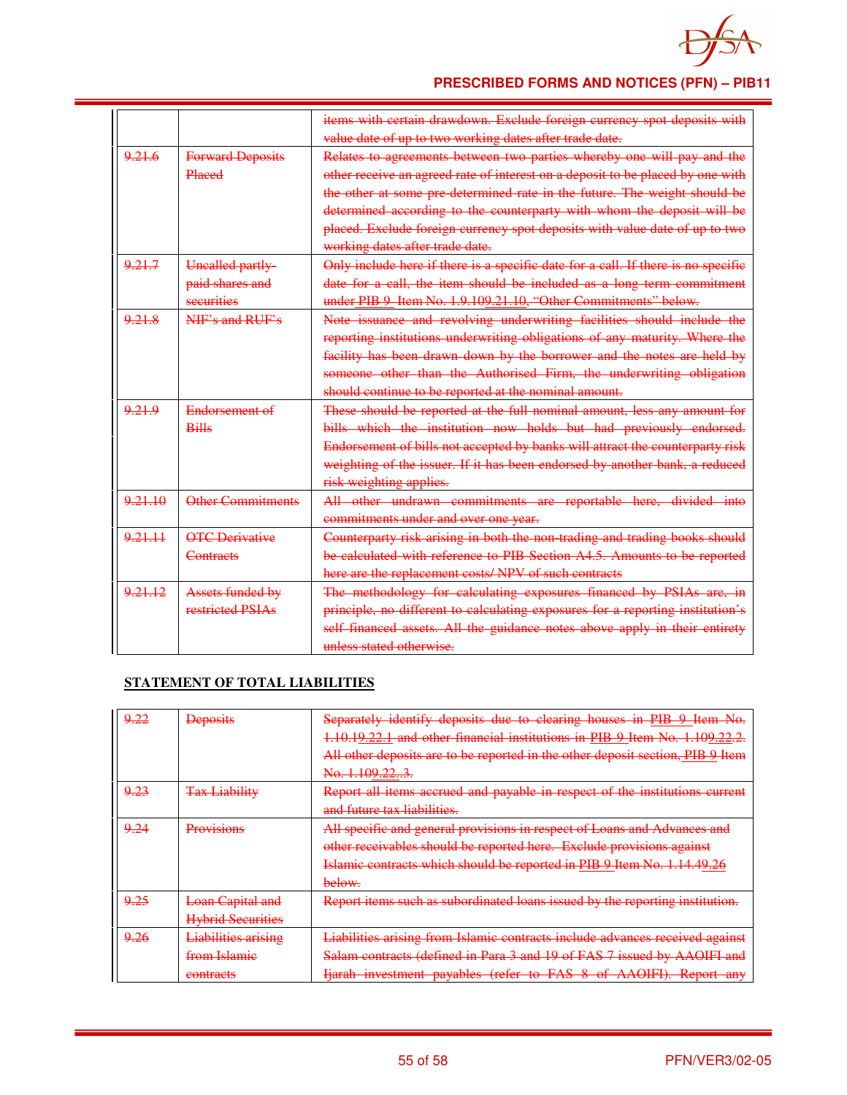

|                                             |                                                  | items with certain drawdown. Exclude foreign currency spot deposits with<br>value date of up to two working dates after trade date.                                                                                                                                                                                                                                                                                               |  |
|---------------------------------------------|--------------------------------------------------|-----------------------------------------------------------------------------------------------------------------------------------------------------------------------------------------------------------------------------------------------------------------------------------------------------------------------------------------------------------------------------------------------------------------------------------|--|
| 9.21.6<br><b>Forward Deposits</b><br>Placed |                                                  | Relates to agreements between two parties whereby one will pay and the<br>other receive an agreed rate of interest on a deposit to be placed by one with<br>the other at some pre determined rate in the future. The weight should be<br>determined according to the counterparty with whom the deposit will be<br>placed. Exclude foreign currency spot deposits with value date of up to two<br>working dates after trade date. |  |
| 9.21.7                                      | Uncalled partly<br>paid shares and<br>securities | Only include here if there is a specific date for a call. If there is no specific<br>date for a call, the item should be included as a long term commitment<br>under PIB 9 Item No. 1.9.109.21.10, "Other Commitments" below.                                                                                                                                                                                                     |  |
| 9.21.8                                      | NIF's and RHF's                                  | Note issuance and revolving underwriting facilities should include the<br>reporting institutions underwriting obligations of any maturity. Where the<br>facility has been drawn down by the borrower and the notes are held by<br>someone other than the Authorised Firm, the underwriting obligation<br>should continue to be reported at the nominal amount.                                                                    |  |
| 9.21.9<br>Endorsement of<br><b>Bills</b>    |                                                  | These should be reported at the full nominal amount, less any amount for<br>bills which the institution now holds but had previously endorsed.<br>Endorsement of bills not accepted by banks will attract the counterparty risk<br>weighting of the issuer. If it has been endorsed by another bank, a reduced<br>risk weighting applies.                                                                                         |  |
| 9.21.10                                     | <b>Other Commitments</b>                         | All other undrawn commitments are reportable here, divided into<br>commitments under and over one year.                                                                                                                                                                                                                                                                                                                           |  |
| 9.21.11                                     | <b>OTC Derivative</b><br><b>Contracts</b>        | Counterparty risk arising in both the non trading and trading books should<br>be calculated with reference to PIB Section A4.5. Amounts to be reported<br>here are the replacement costs/ NPV of such contracts                                                                                                                                                                                                                   |  |
| 9,21,12                                     | Assets funded by<br>restricted PSIAs             | The methodology for calculating exposures financed by PSIAs are, in<br>principle, no different to calculating exposures for a reporting institution's<br>self financed assets. All the guidance notes above apply in their entirety<br>unless stated otherwise.                                                                                                                                                                   |  |

## **STATEMENT OF TOTAL LIABILITIES**

| ר מ                                                                                                                                                       | <u> Danoeste</u><br><del>Deborto</del> | Separately identify deposits due to clearing houses in PIB 9 Item No<br><b><i><u>BASHIRAAS</u></i></b> |  |  |
|-----------------------------------------------------------------------------------------------------------------------------------------------------------|----------------------------------------|--------------------------------------------------------------------------------------------------------|--|--|
|                                                                                                                                                           |                                        | 1.10.19.22.1 and other financial institutions in PIB 9 Item No. 1.109.22.2.                            |  |  |
|                                                                                                                                                           |                                        | All other deposits are to be reported in the other deposit section, PIB 9 Item                         |  |  |
|                                                                                                                                                           |                                        | No. 1.109.223.                                                                                         |  |  |
| <b>Tax Liability</b><br>9.23                                                                                                                              |                                        | Report all items accrued and payable in respect of the institutions current                            |  |  |
|                                                                                                                                                           |                                        | and future tax liabilities.                                                                            |  |  |
| 9.24<br><u> Dravisians</u><br><del>r ivvisivns</del><br><u>9.25</u><br><b>Loan Capital and</b><br><b>Hybrid Securities</b><br>9.26<br>Liabilities arising |                                        | All specific and general provisions in respect of Loans and Advances and                               |  |  |
|                                                                                                                                                           |                                        | other receivables should be reported here. Exclude provisions against                                  |  |  |
|                                                                                                                                                           |                                        | Islamic contracts which should be reported in PIB 9 Item No. 1.14.49.26                                |  |  |
|                                                                                                                                                           |                                        | below.                                                                                                 |  |  |
|                                                                                                                                                           |                                        | Report items such as subordinated loans issued by the reporting institution.                           |  |  |
|                                                                                                                                                           |                                        |                                                                                                        |  |  |
|                                                                                                                                                           |                                        | Liabilities arising from Islamic contracts include advances received against                           |  |  |
|                                                                                                                                                           | from Islamie                           | Salam contracts (defined in Para 3 and 19 of FAS 7 issued by AAOIFI and                                |  |  |
| <del>contracts</del>                                                                                                                                      |                                        | <b>Harah investment payables (refer to FAS 8 of AAOIFI). Report any</b>                                |  |  |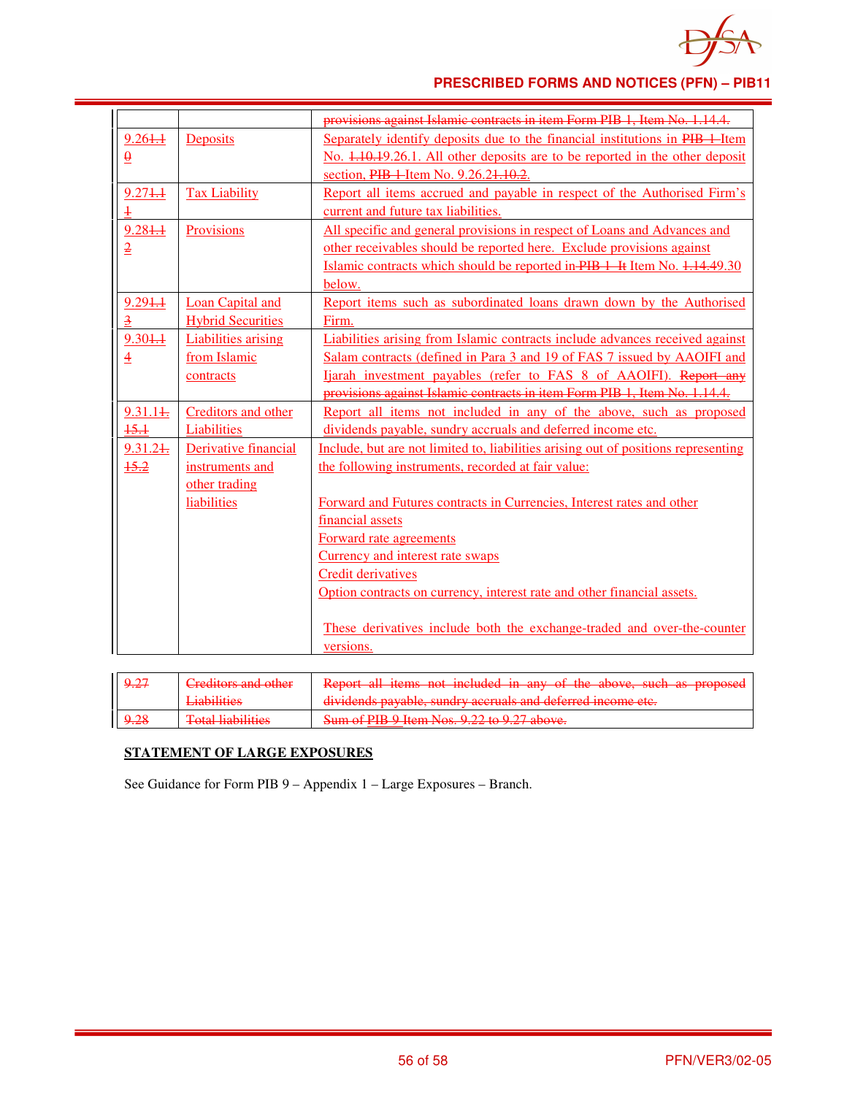

|                                                                                                        |                            | provisions against Islamic contracts in item Form PIB 1, Item No. 1.14.4.          |
|--------------------------------------------------------------------------------------------------------|----------------------------|------------------------------------------------------------------------------------|
| 9.261.1                                                                                                | Deposits                   | Separately identify deposits due to the financial institutions in PIB 1-Item       |
| $\overline{\mathbf{e}}$                                                                                |                            | No. 1.10.19.26.1. All other deposits are to be reported in the other deposit       |
|                                                                                                        |                            | section, PIB 1-Item No. 9.26.21.10.2.                                              |
| $9.27 + 1.1$                                                                                           | <b>Tax Liability</b>       | Report all items accrued and payable in respect of the Authorised Firm's           |
| $\ddagger$                                                                                             |                            | current and future tax liabilities.                                                |
| $9.281 + 1$                                                                                            | Provisions                 | All specific and general provisions in respect of Loans and Advances and           |
| $\frac{2}{2}$                                                                                          |                            | other receivables should be reported here. Exclude provisions against              |
|                                                                                                        |                            | Islamic contracts which should be reported in PIB 1 It Item No. 1,14,49.30         |
|                                                                                                        |                            | below.                                                                             |
| $9.291 + 1$<br><b>Loan Capital and</b><br>$\overline{\mathbf{3}}$<br>Firm.<br><b>Hybrid Securities</b> |                            | Report items such as subordinated loans drawn down by the Authorised               |
|                                                                                                        |                            |                                                                                    |
| 9.301.1                                                                                                | <b>Liabilities arising</b> | Liabilities arising from Islamic contracts include advances received against       |
| $\overline{4}$                                                                                         | from Islamic               | Salam contracts (defined in Para 3 and 19 of FAS 7 issued by AAOIFI and            |
|                                                                                                        | contracts                  | Ijarah investment payables (refer to FAS 8 of AAOIFI). Report any                  |
|                                                                                                        |                            | provisions against Islamic contracts in item Form PIB 1, Item No. 1.14.4.          |
| $9.31.1 +$                                                                                             | Creditors and other        | Report all items not included in any of the above, such as proposed                |
| 15.1<br>Liabilities                                                                                    |                            | dividends payable, sundry accruals and deferred income etc.                        |
| Derivative financial<br>$9.31.2 +$                                                                     |                            | Include, but are not limited to, liabilities arising out of positions representing |
| <u> 15.2</u>                                                                                           | instruments and            | the following instruments, recorded at fair value:                                 |
|                                                                                                        | other trading              |                                                                                    |
|                                                                                                        | liabilities                | Forward and Futures contracts in Currencies, Interest rates and other              |
|                                                                                                        |                            | financial assets                                                                   |
|                                                                                                        |                            | Forward rate agreements                                                            |
|                                                                                                        |                            | Currency and interest rate swaps                                                   |
|                                                                                                        |                            | <b>Credit derivatives</b>                                                          |
|                                                                                                        |                            | Option contracts on currency, interest rate and other financial assets.            |
|                                                                                                        |                            |                                                                                    |
|                                                                                                        |                            | These derivatives include both the exchange-traded and over-the-counter            |
|                                                                                                        |                            | versions.                                                                          |

| 9.27 | <b>Creditors and other</b>                     | Report all items not included in any of the above, such as proposed |  |  |  |
|------|------------------------------------------------|---------------------------------------------------------------------|--|--|--|
|      | <b>Liabilities</b>                             | dividends payable, sundry accruals and deferred income etc.         |  |  |  |
| 9.28 | Total lighilities<br><del>1 ouil naonnes</del> | <b>Sum of PIB 9 Item Nos. 9.22 to 9.27 above.</b>                   |  |  |  |

### **STATEMENT OF LARGE EXPOSURES**

See Guidance for Form PIB 9 – Appendix 1 – Large Exposures – Branch.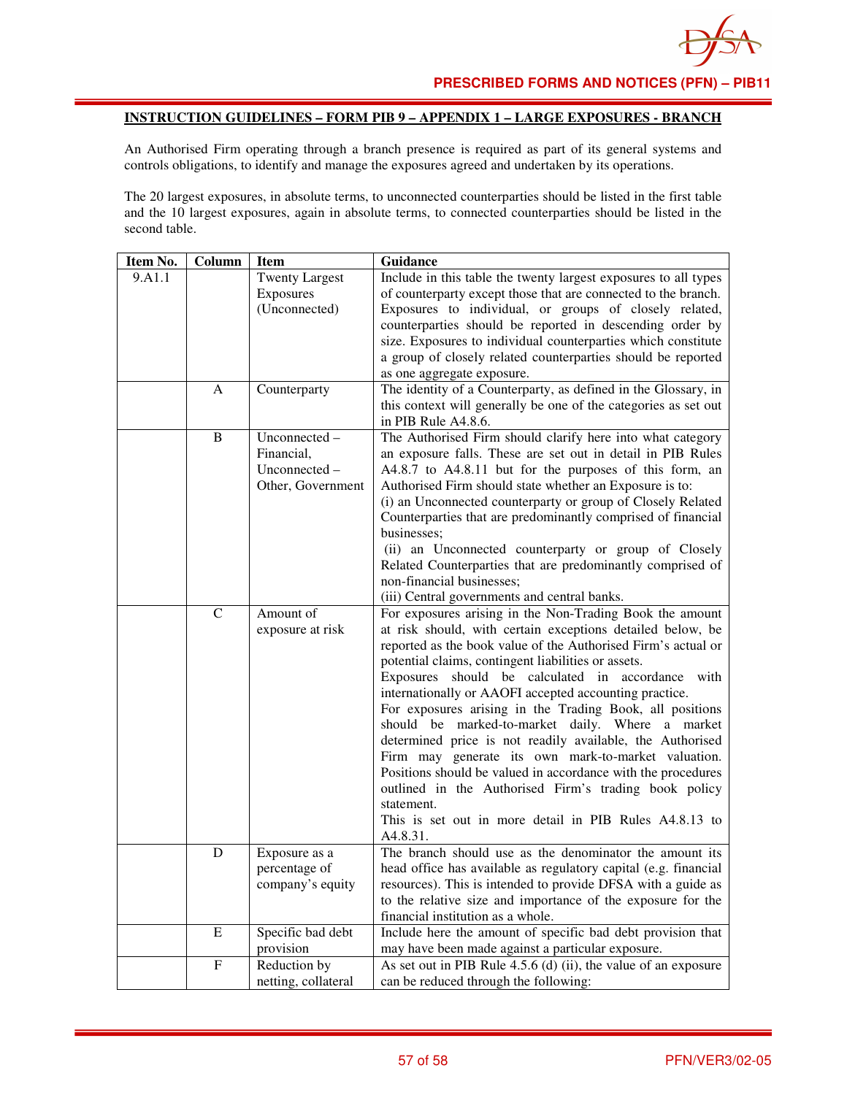

#### **INSTRUCTION GUIDELINES – FORM PIB 9 – APPENDIX 1 – LARGE EXPOSURES - BRANCH**

An Authorised Firm operating through a branch presence is required as part of its general systems and controls obligations, to identify and manage the exposures agreed and undertaken by its operations.

The 20 largest exposures, in absolute terms, to unconnected counterparties should be listed in the first table and the 10 largest exposures, again in absolute terms, to connected counterparties should be listed in the second table.

| Item No. | Column        | <b>Item</b>           | Guidance                                                                                                                        |
|----------|---------------|-----------------------|---------------------------------------------------------------------------------------------------------------------------------|
| 9.A1.1   |               | <b>Twenty Largest</b> | Include in this table the twenty largest exposures to all types                                                                 |
|          |               | Exposures             | of counterparty except those that are connected to the branch.                                                                  |
|          |               | (Unconnected)         | Exposures to individual, or groups of closely related,                                                                          |
|          |               |                       | counterparties should be reported in descending order by                                                                        |
|          |               |                       | size. Exposures to individual counterparties which constitute                                                                   |
|          |               |                       | a group of closely related counterparties should be reported                                                                    |
|          |               |                       | as one aggregate exposure.                                                                                                      |
|          | A             | Counterparty          | The identity of a Counterparty, as defined in the Glossary, in                                                                  |
|          |               |                       | this context will generally be one of the categories as set out                                                                 |
|          |               |                       | in PIB Rule A4.8.6.                                                                                                             |
|          | B             | Unconnected-          | The Authorised Firm should clarify here into what category                                                                      |
|          |               | Financial,            | an exposure falls. These are set out in detail in PIB Rules                                                                     |
|          |               | Unconnected -         | A4.8.7 to A4.8.11 but for the purposes of this form, an                                                                         |
|          |               | Other, Government     | Authorised Firm should state whether an Exposure is to:                                                                         |
|          |               |                       | (i) an Unconnected counterparty or group of Closely Related                                                                     |
|          |               |                       | Counterparties that are predominantly comprised of financial                                                                    |
|          |               |                       | businesses;                                                                                                                     |
|          |               |                       | (ii) an Unconnected counterparty or group of Closely                                                                            |
|          |               |                       | Related Counterparties that are predominantly comprised of                                                                      |
|          |               |                       | non-financial businesses;                                                                                                       |
|          |               |                       | (iii) Central governments and central banks.                                                                                    |
|          | $\mathcal{C}$ | Amount of             | For exposures arising in the Non-Trading Book the amount                                                                        |
|          |               | exposure at risk      | at risk should, with certain exceptions detailed below, be                                                                      |
|          |               |                       | reported as the book value of the Authorised Firm's actual or                                                                   |
|          |               |                       | potential claims, contingent liabilities or assets.                                                                             |
|          |               |                       | Exposures should be calculated in accordance<br>with                                                                            |
|          |               |                       | internationally or AAOFI accepted accounting practice.                                                                          |
|          |               |                       | For exposures arising in the Trading Book, all positions                                                                        |
|          |               |                       | should be marked-to-market daily. Where a market                                                                                |
|          |               |                       | determined price is not readily available, the Authorised                                                                       |
|          |               |                       | Firm may generate its own mark-to-market valuation.                                                                             |
|          |               |                       | Positions should be valued in accordance with the procedures                                                                    |
|          |               |                       | outlined in the Authorised Firm's trading book policy                                                                           |
|          |               |                       | statement.<br>This is set out in more detail in PIB Rules A4.8.13 to                                                            |
|          |               |                       | A4.8.31.                                                                                                                        |
|          | D             |                       | The branch should use as the denominator the amount its                                                                         |
|          |               | Exposure as a         |                                                                                                                                 |
|          |               | percentage of         | head office has available as regulatory capital (e.g. financial<br>resources). This is intended to provide DFSA with a guide as |
|          |               | company's equity      | to the relative size and importance of the exposure for the                                                                     |
|          |               |                       | financial institution as a whole.                                                                                               |
|          | E             | Specific bad debt     | Include here the amount of specific bad debt provision that                                                                     |
|          |               | provision             | may have been made against a particular exposure.                                                                               |
|          | ${\bf F}$     | Reduction by          | As set out in PIB Rule 4.5.6 (d) (ii), the value of an exposure                                                                 |
|          |               |                       |                                                                                                                                 |
|          |               | netting, collateral   | can be reduced through the following:                                                                                           |